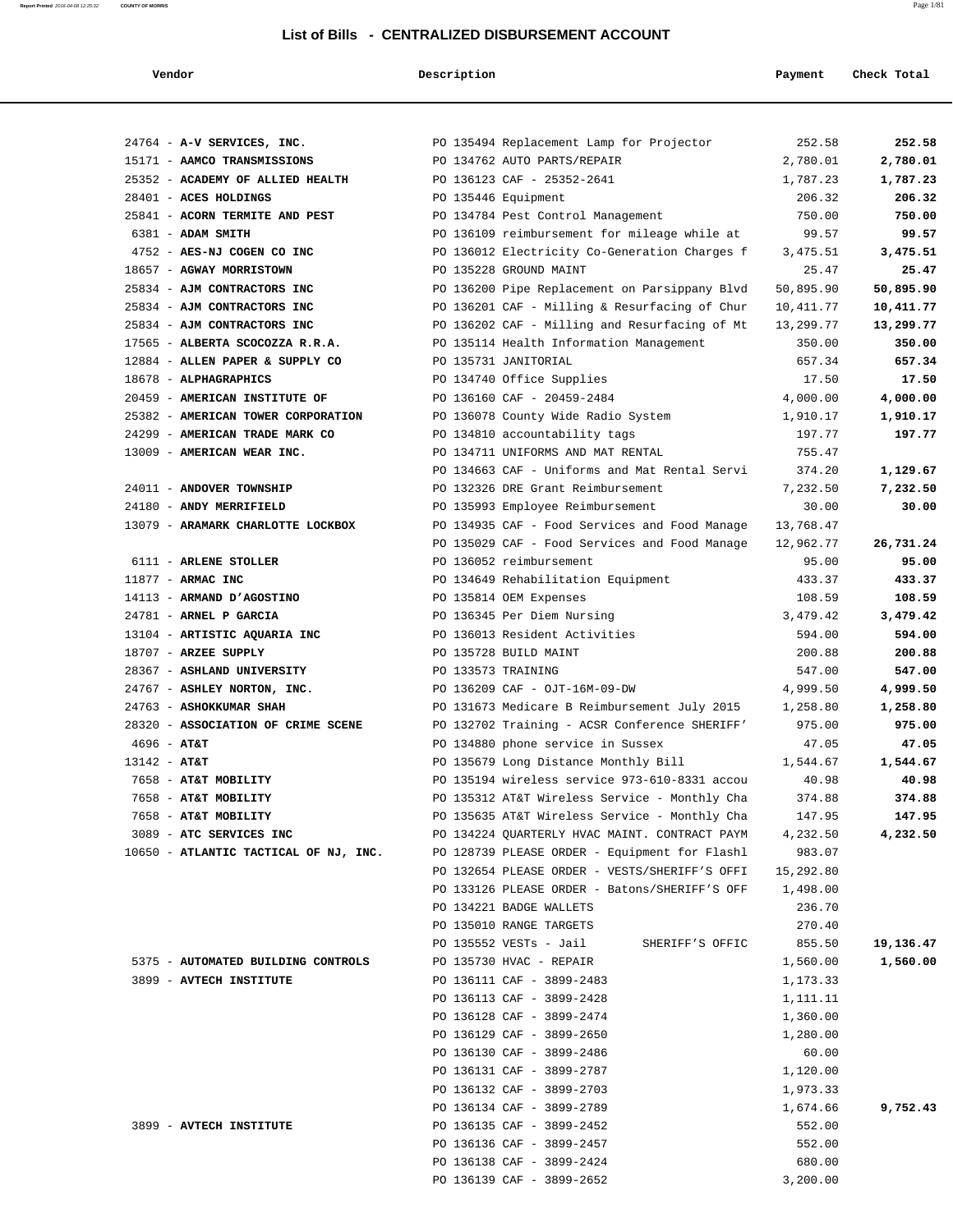# **Report Printed** 2016-04-08 12:25:32 **COUNTY OF MORRIS** Page 1/81 **List of Bills - CENTRALIZED DISBURSEMENT ACCOUNT**

| Vendor                                | Description        |                                                        | Payment   | Check Total |
|---------------------------------------|--------------------|--------------------------------------------------------|-----------|-------------|
|                                       |                    |                                                        |           |             |
| 24764 - A-V SERVICES, INC.            |                    | PO 135494 Replacement Lamp for Projector               | 252.58    | 252.58      |
| 15171 - AAMCO TRANSMISSIONS           |                    | PO 134762 AUTO PARTS/REPAIR                            | 2,780.01  | 2,780.01    |
| 25352 - ACADEMY OF ALLIED HEALTH      |                    | PO 136123 CAF - 25352-2641                             | 1,787.23  | 1,787.23    |
| 28401 - ACES HOLDINGS                 |                    | PO 135446 Equipment                                    | 206.32    | 206.32      |
| 25841 - ACORN TERMITE AND PEST        |                    | PO 134784 Pest Control Management                      | 750.00    | 750.00      |
| 6381 - ADAM SMITH                     |                    | PO 136109 reimbursement for mileage while at           | 99.57     | 99.57       |
| 4752 - AES-NJ COGEN CO INC            |                    | PO 136012 Electricity Co-Generation Charges f          | 3,475.51  | 3,475.51    |
| 18657 - AGWAY MORRISTOWN              |                    | PO 135228 GROUND MAINT                                 | 25.47     | 25.47       |
| 25834 - AJM CONTRACTORS INC           |                    | PO 136200 Pipe Replacement on Parsippany Blvd          | 50,895.90 | 50,895.90   |
| 25834 - AJM CONTRACTORS INC           |                    | PO 136201 CAF - Milling & Resurfacing of Chur          | 10,411.77 | 10,411.77   |
| 25834 - AJM CONTRACTORS INC           |                    | PO 136202 CAF - Milling and Resurfacing of Mt          | 13,299.77 | 13,299.77   |
| 17565 - ALBERTA SCOCOZZA R.R.A.       |                    | PO 135114 Health Information Management                | 350.00    | 350.00      |
| 12884 - ALLEN PAPER & SUPPLY CO       |                    | PO 135731 JANITORIAL                                   | 657.34    | 657.34      |
| 18678 - ALPHAGRAPHICS                 |                    | PO 134740 Office Supplies                              | 17.50     | 17.50       |
| 20459 - AMERICAN INSTITUTE OF         |                    | PO 136160 CAF - 20459-2484                             | 4,000.00  | 4,000.00    |
| 25382 - AMERICAN TOWER CORPORATION    |                    | PO 136078 County Wide Radio System                     | 1,910.17  | 1,910.17    |
| 24299 - AMERICAN TRADE MARK CO        |                    | PO 134810 accountability tags                          | 197.77    | 197.77      |
| 13009 - AMERICAN WEAR INC.            |                    | PO 134711 UNIFORMS AND MAT RENTAL                      | 755.47    |             |
|                                       |                    | PO 134663 CAF - Uniforms and Mat Rental Servi          | 374.20    | 1,129.67    |
| 24011 - ANDOVER TOWNSHIP              |                    | PO 132326 DRE Grant Reimbursement                      | 7,232.50  | 7,232.50    |
| 24180 - ANDY MERRIFIELD               |                    | PO 135993 Employee Reimbursement                       | 30.00     | 30.00       |
| 13079 - ARAMARK CHARLOTTE LOCKBOX     |                    | PO 134935 CAF - Food Services and Food Manage          | 13,768.47 |             |
|                                       |                    | PO 135029 CAF - Food Services and Food Manage          | 12,962.77 | 26,731.24   |
| 6111 - ARLENE STOLLER                 |                    | PO 136052 reimbursement                                | 95.00     | 95.00       |
| 11877 - ARMAC INC                     |                    | PO 134649 Rehabilitation Equipment                     | 433.37    | 433.37      |
| 14113 - ARMAND D'AGOSTINO             |                    | PO 135814 OEM Expenses                                 | 108.59    | 108.59      |
| 24781 - ARNEL P GARCIA                |                    | PO 136345 Per Diem Nursing                             | 3,479.42  | 3,479.42    |
| 13104 - ARTISTIC AQUARIA INC          |                    | PO 136013 Resident Activities                          | 594.00    | 594.00      |
| 18707 - ARZEE SUPPLY                  |                    | PO 135728 BUILD MAINT                                  | 200.88    | 200.88      |
| 28367 - ASHLAND UNIVERSITY            | PO 133573 TRAINING |                                                        | 547.00    | 547.00      |
| 24767 - ASHLEY NORTON, INC.           |                    | PO 136209 CAF - OJT-16M-09-DW                          | 4,999.50  | 4,999.50    |
| 24763 - ASHOKKUMAR SHAH               |                    | PO 131673 Medicare B Reimbursement July 2015           | 1,258.80  | 1,258.80    |
| 28320 - ASSOCIATION OF CRIME SCENE    |                    | PO 132702 Training - ACSR Conference SHERIFF'          | 975.00    | 975.00      |
| $4696 - AT&T$                         |                    | PO 134880 phone service in Sussex                      | 47.05     | 47.05       |
| 13142 - AT&T                          |                    | PO 135679 Long Distance Monthly Bill                   | 1,544.67  | 1,544.67    |
| 7658 - AT&T MOBILITY                  |                    | PO 135194 wireless service 973-610-8331 accou          | 40.98     | 40.98       |
| 7658 - AT&T MOBILITY                  |                    | PO 135312 AT&T Wireless Service - Monthly Cha 374.88   |           | 374.88      |
| 7658 - AT&T MOBILITY                  |                    | PO 135635 AT&T Wireless Service - Monthly Cha 147.95   |           | 147.95      |
| 3089 - ATC SERVICES INC               |                    | PO 134224 QUARTERLY HVAC MAINT. CONTRACT PAYM 4,232.50 |           | 4,232.50    |
| 10650 - ATLANTIC TACTICAL OF NJ, INC. |                    | PO 128739 PLEASE ORDER - Equipment for Flashl          | 983.07    |             |
|                                       |                    | PO 132654 PLEASE ORDER - VESTS/SHERIFF'S OFFI          | 15,292.80 |             |
|                                       |                    | PO 133126 PLEASE ORDER - Batons/SHERIFF'S OFF          | 1,498.00  |             |
|                                       |                    | PO 134221 BADGE WALLETS                                | 236.70    |             |
|                                       |                    | PO 135010 RANGE TARGETS                                | 270.40    |             |
|                                       |                    | PO 135552 VESTs - Jail<br>SHERIFF'S OFFIC              | 855.50    | 19,136.47   |
| 5375 - AUTOMATED BUILDING CONTROLS    |                    | PO 135730 HVAC - REPAIR                                | 1,560.00  | 1,560.00    |
| 3899 - AVTECH INSTITUTE               |                    | PO 136111 CAF - 3899-2483                              | 1,173.33  |             |
|                                       |                    | PO 136113 CAF - 3899-2428                              | 1,111.11  |             |
|                                       |                    | PO 136128 CAF - 3899-2474                              | 1,360.00  |             |
|                                       |                    | PO 136129 CAF - 3899-2650                              | 1,280.00  |             |
|                                       |                    | PO 136130 CAF - 3899-2486                              | 60.00     |             |
|                                       |                    | PO 136131 CAF - 3899-2787                              | 1,120.00  |             |
|                                       |                    | PO 136132 CAF - 3899-2703                              | 1,973.33  |             |
|                                       |                    | PO 136134 CAF - 3899-2789                              | 1,674.66  | 9,752.43    |
| 3899 - AVTECH INSTITUTE               |                    | PO 136135 CAF - 3899-2452                              | 552.00    |             |
|                                       |                    | PO 136136 CAF - 3899-2457                              | 552.00    |             |
|                                       |                    | PO 136138 CAF - 3899-2424                              | 680.00    |             |
|                                       |                    | PO 136139 CAF - 3899-2652                              | 3,200.00  |             |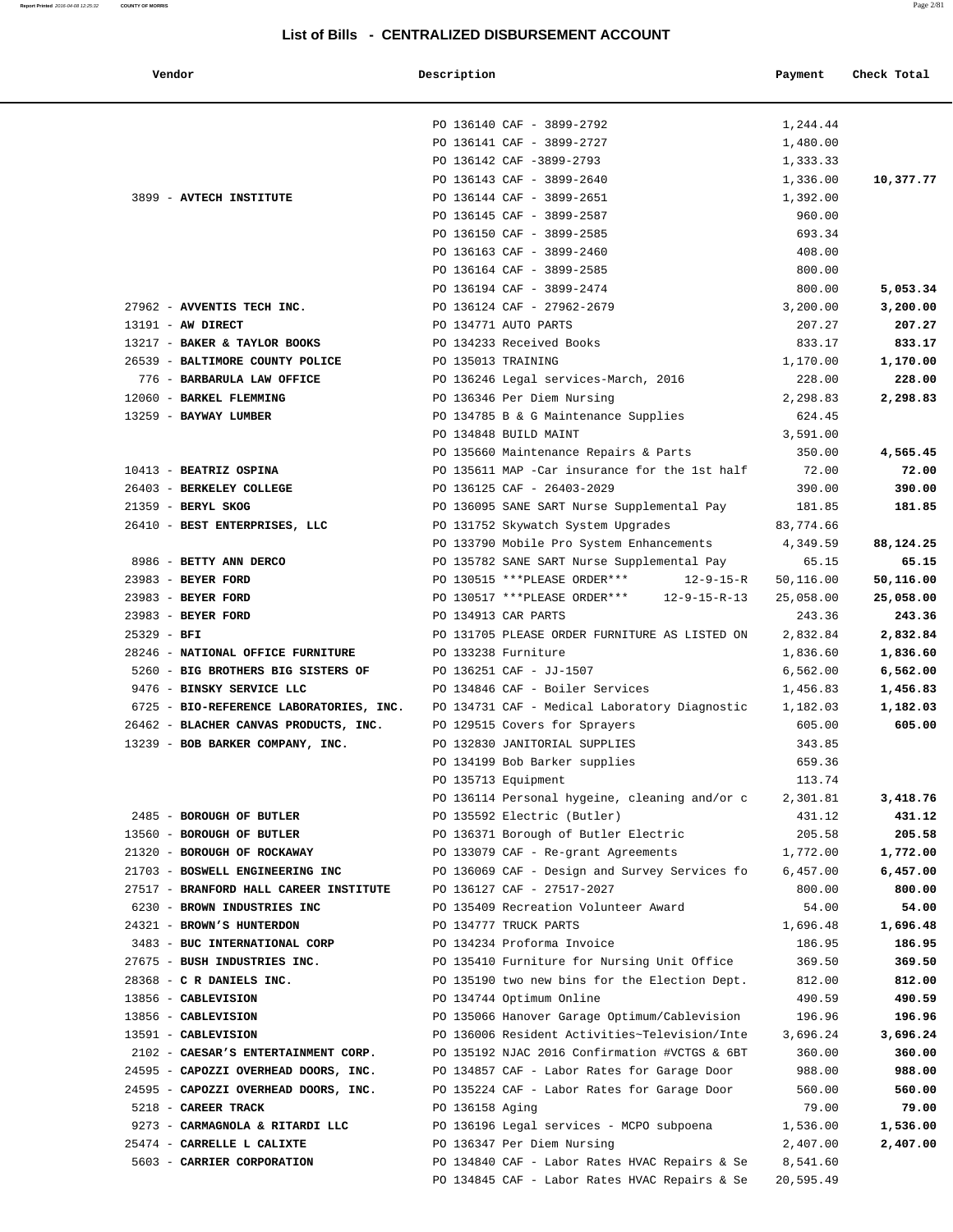| Vendor                                                               | Description        |                                                                                | Payment            | Check Total        |
|----------------------------------------------------------------------|--------------------|--------------------------------------------------------------------------------|--------------------|--------------------|
|                                                                      |                    |                                                                                |                    |                    |
|                                                                      |                    | PO 136140 CAF - 3899-2792                                                      | 1,244.44           |                    |
|                                                                      |                    | PO 136141 CAF - 3899-2727                                                      | 1,480.00           |                    |
|                                                                      |                    | PO 136142 CAF -3899-2793                                                       | 1,333.33           |                    |
|                                                                      |                    | PO 136143 CAF - 3899-2640                                                      | 1,336.00           | 10,377.77          |
| 3899 - AVTECH INSTITUTE                                              |                    | PO 136144 CAF - 3899-2651                                                      | 1,392.00           |                    |
|                                                                      |                    | PO 136145 CAF - 3899-2587                                                      | 960.00             |                    |
|                                                                      |                    | PO 136150 CAF - 3899-2585                                                      | 693.34             |                    |
|                                                                      |                    | PO 136163 CAF - 3899-2460                                                      | 408.00             |                    |
|                                                                      |                    | PO 136164 CAF - 3899-2585                                                      | 800.00             |                    |
|                                                                      |                    | PO 136194 CAF - 3899-2474                                                      | 800.00             | 5,053.34           |
| 27962 - AVVENTIS TECH INC.                                           |                    | PO 136124 CAF - 27962-2679                                                     | 3,200.00           | 3,200.00           |
| 13191 - AW DIRECT                                                    |                    | PO 134771 AUTO PARTS                                                           | 207.27             | 207.27             |
| 13217 - BAKER & TAYLOR BOOKS                                         |                    | PO 134233 Received Books                                                       | 833.17             | 833.17             |
| 26539 - BALTIMORE COUNTY POLICE                                      | PO 135013 TRAINING |                                                                                | 1,170.00           | 1,170.00           |
| 776 - BARBARULA LAW OFFICE                                           |                    | PO 136246 Legal services-March, 2016                                           | 228.00             | 228.00             |
| 12060 - BARKEL FLEMMING                                              |                    | PO 136346 Per Diem Nursing                                                     | 2,298.83           | 2,298.83           |
| 13259 - BAYWAY LUMBER                                                |                    | PO 134785 B & G Maintenance Supplies                                           | 624.45             |                    |
|                                                                      |                    | PO 134848 BUILD MAINT                                                          | 3,591.00           |                    |
|                                                                      |                    | PO 135660 Maintenance Repairs & Parts                                          | 350.00             | 4,565.45           |
| 10413 - BEATRIZ OSPINA                                               |                    | PO 135611 MAP -Car insurance for the 1st half                                  | 72.00              | 72.00              |
| 26403 - BERKELEY COLLEGE                                             |                    | PO 136125 CAF - 26403-2029                                                     | 390.00             | 390.00             |
| 21359 - BERYL SKOG                                                   |                    | PO 136095 SANE SART Nurse Supplemental Pay                                     | 181.85             | 181.85             |
| 26410 - BEST ENTERPRISES, LLC                                        |                    | PO 131752 Skywatch System Upgrades                                             | 83,774.66          |                    |
|                                                                      |                    | PO 133790 Mobile Pro System Enhancements                                       | 4,349.59           | 88,124.25          |
| 8986 - BETTY ANN DERCO                                               |                    | PO 135782 SANE SART Nurse Supplemental Pay                                     | 65.15              | 65.15              |
| 23983 - BEYER FORD                                                   |                    | PO 130515 ***PLEASE ORDER***<br>$12 - 9 - 15 - R$                              | 50,116.00          | 50,116.00          |
| 23983 - BEYER FORD                                                   |                    | PO 130517 ***PLEASE ORDER***<br>$12 - 9 - 15 - R - 13$                         | 25,058.00          | 25,058.00          |
| 23983 - BEYER FORD                                                   |                    | PO 134913 CAR PARTS                                                            | 243.36             | 243.36             |
| $25329 - BFI$                                                        |                    | PO 131705 PLEASE ORDER FURNITURE AS LISTED ON<br>PO 133238 Furniture           | 2,832.84           | 2,832.84           |
| 28246 - NATIONAL OFFICE FURNITURE                                    |                    |                                                                                | 1,836.60           | 1,836.60           |
| 5260 - BIG BROTHERS BIG SISTERS OF                                   |                    | PO 136251 CAF - JJ-1507                                                        | 6,562.00           | 6,562.00           |
| 9476 - BINSKY SERVICE LLC<br>6725 - BIO-REFERENCE LABORATORIES, INC. |                    | PO 134846 CAF - Boiler Services                                                | 1,456.83           | 1,456.83           |
| 26462 - BLACHER CANVAS PRODUCTS, INC.                                |                    | PO 134731 CAF - Medical Laboratory Diagnostic<br>PO 129515 Covers for Sprayers | 1,182.03<br>605.00 | 1,182.03<br>605.00 |
| 13239 - BOB BARKER COMPANY, INC.                                     |                    | PO 132830 JANITORIAL SUPPLIES                                                  | 343.85             |                    |
|                                                                      |                    | PO 134199 Bob Barker supplies                                                  | 659.36             |                    |
|                                                                      |                    | PO 135713 Equipment                                                            | 113.74             |                    |
|                                                                      |                    | PO 136114 Personal hygeine, cleaning and/or c                                  | 2,301.81           | 3,418.76           |
| 2485 - BOROUGH OF BUTLER                                             |                    | PO 135592 Electric (Butler)                                                    | 431.12             | 431.12             |
| 13560 - BOROUGH OF BUTLER                                            |                    | PO 136371 Borough of Butler Electric                                           | 205.58             | 205.58             |
| 21320 - BOROUGH OF ROCKAWAY                                          |                    | PO 133079 CAF - Re-grant Agreements                                            | 1,772.00           | 1,772.00           |
| 21703 - BOSWELL ENGINEERING INC                                      |                    | PO 136069 CAF - Design and Survey Services fo                                  | 6,457.00           | 6,457.00           |
| 27517 - BRANFORD HALL CAREER INSTITUTE                               |                    | PO 136127 CAF - 27517-2027                                                     | 800.00             | 800.00             |
| 6230 - BROWN INDUSTRIES INC                                          |                    | PO 135409 Recreation Volunteer Award                                           | 54.00              | 54.00              |
| 24321 - BROWN'S HUNTERDON                                            |                    | PO 134777 TRUCK PARTS                                                          | 1,696.48           | 1,696.48           |
| 3483 - BUC INTERNATIONAL CORP                                        |                    | PO 134234 Proforma Invoice                                                     | 186.95             | 186.95             |
| 27675 - BUSH INDUSTRIES INC.                                         |                    | PO 135410 Furniture for Nursing Unit Office                                    | 369.50             | 369.50             |
| 28368 - C R DANIELS INC.                                             |                    | PO 135190 two new bins for the Election Dept.                                  | 812.00             | 812.00             |
| 13856 - CABLEVISION                                                  |                    | PO 134744 Optimum Online                                                       | 490.59             | 490.59             |
| 13856 - CABLEVISION                                                  |                    | PO 135066 Hanover Garage Optimum/Cablevision                                   | 196.96             | 196.96             |
| 13591 - CABLEVISION                                                  |                    | PO 136006 Resident Activities~Television/Inte                                  | 3,696.24           | 3,696.24           |
| 2102 - CAESAR'S ENTERTAINMENT CORP.                                  |                    | PO 135192 NJAC 2016 Confirmation #VCTGS & 6BT                                  | 360.00             | 360.00             |
| 24595 - CAPOZZI OVERHEAD DOORS, INC.                                 |                    | PO 134857 CAF - Labor Rates for Garage Door                                    | 988.00             | 988.00             |
| 24595 - CAPOZZI OVERHEAD DOORS, INC.                                 |                    | PO 135224 CAF - Labor Rates for Garage Door                                    | 560.00             | 560.00             |
| 5218 - CAREER TRACK                                                  | PO 136158 Aging    |                                                                                | 79.00              | 79.00              |
| 9273 - CARMAGNOLA & RITARDI LLC                                      |                    | PO 136196 Legal services - MCPO subpoena                                       | 1,536.00           | 1,536.00           |
| 25474 - CARRELLE L CALIXTE                                           |                    | PO 136347 Per Diem Nursing                                                     | 2,407.00           | 2,407.00           |
| 5603 - CARRIER CORPORATION                                           |                    | PO 134840 CAF - Labor Rates HVAC Repairs & Se                                  | 8,541.60           |                    |
|                                                                      |                    | PO 134845 CAF - Labor Rates HVAC Repairs & Se                                  | 20,595.49          |                    |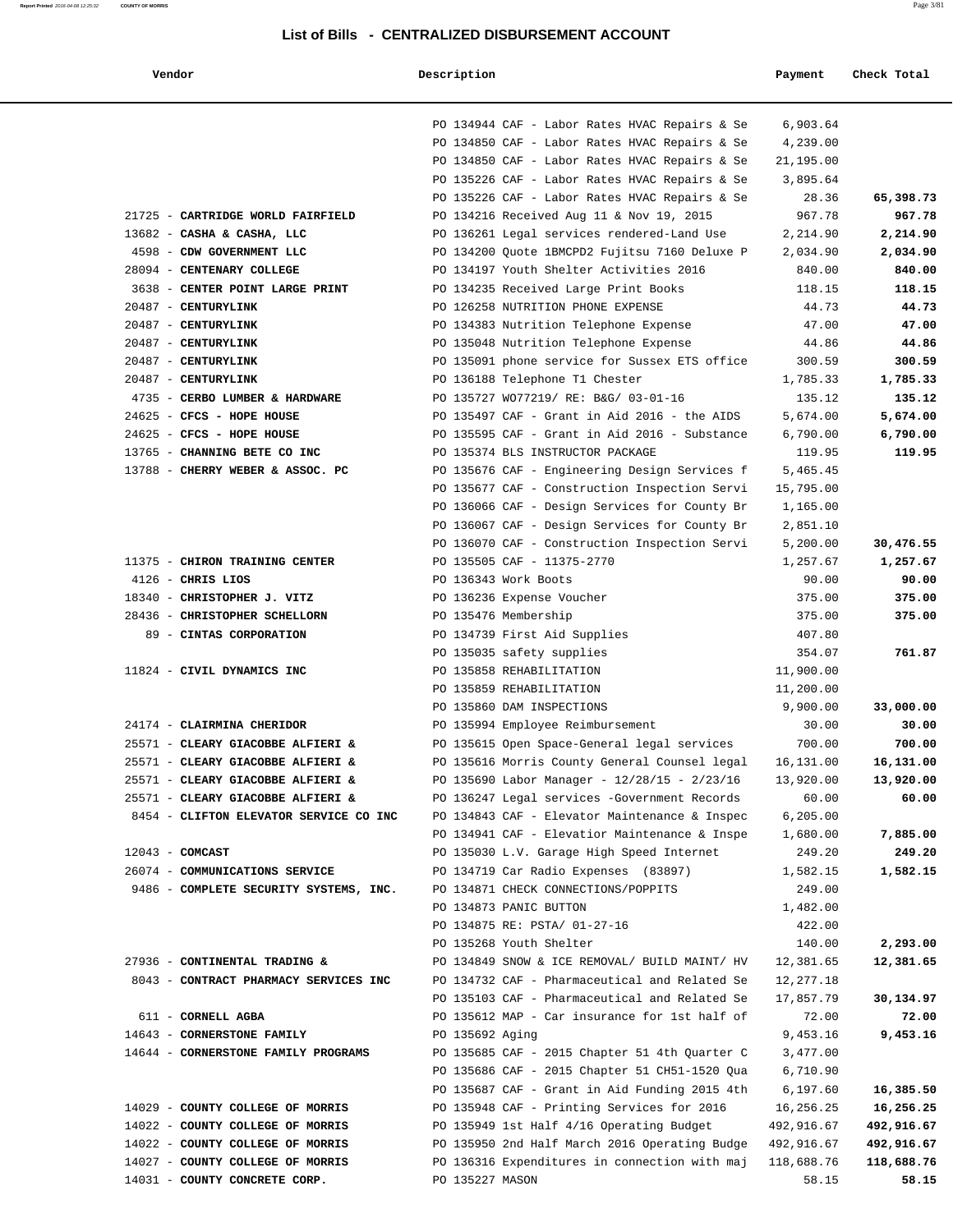**Report Printed** 2016-04-08 12:25:32 **COUNTY OF MORRIS** Page 3/81

| Vendor                                 | Description                                                                                    | Payment               | Check Total |
|----------------------------------------|------------------------------------------------------------------------------------------------|-----------------------|-------------|
|                                        | PO 134944 CAF - Labor Rates HVAC Repairs & Se                                                  | 6,903.64              |             |
|                                        | PO 134850 CAF - Labor Rates HVAC Repairs & Se                                                  | 4,239.00              |             |
|                                        | PO 134850 CAF - Labor Rates HVAC Repairs & Se                                                  | 21,195.00             |             |
|                                        | PO 135226 CAF - Labor Rates HVAC Repairs & Se                                                  | 3,895.64              |             |
|                                        | PO 135226 CAF - Labor Rates HVAC Repairs & Se                                                  | 28.36                 | 65,398.73   |
| 21725 - CARTRIDGE WORLD FAIRFIELD      | PO 134216 Received Aug 11 & Nov 19, 2015                                                       | 967.78                | 967.78      |
| 13682 - CASHA & CASHA, LLC             | PO 136261 Legal services rendered-Land Use                                                     | 2,214.90              | 2,214.90    |
| 4598 - CDW GOVERNMENT LLC              | PO 134200 Quote 1BMCPD2 Fujitsu 7160 Deluxe P                                                  | 2,034.90              | 2,034.90    |
| 28094 - CENTENARY COLLEGE              | PO 134197 Youth Shelter Activities 2016                                                        | 840.00                | 840.00      |
| 3638 - CENTER POINT LARGE PRINT        | PO 134235 Received Large Print Books                                                           | 118.15                | 118.15      |
| 20487 - CENTURYLINK                    | PO 126258 NUTRITION PHONE EXPENSE                                                              | 44.73                 | 44.73       |
| 20487 - CENTURYLINK                    | PO 134383 Nutrition Telephone Expense                                                          | 47.00                 | 47.00       |
| 20487 - CENTURYLINK                    | PO 135048 Nutrition Telephone Expense                                                          | 44.86                 | 44.86       |
| 20487 - CENTURYLINK                    | PO 135091 phone service for Sussex ETS office                                                  | 300.59                | 300.59      |
| 20487 - CENTURYLINK                    | PO 136188 Telephone T1 Chester                                                                 | 1,785.33              | 1,785.33    |
| 4735 - CERBO LUMBER & HARDWARE         | PO 135727 WO77219/ RE: B&G/ 03-01-16                                                           | 135.12                | 135.12      |
| 24625 - CFCS - HOPE HOUSE              | PO 135497 CAF - Grant in Aid 2016 - the AIDS                                                   | 5,674.00              | 5,674.00    |
| 24625 - CFCS - HOPE HOUSE              | PO 135595 CAF - Grant in Aid 2016 - Substance                                                  | 6,790.00              | 6,790.00    |
| 13765 - CHANNING BETE CO INC           | PO 135374 BLS INSTRUCTOR PACKAGE                                                               | 119.95                | 119.95      |
| 13788 - CHERRY WEBER & ASSOC. PC       | PO 135676 CAF - Engineering Design Services f<br>PO 135677 CAF - Construction Inspection Servi | 5,465.45<br>15,795.00 |             |
|                                        | PO 136066 CAF - Design Services for County Br                                                  | 1,165.00              |             |
|                                        | PO 136067 CAF - Design Services for County Br                                                  | 2,851.10              |             |
|                                        | PO 136070 CAF - Construction Inspection Servi                                                  | 5,200.00              | 30,476.55   |
| 11375 - CHIRON TRAINING CENTER         | PO 135505 CAF - 11375-2770                                                                     | 1,257.67              | 1,257.67    |
| $4126$ - CHRIS LIOS                    | PO 136343 Work Boots                                                                           | 90.00                 | 90.00       |
| 18340 - CHRISTOPHER J. VITZ            | PO 136236 Expense Voucher                                                                      | 375.00                | 375.00      |
| 28436 - CHRISTOPHER SCHELLORN          | PO 135476 Membership                                                                           | 375.00                | 375.00      |
| 89 - CINTAS CORPORATION                | PO 134739 First Aid Supplies                                                                   | 407.80                |             |
|                                        | PO 135035 safety supplies                                                                      | 354.07                | 761.87      |
| 11824 - CIVIL DYNAMICS INC             | PO 135858 REHABILITATION                                                                       | 11,900.00             |             |
|                                        | PO 135859 REHABILITATION                                                                       | 11,200.00             |             |
|                                        | PO 135860 DAM INSPECTIONS                                                                      | 9,900.00              | 33,000.00   |
| 24174 - CLAIRMINA CHERIDOR             | PO 135994 Employee Reimbursement                                                               | 30.00                 | 30.00       |
| 25571 - CLEARY GIACOBBE ALFIERI &      | PO 135615 Open Space-General legal services                                                    | 700.00                | 700.00      |
| 25571 - CLEARY GIACOBBE ALFIERI &      | PO 135616 Morris County General Counsel legal                                                  | 16,131.00             | 16,131.00   |
| 25571 - CLEARY GIACOBBE ALFIERI &      | PO 135690 Labor Manager - 12/28/15 - 2/23/16                                                   | 13,920.00             | 13,920.00   |
| 25571 - CLEARY GIACOBBE ALFIERI &      | PO 136247 Legal services -Government Records                                                   | 60.00                 | 60.00       |
| 8454 - CLIFTON ELEVATOR SERVICE CO INC | PO 134843 CAF - Elevator Maintenance & Inspec                                                  | 6, 205.00             |             |
|                                        | PO 134941 CAF - Elevatior Maintenance & Inspe                                                  | 1,680.00              | 7,885.00    |
| $12043$ - COMCAST                      | PO 135030 L.V. Garage High Speed Internet                                                      | 249.20                | 249.20      |
| 26074 - COMMUNICATIONS SERVICE         | PO 134719 Car Radio Expenses (83897)                                                           | 1,582.15              | 1,582.15    |
| 9486 - COMPLETE SECURITY SYSTEMS, INC. | PO 134871 CHECK CONNECTIONS/POPPITS                                                            | 249.00                |             |
|                                        | PO 134873 PANIC BUTTON                                                                         | 1,482.00<br>422.00    |             |
|                                        | PO 134875 RE: PSTA/ 01-27-16<br>PO 135268 Youth Shelter                                        | 140.00                | 2,293.00    |
| 27936 - CONTINENTAL TRADING &          | PO 134849 SNOW & ICE REMOVAL/ BUILD MAINT/ HV                                                  | 12,381.65             | 12,381.65   |
| 8043 - CONTRACT PHARMACY SERVICES INC  | PO 134732 CAF - Pharmaceutical and Related Se                                                  | 12,277.18             |             |
|                                        | PO 135103 CAF - Pharmaceutical and Related Se                                                  | 17,857.79             | 30,134.97   |
| 611 - CORNELL AGBA                     | PO 135612 MAP - Car insurance for 1st half of                                                  | 72.00                 | 72.00       |
| 14643 - CORNERSTONE FAMILY             | PO 135692 Aging                                                                                | 9,453.16              | 9,453.16    |
| 14644 - CORNERSTONE FAMILY PROGRAMS    | PO 135685 CAF - 2015 Chapter 51 4th Quarter C                                                  | 3,477.00              |             |
|                                        | PO 135686 CAF - 2015 Chapter 51 CH51-1520 Qua                                                  | 6,710.90              |             |
|                                        | PO 135687 CAF - Grant in Aid Funding 2015 4th                                                  | 6,197.60              | 16,385.50   |
| 14029 - COUNTY COLLEGE OF MORRIS       | PO 135948 CAF - Printing Services for 2016                                                     | 16,256.25             | 16,256.25   |
| 14022 - COUNTY COLLEGE OF MORRIS       | PO 135949 1st Half 4/16 Operating Budget                                                       | 492,916.67            | 492,916.67  |
| 14022 - COUNTY COLLEGE OF MORRIS       | PO 135950 2nd Half March 2016 Operating Budge                                                  | 492,916.67            | 492,916.67  |
| 14027 - COUNTY COLLEGE OF MORRIS       | PO 136316 Expenditures in connection with maj                                                  | 118,688.76            | 118,688.76  |
| 14031 - COUNTY CONCRETE CORP.          | PO 135227 MASON                                                                                | 58.15                 | 58.15       |
|                                        |                                                                                                |                       |             |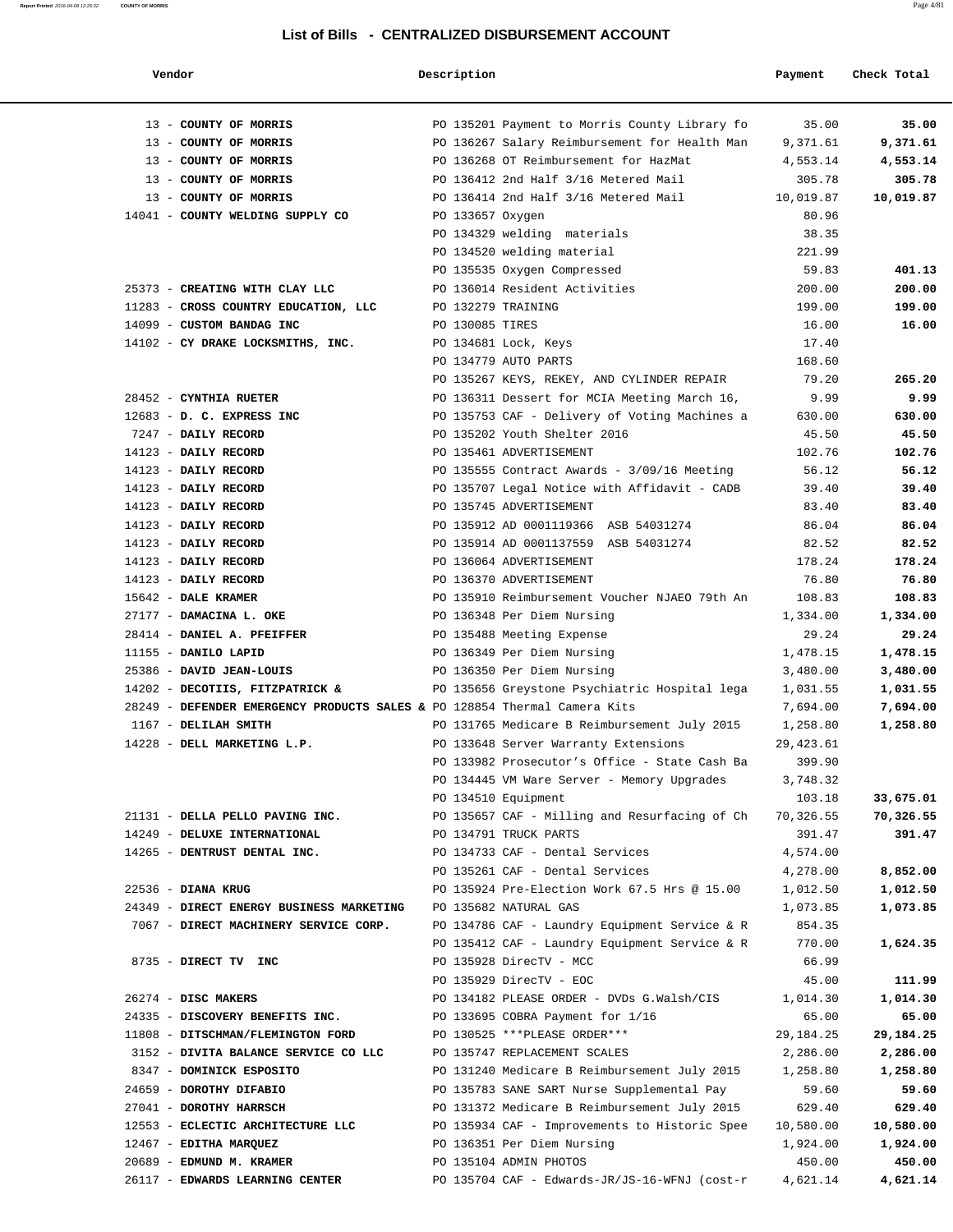| Vendor                                                                    | Description        |                                                      | Payment            | Check Total        |
|---------------------------------------------------------------------------|--------------------|------------------------------------------------------|--------------------|--------------------|
| 13 - COUNTY OF MORRIS                                                     |                    | PO 135201 Payment to Morris County Library fo        | 35.00              | 35.00              |
| 13 - COUNTY OF MORRIS                                                     |                    | PO 136267 Salary Reimbursement for Health Man        | 9,371.61           | 9,371.61           |
| 13 - COUNTY OF MORRIS                                                     |                    | PO 136268 OT Reimbursement for HazMat                | 4,553.14           | 4,553.14           |
| 13 - COUNTY OF MORRIS                                                     |                    | PO 136412 2nd Half 3/16 Metered Mail                 | 305.78             | 305.78             |
| 13 - COUNTY OF MORRIS                                                     |                    | PO 136414 2nd Half 3/16 Metered Mail                 | 10,019.87          | 10,019.87          |
| 14041 - COUNTY WELDING SUPPLY CO                                          | PO 133657 Oxygen   |                                                      | 80.96              |                    |
|                                                                           |                    | PO 134329 welding materials                          | 38.35              |                    |
|                                                                           |                    | PO 134520 welding material                           | 221.99             |                    |
|                                                                           |                    | PO 135535 Oxygen Compressed                          | 59.83              | 401.13             |
| 25373 - CREATING WITH CLAY LLC                                            |                    | PO 136014 Resident Activities                        | 200.00             | 200.00             |
| 11283 - CROSS COUNTRY EDUCATION, LLC                                      | PO 132279 TRAINING |                                                      | 199.00             | 199.00             |
| 14099 - CUSTOM BANDAG INC                                                 | PO 130085 TIRES    |                                                      | 16.00              | 16.00              |
| 14102 - CY DRAKE LOCKSMITHS, INC.                                         |                    | PO 134681 Lock, Keys                                 | 17.40              |                    |
|                                                                           |                    | PO 134779 AUTO PARTS                                 | 168.60             |                    |
|                                                                           |                    | PO 135267 KEYS, REKEY, AND CYLINDER REPAIR           | 79.20              | 265.20             |
| 28452 - CYNTHIA RUETER                                                    |                    | PO 136311 Dessert for MCIA Meeting March 16,         | 9.99               | 9.99               |
| 12683 - D. C. EXPRESS INC                                                 |                    | PO 135753 CAF - Delivery of Voting Machines a        | 630.00             | 630.00             |
| 7247 - DAILY RECORD                                                       |                    | PO 135202 Youth Shelter 2016                         | 45.50              | 45.50              |
| 14123 - DAILY RECORD                                                      |                    | PO 135461 ADVERTISEMENT                              | 102.76             | 102.76             |
| 14123 - DAILY RECORD                                                      |                    | PO 135555 Contract Awards - $3/09/16$ Meeting        | 56.12              | 56.12              |
| 14123 - DAILY RECORD                                                      |                    | PO 135707 Legal Notice with Affidavit - CADB         | 39.40              | 39.40              |
| 14123 - DAILY RECORD                                                      |                    | PO 135745 ADVERTISEMENT                              | 83.40              | 83.40              |
| 14123 - DAILY RECORD                                                      |                    | PO 135912 AD 0001119366 ASB 54031274                 | 86.04              | 86.04              |
| 14123 - DAILY RECORD                                                      |                    | PO 135914 AD 0001137559 ASB 54031274                 | 82.52              | 82.52              |
| 14123 - DAILY RECORD                                                      |                    | PO 136064 ADVERTISEMENT                              | 178.24             | 178.24             |
| 14123 - DAILY RECORD                                                      |                    | PO 136370 ADVERTISEMENT                              | 76.80              | 76.80              |
| 15642 - DALE KRAMER                                                       |                    | PO 135910 Reimbursement Voucher NJAEO 79th An        | 108.83             | 108.83             |
| 27177 - DAMACINA L. OKE                                                   |                    | PO 136348 Per Diem Nursing                           | 1,334.00           | 1,334.00           |
| 28414 - DANIEL A. PFEIFFER                                                |                    | PO 135488 Meeting Expense                            | 29.24              | 29.24              |
| 11155 - DANILO LAPID                                                      |                    | PO 136349 Per Diem Nursing                           | 1,478.15           | 1,478.15           |
| 25386 - DAVID JEAN-LOUIS                                                  |                    | PO 136350 Per Diem Nursing                           | 3,480.00           | 3,480.00           |
| 14202 - DECOTIIS, FITZPATRICK &                                           |                    | PO 135656 Greystone Psychiatric Hospital lega        | 1,031.55           | 1,031.55           |
| 28249 - DEFENDER EMERGENCY PRODUCTS SALES & PO 128854 Thermal Camera Kits |                    |                                                      | 7,694.00           | 7,694.00           |
| 1167 - DELILAH SMITH                                                      |                    | PO 131765 Medicare B Reimbursement July 2015         | 1,258.80           | 1,258.80           |
| 14228 - DELL MARKETING L.P.                                               |                    | PO 133648 Server Warranty Extensions                 | 29,423.61          |                    |
|                                                                           |                    | PO 133982 Prosecutor's Office - State Cash Ba        | 399.90             |                    |
|                                                                           |                    | PO 134445 VM Ware Server - Memory Upgrades           | 3,748.32           |                    |
|                                                                           |                    | PO 134510 Equipment                                  | 103.18             | 33,675.01          |
| 21131 - DELLA PELLO PAVING INC.                                           |                    | PO 135657 CAF - Milling and Resurfacing of Ch        | 70,326.55          | 70,326.55          |
| 14249 - DELUXE INTERNATIONAL                                              |                    | PO 134791 TRUCK PARTS                                | 391.47             | 391.47             |
| 14265 - DENTRUST DENTAL INC.                                              |                    | PO 134733 CAF - Dental Services                      | 4,574.00           |                    |
|                                                                           |                    | PO 135261 CAF - Dental Services                      | 4,278.00           | 8,852.00           |
| 22536 - DIANA KRUG                                                        |                    | PO 135924 Pre-Election Work 67.5 Hrs @ 15.00         | 1,012.50           | 1,012.50           |
| 24349 - DIRECT ENERGY BUSINESS MARKETING                                  |                    | PO 135682 NATURAL GAS                                | 1,073.85           | 1,073.85           |
| 7067 - DIRECT MACHINERY SERVICE CORP.                                     |                    | PO 134786 CAF - Laundry Equipment Service & R        | 854.35             |                    |
|                                                                           |                    | PO 135412 CAF - Laundry Equipment Service & R        | 770.00             | 1,624.35           |
| 8735 - DIRECT TV INC                                                      |                    | PO 135928 DirecTV - MCC                              | 66.99              |                    |
|                                                                           |                    | PO 135929 DirecTV - EOC                              | 45.00              | 111.99             |
| $26274$ - DISC MAKERS                                                     |                    | PO 134182 PLEASE ORDER - DVDs G.Walsh/CIS            | 1,014.30           | 1,014.30           |
| 24335 - DISCOVERY BENEFITS INC.                                           |                    | PO 133695 COBRA Payment for 1/16                     | 65.00              | 65.00              |
| 11808 - DITSCHMAN/FLEMINGTON FORD                                         |                    | PO 130525 ***PLEASE ORDER***                         | 29, 184. 25        | 29,184.25          |
| 3152 - DIVITA BALANCE SERVICE CO LLC                                      |                    | PO 135747 REPLACEMENT SCALES                         | 2,286.00           | 2,286.00           |
| 8347 - DOMINICK ESPOSITO                                                  |                    | PO 131240 Medicare B Reimbursement July 2015         | 1,258.80           | 1,258.80           |
| 24659 - DOROTHY DIFABIO                                                   |                    | PO 135783 SANE SART Nurse Supplemental Pay           | 59.60              | 59.60<br>629.40    |
| 27041 - DOROTHY HARRSCH                                                   |                    | PO 131372 Medicare B Reimbursement July 2015         | 629.40             | 10,580.00          |
| 12553 - ECLECTIC ARCHITECTURE LLC                                         |                    | PO 135934 CAF - Improvements to Historic Spee        | 10,580.00          |                    |
| 12467 - EDITHA MARQUEZ<br>20689 - EDMUND M. KRAMER                        |                    | PO 136351 Per Diem Nursing<br>PO 135104 ADMIN PHOTOS | 1,924.00<br>450.00 | 1,924.00           |
| 26117 - EDWARDS LEARNING CENTER                                           |                    | PO 135704 CAF - Edwards-JR/JS-16-WFNJ (cost-r        | 4,621.14           | 450.00<br>4,621.14 |
|                                                                           |                    |                                                      |                    |                    |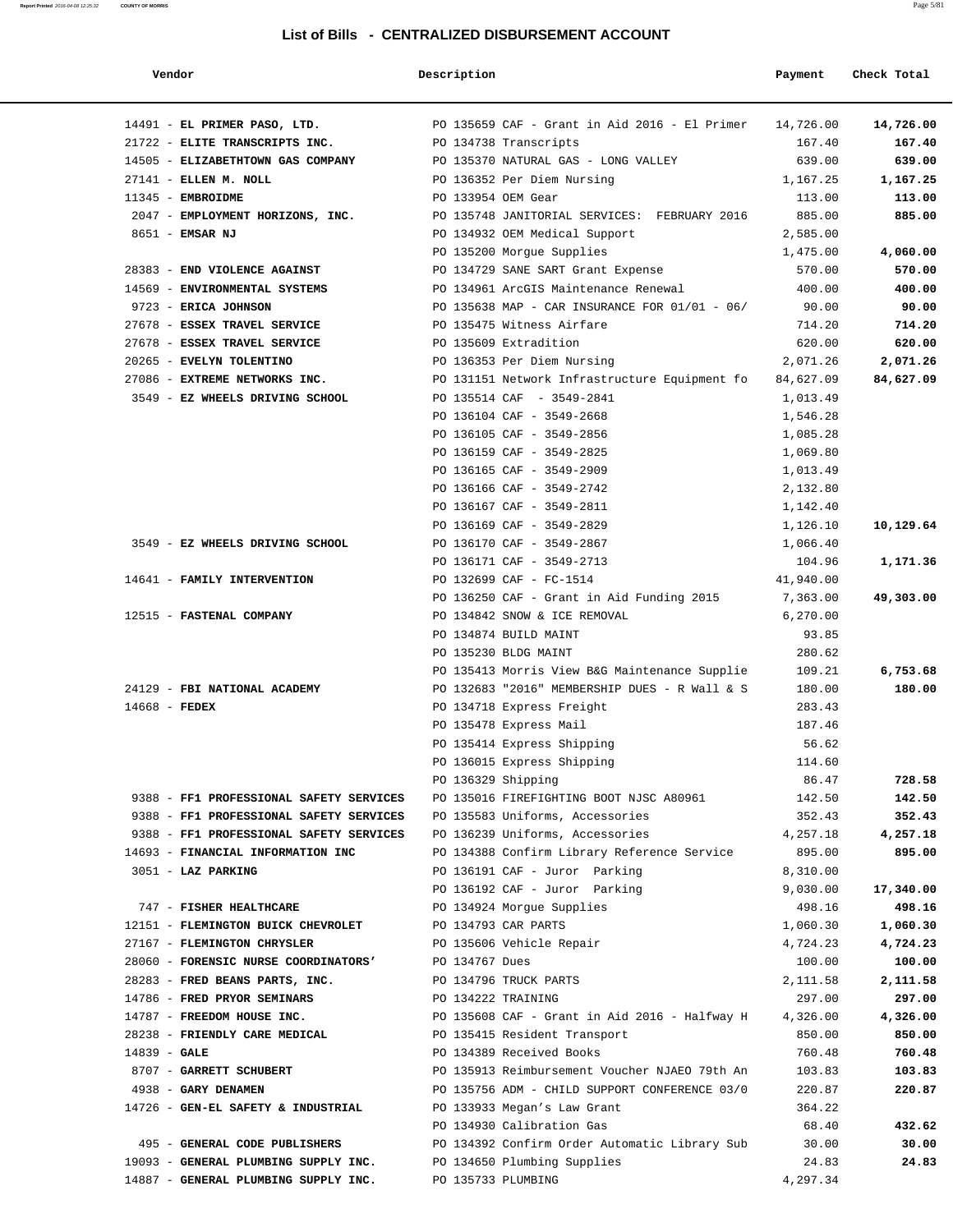| Vendor |
|--------|
|--------|

# **1988 CHECK TOTAL CONSTRUCTER CHECK TOTAL PAYMENT CHECK TOTAL**

|                                                                                    | 14491 - EL PRIMER PASO, LTD. 200 20135659 CAF - Grant in Aid 2016 - El Primer 24,726.00               | 14,726.00                            |
|------------------------------------------------------------------------------------|-------------------------------------------------------------------------------------------------------|--------------------------------------|
| 21722 - ELITE TRANSCRIPTS INC.                                                     | PO 134738 Transcripts                                                                                 | 167.40<br>167.40                     |
|                                                                                    | 14505 - ELIZABETHTOWN GAS COMPANY PO 135370 NATURAL GAS - LONG VALLEY                                 | 639.00<br>639.00                     |
| 27141 - ELLEN M. NOLL                                                              | PO 136352 Per Diem Nursing                                                                            | 1,167.25<br>1,167.25                 |
| $11345$ - EMBROIDME                                                                | PO 133954 OEM Gear                                                                                    | 113.00<br>113.00                     |
|                                                                                    | 2047 - EMPLOYMENT HORIZONS, INC. PO 135748 JANITORIAL SERVICES: FEBRUARY 2016 885.00                  | 885.00                               |
| 8651 - EMSAR NJ                                                                    | PO 134932 OEM Medical Support                                                                         | 2,585.00                             |
|                                                                                    | PO 135200 Morgue Supplies                                                                             | 1,475.00<br>4,060.00                 |
|                                                                                    | 28383 - END VIOLENCE AGAINST <b>DESAURA EXPLOSE SERVICE AGAINST</b> PO 134729 SANE SART Grant Expense | 570.00<br>570.00                     |
|                                                                                    | 14569 - ENVIRONMENTAL SYSTEMS TO THE PO 134961 ArcGIS Maintenance Renewal                             | 400.00<br>400.00                     |
| 9723 - ERICA JOHNSON                                                               | PO 135638 MAP - CAR INSURANCE FOR 01/01 - 06/                                                         | 90.00<br>90.00                       |
| 27678 - ESSEX TRAVEL SERVICE                                                       | PO 135475 Witness Airfare                                                                             | 714.20<br>714.20                     |
| 27678 - ESSEX TRAVEL SERVICE                                                       | PO 135609 Extradition                                                                                 | 620.00<br>620.00                     |
| 20265 - EVELYN TOLENTINO                                                           | PO 136353 Per Diem Nursing                                                                            | 2,071.26<br>2,071.26                 |
| 27086 - EXTREME NETWORKS INC.                                                      | PO 131151 Network Infrastructure Equipment fo                                                         | 84,627.09<br>84,627.09               |
| 3549 - EZ WHEELS DRIVING SCHOOL                                                    | PO 135514 CAF - 3549-2841                                                                             | 1,013.49                             |
|                                                                                    | PO 136104 CAF - 3549-2668                                                                             | 1,546.28                             |
|                                                                                    | PO 136105 CAF - 3549-2856                                                                             | 1,085.28                             |
|                                                                                    | PO 136159 CAF - 3549-2825                                                                             | 1,069.80                             |
|                                                                                    | PO 136165 CAF - 3549-2909                                                                             | 1,013.49                             |
|                                                                                    | PO 136166 CAF - 3549-2742                                                                             | 2,132.80                             |
|                                                                                    | PO 136167 CAF - 3549-2811                                                                             | 1,142.40                             |
|                                                                                    | PO 136169 CAF - 3549-2829                                                                             | 1,126.10<br>10,129.64                |
| 3549 - EZ WHEELS DRIVING SCHOOL                                                    | PO 136170 CAF - 3549-2867                                                                             | 1,066.40                             |
|                                                                                    | PO 136171 CAF - 3549-2713                                                                             | 104.96<br>1,171.36                   |
| 14641 - FAMILY INTERVENTION                                                        | PO 132699 CAF - FC-1514                                                                               | 41,940.00                            |
|                                                                                    | PO 136250 CAF - Grant in Aid Funding 2015 7,363.00                                                    | 49,303.00                            |
| 12515 - FASTENAL COMPANY                                                           | PO 134842 SNOW & ICE REMOVAL                                                                          | 6,270.00                             |
|                                                                                    | PO 134874 BUILD MAINT                                                                                 | 93.85                                |
|                                                                                    | PO 135230 BLDG MAINT                                                                                  | 280.62                               |
|                                                                                    | PO 135413 Morris View B&G Maintenance Supplie                                                         | 109.21<br>6,753.68                   |
| 24129 - FBI NATIONAL ACADEMY                                                       | PO 132683 "2016" MEMBERSHIP DUES - R Wall & S                                                         | 180.00<br>180.00                     |
| $14668$ - FEDEX                                                                    | PO 134718 Express Freight                                                                             | 283.43                               |
|                                                                                    | PO 135478 Express Mail                                                                                | 187.46                               |
|                                                                                    | PO 135414 Express Shipping                                                                            | 56.62                                |
|                                                                                    | PO 136015 Express Shipping                                                                            | 114.60                               |
|                                                                                    | PO 136329 Shipping                                                                                    | 86.47<br>728.58                      |
| 9388 - FF1 PROFESSIONAL SAFETY SERVICES<br>9388 - FF1 PROFESSIONAL SAFETY SERVICES | PO 135016 FIREFIGHTING BOOT NJSC A80961<br>PO 135583 Uniforms, Accessories                            | 142.50<br>142.50<br>352.43<br>352.43 |
| 9388 - FF1 PROFESSIONAL SAFETY SERVICES PO 136239 Uniforms, Accessories            |                                                                                                       | 4,257.18<br>4,257.18                 |
| 14693 - FINANCIAL INFORMATION INC                                                  | PO 134388 Confirm Library Reference Service                                                           | 895.00<br>895.00                     |
| 3051 - LAZ PARKING                                                                 | PO 136191 CAF - Juror Parking                                                                         | 8,310.00                             |
|                                                                                    | PO 136192 CAF - Juror Parking                                                                         | 9,030.00<br>17,340.00                |
| 747 - FISHER HEALTHCARE                                                            | PO 134924 Morgue Supplies                                                                             | 498.16<br>498.16                     |
| 12151 - FLEMINGTON BUICK CHEVROLET                                                 | PO 134793 CAR PARTS                                                                                   | 1,060.30<br>1,060.30                 |
| 27167 - FLEMINGTON CHRYSLER                                                        | PO 135606 Vehicle Repair                                                                              | 4,724.23<br>4,724.23                 |
| 28060 - FORENSIC NURSE COORDINATORS'                                               | PO 134767 Dues                                                                                        | 100.00<br>100.00                     |
| 28283 - FRED BEANS PARTS, INC.                                                     | PO 134796 TRUCK PARTS                                                                                 | 2,111.58<br>2,111.58                 |
| 14786 - FRED PRYOR SEMINARS                                                        | PO 134222 TRAINING                                                                                    | 297.00<br>297.00                     |
| 14787 - FREEDOM HOUSE INC.                                                         | PO 135608 CAF - Grant in Aid 2016 - Halfway H                                                         | 4,326.00<br>4,326.00                 |
| 28238 - FRIENDLY CARE MEDICAL                                                      | PO 135415 Resident Transport                                                                          | 850.00<br>850.00                     |
| $14839 - GALE$                                                                     | PO 134389 Received Books                                                                              | 760.48<br>760.48                     |
| 8707 - GARRETT SCHUBERT                                                            | PO 135913 Reimbursement Voucher NJAEO 79th An                                                         | 103.83<br>103.83                     |
| 4938 - GARY DENAMEN                                                                | PO 135756 ADM - CHILD SUPPORT CONFERENCE 03/0                                                         | 220.87<br>220.87                     |
| 14726 - GEN-EL SAFETY & INDUSTRIAL                                                 | PO 133933 Megan's Law Grant                                                                           | 364.22                               |
|                                                                                    | PO 134930 Calibration Gas                                                                             | 68.40<br>432.62                      |
| 495 - GENERAL CODE PUBLISHERS                                                      | PO 134392 Confirm Order Automatic Library Sub                                                         | 30.00<br>30.00                       |
| 19093 - GENERAL PLUMBING SUPPLY INC.                                               | PO 134650 Plumbing Supplies                                                                           | 24.83<br>24.83                       |
| 14887 - GENERAL PLUMBING SUPPLY INC.                                               | PO 135733 PLUMBING                                                                                    | 4,297.34                             |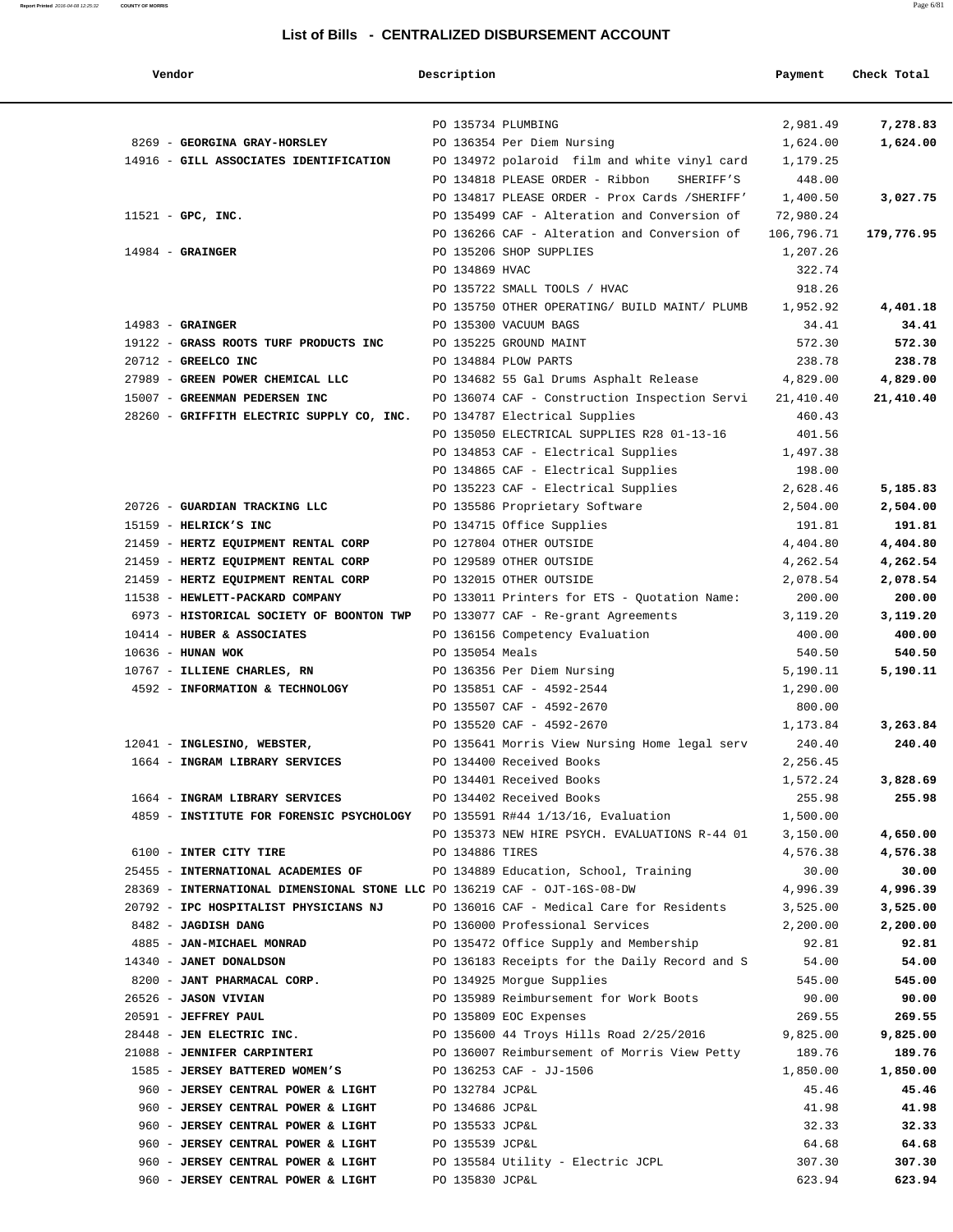| Vendor                                                                      | Description        |                                                | Payment    | Check Total |
|-----------------------------------------------------------------------------|--------------------|------------------------------------------------|------------|-------------|
|                                                                             | PO 135734 PLUMBING |                                                | 2,981.49   | 7,278.83    |
| 8269 - GEORGINA GRAY-HORSLEY                                                |                    | PO 136354 Per Diem Nursing                     | 1,624.00   | 1,624.00    |
| 14916 - GILL ASSOCIATES IDENTIFICATION                                      |                    | PO 134972 polaroid film and white vinyl card   | 1,179.25   |             |
|                                                                             |                    | PO 134818 PLEASE ORDER - Ribbon<br>SHERIFF'S   | 448.00     |             |
|                                                                             |                    | PO 134817 PLEASE ORDER - Prox Cards / SHERIFF' | 1,400.50   | 3,027.75    |
| $11521$ - GPC, INC.                                                         |                    | PO 135499 CAF - Alteration and Conversion of   | 72,980.24  |             |
|                                                                             |                    | PO 136266 CAF - Alteration and Conversion of   | 106,796.71 | 179,776.95  |
| $14984$ - GRAINGER                                                          |                    | PO 135206 SHOP SUPPLIES                        | 1,207.26   |             |
|                                                                             | PO 134869 HVAC     |                                                | 322.74     |             |
|                                                                             |                    | PO 135722 SMALL TOOLS / HVAC                   | 918.26     |             |
|                                                                             |                    | PO 135750 OTHER OPERATING/ BUILD MAINT/ PLUMB  | 1,952.92   | 4,401.18    |
| $14983$ - GRAINGER                                                          |                    | PO 135300 VACUUM BAGS                          | 34.41      | 34.41       |
| 19122 - GRASS ROOTS TURF PRODUCTS INC                                       |                    | PO 135225 GROUND MAINT                         | 572.30     | 572.30      |
| 20712 - GREELCO INC                                                         |                    | PO 134884 PLOW PARTS                           | 238.78     | 238.78      |
| 27989 - GREEN POWER CHEMICAL LLC                                            |                    |                                                | 4,829.00   |             |
|                                                                             |                    | PO 134682 55 Gal Drums Asphalt Release         |            | 4,829.00    |
| 15007 - GREENMAN PEDERSEN INC                                               |                    | PO 136074 CAF - Construction Inspection Servi  | 21,410.40  | 21,410.40   |
| 28260 - GRIFFITH ELECTRIC SUPPLY CO, INC.                                   |                    | PO 134787 Electrical Supplies                  | 460.43     |             |
|                                                                             |                    | PO 135050 ELECTRICAL SUPPLIES R28 01-13-16     | 401.56     |             |
|                                                                             |                    | PO 134853 CAF - Electrical Supplies            | 1,497.38   |             |
|                                                                             |                    | PO 134865 CAF - Electrical Supplies            | 198.00     |             |
|                                                                             |                    | PO 135223 CAF - Electrical Supplies            | 2,628.46   | 5,185.83    |
| 20726 - GUARDIAN TRACKING LLC                                               |                    | PO 135586 Proprietary Software                 | 2,504.00   | 2,504.00    |
| 15159 - HELRICK'S INC                                                       |                    | PO 134715 Office Supplies                      | 191.81     | 191.81      |
| 21459 - HERTZ EQUIPMENT RENTAL CORP                                         |                    | PO 127804 OTHER OUTSIDE                        | 4,404.80   | 4,404.80    |
| 21459 - HERTZ EQUIPMENT RENTAL CORP                                         |                    | PO 129589 OTHER OUTSIDE                        | 4,262.54   | 4,262.54    |
| 21459 - HERTZ EQUIPMENT RENTAL CORP                                         |                    | PO 132015 OTHER OUTSIDE                        | 2,078.54   | 2,078.54    |
| 11538 - HEWLETT-PACKARD COMPANY                                             |                    | PO 133011 Printers for ETS - Quotation Name:   | 200.00     | 200.00      |
| 6973 - HISTORICAL SOCIETY OF BOONTON TWP                                    |                    | PO 133077 CAF - Re-grant Agreements            | 3,119.20   | 3,119.20    |
| 10414 - HUBER & ASSOCIATES                                                  |                    | PO 136156 Competency Evaluation                | 400.00     | 400.00      |
| $10636$ - HUNAN WOK                                                         | PO 135054 Meals    |                                                | 540.50     | 540.50      |
| 10767 - ILLIENE CHARLES, RN                                                 |                    | PO 136356 Per Diem Nursing                     | 5,190.11   | 5,190.11    |
| 4592 - INFORMATION & TECHNOLOGY                                             |                    | PO 135851 CAF - 4592-2544                      | 1,290.00   |             |
|                                                                             |                    | PO 135507 CAF - 4592-2670                      | 800.00     |             |
|                                                                             |                    | PO 135520 CAF - 4592-2670                      | 1,173.84   | 3,263.84    |
| 12041 - INGLESINO, WEBSTER,                                                 |                    | PO 135641 Morris View Nursing Home legal serv  | 240.40     | 240.40      |
| 1664 - INGRAM LIBRARY SERVICES                                              |                    | PO 134400 Received Books                       | 2,256.45   |             |
|                                                                             |                    | PO 134401 Received Books                       | 1,572.24   | 3,828.69    |
| 1664 - INGRAM LIBRARY SERVICES                                              |                    | PO 134402 Received Books                       | 255.98     | 255.98      |
| 4859 - INSTITUTE FOR FORENSIC PSYCHOLOGY PO 135591 R#44 1/13/16, Evaluation |                    |                                                | 1,500.00   |             |
|                                                                             |                    | PO 135373 NEW HIRE PSYCH. EVALUATIONS R-44 01  | 3,150.00   | 4,650.00    |
| 6100 - INTER CITY TIRE                                                      | PO 134886 TIRES    |                                                | 4,576.38   | 4,576.38    |
| 25455 - INTERNATIONAL ACADEMIES OF                                          |                    | PO 134889 Education, School, Training          | 30.00      | 30.00       |
| 28369 - INTERNATIONAL DIMENSIONAL STONE LLC PO 136219 CAF - OJT-16S-08-DW   |                    |                                                | 4,996.39   | 4,996.39    |
| 20792 - IPC HOSPITALIST PHYSICIANS NJ                                       |                    | PO 136016 CAF - Medical Care for Residents     | 3,525.00   | 3,525.00    |
| 8482 - JAGDISH DANG                                                         |                    | PO 136000 Professional Services                | 2,200.00   | 2,200.00    |
| 4885 - JAN-MICHAEL MONRAD                                                   |                    | PO 135472 Office Supply and Membership         | 92.81      | 92.81       |
| 14340 - JANET DONALDSON                                                     |                    | PO 136183 Receipts for the Daily Record and S  | 54.00      | 54.00       |
| 8200 - JANT PHARMACAL CORP.                                                 |                    | PO 134925 Morgue Supplies                      | 545.00     | 545.00      |
| 26526 - JASON VIVIAN                                                        |                    | PO 135989 Reimbursement for Work Boots         | 90.00      | 90.00       |
| 20591 - JEFFREY PAUL                                                        |                    | PO 135809 EOC Expenses                         | 269.55     | 269.55      |
| 28448 - JEN ELECTRIC INC.                                                   |                    | PO 135600 44 Troys Hills Road 2/25/2016        | 9,825.00   | 9,825.00    |
| 21088 - JENNIFER CARPINTERI                                                 |                    | PO 136007 Reimbursement of Morris View Petty   | 189.76     | 189.76      |
| 1585 - JERSEY BATTERED WOMEN'S                                              |                    | PO 136253 CAF - JJ-1506                        | 1,850.00   | 1,850.00    |
| 960 - JERSEY CENTRAL POWER & LIGHT                                          | PO 132784 JCP&L    |                                                | 45.46      | 45.46       |
| 960 - JERSEY CENTRAL POWER & LIGHT                                          | PO 134686 JCP&L    |                                                | 41.98      | 41.98       |
| 960 - JERSEY CENTRAL POWER & LIGHT                                          | PO 135533 JCP&L    |                                                | 32.33      | 32.33       |
| 960 - JERSEY CENTRAL POWER & LIGHT                                          | PO 135539 JCP&L    |                                                | 64.68      | 64.68       |
| 960 - JERSEY CENTRAL POWER & LIGHT                                          |                    | PO 135584 Utility - Electric JCPL              | 307.30     | 307.30      |
| 960 - JERSEY CENTRAL POWER & LIGHT                                          | PO 135830 JCP&L    |                                                | 623.94     | 623.94      |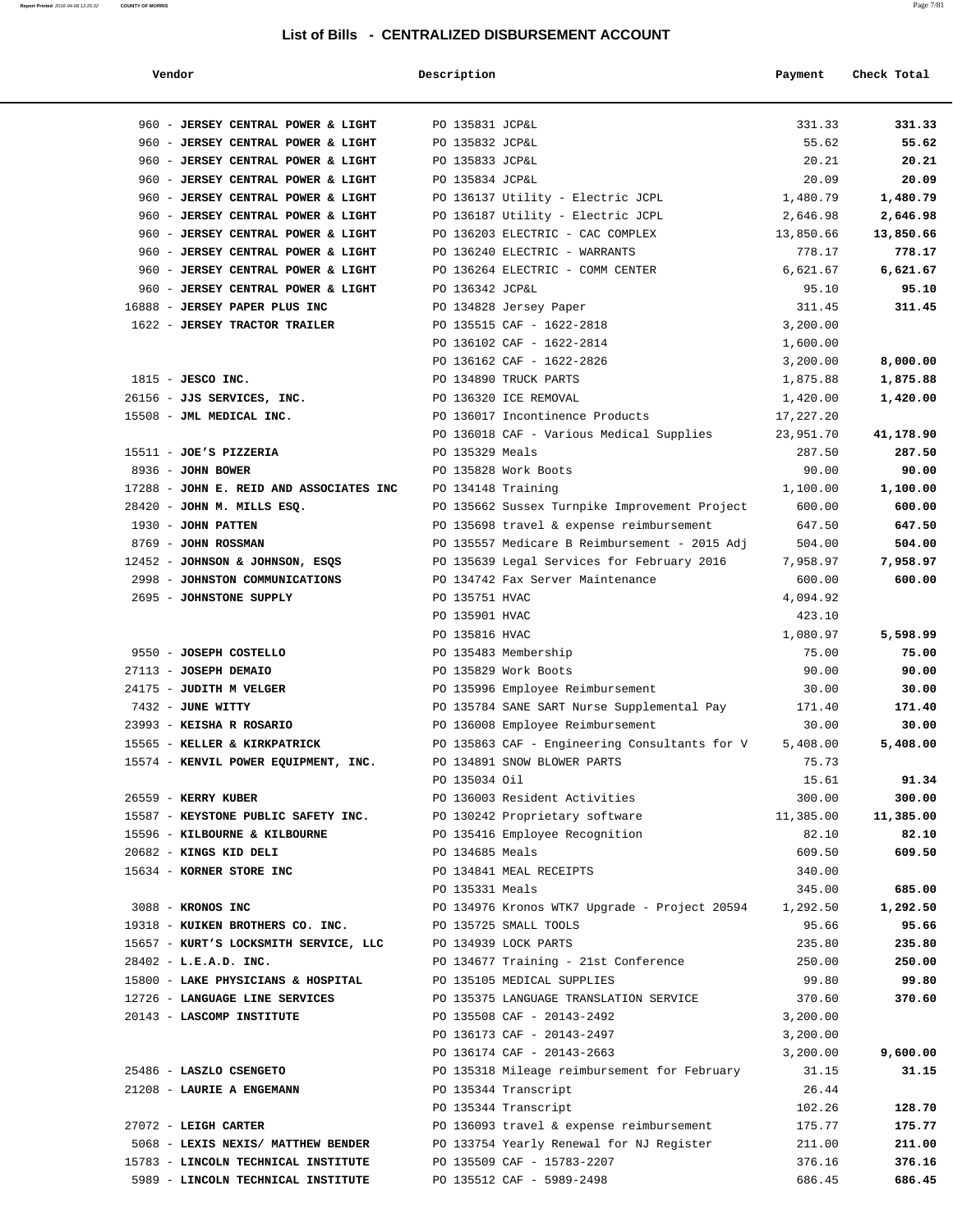| Vendor                                  | Description                      |                                               | Payment            | Check Total |
|-----------------------------------------|----------------------------------|-----------------------------------------------|--------------------|-------------|
|                                         |                                  |                                               |                    |             |
| 960 - JERSEY CENTRAL POWER & LIGHT      | PO 135831 JCP&L                  |                                               | 331.33             | 331.33      |
| 960 - JERSEY CENTRAL POWER & LIGHT      | PO 135832 JCP&L                  |                                               | 55.62              | 55.62       |
| 960 - JERSEY CENTRAL POWER & LIGHT      | PO 135833 JCP&L                  |                                               | 20.21              | 20.21       |
| 960 - JERSEY CENTRAL POWER & LIGHT      | PO 135834 JCP&L                  |                                               | 20.09              | 20.09       |
| 960 - JERSEY CENTRAL POWER & LIGHT      |                                  | PO 136137 Utility - Electric JCPL             | 1,480.79           | 1,480.79    |
| 960 - JERSEY CENTRAL POWER & LIGHT      |                                  | PO 136187 Utility - Electric JCPL             | 2,646.98           | 2,646.98    |
| 960 - JERSEY CENTRAL POWER & LIGHT      |                                  | PO 136203 ELECTRIC - CAC COMPLEX              | 13,850.66          | 13,850.66   |
| 960 - JERSEY CENTRAL POWER & LIGHT      |                                  | PO 136240 ELECTRIC - WARRANTS                 | 778.17             | 778.17      |
| 960 - JERSEY CENTRAL POWER & LIGHT      |                                  | PO 136264 ELECTRIC - COMM CENTER              | 6,621.67           | 6,621.67    |
| 960 - JERSEY CENTRAL POWER & LIGHT      | PO 136342 JCP&L                  |                                               | 95.10              | 95.10       |
| 16888 - JERSEY PAPER PLUS INC           |                                  | PO 134828 Jersey Paper                        | 311.45             | 311.45      |
| 1622 - JERSEY TRACTOR TRAILER           |                                  | PO 135515 CAF - 1622-2818                     | 3,200.00           |             |
|                                         |                                  | PO 136102 CAF - 1622-2814                     | 1,600.00           |             |
|                                         |                                  | PO 136162 CAF - 1622-2826                     | 3,200.00           | 8,000.00    |
| $1815$ - JESCO INC.                     |                                  | PO 134890 TRUCK PARTS                         | 1,875.88           | 1,875.88    |
| 26156 - JJS SERVICES, INC.              |                                  | PO 136320 ICE REMOVAL                         | 1,420.00           | 1,420.00    |
| 15508 - JML MEDICAL INC.                |                                  | PO 136017 Incontinence Products               | 17,227.20          |             |
|                                         |                                  | PO 136018 CAF - Various Medical Supplies      | 23,951.70          | 41,178.90   |
| 15511 - JOE'S PIZZERIA                  | PO 135329 Meals                  |                                               | 287.50             | 287.50      |
| 8936 - JOHN BOWER                       |                                  | PO 135828 Work Boots                          | 90.00              | 90.00       |
| 17288 - JOHN E. REID AND ASSOCIATES INC | PO 134148 Training               |                                               | 1,100.00           | 1,100.00    |
| 28420 - JOHN M. MILLS ESQ.              |                                  | PO 135662 Sussex Turnpike Improvement Project | 600.00             | 600.00      |
| 1930 - JOHN PATTEN                      |                                  | PO 135698 travel & expense reimbursement      | 647.50             | 647.50      |
| 8769 - JOHN ROSSMAN                     |                                  | PO 135557 Medicare B Reimbursement - 2015 Adj | 504.00             | 504.00      |
| 12452 - JOHNSON & JOHNSON, ESQS         |                                  | PO 135639 Legal Services for February 2016    | 7,958.97           | 7,958.97    |
| 2998 - JOHNSTON COMMUNICATIONS          |                                  | PO 134742 Fax Server Maintenance              | 600.00             | 600.00      |
| 2695 - JOHNSTONE SUPPLY                 | PO 135751 HVAC<br>PO 135901 HVAC |                                               | 4,094.92<br>423.10 |             |
|                                         | PO 135816 HVAC                   |                                               | 1,080.97           | 5,598.99    |
| 9550 - JOSEPH COSTELLO                  |                                  | PO 135483 Membership                          | 75.00              | 75.00       |
| 27113 - JOSEPH DEMAIO                   |                                  | PO 135829 Work Boots                          | 90.00              | 90.00       |
| 24175 - JUDITH M VELGER                 |                                  | PO 135996 Employee Reimbursement              | 30.00              | 30.00       |
| 7432 - JUNE WITTY                       |                                  | PO 135784 SANE SART Nurse Supplemental Pay    | 171.40             | 171.40      |
| 23993 - KEISHA R ROSARIO                |                                  | PO 136008 Employee Reimbursement              | 30.00              | 30.00       |
| 15565 - KELLER & KIRKPATRICK            |                                  | PO 135863 CAF - Engineering Consultants for V | 5,408.00           | 5,408.00    |
| 15574 - KENVIL POWER EQUIPMENT, INC.    |                                  | PO 134891 SNOW BLOWER PARTS                   | 75.73              |             |
|                                         | PO 135034 Oil                    |                                               | 15.61              | 91.34       |
| 26559 - KERRY KUBER                     |                                  | PO 136003 Resident Activities                 | 300.00             | 300.00      |
| 15587 - KEYSTONE PUBLIC SAFETY INC.     |                                  | PO 130242 Proprietary software                | 11,385.00          | 11,385.00   |
| 15596 - KILBOURNE & KILBOURNE           |                                  | PO 135416 Employee Recognition                | 82.10              | 82.10       |
| 20682 - KINGS KID DELI                  | PO 134685 Meals                  |                                               | 609.50             | 609.50      |
| 15634 - KORNER STORE INC                |                                  | PO 134841 MEAL RECEIPTS                       | 340.00             |             |
|                                         | PO 135331 Meals                  |                                               | 345.00             | 685.00      |
| 3088 - KRONOS INC                       |                                  | PO 134976 Kronos WTK7 Upgrade - Project 20594 | 1,292.50           | 1,292.50    |
| 19318 - KUIKEN BROTHERS CO. INC.        |                                  | PO 135725 SMALL TOOLS                         | 95.66              | 95.66       |
| 15657 - KURT'S LOCKSMITH SERVICE, LLC   |                                  | PO 134939 LOCK PARTS                          | 235.80             | 235.80      |
| $28402 - L.E.A.D. INC.$                 |                                  | PO 134677 Training - 21st Conference          | 250.00             | 250.00      |
| 15800 - LAKE PHYSICIANS & HOSPITAL      |                                  | PO 135105 MEDICAL SUPPLIES                    | 99.80              | 99.80       |
| 12726 - LANGUAGE LINE SERVICES          |                                  | PO 135375 LANGUAGE TRANSLATION SERVICE        | 370.60             | 370.60      |
| 20143 - LASCOMP INSTITUTE               |                                  | PO 135508 CAF - 20143-2492                    | 3,200.00           |             |
|                                         |                                  | PO 136173 CAF - 20143-2497                    | 3,200.00           |             |
|                                         |                                  | PO 136174 CAF - 20143-2663                    | 3,200.00           | 9,600.00    |
| 25486 - LASZLO CSENGETO                 |                                  | PO 135318 Mileage reimbursement for February  | 31.15              | 31.15       |
| 21208 - LAURIE A ENGEMANN               |                                  | PO 135344 Transcript                          | 26.44              |             |
|                                         |                                  | PO 135344 Transcript                          | 102.26             | 128.70      |
| 27072 - LEIGH CARTER                    |                                  | PO 136093 travel & expense reimbursement      | 175.77             | 175.77      |
| 5068 - LEXIS NEXIS/ MATTHEW BENDER      |                                  | PO 133754 Yearly Renewal for NJ Register      | 211.00             | 211.00      |
| 15783 - LINCOLN TECHNICAL INSTITUTE     |                                  | PO 135509 CAF - 15783-2207                    | 376.16             | 376.16      |
| 5989 - LINCOLN TECHNICAL INSTITUTE      |                                  | PO 135512 CAF - 5989-2498                     | 686.45             | 686.45      |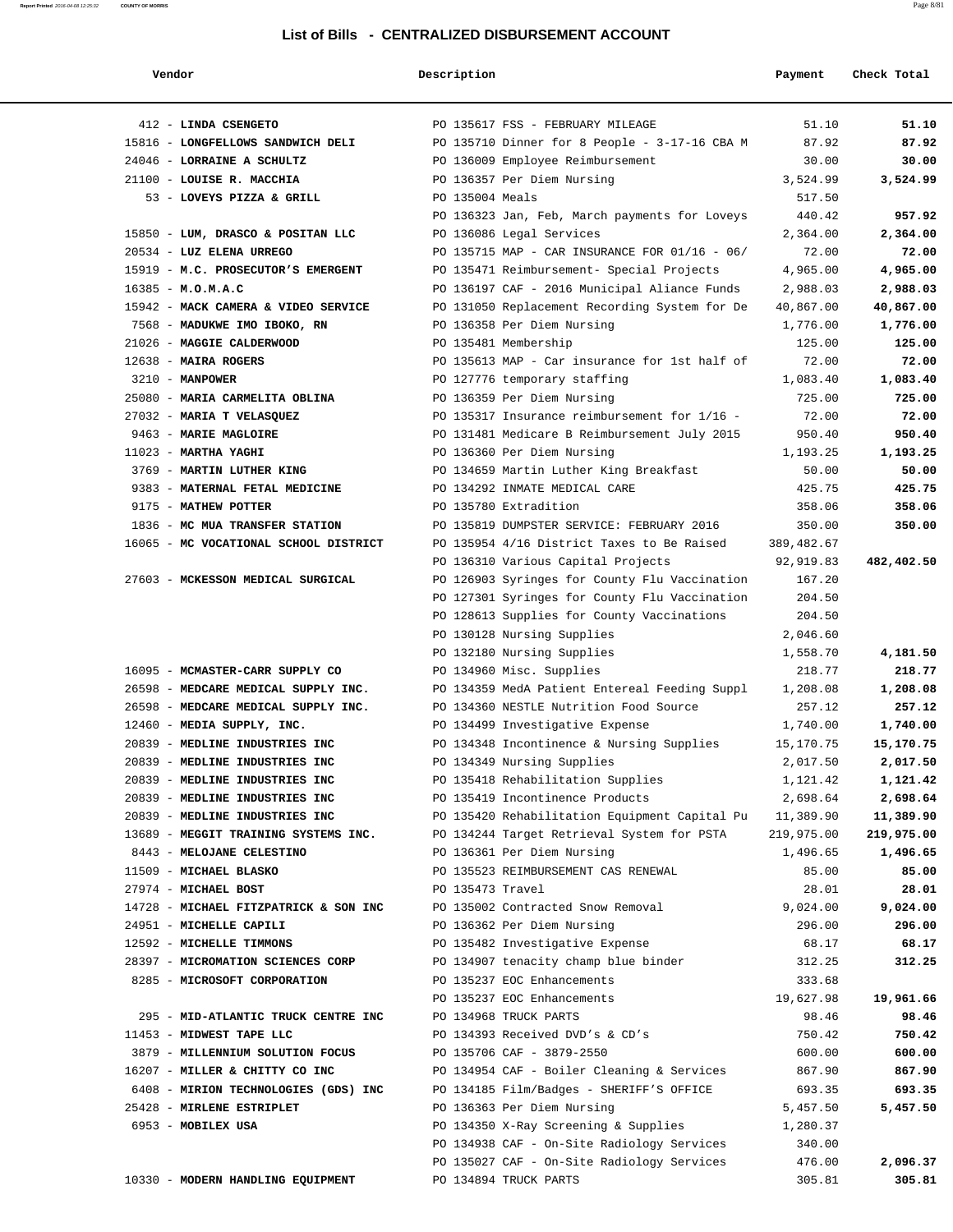| Vendor |  |  |
|--------|--|--|
|        |  |  |

| Vendor                                | Description      |                                                         | Payment    | Check Total |
|---------------------------------------|------------------|---------------------------------------------------------|------------|-------------|
| 412 - LINDA CSENGETO                  |                  | PO 135617 FSS - FEBRUARY MILEAGE                        | 51.10      | 51.10       |
| 15816 - LONGFELLOWS SANDWICH DELI     |                  | PO 135710 Dinner for 8 People - 3-17-16 CBA M           | 87.92      | 87.92       |
| 24046 - LORRAINE A SCHULTZ            |                  | PO 136009 Employee Reimbursement                        | 30.00      | 30.00       |
| 21100 - LOUISE R. MACCHIA             |                  | PO 136357 Per Diem Nursing                              | 3,524.99   | 3,524.99    |
| 53 - LOVEYS PIZZA & GRILL             | PO 135004 Meals  |                                                         | 517.50     |             |
|                                       |                  | PO 136323 Jan, Feb, March payments for Loveys           | 440.42     | 957.92      |
| 15850 - LUM, DRASCO & POSITAN LLC     |                  | PO 136086 Legal Services                                | 2,364.00   | 2,364.00    |
| 20534 - LUZ ELENA URREGO              |                  | PO 135715 MAP - CAR INSURANCE FOR 01/16 - 06/           | 72.00      | 72.00       |
| 15919 - M.C. PROSECUTOR'S EMERGENT    |                  | PO 135471 Reimbursement- Special Projects               | 4,965.00   | 4,965.00    |
| 16385 - M.O.M.A.C                     |                  | PO 136197 CAF - 2016 Municipal Aliance Funds            | 2,988.03   | 2,988.03    |
| 15942 - MACK CAMERA & VIDEO SERVICE   |                  | PO 131050 Replacement Recording System for De           | 40,867.00  | 40,867.00   |
| 7568 - MADUKWE IMO IBOKO, RN          |                  | PO 136358 Per Diem Nursing                              | 1,776.00   | 1,776.00    |
| 21026 - MAGGIE CALDERWOOD             |                  | PO 135481 Membership                                    | 125.00     | 125.00      |
| 12638 - MAIRA ROGERS                  |                  | PO 135613 MAP - Car insurance for 1st half of           | 72.00      | 72.00       |
| 3210 - MANPOWER                       |                  | PO 127776 temporary staffing                            | 1,083.40   | 1,083.40    |
| 25080 - MARIA CARMELITA OBLINA        |                  | PO 136359 Per Diem Nursing                              | 725.00     | 725.00      |
| 27032 - MARIA T VELASQUEZ             |                  | PO 135317 Insurance reimbursement for 1/16 -            | 72.00      | 72.00       |
| 9463 - MARIE MAGLOIRE                 |                  | PO 131481 Medicare B Reimbursement July 2015            | 950.40     | 950.40      |
| $11023$ - MARTHA YAGHI                |                  | PO 136360 Per Diem Nursing                              | 1,193.25   | 1,193.25    |
| 3769 - MARTIN LUTHER KING             |                  | PO 134659 Martin Luther King Breakfast                  | 50.00      | 50.00       |
| 9383 - MATERNAL FETAL MEDICINE        |                  | PO 134292 INMATE MEDICAL CARE                           | 425.75     | 425.75      |
| 9175 - MATHEW POTTER                  |                  | PO 135780 Extradition                                   | 358.06     | 358.06      |
| 1836 - MC MUA TRANSFER STATION        |                  | PO 135819 DUMPSTER SERVICE: FEBRUARY 2016               | 350.00     | 350.00      |
| 16065 - MC VOCATIONAL SCHOOL DISTRICT |                  | PO 135954 4/16 District Taxes to Be Raised              | 389,482.67 |             |
|                                       |                  | PO 136310 Various Capital Projects                      | 92,919.83  | 482,402.50  |
| 27603 - MCKESSON MEDICAL SURGICAL     |                  | PO 126903 Syringes for County Flu Vaccination           | 167.20     |             |
|                                       |                  | PO 127301 Syringes for County Flu Vaccination           | 204.50     |             |
|                                       |                  | PO 128613 Supplies for County Vaccinations              | 204.50     |             |
|                                       |                  | PO 130128 Nursing Supplies                              | 2,046.60   |             |
|                                       |                  | PO 132180 Nursing Supplies                              | 1,558.70   | 4,181.50    |
| 16095 - MCMASTER-CARR SUPPLY CO       |                  | PO 134960 Misc. Supplies                                | 218.77     | 218.77      |
| 26598 - MEDCARE MEDICAL SUPPLY INC.   |                  | PO 134359 MedA Patient Entereal Feeding Suppl           | 1,208.08   | 1,208.08    |
| 26598 - MEDCARE MEDICAL SUPPLY INC.   |                  | PO 134360 NESTLE Nutrition Food Source                  | 257.12     | 257.12      |
| 12460 - MEDIA SUPPLY, INC.            |                  | PO 134499 Investigative Expense                         | 1,740.00   | 1,740.00    |
| 20839 - MEDLINE INDUSTRIES INC        |                  | PO 134348 Incontinence & Nursing Supplies               | 15,170.75  | 15,170.75   |
| 20839 - MEDLINE INDUSTRIES INC        |                  | PO 134349 Nursing Supplies                              | 2,017.50   | 2,017.50    |
| 20839 - MEDLINE INDUSTRIES INC        |                  | PO 135418 Rehabilitation Supplies                       | 1,121.42   | 1,121.42    |
| 20839 - MEDLINE INDUSTRIES INC        |                  | PO 135419 Incontinence Products                         | 2,698.64   | 2,698.64    |
| 20839 - MEDLINE INDUSTRIES INC        |                  | PO 135420 Rehabilitation Equipment Capital Pu 11,389.90 |            | 11,389.90   |
| 13689 - MEGGIT TRAINING SYSTEMS INC.  |                  | PO 134244 Target Retrieval System for PSTA              | 219,975.00 | 219,975.00  |
| 8443 - MELOJANE CELESTINO             |                  | PO 136361 Per Diem Nursing                              | 1,496.65   | 1,496.65    |
| 11509 - MICHAEL BLASKO                |                  | PO 135523 REIMBURSEMENT CAS RENEWAL                     | 85.00      | 85.00       |
| 27974 - MICHAEL BOST                  | PO 135473 Travel |                                                         | 28.01      | 28.01       |
| 14728 - MICHAEL FITZPATRICK & SON INC |                  | PO 135002 Contracted Snow Removal                       | 9,024.00   | 9,024.00    |
| 24951 - MICHELLE CAPILI               |                  | PO 136362 Per Diem Nursing                              | 296.00     | 296.00      |
| 12592 - MICHELLE TIMMONS              |                  | PO 135482 Investigative Expense                         | 68.17      | 68.17       |
| 28397 - MICROMATION SCIENCES CORP     |                  | PO 134907 tenacity champ blue binder                    | 312.25     | 312.25      |
| 8285 - MICROSOFT CORPORATION          |                  | PO 135237 EOC Enhancements                              | 333.68     |             |
|                                       |                  | PO 135237 EOC Enhancements                              | 19,627.98  | 19,961.66   |
| 295 - MID-ATLANTIC TRUCK CENTRE INC   |                  | PO 134968 TRUCK PARTS                                   | 98.46      | 98.46       |
| 11453 - MIDWEST TAPE LLC              |                  | PO 134393 Received DVD's & CD's                         | 750.42     | 750.42      |
| 3879 - MILLENNIUM SOLUTION FOCUS      |                  | PO 135706 CAF - 3879-2550                               | 600.00     | 600.00      |
| 16207 - MILLER & CHITTY CO INC        |                  | PO 134954 CAF - Boiler Cleaning & Services              | 867.90     | 867.90      |
| 6408 - MIRION TECHNOLOGIES (GDS) INC  |                  | PO 134185 Film/Badges - SHERIFF'S OFFICE                | 693.35     | 693.35      |
| 25428 - MIRLENE ESTRIPLET             |                  | PO 136363 Per Diem Nursing                              | 5,457.50   | 5,457.50    |
| 6953 - MOBILEX USA                    |                  | PO 134350 X-Ray Screening & Supplies                    | 1,280.37   |             |
|                                       |                  | PO 134938 CAF - On-Site Radiology Services              | 340.00     |             |
|                                       |                  | PO 135027 CAF - On-Site Radiology Services              | 476.00     | 2,096.37    |
| 10330 - MODERN HANDLING EQUIPMENT     |                  | PO 134894 TRUCK PARTS                                   | 305.81     | 305.81      |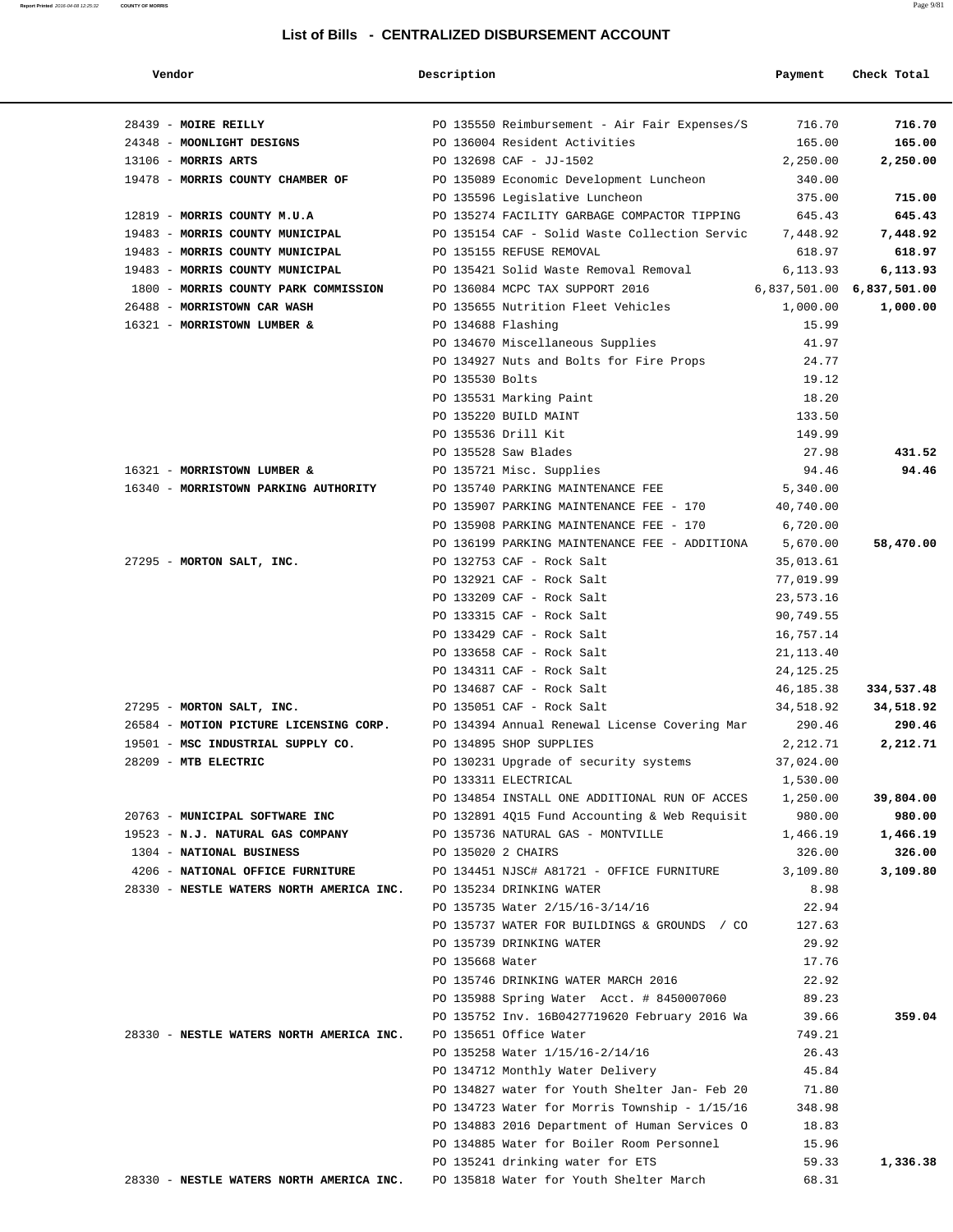#### **Report Printed** 2016-04-08 12:25:32 **COUNTY OF MORRIS** Page 9/81

| Vendor                                                                   | Description        |                                                                                    | Payment               | Check Total |
|--------------------------------------------------------------------------|--------------------|------------------------------------------------------------------------------------|-----------------------|-------------|
| 28439 - MOIRE REILLY                                                     |                    | PO 135550 Reimbursement - Air Fair Expenses/S         716.70                       |                       | 716.70      |
| 24348 - MOONLIGHT DESIGNS                                                |                    | PO 136004 Resident Activities                                                      | 165.00                | 165.00      |
| $13106$ - MORRIS ARTS                                                    |                    | PO 132698 CAF - JJ-1502                                                            | 2,250.00              | 2,250.00    |
| 19478 - MORRIS COUNTY CHAMBER OF PO 135089 Economic Development Luncheon |                    |                                                                                    | 340.00                |             |
|                                                                          |                    | PO 135596 Legislative Luncheon                                                     | 375.00                | 715.00      |
| 12819 - MORRIS COUNTY M.U.A                                              |                    | PO 135274 FACILITY GARBAGE COMPACTOR TIPPING                                       | 645.43                | 645.43      |
| 19483 - MORRIS COUNTY MUNICIPAL                                          |                    | PO 135154 CAF - Solid Waste Collection Servic 7,448.92                             |                       | 7,448.92    |
| 19483 - MORRIS COUNTY MUNICIPAL                                          |                    | PO 135155 REFUSE REMOVAL                                                           | 618.97                | 618.97      |
| 19483 - MORRIS COUNTY MUNICIPAL                                          |                    | PO 135421 Solid Waste Removal Removal                                              | 6,113.93              | 6,113.93    |
| 1800 - MORRIS COUNTY PARK COMMISSION                                     |                    | PO 136084 MCPC TAX SUPPORT 2016                                                    |                       |             |
| 26488 - MORRISTOWN CAR WASH                                              |                    | PO 135655 Nutrition Fleet Vehicles                                                 | 1,000.00              | 1,000.00    |
| 16321 - MORRISTOWN LUMBER &                                              | PO 134688 Flashing |                                                                                    | 15.99                 |             |
|                                                                          |                    | PO 134670 Miscellaneous Supplies                                                   | 41.97                 |             |
|                                                                          |                    | PO 134927 Nuts and Bolts for Fire Props                                            | 24.77                 |             |
|                                                                          | PO 135530 Bolts    |                                                                                    | 19.12                 |             |
|                                                                          |                    | PO 135531 Marking Paint                                                            | 18.20                 |             |
|                                                                          |                    | PO 135220 BUILD MAINT                                                              | 133.50                |             |
|                                                                          |                    | PO 135536 Drill Kit                                                                | 149.99                |             |
|                                                                          |                    | PO 135528 Saw Blades                                                               | 27.98                 | 431.52      |
| 16321 - MORRISTOWN LUMBER &<br>16340 - MORRISTOWN PARKING AUTHORITY      |                    | PO 135721 Misc. Supplies                                                           | 94.46                 | 94.46       |
|                                                                          |                    | PO 135740 PARKING MAINTENANCE FEE                                                  | 5,340.00              |             |
|                                                                          |                    | PO 135907 PARKING MAINTENANCE FEE - 170<br>PO 135908 PARKING MAINTENANCE FEE - 170 | 40,740.00<br>6,720.00 |             |
|                                                                          |                    | PO 136199 PARKING MAINTENANCE FEE - ADDITIONA                                      | 5,670.00              | 58,470.00   |
| 27295 - MORTON SALT, INC.                                                |                    | PO 132753 CAF - Rock Salt                                                          | 35,013.61             |             |
|                                                                          |                    | PO 132921 CAF - Rock Salt                                                          | 77,019.99             |             |
|                                                                          |                    | PO 133209 CAF - Rock Salt                                                          | 23,573.16             |             |
|                                                                          |                    | PO 133315 CAF - Rock Salt                                                          | 90,749.55             |             |
|                                                                          |                    | PO 133429 CAF - Rock Salt                                                          | 16,757.14             |             |
|                                                                          |                    | PO 133658 CAF - Rock Salt                                                          | 21, 113.40            |             |
|                                                                          |                    | PO 134311 CAF - Rock Salt                                                          | 24, 125. 25           |             |
|                                                                          |                    | PO 134687 CAF - Rock Salt                                                          | 46,185.38             | 334,537.48  |
| 27295 - MORTON SALT, INC.                                                |                    | PO 135051 CAF - Rock Salt                                                          | 34,518.92             | 34,518.92   |
| 26584 - MOTION PICTURE LICENSING CORP.                                   |                    | PO 134394 Annual Renewal License Covering Mar                                      | 290.46                | 290.46      |
| 19501 - MSC INDUSTRIAL SUPPLY CO.                                        |                    | PO 134895 SHOP SUPPLIES                                                            | 2,212.71              | 2,212.71    |
| 28209 - MTB ELECTRIC                                                     |                    | PO 130231 Upgrade of security systems                                              | 37,024.00             |             |
|                                                                          |                    | PO 133311 ELECTRICAL                                                               | 1,530.00              |             |
|                                                                          |                    | PO 134854 INSTALL ONE ADDITIONAL RUN OF ACCES 1,250.00                             |                       | 39,804.00   |
| 20763 - MUNICIPAL SOFTWARE INC                                           |                    | PO 132891 4015 Fund Accounting & Web Requisit 980.00                               |                       | 980.00      |
| 19523 - N.J. NATURAL GAS COMPANY PO 135736 NATURAL GAS - MONTVILLE       |                    |                                                                                    | 1,466.19              | 1,466.19    |
| 1304 - NATIONAL BUSINESS                                                 | PO 135020 2 CHAIRS |                                                                                    | 326.00                | 326.00      |
| 4206 - NATIONAL OFFICE FURNITURE                                         |                    | PO 134451 NJSC# A81721 - OFFICE FURNITURE                                          | 3,109.80              | 3,109.80    |
| 28330 - NESTLE WATERS NORTH AMERICA INC. PO 135234 DRINKING WATER        |                    |                                                                                    | 8.98                  |             |
|                                                                          |                    | PO 135735 Water 2/15/16-3/14/16                                                    | 22.94                 |             |
|                                                                          |                    | PO 135737 WATER FOR BUILDINGS & GROUNDS / CO                                       | 127.63                |             |
|                                                                          |                    | PO 135739 DRINKING WATER                                                           | 29.92                 |             |
|                                                                          | PO 135668 Water    |                                                                                    | 17.76                 |             |
|                                                                          |                    | PO 135746 DRINKING WATER MARCH 2016                                                | 22.92                 |             |
|                                                                          |                    | PO 135988 Spring Water Acct. # 8450007060                                          | 89.23                 |             |
|                                                                          |                    | PO 135752 Inv. 16B0427719620 February 2016 Wa                                      | 39.66                 | 359.04      |
| 28330 - NESTLE WATERS NORTH AMERICA INC.                                 |                    | PO 135651 Office Water                                                             | 749.21<br>26.43       |             |
|                                                                          |                    | PO 135258 Water 1/15/16-2/14/16<br>PO 134712 Monthly Water Delivery                | 45.84                 |             |
|                                                                          |                    | PO 134827 water for Youth Shelter Jan- Feb 20                                      | 71.80                 |             |
|                                                                          |                    | PO 134723 Water for Morris Township - 1/15/16                                      | 348.98                |             |
|                                                                          |                    | PO 134883 2016 Department of Human Services O                                      | 18.83                 |             |
|                                                                          |                    | PO 134885 Water for Boiler Room Personnel                                          | 15.96                 |             |
|                                                                          |                    | PO 135241 drinking water for ETS                                                   | 59.33                 | 1,336.38    |
| 28330 - NESTLE WATERS NORTH AMERICA INC.                                 |                    | PO 135818 Water for Youth Shelter March                                            | 68.31                 |             |
|                                                                          |                    |                                                                                    |                       |             |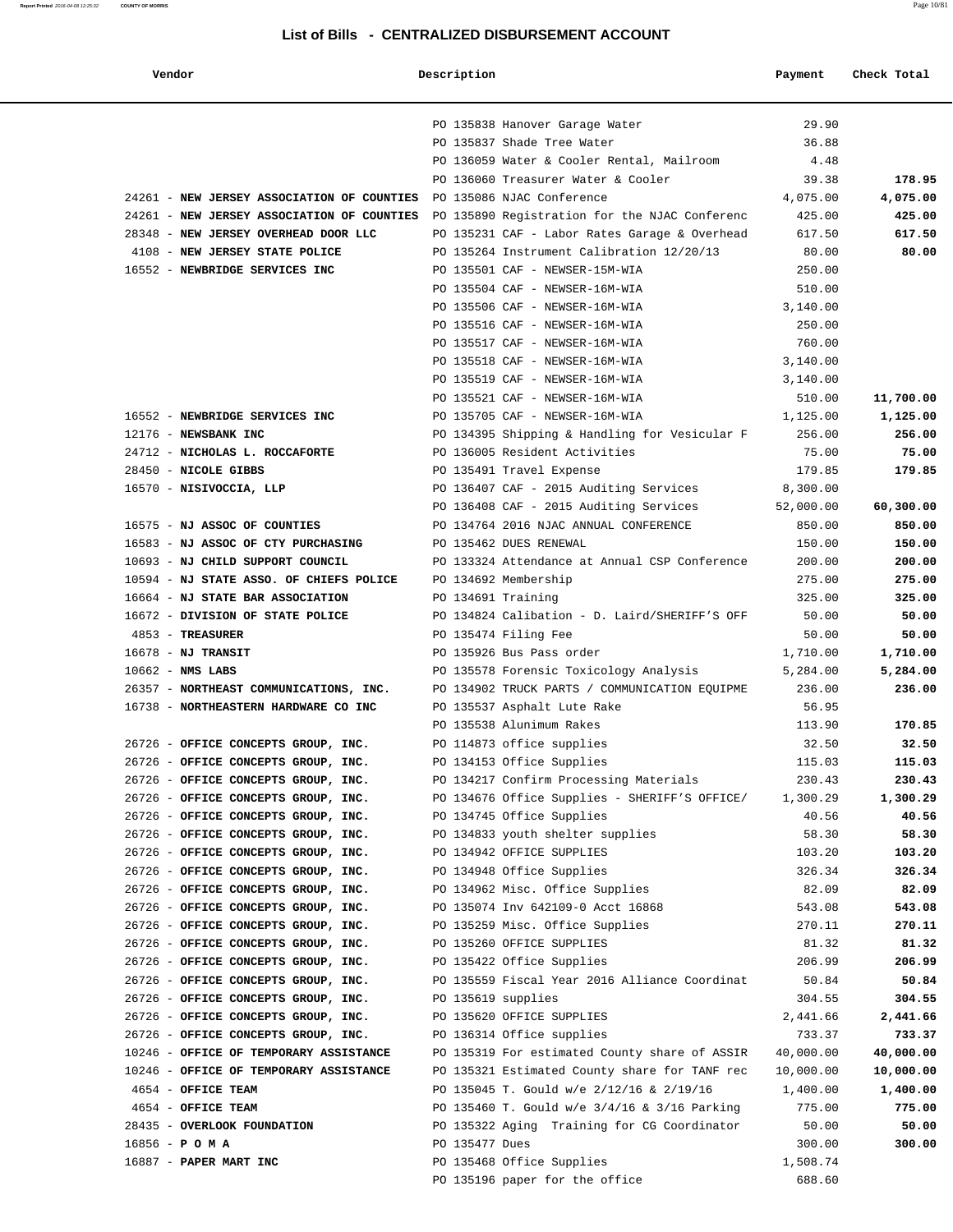#### **Report Printed** 2016-04-08 12:25:32 **COUNTY OF MORRIS** Page 10/81

| Vendor                                                                                   | Description        |                                                                              | Payment         | Check Total        |
|------------------------------------------------------------------------------------------|--------------------|------------------------------------------------------------------------------|-----------------|--------------------|
|                                                                                          |                    | PO 135838 Hanover Garage Water                                               | 29.90           |                    |
|                                                                                          |                    | PO 135837 Shade Tree Water                                                   | 36.88           |                    |
|                                                                                          |                    | PO 136059 Water & Cooler Rental, Mailroom                                    | 4.48            |                    |
|                                                                                          |                    | PO 136060 Treasurer Water & Cooler                                           | 39.38           | 178.95             |
| 24261 - NEW JERSEY ASSOCIATION OF COUNTIES PO 135086 NJAC Conference                     |                    |                                                                              | 4,075.00        | 4,075.00           |
| 24261 - NEW JERSEY ASSOCIATION OF COUNTIES PO 135890 Registration for the NJAC Conferenc |                    |                                                                              | 425.00          | 425.00             |
| 28348 - NEW JERSEY OVERHEAD DOOR LLC                                                     |                    | PO 135231 CAF - Labor Rates Garage & Overhead                                | 617.50          | 617.50             |
| 4108 - NEW JERSEY STATE POLICE                                                           |                    | PO 135264 Instrument Calibration 12/20/13                                    | 80.00           | 80.00              |
| 16552 - NEWBRIDGE SERVICES INC                                                           |                    | PO 135501 CAF - NEWSER-15M-WIA                                               | 250.00          |                    |
|                                                                                          |                    | PO 135504 CAF - NEWSER-16M-WIA                                               | 510.00          |                    |
|                                                                                          |                    | PO 135506 CAF - NEWSER-16M-WIA                                               | 3,140.00        |                    |
|                                                                                          |                    | PO 135516 CAF - NEWSER-16M-WIA                                               | 250.00          |                    |
|                                                                                          |                    | PO 135517 CAF - NEWSER-16M-WIA                                               | 760.00          |                    |
|                                                                                          |                    | PO 135518 CAF - NEWSER-16M-WIA                                               | 3,140.00        |                    |
|                                                                                          |                    | PO 135519 CAF - NEWSER-16M-WIA                                               | 3,140.00        |                    |
|                                                                                          |                    | PO 135521 CAF - NEWSER-16M-WIA                                               | 510.00          | 11,700.00          |
| 16552 - NEWBRIDGE SERVICES INC                                                           |                    | PO 135705 CAF - NEWSER-16M-WIA                                               | 1,125.00        | 1,125.00           |
| 12176 - NEWSBANK INC                                                                     |                    | PO 134395 Shipping & Handling for Vesicular F                                | 256.00          | 256.00             |
| 24712 - NICHOLAS L. ROCCAFORTE                                                           |                    | PO 136005 Resident Activities                                                | 75.00           | 75.00              |
| 28450 - NICOLE GIBBS                                                                     |                    | PO 135491 Travel Expense                                                     | 179.85          | 179.85             |
| 16570 - NISIVOCCIA, LLP                                                                  |                    | PO 136407 CAF - 2015 Auditing Services                                       | 8,300.00        |                    |
|                                                                                          |                    | PO 136408 CAF - 2015 Auditing Services                                       | 52,000.00       | 60,300.00          |
| 16575 - NJ ASSOC OF COUNTIES                                                             |                    | PO 134764 2016 NJAC ANNUAL CONFERENCE                                        | 850.00          | 850.00             |
| 16583 - NJ ASSOC OF CTY PURCHASING                                                       |                    | PO 135462 DUES RENEWAL                                                       | 150.00          | 150.00             |
| 10693 - NJ CHILD SUPPORT COUNCIL                                                         |                    | PO 133324 Attendance at Annual CSP Conference                                | 200.00          | 200.00             |
| 10594 - NJ STATE ASSO. OF CHIEFS POLICE                                                  |                    | PO 134692 Membership                                                         | 275.00          | 275.00             |
| 16664 - NJ STATE BAR ASSOCIATION                                                         | PO 134691 Training |                                                                              | 325.00          | 325.00             |
| 16672 - DIVISION OF STATE POLICE                                                         |                    | PO 134824 Calibation - D. Laird/SHERIFF'S OFF                                | 50.00           | 50.00              |
| 4853 - TREASURER                                                                         |                    | PO 135474 Filing Fee                                                         | 50.00           | 50.00              |
| $16678$ - NJ TRANSIT                                                                     |                    | PO 135926 Bus Pass order                                                     | 1,710.00        | 1,710.00           |
| $10662$ - NMS LABS                                                                       |                    | PO 135578 Forensic Toxicology Analysis                                       | 5,284.00        | 5,284.00<br>236.00 |
| 26357 - NORTHEAST COMMUNICATIONS, INC.<br>16738 - NORTHEASTERN HARDWARE CO INC           |                    | PO 134902 TRUCK PARTS / COMMUNICATION EQUIPME<br>PO 135537 Asphalt Lute Rake | 236.00<br>56.95 |                    |
|                                                                                          |                    | PO 135538 Alunimum Rakes                                                     | 113.90          | 170.85             |
| 26726 - OFFICE CONCEPTS GROUP, INC.                                                      |                    | PO 114873 office supplies                                                    | 32.50           | 32.50              |
| 26726 - OFFICE CONCEPTS GROUP, INC.                                                      |                    | PO 134153 Office Supplies                                                    | 115.03          | 115.03             |
| 26726 - OFFICE CONCEPTS GROUP, INC.                                                      |                    | PO 134217 Confirm Processing Materials                                       | 230.43          | 230.43             |
| 26726 - OFFICE CONCEPTS GROUP, INC.                                                      |                    | PO 134676 Office Supplies - SHERIFF'S OFFICE/                                | 1,300.29        | 1,300.29           |
| 26726 - OFFICE CONCEPTS GROUP, INC.                                                      |                    | PO 134745 Office Supplies                                                    | 40.56           | 40.56              |
| 26726 - OFFICE CONCEPTS GROUP, INC.                                                      |                    | PO 134833 youth shelter supplies                                             | 58.30           | 58.30              |
| 26726 - OFFICE CONCEPTS GROUP, INC.                                                      |                    | PO 134942 OFFICE SUPPLIES                                                    | 103.20          | 103.20             |
| 26726 - OFFICE CONCEPTS GROUP, INC.                                                      |                    | PO 134948 Office Supplies                                                    | 326.34          | 326.34             |
| 26726 - OFFICE CONCEPTS GROUP, INC.                                                      |                    | PO 134962 Misc. Office Supplies                                              | 82.09           | 82.09              |
| 26726 - OFFICE CONCEPTS GROUP, INC.                                                      |                    | PO 135074 Inv 642109-0 Acct 16868                                            | 543.08          | 543.08             |
| 26726 - OFFICE CONCEPTS GROUP, INC.                                                      |                    | PO 135259 Misc. Office Supplies                                              | 270.11          | 270.11             |
| 26726 - OFFICE CONCEPTS GROUP, INC.                                                      |                    | PO 135260 OFFICE SUPPLIES                                                    | 81.32           | 81.32              |
| 26726 - OFFICE CONCEPTS GROUP, INC.                                                      |                    | PO 135422 Office Supplies                                                    | 206.99          | 206.99             |
| 26726 - OFFICE CONCEPTS GROUP, INC.                                                      |                    | PO 135559 Fiscal Year 2016 Alliance Coordinat                                | 50.84           | 50.84              |
| 26726 - OFFICE CONCEPTS GROUP, INC.                                                      | PO 135619 supplies |                                                                              | 304.55          | 304.55             |
| 26726 - OFFICE CONCEPTS GROUP, INC.                                                      |                    | PO 135620 OFFICE SUPPLIES                                                    | 2,441.66        | 2,441.66           |
| 26726 - OFFICE CONCEPTS GROUP, INC.                                                      |                    | PO 136314 Office supplies                                                    | 733.37          | 733.37             |
| 10246 - OFFICE OF TEMPORARY ASSISTANCE                                                   |                    | PO 135319 For estimated County share of ASSIR                                | 40,000.00       | 40,000.00          |
| 10246 - OFFICE OF TEMPORARY ASSISTANCE                                                   |                    | PO 135321 Estimated County share for TANF rec                                | 10,000.00       | 10,000.00          |
| 4654 - OFFICE TEAM                                                                       |                    | PO 135045 T. Gould w/e 2/12/16 & 2/19/16                                     | 1,400.00        | 1,400.00           |
| 4654 - OFFICE TEAM                                                                       |                    | PO 135460 T. Gould w/e 3/4/16 & 3/16 Parking                                 | 775.00          | 775.00             |
| 28435 - OVERLOOK FOUNDATION                                                              |                    | PO 135322 Aging Training for CG Coordinator                                  | 50.00           | 50.00              |
| $16856 - P$ O M A                                                                        | PO 135477 Dues     |                                                                              | 300.00          | 300.00             |
| 16887 - PAPER MART INC                                                                   |                    | PO 135468 Office Supplies                                                    | 1,508.74        |                    |
|                                                                                          |                    | PO 135196 paper for the office                                               | 688.60          |                    |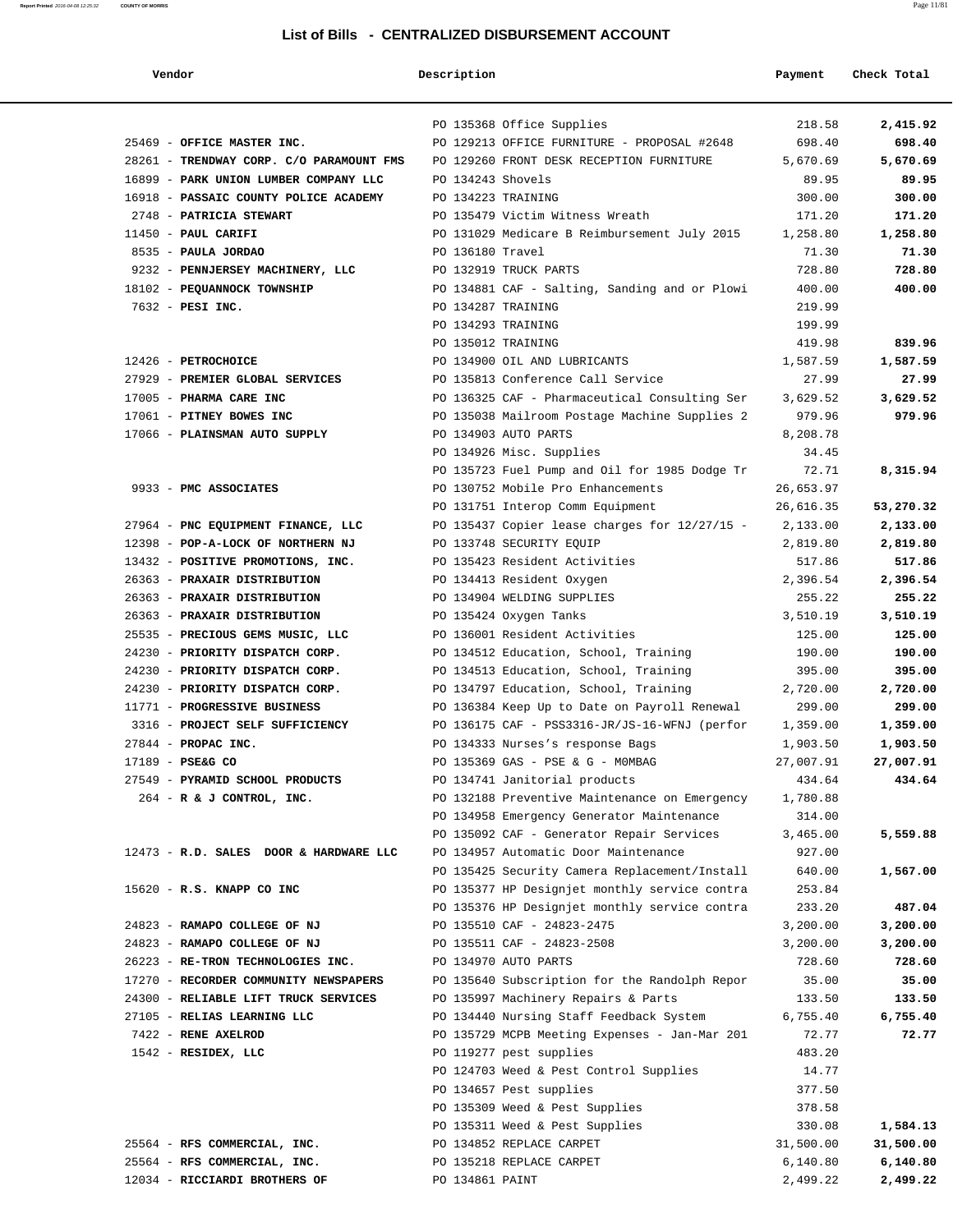| Vendor                                   | Description        |                                                                                     | Payment              | Check Total           |
|------------------------------------------|--------------------|-------------------------------------------------------------------------------------|----------------------|-----------------------|
|                                          |                    |                                                                                     |                      |                       |
|                                          |                    | PO 135368 Office Supplies                                                           | 218.58               | 2,415.92              |
| 25469 - OFFICE MASTER INC.               |                    | PO 129213 OFFICE FURNITURE - PROPOSAL #2648                                         | 698.40               | 698.40                |
| 28261 - TRENDWAY CORP. C/O PARAMOUNT FMS |                    | PO 129260 FRONT DESK RECEPTION FURNITURE                                            | 5,670.69             | 5,670.69              |
| 16899 - PARK UNION LUMBER COMPANY LLC    | PO 134243 Shovels  |                                                                                     | 89.95                | 89.95                 |
| 16918 - PASSAIC COUNTY POLICE ACADEMY    | PO 134223 TRAINING |                                                                                     | 300.00               | 300.00                |
| 2748 - PATRICIA STEWART                  |                    | PO 135479 Victim Witness Wreath                                                     | 171.20               | 171.20                |
| 11450 - PAUL CARIFI                      |                    | PO 131029 Medicare B Reimbursement July 2015                                        | 1,258.80             | 1,258.80              |
| 8535 - PAULA JORDAO                      | PO 136180 Travel   |                                                                                     | 71.30                | 71.30                 |
| 9232 - PENNJERSEY MACHINERY, LLC         |                    | PO 132919 TRUCK PARTS                                                               | 728.80               | 728.80                |
| 18102 - PEQUANNOCK TOWNSHIP              |                    | PO 134881 CAF - Salting, Sanding and or Plowi                                       | 400.00               | 400.00                |
| 7632 - PESI INC.                         | PO 134287 TRAINING |                                                                                     | 219.99               |                       |
|                                          | PO 134293 TRAINING |                                                                                     | 199.99               |                       |
|                                          | PO 135012 TRAINING |                                                                                     | 419.98               | 839.96                |
| 12426 - PETROCHOICE                      |                    | PO 134900 OIL AND LUBRICANTS                                                        | 1,587.59             | 1,587.59              |
| 27929 - PREMIER GLOBAL SERVICES          |                    | PO 135813 Conference Call Service                                                   | 27.99                | 27.99                 |
| 17005 - PHARMA CARE INC                  |                    | PO 136325 CAF - Pharmaceutical Consulting Ser                                       | 3,629.52             | 3,629.52              |
| 17061 - PITNEY BOWES INC                 |                    | PO 135038 Mailroom Postage Machine Supplies 2                                       | 979.96               | 979.96                |
| 17066 - PLAINSMAN AUTO SUPPLY            |                    | PO 134903 AUTO PARTS                                                                | 8,208.78             |                       |
|                                          |                    | PO 134926 Misc. Supplies                                                            | 34.45                |                       |
|                                          |                    | PO 135723 Fuel Pump and Oil for 1985 Dodge Tr                                       | 72.71                | 8,315.94              |
| 9933 - PMC ASSOCIATES                    |                    | PO 130752 Mobile Pro Enhancements                                                   | 26,653.97            |                       |
| 27964 - PNC EQUIPMENT FINANCE, LLC       |                    | PO 131751 Interop Comm Equipment<br>PO 135437 Copier lease charges for $12/27/15$ - | 26,616.35            | 53,270.32<br>2,133.00 |
| 12398 - POP-A-LOCK OF NORTHERN NJ        |                    | PO 133748 SECURITY EQUIP                                                            | 2,133.00<br>2,819.80 | 2,819.80              |
| 13432 - POSITIVE PROMOTIONS, INC.        |                    | PO 135423 Resident Activities                                                       | 517.86               | 517.86                |
| 26363 - PRAXAIR DISTRIBUTION             |                    | PO 134413 Resident Oxygen                                                           | 2,396.54             | 2,396.54              |
| 26363 - PRAXAIR DISTRIBUTION             |                    | PO 134904 WELDING SUPPLIES                                                          | 255.22               | 255.22                |
| 26363 - PRAXAIR DISTRIBUTION             |                    | PO 135424 Oxygen Tanks                                                              | 3,510.19             | 3,510.19              |
| 25535 - PRECIOUS GEMS MUSIC, LLC         |                    | PO 136001 Resident Activities                                                       | 125.00               | 125.00                |
| 24230 - PRIORITY DISPATCH CORP.          |                    | PO 134512 Education, School, Training                                               | 190.00               | 190.00                |
| 24230 - PRIORITY DISPATCH CORP.          |                    | PO 134513 Education, School, Training                                               | 395.00               | 395.00                |
| 24230 - PRIORITY DISPATCH CORP.          |                    | PO 134797 Education, School, Training                                               | 2,720.00             | 2,720.00              |
| 11771 - PROGRESSIVE BUSINESS             |                    | PO 136384 Keep Up to Date on Payroll Renewal                                        | 299.00               | 299.00                |
| 3316 - PROJECT SELF SUFFICIENCY          |                    | PO 136175 CAF - PSS3316-JR/JS-16-WFNJ (perfor                                       | 1,359.00             | 1,359.00              |
| 27844 - PROPAC INC.                      |                    | PO 134333 Nurses's response Bags                                                    | 1,903.50             | 1,903.50              |
| 17189 - PSE&G CO                         |                    | PO 135369 GAS - PSE & G - MOMBAG                                                    | 27,007.91            | 27,007.91             |
| 27549 - PYRAMID SCHOOL PRODUCTS          |                    | PO 134741 Janitorial products                                                       | 434.64               | 434.64                |
| $264$ - R & J CONTROL, INC.              |                    | PO 132188 Preventive Maintenance on Emergency                                       | 1,780.88             |                       |
|                                          |                    | PO 134958 Emergency Generator Maintenance                                           | 314.00               |                       |
|                                          |                    | PO 135092 CAF - Generator Repair Services                                           | 3,465.00             | 5,559.88              |
| 12473 - R.D. SALES DOOR & HARDWARE LLC   |                    | PO 134957 Automatic Door Maintenance                                                | 927.00               |                       |
|                                          |                    | PO 135425 Security Camera Replacement/Install                                       | 640.00               | 1,567.00              |
| 15620 - R.S. KNAPP CO INC                |                    | PO 135377 HP Designjet monthly service contra                                       | 253.84               |                       |
| 24823 - RAMAPO COLLEGE OF NJ             |                    | PO 135376 HP Designjet monthly service contra<br>PO 135510 CAF - 24823-2475         | 233.20<br>3,200.00   | 487.04<br>3,200.00    |
| 24823 - RAMAPO COLLEGE OF NJ             |                    | PO 135511 CAF - 24823-2508                                                          | 3,200.00             | 3,200.00              |
| 26223 - RE-TRON TECHNOLOGIES INC.        |                    | PO 134970 AUTO PARTS                                                                | 728.60               | 728.60                |
| 17270 - RECORDER COMMUNITY NEWSPAPERS    |                    | PO 135640 Subscription for the Randolph Repor                                       | 35.00                | 35.00                 |
| 24300 - RELIABLE LIFT TRUCK SERVICES     |                    | PO 135997 Machinery Repairs & Parts                                                 | 133.50               | 133.50                |
| 27105 - RELIAS LEARNING LLC              |                    | PO 134440 Nursing Staff Feedback System                                             | 6,755.40             | 6,755.40              |
| 7422 - RENE AXELROD                      |                    | PO 135729 MCPB Meeting Expenses - Jan-Mar 201                                       | 72.77                | 72.77                 |
| 1542 - RESIDEX, LLC                      |                    | PO 119277 pest supplies                                                             | 483.20               |                       |
|                                          |                    | PO 124703 Weed & Pest Control Supplies                                              | 14.77                |                       |
|                                          |                    | PO 134657 Pest supplies                                                             | 377.50               |                       |
|                                          |                    | PO 135309 Weed & Pest Supplies                                                      | 378.58               |                       |
|                                          |                    | PO 135311 Weed & Pest Supplies                                                      | 330.08               | 1,584.13              |
| 25564 - RFS COMMERCIAL, INC.             |                    | PO 134852 REPLACE CARPET                                                            | 31,500.00            | 31,500.00             |
| 25564 - RFS COMMERCIAL, INC.             |                    | PO 135218 REPLACE CARPET                                                            | 6,140.80             | 6,140.80              |
| 12034 - RICCIARDI BROTHERS OF            | PO 134861 PAINT    |                                                                                     | 2,499.22             | 2,499.22              |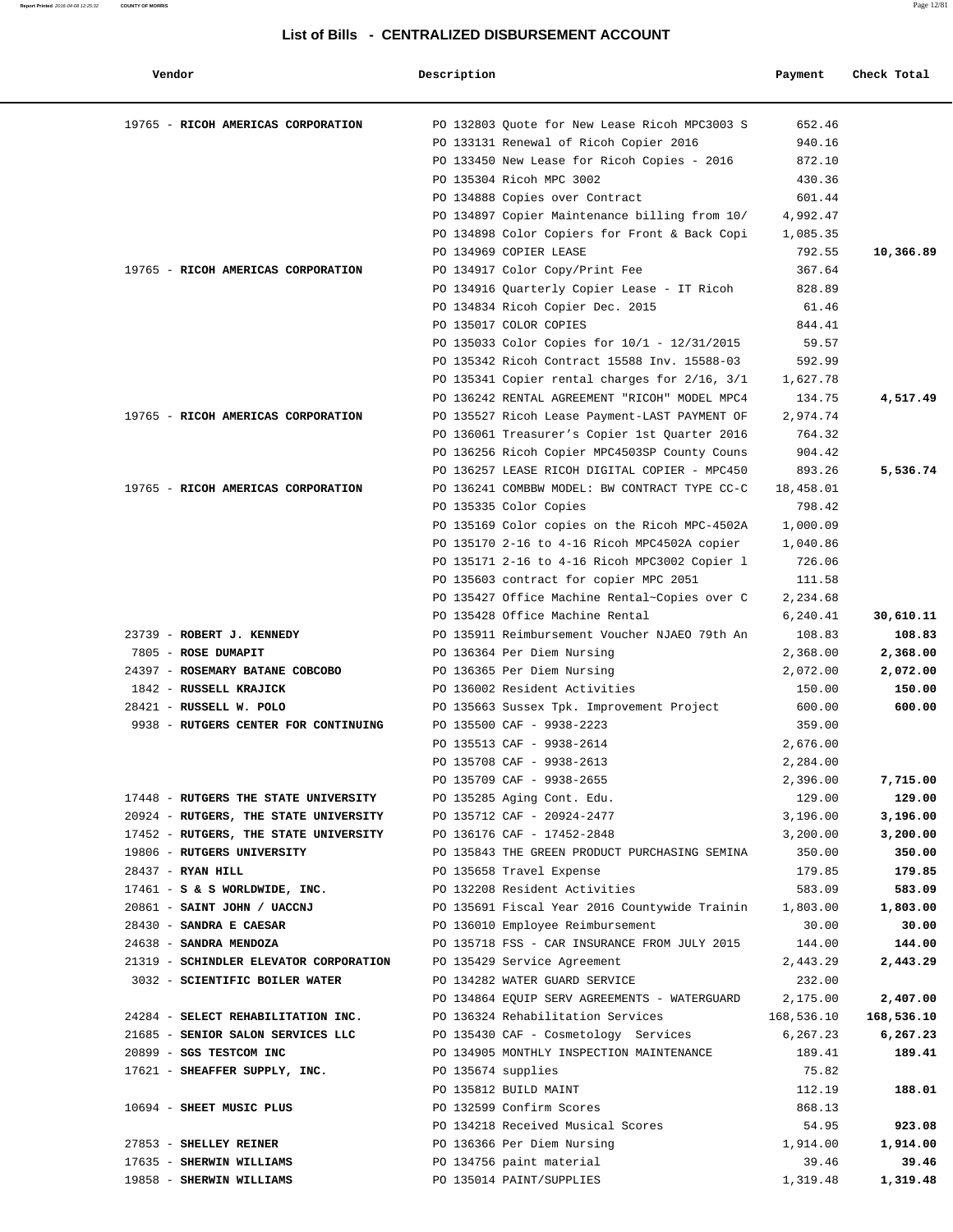| Vendor                                                           | Description        |                                                              | Payment            | Check Total       |
|------------------------------------------------------------------|--------------------|--------------------------------------------------------------|--------------------|-------------------|
| 19765 - RICOH AMERICAS CORPORATION                               |                    | PO 132803 Quote for New Lease Ricoh MPC3003 S                | 652.46             |                   |
|                                                                  |                    | PO 133131 Renewal of Ricoh Copier 2016                       | 940.16             |                   |
|                                                                  |                    | PO 133450 New Lease for Ricoh Copies - 2016                  | 872.10             |                   |
|                                                                  |                    | PO 135304 Ricoh MPC 3002                                     | 430.36             |                   |
|                                                                  |                    | PO 134888 Copies over Contract                               | 601.44             |                   |
|                                                                  |                    | PO 134897 Copier Maintenance billing from 10/                | 4,992.47           |                   |
|                                                                  |                    | PO 134898 Color Copiers for Front & Back Copi                | 1,085.35           |                   |
|                                                                  |                    | PO 134969 COPIER LEASE                                       | 792.55             | 10,366.89         |
| 19765 - RICOH AMERICAS CORPORATION                               |                    | PO 134917 Color Copy/Print Fee                               | 367.64             |                   |
|                                                                  |                    | PO 134916 Quarterly Copier Lease - IT Ricoh                  | 828.89             |                   |
|                                                                  |                    | PO 134834 Ricoh Copier Dec. 2015                             | 61.46              |                   |
|                                                                  |                    | PO 135017 COLOR COPIES                                       | 844.41             |                   |
|                                                                  |                    | PO 135033 Color Copies for $10/1$ - 12/31/2015               | 59.57              |                   |
|                                                                  |                    | PO 135342 Ricoh Contract 15588 Inv. 15588-03                 | 592.99             |                   |
|                                                                  |                    | PO 135341 Copier rental charges for 2/16, 3/1                | 1,627.78           |                   |
|                                                                  |                    | PO 136242 RENTAL AGREEMENT "RICOH" MODEL MPC4                | 134.75             | 4,517.49          |
| 19765 - RICOH AMERICAS CORPORATION                               |                    | PO 135527 Ricoh Lease Payment-LAST PAYMENT OF                | 2,974.74           |                   |
|                                                                  |                    | PO 136061 Treasurer's Copier 1st Quarter 2016                | 764.32             |                   |
|                                                                  |                    | PO 136256 Ricoh Copier MPC4503SP County Couns                | 904.42             |                   |
|                                                                  |                    | PO 136257 LEASE RICOH DIGITAL COPIER - MPC450                | 893.26             | 5,536.74          |
| 19765 - RICOH AMERICAS CORPORATION                               |                    | PO 136241 COMBBW MODEL: BW CONTRACT TYPE CC-C                | 18,458.01          |                   |
|                                                                  |                    | PO 135335 Color Copies                                       | 798.42             |                   |
|                                                                  |                    | PO 135169 Color copies on the Ricoh MPC-4502A                | 1,000.09           |                   |
|                                                                  |                    | PO 135170 2-16 to 4-16 Ricoh MPC4502A copier                 | 1,040.86           |                   |
|                                                                  |                    | PO 135171 2-16 to 4-16 Ricoh MPC3002 Copier 1                | 726.06             |                   |
|                                                                  |                    | PO 135603 contract for copier MPC 2051                       | 111.58             |                   |
|                                                                  |                    | PO 135427 Office Machine Rental~Copies over C                | 2,234.68           |                   |
|                                                                  |                    | PO 135428 Office Machine Rental                              | 6,240.41           | 30,610.11         |
| 23739 - ROBERT J. KENNEDY                                        |                    | PO 135911 Reimbursement Voucher NJAEO 79th An                | 108.83             | 108.83            |
| 7805 - ROSE DUMAPIT                                              |                    | PO 136364 Per Diem Nursing                                   | 2,368.00           | 2,368.00          |
| 24397 - ROSEMARY BATANE COBCOBO                                  |                    | PO 136365 Per Diem Nursing                                   | 2,072.00           | 2,072.00          |
| 1842 - RUSSELL KRAJICK                                           |                    | PO 136002 Resident Activities                                | 150.00             | 150.00            |
| 28421 - RUSSELL W. POLO                                          |                    | PO 135663 Sussex Tpk. Improvement Project                    | 600.00             | 600.00            |
| 9938 - RUTGERS CENTER FOR CONTINUING                             |                    | PO 135500 CAF - 9938-2223                                    | 359.00             |                   |
|                                                                  |                    | PO 135513 CAF - 9938-2614                                    | 2,676.00           |                   |
|                                                                  |                    | PO 135708 CAF - 9938-2613                                    | 2,284.00           |                   |
|                                                                  |                    | PO 135709 CAF - 9938-2655                                    | 2,396.00           | 7,715.00          |
| 17448 - RUTGERS THE STATE UNIVERSITY                             |                    | PO 135285 Aging Cont. Edu.                                   | 129.00             | 129.00            |
| 20924 - RUTGERS, THE STATE UNIVERSITY                            |                    | PO 135712 CAF - 20924-2477                                   | 3,196.00           | 3,196.00          |
| 17452 - RUTGERS, THE STATE UNIVERSITY                            |                    | PO 136176 CAF - 17452-2848                                   | 3,200.00           | 3,200.00          |
| 19806 - RUTGERS UNIVERSITY                                       |                    | PO 135843 THE GREEN PRODUCT PURCHASING SEMINA                | 350.00             | 350.00            |
| $28437$ - RYAN HILL                                              |                    | PO 135658 Travel Expense                                     | 179.85             | 179.85            |
| $17461 - S$ & S WORLDWIDE, INC.                                  |                    | PO 132208 Resident Activities                                | 583.09             | 583.09            |
| 20861 - SAINT JOHN / UACCNJ                                      |                    | PO 135691 Fiscal Year 2016 Countywide Trainin                | 1,803.00           | 1,803.00<br>30.00 |
| 28430 - SANDRA E CAESAR                                          |                    | PO 136010 Employee Reimbursement                             | 30.00              |                   |
| 24638 - SANDRA MENDOZA<br>21319 - SCHINDLER ELEVATOR CORPORATION |                    | PO 135718 FSS - CAR INSURANCE FROM JULY 2015                 | 144.00             | 144.00            |
| 3032 - SCIENTIFIC BOILER WATER                                   |                    | PO 135429 Service Agreement<br>PO 134282 WATER GUARD SERVICE | 2,443.29<br>232.00 | 2,443.29          |
|                                                                  |                    | PO 134864 EQUIP SERV AGREEMENTS - WATERGUARD                 | 2,175.00           | 2,407.00          |
| 24284 - SELECT REHABILITATION INC.                               |                    | PO 136324 Rehabilitation Services                            | 168,536.10         | 168,536.10        |
| 21685 - SENIOR SALON SERVICES LLC                                |                    | PO 135430 CAF - Cosmetology Services                         | 6,267.23           | 6,267.23          |
| 20899 - SGS TESTCOM INC                                          |                    | PO 134905 MONTHLY INSPECTION MAINTENANCE                     | 189.41             | 189.41            |
| 17621 - SHEAFFER SUPPLY, INC.                                    | PO 135674 supplies |                                                              | 75.82              |                   |
|                                                                  |                    | PO 135812 BUILD MAINT                                        | 112.19             | 188.01            |
| 10694 - SHEET MUSIC PLUS                                         |                    | PO 132599 Confirm Scores                                     | 868.13             |                   |
|                                                                  |                    | PO 134218 Received Musical Scores                            | 54.95              | 923.08            |
| 27853 - SHELLEY REINER                                           |                    | PO 136366 Per Diem Nursing                                   | 1,914.00           | 1,914.00          |
| 17635 - SHERWIN WILLIAMS                                         |                    | PO 134756 paint material                                     | 39.46              | 39.46             |
| 19858 - SHERWIN WILLIAMS                                         |                    | PO 135014 PAINT/SUPPLIES                                     | 1,319.48           | 1,319.48          |
|                                                                  |                    |                                                              |                    |                   |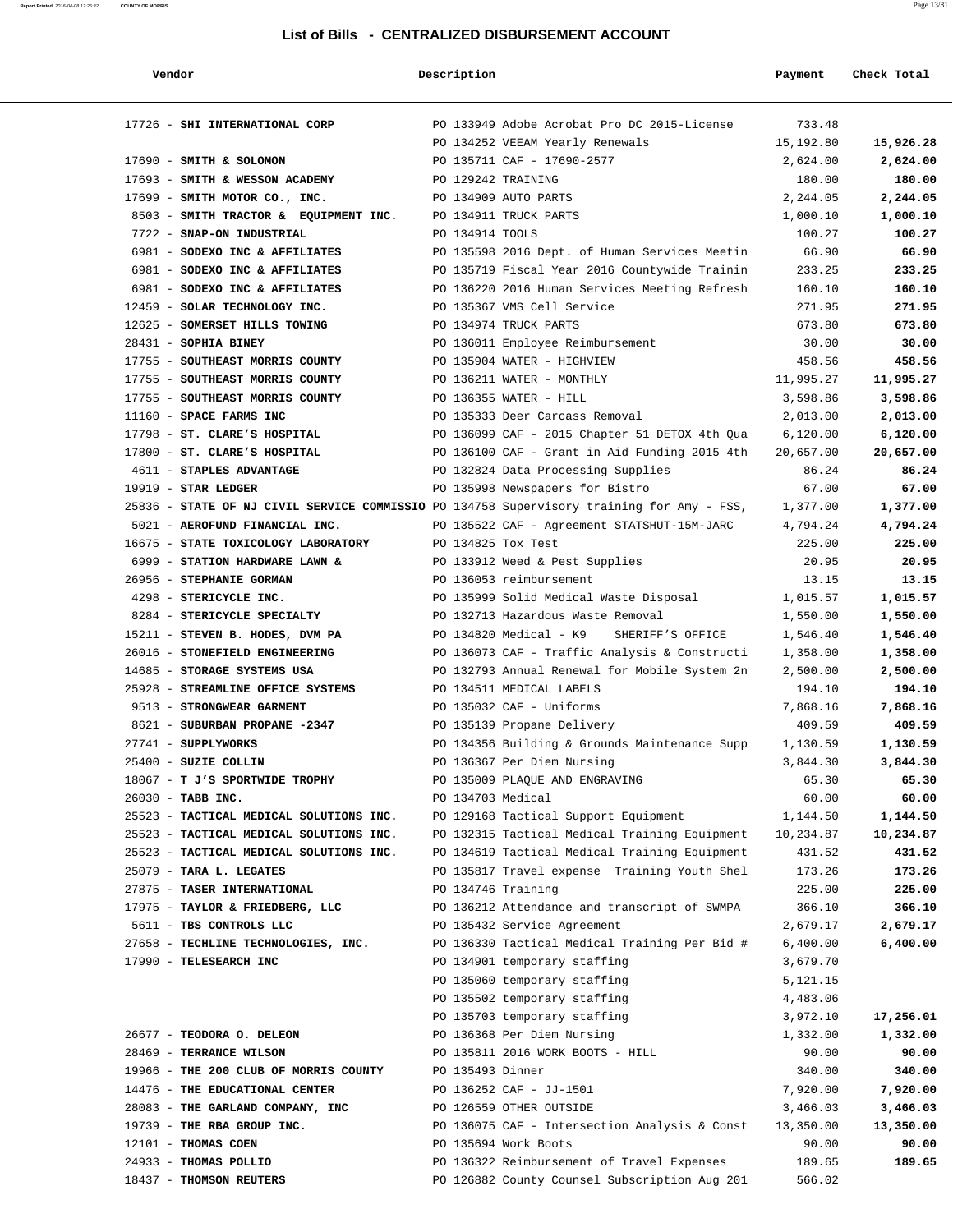**Vendor Description Payment Check Total**

|  |  | I ist of F |  |
|--|--|------------|--|

| 17726 - SHI INTERNATIONAL CORP                                                            |                 | PO 133949 Adobe Acrobat Pro DC 2015-License                    | 733.48            |                   |
|-------------------------------------------------------------------------------------------|-----------------|----------------------------------------------------------------|-------------------|-------------------|
|                                                                                           |                 | PO 134252 VEEAM Yearly Renewals                                | 15,192.80         | 15,926.28         |
| 17690 - SMITH & SOLOMON                                                                   |                 | PO 135711 CAF - 17690-2577                                     | 2,624.00          | 2,624.00          |
| 17693 - SMITH & WESSON ACADEMY                                                            |                 | PO 129242 TRAINING                                             | 180.00            | 180.00            |
| 17699 - SMITH MOTOR CO., INC.                                                             |                 | PO 134909 AUTO PARTS                                           | 2,244.05          | 2,244.05          |
| 8503 - SMITH TRACTOR & EQUIPMENT INC.                                                     |                 | PO 134911 TRUCK PARTS                                          | 1,000.10          | 1,000.10          |
| 7722 - SNAP-ON INDUSTRIAL                                                                 | PO 134914 TOOLS |                                                                | 100.27            | 100.27            |
| 6981 - SODEXO INC & AFFILIATES                                                            |                 | PO 135598 2016 Dept. of Human Services Meetin                  | 66.90             | 66.90             |
| 6981 - SODEXO INC & AFFILIATES                                                            |                 | PO 135719 Fiscal Year 2016 Countywide Trainin                  | 233.25            | 233.25            |
| 6981 - SODEXO INC & AFFILIATES                                                            |                 | PO 136220 2016 Human Services Meeting Refresh                  | 160.10            | 160.10            |
| 12459 - SOLAR TECHNOLOGY INC.                                                             |                 | PO 135367 VMS Cell Service                                     | 271.95            | 271.95            |
| 12625 - SOMERSET HILLS TOWING                                                             |                 | PO 134974 TRUCK PARTS                                          | 673.80            | 673.80            |
| $28431$ - SOPHIA BINEY                                                                    |                 | PO 136011 Employee Reimbursement                               | 30.00             | 30.00             |
| 17755 - SOUTHEAST MORRIS COUNTY                                                           |                 | PO 135904 WATER - HIGHVIEW                                     | 458.56            | 458.56            |
| 17755 - SOUTHEAST MORRIS COUNTY                                                           |                 | PO 136211 WATER - MONTHLY                                      | 11,995.27         | 11,995.27         |
| 17755 - SOUTHEAST MORRIS COUNTY                                                           |                 | PO 136355 WATER - HILL                                         | 3,598.86          | 3,598.86          |
| 11160 - SPACE FARMS INC                                                                   |                 | PO 135333 Deer Carcass Removal                                 | 2,013.00          | 2,013.00          |
| 17798 - ST. CLARE'S HOSPITAL                                                              |                 | PO 136099 CAF - 2015 Chapter 51 DETOX 4th Qua                  | 6,120.00          | 6,120.00          |
| 17800 - ST. CLARE'S HOSPITAL                                                              |                 | PO 136100 CAF - Grant in Aid Funding 2015 4th                  | 20,657.00         | 20,657.00         |
| 4611 - STAPLES ADVANTAGE                                                                  |                 | PO 132824 Data Processing Supplies                             | 86.24             | 86.24             |
| $19919$ - STAR LEDGER                                                                     |                 | PO 135998 Newspapers for Bistro                                | 67.00             | 67.00             |
| 25836 - STATE OF NJ CIVIL SERVICE COMMISSIO PO 134758 Supervisory training for Amy - FSS, |                 |                                                                | 1,377.00          | 1,377.00          |
| 5021 - AEROFUND FINANCIAL INC.                                                            |                 | PO 135522 CAF - Agreement STATSHUT-15M-JARC                    | 4,794.24          | 4,794.24          |
| 16675 - STATE TOXICOLOGY LABORATORY                                                       |                 | PO 134825 Tox Test                                             | 225.00            | 225.00            |
| 6999 - STATION HARDWARE LAWN &                                                            |                 | PO 133912 Weed & Pest Supplies                                 | 20.95             | 20.95             |
| 26956 - STEPHANIE GORMAN                                                                  |                 | PO 136053 reimbursement                                        | 13.15             | 13.15             |
| 4298 - STERICYCLE INC.                                                                    |                 | PO 135999 Solid Medical Waste Disposal                         | 1,015.57          | 1,015.57          |
| 8284 - STERICYCLE SPECIALTY                                                               |                 | PO 132713 Hazardous Waste Removal                              | 1,550.00          | 1,550.00          |
| 15211 - STEVEN B. HODES, DVM PA                                                           |                 | PO 134820 Medical - K9 SHERIFF'S OFFICE                        | 1,546.40          | 1,546.40          |
| 26016 - STONEFIELD ENGINEERING                                                            |                 | PO 136073 CAF - Traffic Analysis & Constructi                  | 1,358.00          | 1,358.00          |
| 14685 - STORAGE SYSTEMS USA                                                               |                 | PO 132793 Annual Renewal for Mobile System 2n                  | 2,500.00          | 2,500.00          |
| 25928 - STREAMLINE OFFICE SYSTEMS                                                         |                 | PO 134511 MEDICAL LABELS                                       | 194.10            | 194.10            |
| 9513 - STRONGWEAR GARMENT                                                                 |                 | PO 135032 CAF - Uniforms                                       | 7,868.16          | 7,868.16          |
| 8621 - SUBURBAN PROPANE -2347                                                             |                 | PO 135139 Propane Delivery                                     | 409.59            | 409.59            |
| 27741 - SUPPLYWORKS                                                                       |                 | PO 134356 Building & Grounds Maintenance Supp                  | 1,130.59          | 1,130.59          |
| $25400$ - SUZIE COLLIN                                                                    |                 | PO 136367 Per Diem Nursing                                     | 3,844.30          | 3,844.30          |
| 18067 - T J'S SPORTWIDE TROPHY                                                            |                 | PO 135009 PLAQUE AND ENGRAVING                                 | 65.30             | 65.30             |
| 26030 - TABB INC.                                                                         |                 | PO 134703 Medical                                              | 60.00             | 60.00             |
| 25523 - TACTICAL MEDICAL SOLUTIONS INC.                                                   |                 | PO 129168 Tactical Support Equipment                           | 1,144.50          | 1,144.50          |
| 25523 - TACTICAL MEDICAL SOLUTIONS INC.                                                   |                 | PO 132315 Tactical Medical Training Equipment                  | 10,234.87         | 10,234.87         |
| 25523 - TACTICAL MEDICAL SOLUTIONS INC.                                                   |                 | PO 134619 Tactical Medical Training Equipment                  | 431.52            | 431.52            |
| 25079 - TARA L. LEGATES                                                                   |                 | PO 135817 Travel expense Training Youth Shel                   | 173.26            | 173.26            |
| 27875 - TASER INTERNATIONAL                                                               |                 | PO 134746 Training                                             | 225.00            | 225.00            |
| 17975 - TAYLOR & FRIEDBERG, LLC                                                           |                 | PO 136212 Attendance and transcript of SWMPA                   | 366.10            | 366.10            |
| 5611 - TBS CONTROLS LLC                                                                   |                 | PO 135432 Service Agreement                                    | 2,679.17          | 2,679.17          |
| 27658 - TECHLINE TECHNOLOGIES, INC.                                                       |                 | PO 136330 Tactical Medical Training Per Bid #                  | 6,400.00          | 6,400.00          |
| 17990 - TELESEARCH INC                                                                    |                 | PO 134901 temporary staffing                                   | 3,679.70          |                   |
|                                                                                           |                 | PO 135060 temporary staffing                                   | 5,121.15          |                   |
|                                                                                           |                 | PO 135502 temporary staffing<br>PO 135703 temporary staffing   | 4,483.06          |                   |
|                                                                                           |                 |                                                                | 3,972.10          | 17,256.01         |
| 26677 - TEODORA O. DELEON<br>28469 - TERRANCE WILSON                                      |                 | PO 136368 Per Diem Nursing<br>PO 135811 2016 WORK BOOTS - HILL | 1,332.00<br>90.00 | 1,332.00<br>90.00 |
| 19966 - THE 200 CLUB OF MORRIS COUNTY                                                     |                 | PO 135493 Dinner                                               | 340.00            | 340.00            |
| 14476 - THE EDUCATIONAL CENTER                                                            |                 | PO 136252 CAF - JJ-1501                                        | 7,920.00          | 7,920.00          |
| 28083 - THE GARLAND COMPANY, INC                                                          |                 | PO 126559 OTHER OUTSIDE                                        | 3,466.03          | 3,466.03          |
| 19739 - THE RBA GROUP INC.                                                                |                 | PO 136075 CAF - Intersection Analysis & Const                  | 13,350.00         | 13,350.00         |
| 12101 - THOMAS COEN                                                                       |                 | PO 135694 Work Boots                                           | 90.00             | 90.00             |
| 24933 - THOMAS POLLIO                                                                     |                 | PO 136322 Reimbursement of Travel Expenses                     | 189.65            | 189.65            |
| 18437 - THOMSON REUTERS                                                                   |                 | PO 126882 County Counsel Subscription Aug 201                  | 566.02            |                   |
|                                                                                           |                 |                                                                |                   |                   |

**Report Printed** 2016-04-08 12:25:32 **COUNTY OF MORRIS** Page 13/81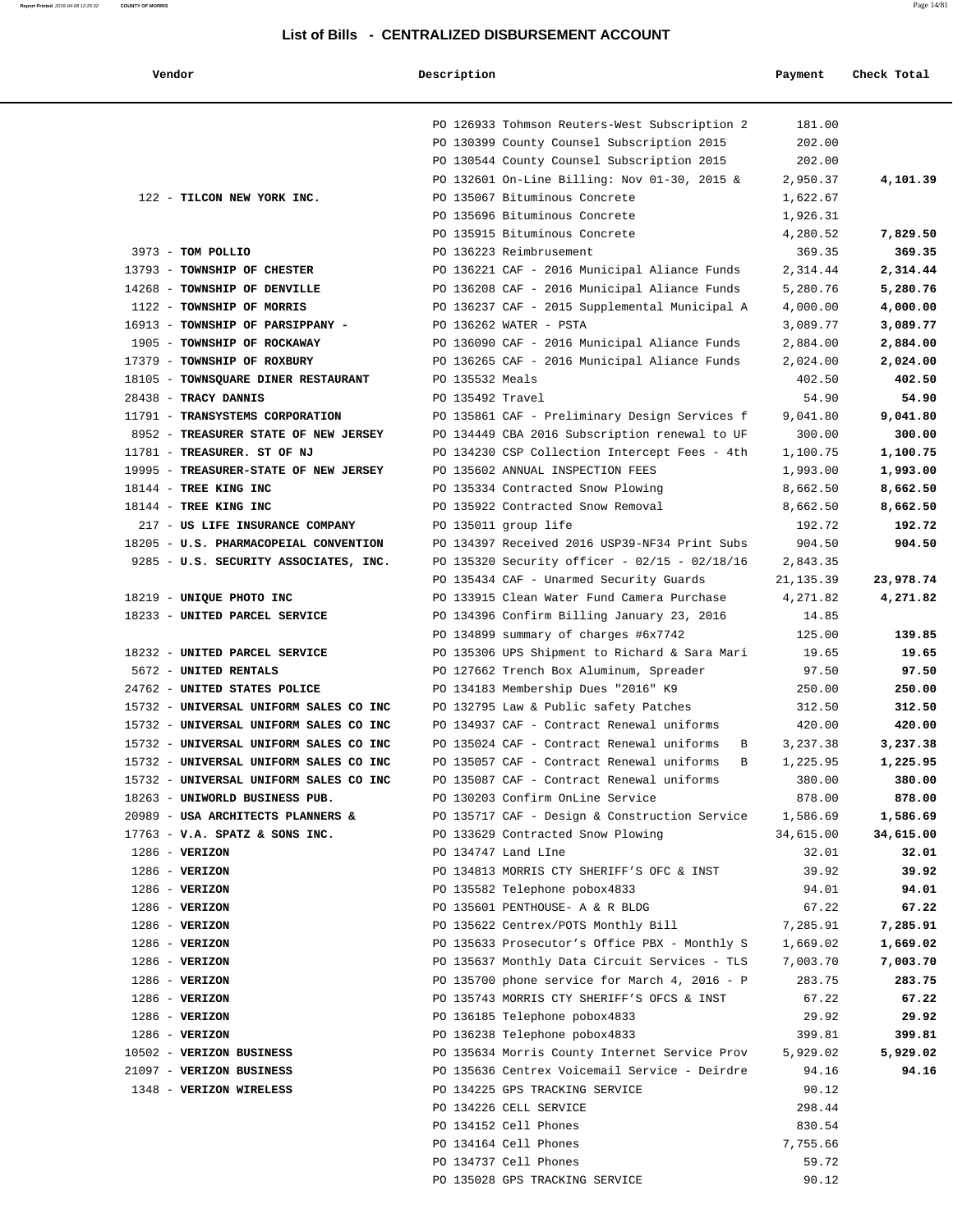| Vendor                                 | Description      |                                                                                       | Payment         | Check Total |
|----------------------------------------|------------------|---------------------------------------------------------------------------------------|-----------------|-------------|
|                                        |                  | PO 126933 Tohmson Reuters-West Subscription 2                                         | 181.00          |             |
|                                        |                  | PO 130399 County Counsel Subscription 2015                                            | 202.00          |             |
|                                        |                  | PO 130544 County Counsel Subscription 2015                                            | 202.00          |             |
|                                        |                  | PO 132601 On-Line Billing: Nov 01-30, 2015 &                                          | 2,950.37        | 4,101.39    |
| 122 - TILCON NEW YORK INC.             |                  | PO 135067 Bituminous Concrete                                                         | 1,622.67        |             |
|                                        |                  | PO 135696 Bituminous Concrete                                                         | 1,926.31        |             |
|                                        |                  | PO 135915 Bituminous Concrete                                                         | 4,280.52        | 7,829.50    |
| 3973 - TOM POLLIO                      |                  | PO 136223 Reimbrusement                                                               | 369.35          | 369.35      |
| 13793 - TOWNSHIP OF CHESTER            |                  | PO 136221 CAF - 2016 Municipal Aliance Funds                                          | 2,314.44        | 2,314.44    |
| 14268 - TOWNSHIP OF DENVILLE           |                  | PO 136208 CAF - 2016 Municipal Aliance Funds                                          | 5,280.76        | 5,280.76    |
| 1122 - TOWNSHIP OF MORRIS              |                  | PO 136237 CAF - 2015 Supplemental Municipal A                                         | 4,000.00        | 4,000.00    |
| 16913 - TOWNSHIP OF PARSIPPANY -       |                  | PO 136262 WATER - PSTA                                                                | 3,089.77        | 3,089.77    |
| 1905 - TOWNSHIP OF ROCKAWAY            |                  | PO 136090 CAF - 2016 Municipal Aliance Funds                                          | 2,884.00        | 2,884.00    |
| 17379 - TOWNSHIP OF ROXBURY            |                  | PO 136265 CAF - 2016 Municipal Aliance Funds                                          | 2,024.00        | 2,024.00    |
| 18105 - TOWNSQUARE DINER RESTAURANT    | PO 135532 Meals  |                                                                                       | 402.50          | 402.50      |
| 28438 - TRACY DANNIS                   | PO 135492 Travel |                                                                                       | 54.90           | 54.90       |
| 11791 - TRANSYSTEMS CORPORATION        |                  | PO 135861 CAF - Preliminary Design Services f                                         | 9,041.80        | 9,041.80    |
| 8952 - TREASURER STATE OF NEW JERSEY   |                  | PO 134449 CBA 2016 Subscription renewal to UF                                         | 300.00          | 300.00      |
| 11781 - TREASURER. ST OF NJ            |                  | PO 134230 CSP Collection Intercept Fees - 4th                                         | 1,100.75        | 1,100.75    |
| 19995 - TREASURER-STATE OF NEW JERSEY  |                  | PO 135602 ANNUAL INSPECTION FEES                                                      | 1,993.00        | 1,993.00    |
| 18144 - TREE KING INC                  |                  | PO 135334 Contracted Snow Plowing                                                     | 8,662.50        | 8,662.50    |
| 18144 - TREE KING INC                  |                  | PO 135922 Contracted Snow Removal                                                     | 8,662.50        | 8,662.50    |
| 217 - US LIFE INSURANCE COMPANY        |                  | PO 135011 group life                                                                  | 192.72          | 192.72      |
| 18205 - U.S. PHARMACOPEIAL CONVENTION  |                  | PO 134397 Received 2016 USP39-NF34 Print Subs                                         | 904.50          | 904.50      |
| 9285 - U.S. SECURITY ASSOCIATES, INC.  |                  | PO 135320 Security officer - 02/15 - 02/18/16                                         | 2,843.35        |             |
|                                        |                  | PO 135434 CAF - Unarmed Security Guards                                               | 21,135.39       | 23,978.74   |
| 18219 - UNIQUE PHOTO INC               |                  | PO 133915 Clean Water Fund Camera Purchase                                            | 4,271.82        | 4,271.82    |
| 18233 - UNITED PARCEL SERVICE          |                  | PO 134396 Confirm Billing January 23, 2016                                            | 14.85           | 139.85      |
| 18232 - UNITED PARCEL SERVICE          |                  | PO 134899 summary of charges #6x7742<br>PO 135306 UPS Shipment to Richard & Sara Mari | 125.00<br>19.65 | 19.65       |
| 5672 - UNITED RENTALS                  |                  | PO 127662 Trench Box Aluminum, Spreader                                               | 97.50           | 97.50       |
| 24762 - UNITED STATES POLICE           |                  | PO 134183 Membership Dues "2016" K9                                                   | 250.00          | 250.00      |
| 15732 - UNIVERSAL UNIFORM SALES CO INC |                  | PO 132795 Law & Public safety Patches                                                 | 312.50          | 312.50      |
| 15732 - UNIVERSAL UNIFORM SALES CO INC |                  | PO 134937 CAF - Contract Renewal uniforms                                             | 420.00          | 420.00      |
| 15732 - UNIVERSAL UNIFORM SALES CO INC |                  | PO 135024 CAF - Contract Renewal uniforms<br>B                                        | 3,237.38        | 3,237.38    |
| 15732 - UNIVERSAL UNIFORM SALES CO INC |                  | PO 135057 CAF - Contract Renewal uniforms B                                           | 1,225.95        | 1,225.95    |
| 15732 - UNIVERSAL UNIFORM SALES CO INC |                  | PO 135087 CAF - Contract Renewal uniforms                                             | 380.00          | 380.00      |
| 18263 - UNIWORLD BUSINESS PUB.         |                  | PO 130203 Confirm OnLine Service                                                      | 878.00          | 878.00      |
| 20989 - USA ARCHITECTS PLANNERS &      |                  | PO 135717 CAF - Design & Construction Service 1,586.69                                |                 | 1,586.69    |
| $17763$ - V.A. SPATZ & SONS INC.       |                  | PO 133629 Contracted Snow Plowing                                                     | 34,615.00       | 34,615.00   |
| $1286$ - VERIZON                       |                  | PO 134747 Land LIne                                                                   | 32.01           | 32.01       |
| $1286$ - VERIZON                       |                  | PO 134813 MORRIS CTY SHERIFF'S OFC & INST                                             | 39.92           | 39.92       |
| $1286$ - VERIZON                       |                  | PO 135582 Telephone pobox4833                                                         | 94.01           | 94.01       |
| $1286$ - VERIZON                       |                  | PO 135601 PENTHOUSE- A & R BLDG                                                       | 67.22           | 67.22       |
| $1286$ - VERIZON                       |                  | PO 135622 Centrex/POTS Monthly Bill                                                   | 7,285.91        | 7,285.91    |
| $1286$ - VERIZON                       |                  | PO 135633 Prosecutor's Office PBX - Monthly S                                         | 1,669.02        | 1,669.02    |
| $1286$ - VERIZON                       |                  | PO 135637 Monthly Data Circuit Services - TLS                                         | 7,003.70        | 7,003.70    |
| $1286$ - VERIZON                       |                  | PO 135700 phone service for March 4, 2016 - P                                         | 283.75          | 283.75      |
| $1286$ - VERIZON                       |                  | PO 135743 MORRIS CTY SHERIFF'S OFCS & INST                                            | 67.22           | 67.22       |
| $1286$ - VERIZON                       |                  | PO 136185 Telephone pobox4833                                                         | 29.92           | 29.92       |
| $1286$ - VERIZON                       |                  | PO 136238 Telephone pobox4833                                                         | 399.81          | 399.81      |
| 10502 - VERIZON BUSINESS               |                  | PO 135634 Morris County Internet Service Prov                                         | 5,929.02        | 5,929.02    |
| 21097 - VERIZON BUSINESS               |                  | PO 135636 Centrex Voicemail Service - Deirdre                                         | 94.16           | 94.16       |
| 1348 - VERIZON WIRELESS                |                  | PO 134225 GPS TRACKING SERVICE                                                        | 90.12           |             |
|                                        |                  | PO 134226 CELL SERVICE                                                                | 298.44          |             |
|                                        |                  | PO 134152 Cell Phones                                                                 | 830.54          |             |
|                                        |                  | PO 134164 Cell Phones                                                                 | 7,755.66        |             |
|                                        |                  | PO 134737 Cell Phones                                                                 | 59.72           |             |
|                                        |                  | PO 135028 GPS TRACKING SERVICE                                                        | 90.12           |             |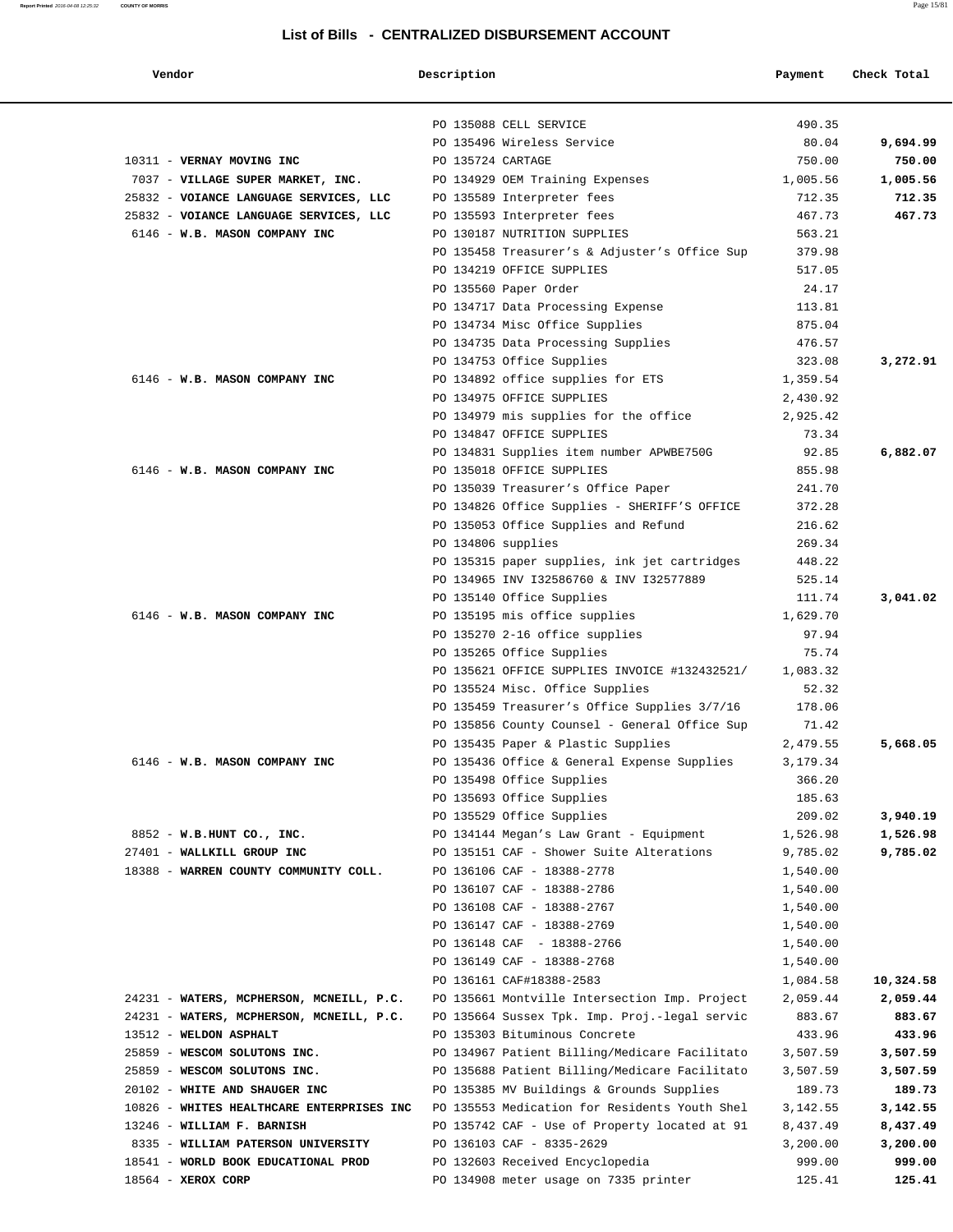#### **Report Printed** 2016-04-08 12:25:32 **COUNTY OF MORRIS** Page 15/81

| Vendor                                                        | Description        |                                                                                                | Payment            | Check Total        |
|---------------------------------------------------------------|--------------------|------------------------------------------------------------------------------------------------|--------------------|--------------------|
|                                                               |                    |                                                                                                |                    |                    |
|                                                               |                    | PO 135088 CELL SERVICE                                                                         | 490.35             |                    |
|                                                               |                    | PO 135496 Wireless Service                                                                     | 80.04              | 9,694.99           |
| 10311 - VERNAY MOVING INC                                     | PO 135724 CARTAGE  |                                                                                                | 750.00             | 750.00             |
| 7037 - VILLAGE SUPER MARKET, INC.                             |                    | PO 134929 OEM Training Expenses                                                                | 1,005.56           | 1,005.56           |
| 25832 - VOIANCE LANGUAGE SERVICES, LLC                        |                    | PO 135589 Interpreter fees                                                                     | 712.35             | 712.35             |
| 25832 - VOIANCE LANGUAGE SERVICES, LLC                        |                    | PO 135593 Interpreter fees                                                                     | 467.73             | 467.73             |
| 6146 - W.B. MASON COMPANY INC                                 |                    | PO 130187 NUTRITION SUPPLIES                                                                   | 563.21             |                    |
|                                                               |                    | PO 135458 Treasurer's & Adjuster's Office Sup                                                  | 379.98             |                    |
|                                                               |                    | PO 134219 OFFICE SUPPLIES                                                                      | 517.05             |                    |
|                                                               |                    | PO 135560 Paper Order                                                                          | 24.17              |                    |
|                                                               |                    | PO 134717 Data Processing Expense                                                              | 113.81             |                    |
|                                                               |                    | PO 134734 Misc Office Supplies                                                                 | 875.04             |                    |
|                                                               |                    | PO 134735 Data Processing Supplies                                                             | 476.57             |                    |
|                                                               |                    | PO 134753 Office Supplies                                                                      | 323.08             | 3,272.91           |
| 6146 - W.B. MASON COMPANY INC                                 |                    | PO 134892 office supplies for ETS                                                              | 1,359.54           |                    |
|                                                               |                    | PO 134975 OFFICE SUPPLIES                                                                      | 2,430.92           |                    |
|                                                               |                    | PO 134979 mis supplies for the office                                                          | 2,925.42           |                    |
|                                                               |                    | PO 134847 OFFICE SUPPLIES                                                                      | 73.34              |                    |
|                                                               |                    | PO 134831 Supplies item number APWBE750G                                                       | 92.85              | 6,882.07           |
| 6146 - W.B. MASON COMPANY INC                                 |                    | PO 135018 OFFICE SUPPLIES                                                                      | 855.98             |                    |
|                                                               |                    | PO 135039 Treasurer's Office Paper                                                             | 241.70             |                    |
|                                                               |                    | PO 134826 Office Supplies - SHERIFF'S OFFICE                                                   | 372.28             |                    |
|                                                               |                    | PO 135053 Office Supplies and Refund                                                           | 216.62             |                    |
|                                                               | PO 134806 supplies |                                                                                                | 269.34<br>448.22   |                    |
|                                                               |                    | PO 135315 paper supplies, ink jet cartridges<br>PO 134965 INV 132586760 & INV 132577889        | 525.14             |                    |
|                                                               |                    | PO 135140 Office Supplies                                                                      | 111.74             | 3,041.02           |
| 6146 - W.B. MASON COMPANY INC                                 |                    | PO 135195 mis office supplies                                                                  | 1,629.70           |                    |
|                                                               |                    | PO 135270 2-16 office supplies                                                                 | 97.94              |                    |
|                                                               |                    | PO 135265 Office Supplies                                                                      | 75.74              |                    |
|                                                               |                    | PO 135621 OFFICE SUPPLIES INVOICE #132432521/                                                  | 1,083.32           |                    |
|                                                               |                    | PO 135524 Misc. Office Supplies                                                                | 52.32              |                    |
|                                                               |                    | PO 135459 Treasurer's Office Supplies 3/7/16                                                   | 178.06             |                    |
|                                                               |                    | PO 135856 County Counsel - General Office Sup                                                  | 71.42              |                    |
|                                                               |                    | PO 135435 Paper & Plastic Supplies                                                             | 2,479.55           | 5,668.05           |
| 6146 - W.B. MASON COMPANY INC                                 |                    | PO 135436 Office & General Expense Supplies                                                    | 3,179.34           |                    |
|                                                               |                    | PO 135498 Office Supplies                                                                      | 366.20             |                    |
|                                                               |                    | PO 135693 Office Supplies                                                                      | 185.63             |                    |
|                                                               |                    | PO 135529 Office Supplies                                                                      | 209.02             | 3,940.19           |
| 8852 - W.B.HUNT CO., INC.                                     |                    | PO 134144 Megan's Law Grant - Equipment                                                        | 1,526.98           | 1,526.98           |
| 27401 - WALLKILL GROUP INC                                    |                    | PO 135151 CAF - Shower Suite Alterations                                                       | 9,785.02           | 9,785.02           |
| 18388 - WARREN COUNTY COMMUNITY COLL.                         |                    | PO 136106 CAF - 18388-2778                                                                     | 1,540.00           |                    |
|                                                               |                    | PO 136107 CAF - 18388-2786                                                                     | 1,540.00           |                    |
|                                                               |                    | PO 136108 CAF - 18388-2767                                                                     | 1,540.00           |                    |
|                                                               |                    | PO 136147 CAF - 18388-2769                                                                     | 1,540.00           |                    |
|                                                               |                    | PO 136148 CAF - 18388-2766                                                                     | 1,540.00           |                    |
|                                                               |                    | PO 136149 CAF - 18388-2768                                                                     | 1,540.00           |                    |
|                                                               |                    | PO 136161 CAF#18388-2583                                                                       | 1,084.58           | 10,324.58          |
| 24231 - WATERS, MCPHERSON, MCNEILL, P.C.                      |                    | PO 135661 Montville Intersection Imp. Project                                                  | 2,059.44           | 2,059.44           |
| 24231 - WATERS, MCPHERSON, MCNEILL, P.C.                      |                    | PO 135664 Sussex Tpk. Imp. Proj.-legal servic                                                  | 883.67             | 883.67             |
| 13512 - WELDON ASPHALT                                        |                    | PO 135303 Bituminous Concrete                                                                  | 433.96             | 433.96             |
| 25859 - WESCOM SOLUTONS INC.                                  |                    | PO 134967 Patient Billing/Medicare Facilitato<br>PO 135688 Patient Billing/Medicare Facilitato | 3,507.59           | 3,507.59           |
| 25859 - WESCOM SOLUTONS INC.<br>20102 - WHITE AND SHAUGER INC |                    |                                                                                                | 3,507.59           | 3,507.59           |
| 10826 - WHITES HEALTHCARE ENTERPRISES INC                     |                    | PO 135385 MV Buildings & Grounds Supplies<br>PO 135553 Medication for Residents Youth Shel     | 189.73<br>3,142.55 | 189.73<br>3,142.55 |
| 13246 - WILLIAM F. BARNISH                                    |                    | PO 135742 CAF - Use of Property located at 91                                                  | 8,437.49           | 8,437.49           |
| 8335 - WILLIAM PATERSON UNIVERSITY                            |                    | PO 136103 CAF - 8335-2629                                                                      | 3,200.00           | 3,200.00           |
| 18541 - WORLD BOOK EDUCATIONAL PROD                           |                    | PO 132603 Received Encyclopedia                                                                | 999.00             | 999.00             |
| $18564$ - XEROX CORP                                          |                    | PO 134908 meter usage on 7335 printer                                                          | 125.41             | 125.41             |
|                                                               |                    |                                                                                                |                    |                    |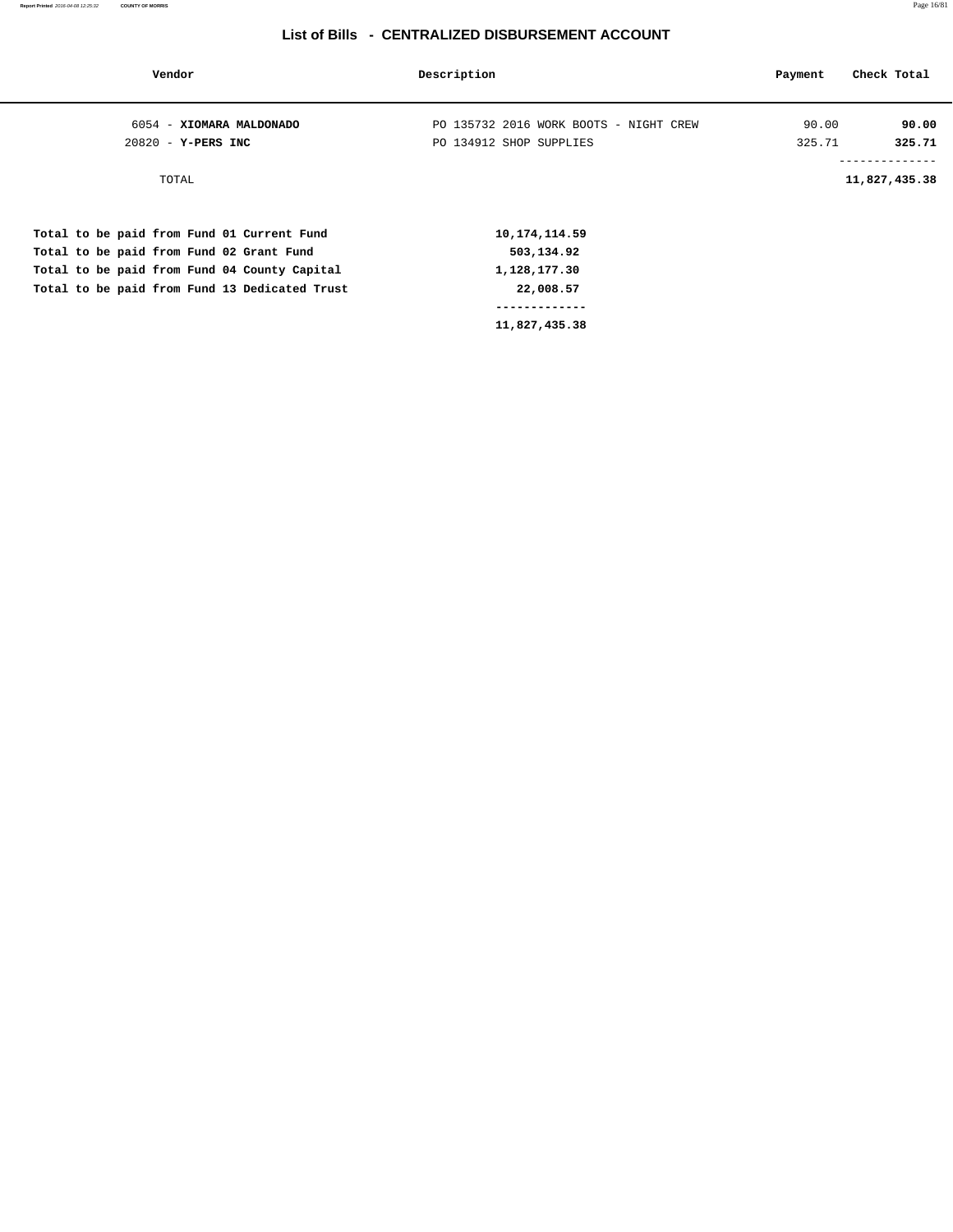| Vendor                                        | Description                            | Payment | Check Total                     |
|-----------------------------------------------|----------------------------------------|---------|---------------------------------|
| 6054 - XIOMARA MALDONADO                      | PO 135732 2016 WORK BOOTS - NIGHT CREW | 90.00   | 90.00                           |
| $20820 - Y - PERS$ INC                        | PO 134912 SHOP SUPPLIES                | 325.71  | 325.71                          |
| TOTAL                                         |                                        |         | --------------<br>11,827,435.38 |
| Total to be paid from Fund 01 Current Fund    | 10, 174, 114.59                        |         |                                 |
| Total to be paid from Fund 02 Grant Fund      | 503,134.92                             |         |                                 |
| Total to be paid from Fund 04 County Capital  | 1,128,177.30                           |         |                                 |
| Total to be paid from Fund 13 Dedicated Trust | 22,008.57                              |         |                                 |
|                                               | -------------                          |         |                                 |
|                                               | 11,827,435.38                          |         |                                 |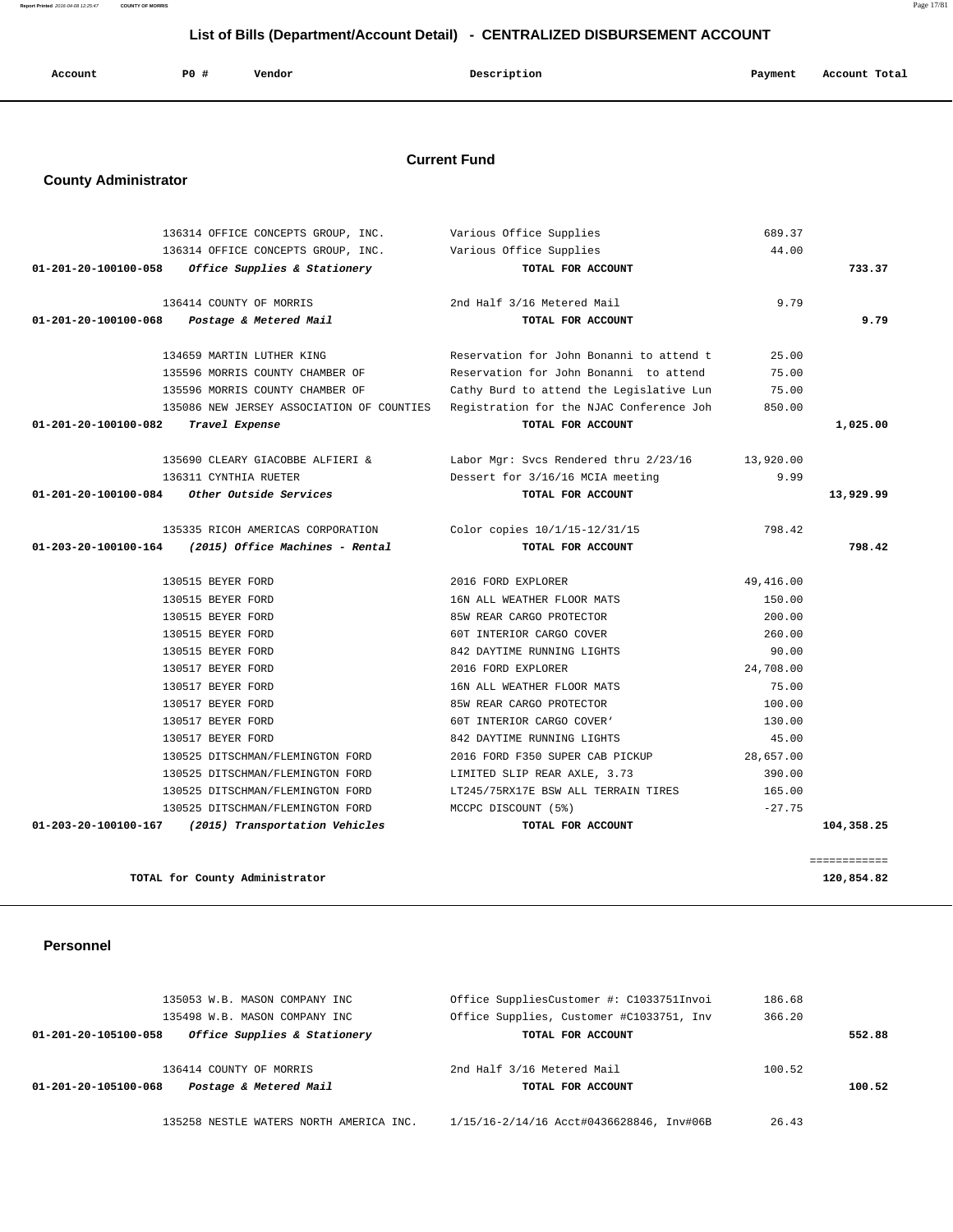| Account | PO# | Vendor | Description | Payment | Account Total |
|---------|-----|--------|-------------|---------|---------------|
|         |     |        |             |         |               |

### **Current Fund**

# **County Administrator**

|                                | 136314 OFFICE CONCEPTS GROUP, INC. | Various Office Supplies                                                            | 689.37     |              |
|--------------------------------|------------------------------------|------------------------------------------------------------------------------------|------------|--------------|
|                                | 136314 OFFICE CONCEPTS GROUP, INC. | Various Office Supplies                                                            | 44.00      |              |
| 01-201-20-100100-058           | Office Supplies & Stationery       | TOTAL FOR ACCOUNT                                                                  |            | 733.37       |
|                                | 136414 COUNTY OF MORRIS            | 2nd Half 3/16 Metered Mail                                                         | 9.79       |              |
| $01 - 201 - 20 - 100100 - 068$ | Postage & Metered Mail             | TOTAL FOR ACCOUNT                                                                  |            | 9.79         |
|                                | 134659 MARTIN LUTHER KING          | Reservation for John Bonanni to attend t                                           | 25.00      |              |
|                                | 135596 MORRIS COUNTY CHAMBER OF    | Reservation for John Bonanni to attend                                             | 75.00      |              |
|                                | 135596 MORRIS COUNTY CHAMBER OF    | Cathy Burd to attend the Legislative Lun                                           | 75.00      |              |
|                                |                                    | 135086 NEW JERSEY ASSOCIATION OF COUNTIES Registration for the NJAC Conference Joh | 850.00     |              |
| 01-201-20-100100-082           | Travel Expense                     | TOTAL FOR ACCOUNT                                                                  |            | 1,025.00     |
|                                | 135690 CLEARY GIACOBBE ALFIERI &   | Labor Mgr: Svcs Rendered thru 2/23/16                                              | 13,920.00  |              |
|                                | 136311 CYNTHIA RUETER              | Dessert for 3/16/16 MCIA meeting                                                   | 9.99       |              |
| 01-201-20-100100-084           | Other Outside Services             | TOTAL FOR ACCOUNT                                                                  |            | 13,929.99    |
|                                | 135335 RICOH AMERICAS CORPORATION  | Color copies 10/1/15-12/31/15                                                      | 798.42     |              |
| 01-203-20-100100-164           | (2015) Office Machines - Rental    | TOTAL FOR ACCOUNT                                                                  |            | 798.42       |
|                                | 130515 BEYER FORD                  | 2016 FORD EXPLORER                                                                 | 49, 416.00 |              |
|                                | 130515 BEYER FORD                  | 16N ALL WEATHER FLOOR MATS                                                         | 150.00     |              |
|                                | 130515 BEYER FORD                  | 85W REAR CARGO PROTECTOR                                                           | 200.00     |              |
|                                | 130515 BEYER FORD                  | 60T INTERIOR CARGO COVER                                                           | 260.00     |              |
|                                | 130515 BEYER FORD                  | 842 DAYTIME RUNNING LIGHTS                                                         | 90.00      |              |
|                                | 130517 BEYER FORD                  | 2016 FORD EXPLORER                                                                 | 24,708.00  |              |
|                                | 130517 BEYER FORD                  | 16N ALL WEATHER FLOOR MATS                                                         | 75.00      |              |
|                                | 130517 BEYER FORD                  | 85W REAR CARGO PROTECTOR                                                           | 100.00     |              |
|                                | 130517 BEYER FORD                  | 60T INTERIOR CARGO COVER'                                                          | 130.00     |              |
|                                | 130517 BEYER FORD                  | 842 DAYTIME RUNNING LIGHTS                                                         | 45.00      |              |
|                                | 130525 DITSCHMAN/FLEMINGTON FORD   | 2016 FORD F350 SUPER CAB PICKUP                                                    | 28,657.00  |              |
|                                | 130525 DITSCHMAN/FLEMINGTON FORD   | LIMITED SLIP REAR AXLE, 3.73                                                       | 390.00     |              |
|                                | 130525 DITSCHMAN/FLEMINGTON FORD   | LT245/75RX17E BSW ALL TERRAIN TIRES                                                | 165.00     |              |
|                                | 130525 DITSCHMAN/FLEMINGTON FORD   | MCCPC DISCOUNT (5%)                                                                | $-27.75$   |              |
| 01-203-20-100100-167           | (2015) Transportation Vehicles     | TOTAL FOR ACCOUNT                                                                  |            | 104,358.25   |
|                                |                                    |                                                                                    |            | ============ |
|                                | TOTAL for County Administrator     |                                                                                    |            | 120,854.82   |

 **Personnel** 

| 135258 NESTLE WATERS NORTH AMERICA INC.              | 1/15/16-2/14/16 Acct#0436628846, Inv#06B | 26.43  |        |
|------------------------------------------------------|------------------------------------------|--------|--------|
| Postage & Metered Mail<br>01-201-20-105100-068       | TOTAL FOR ACCOUNT                        |        | 100.52 |
| 136414 COUNTY OF MORRIS                              | 2nd Half 3/16 Metered Mail               | 100.52 |        |
| Office Supplies & Stationery<br>01-201-20-105100-058 | TOTAL FOR ACCOUNT                        |        | 552.88 |
| 135498 W.B. MASON COMPANY INC                        | Office Supplies, Customer #C1033751, Inv | 366.20 |        |
| 135053 W.B. MASON COMPANY INC                        | Office SuppliesCustomer #: C1033751Invoi | 186.68 |        |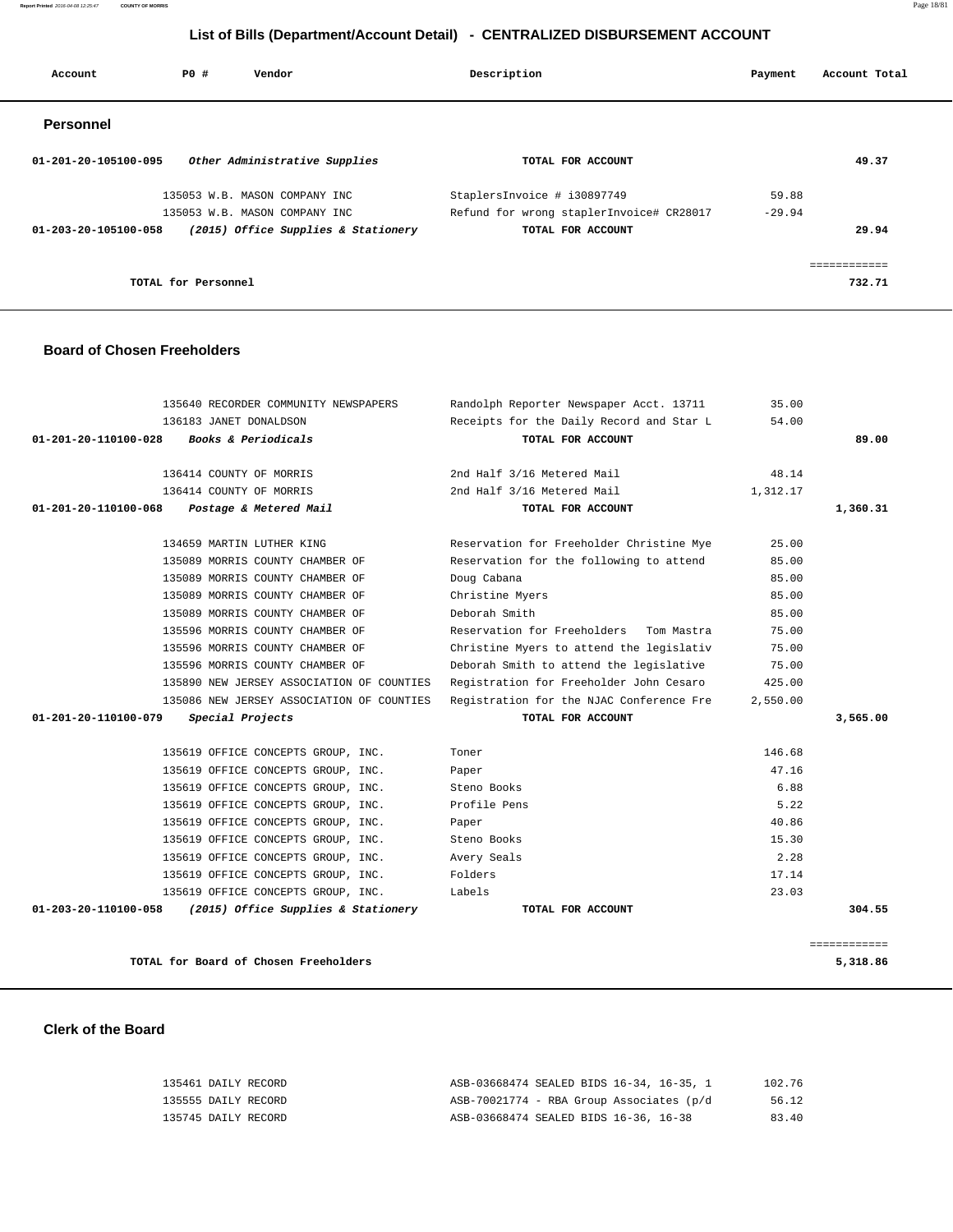135461 DAILY RECORD ASB-03668474 SEALED BIDS 16-34, 16-35, 1 102.76 135555 DAILY RECORD ASB-70021774 - RBA Group Associates (p/d 56.12 135745 DAILY RECORD ASB-03668474 SEALED BIDS 16-36, 16-38 83.40

#### **Clerk of the Board**

|                      | 135640 RECORDER COMMUNITY NEWSPAPERS      | Randolph Reporter Newspaper Acct. 13711   | 35.00    |              |
|----------------------|-------------------------------------------|-------------------------------------------|----------|--------------|
|                      | 136183 JANET DONALDSON                    | Receipts for the Daily Record and Star L  | 54.00    |              |
| 01-201-20-110100-028 | Books & Periodicals                       | TOTAL FOR ACCOUNT                         |          | 89.00        |
|                      | 136414 COUNTY OF MORRIS                   | 2nd Half 3/16 Metered Mail                | 48.14    |              |
|                      | 136414 COUNTY OF MORRIS                   | 2nd Half 3/16 Metered Mail                | 1,312.17 |              |
| 01-201-20-110100-068 | Postage & Metered Mail                    | TOTAL FOR ACCOUNT                         |          | 1,360.31     |
|                      | 134659 MARTIN LUTHER KING                 | Reservation for Freeholder Christine Mye  | 25.00    |              |
|                      | 135089 MORRIS COUNTY CHAMBER OF           | Reservation for the following to attend   | 85.00    |              |
|                      | 135089 MORRIS COUNTY CHAMBER OF           | Doug Cabana                               | 85.00    |              |
|                      | 135089 MORRIS COUNTY CHAMBER OF           | Christine Myers                           | 85.00    |              |
|                      | 135089 MORRIS COUNTY CHAMBER OF           | Deborah Smith                             | 85.00    |              |
|                      | 135596 MORRIS COUNTY CHAMBER OF           | Reservation for Freeholders<br>Tom Mastra | 75.00    |              |
|                      | 135596 MORRIS COUNTY CHAMBER OF           | Christine Myers to attend the legislativ  | 75.00    |              |
|                      | 135596 MORRIS COUNTY CHAMBER OF           | Deborah Smith to attend the legislative   | 75.00    |              |
|                      | 135890 NEW JERSEY ASSOCIATION OF COUNTIES | Registration for Freeholder John Cesaro   | 425.00   |              |
|                      | 135086 NEW JERSEY ASSOCIATION OF COUNTIES | Registration for the NJAC Conference Fre  | 2,550.00 |              |
| 01-201-20-110100-079 | Special Projects                          | TOTAL FOR ACCOUNT                         |          | 3,565.00     |
|                      | 135619 OFFICE CONCEPTS GROUP, INC.        | Toner                                     | 146.68   |              |
|                      | 135619 OFFICE CONCEPTS GROUP, INC.        | Paper                                     | 47.16    |              |
|                      | 135619 OFFICE CONCEPTS GROUP, INC.        | Steno Books                               | 6.88     |              |
|                      | 135619 OFFICE CONCEPTS GROUP, INC.        | Profile Pens                              | 5.22     |              |
|                      | 135619 OFFICE CONCEPTS GROUP, INC.        | Paper                                     | 40.86    |              |
|                      | 135619 OFFICE CONCEPTS GROUP, INC.        | Steno Books                               | 15.30    |              |
|                      | 135619 OFFICE CONCEPTS GROUP, INC.        | Avery Seals                               | 2.28     |              |
|                      | 135619 OFFICE CONCEPTS GROUP, INC.        | Folders                                   | 17.14    |              |
|                      | 135619 OFFICE CONCEPTS GROUP, INC.        | Labels                                    | 23.03    |              |
| 01-203-20-110100-058 | (2015) Office Supplies & Stationery       | TOTAL FOR ACCOUNT                         |          | 304.55       |
|                      |                                           |                                           |          | ============ |
|                      | TOTAL for Board of Chosen Freeholders     |                                           |          | 5,318.86     |

### **Board of Chosen Freeholders**

| Account              | PO#                 | Vendor                              | Description                              | Payment  | Account Total |       |
|----------------------|---------------------|-------------------------------------|------------------------------------------|----------|---------------|-------|
| <b>Personnel</b>     |                     |                                     |                                          |          |               |       |
| 01-201-20-105100-095 |                     | Other Administrative Supplies       | TOTAL FOR ACCOUNT                        |          |               | 49.37 |
|                      |                     | 135053 W.B. MASON COMPANY INC       | StaplersInvoice # i30897749              | 59.88    |               |       |
|                      |                     | 135053 W.B. MASON COMPANY INC       | Refund for wrong staplerInvoice# CR28017 | $-29.94$ |               |       |
| 01-203-20-105100-058 |                     | (2015) Office Supplies & Stationery | TOTAL FOR ACCOUNT                        |          |               | 29.94 |
|                      |                     |                                     |                                          |          |               |       |
|                      | TOTAL for Personnel |                                     |                                          |          | 732.71        |       |

## **List of Bills (Department/Account Detail) - CENTRALIZED DISBURSEMENT ACCOUNT**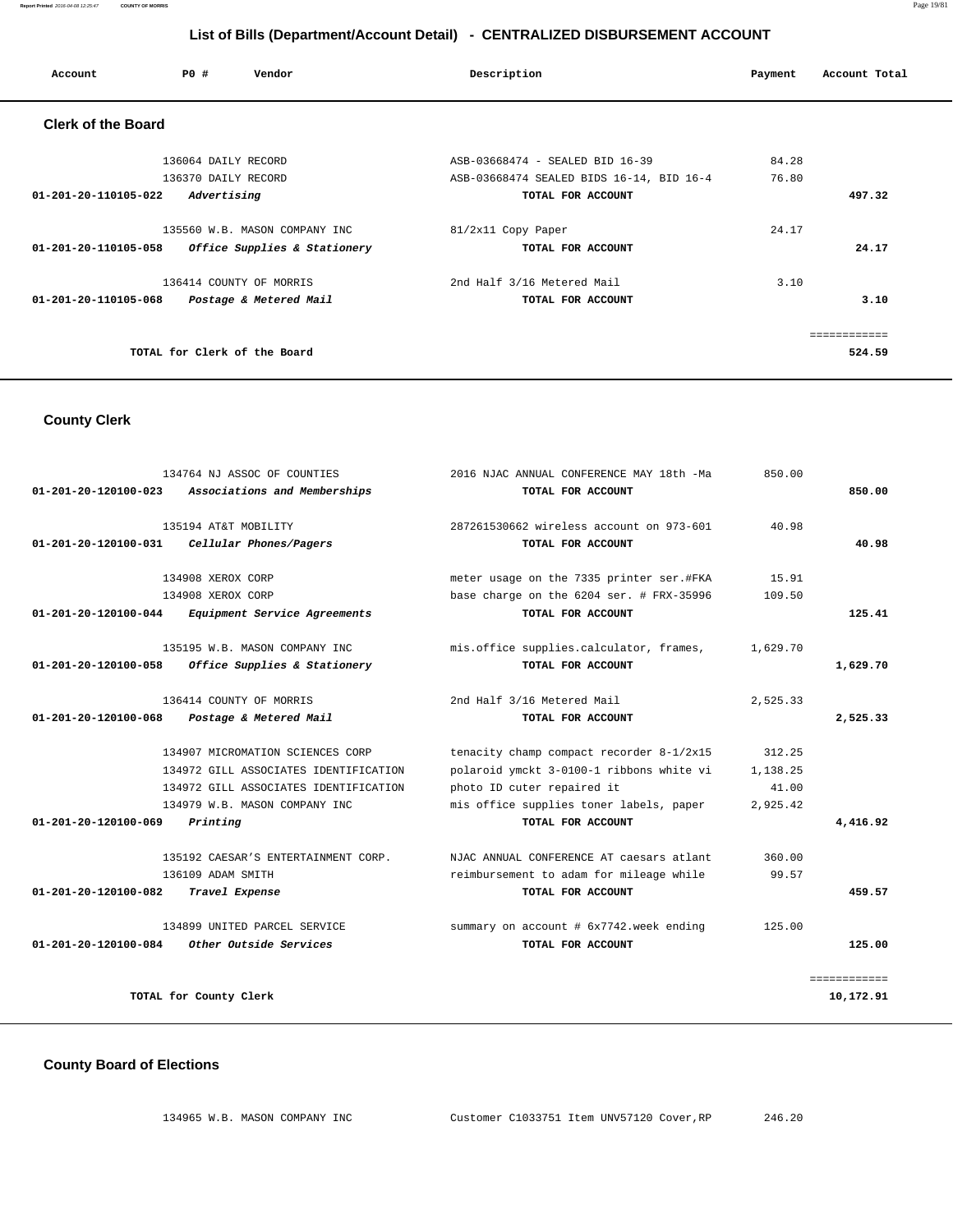| Account                   | P0#                                        | Vendor                        | Description                                                                 | Payment        | Account Total |
|---------------------------|--------------------------------------------|-------------------------------|-----------------------------------------------------------------------------|----------------|---------------|
| <b>Clerk of the Board</b> |                                            |                               |                                                                             |                |               |
|                           | 136064 DAILY RECORD<br>136370 DAILY RECORD |                               | ASB-03668474 - SEALED BID 16-39<br>ASB-03668474 SEALED BIDS 16-14, BID 16-4 | 84.28<br>76.80 |               |
| 01-201-20-110105-022      | Advertising                                |                               | TOTAL FOR ACCOUNT                                                           |                | 497.32        |
|                           |                                            | 135560 W.B. MASON COMPANY INC | 81/2x11 Copy Paper                                                          | 24.17          |               |
| 01-201-20-110105-058      |                                            | Office Supplies & Stationery  | TOTAL FOR ACCOUNT                                                           |                | 24.17         |
|                           |                                            | 136414 COUNTY OF MORRIS       | 2nd Half 3/16 Metered Mail                                                  | 3.10           |               |
| 01-201-20-110105-068      |                                            | Postage & Metered Mail        | TOTAL FOR ACCOUNT                                                           |                | 3.10          |
|                           |                                            |                               |                                                                             |                | ============  |
|                           | TOTAL for Clerk of the Board               |                               |                                                                             |                | 524.59        |

### **County Clerk**

|                                | 134764 NJ ASSOC OF COUNTIES           | 2016 NJAC ANNUAL CONFERENCE MAY 18th -Ma | 850.00   |              |
|--------------------------------|---------------------------------------|------------------------------------------|----------|--------------|
| 01-201-20-120100-023           | Associations and Memberships          | TOTAL FOR ACCOUNT                        |          | 850.00       |
|                                | 135194 AT&T MOBILITY                  | 287261530662 wireless account on 973-601 | 40.98    |              |
| $01 - 201 - 20 - 120100 - 031$ | Cellular Phones/Pagers                | TOTAL FOR ACCOUNT                        |          | 40.98        |
|                                | 134908 XEROX CORP                     | meter usage on the 7335 printer ser.#FKA | 15.91    |              |
|                                | 134908 XEROX CORP                     | base charge on the 6204 ser. # FRX-35996 | 109.50   |              |
| $01 - 201 - 20 - 120100 - 044$ | Equipment Service Agreements          | TOTAL FOR ACCOUNT                        |          | 125.41       |
|                                | 135195 W.B. MASON COMPANY INC         | mis.office supplies.calculator, frames,  | 1,629.70 |              |
| 01-201-20-120100-058           | Office Supplies & Stationery          | TOTAL FOR ACCOUNT                        |          | 1,629.70     |
|                                | 136414 COUNTY OF MORRIS               | 2nd Half 3/16 Metered Mail               | 2,525.33 |              |
| $01 - 201 - 20 - 120100 - 068$ | Postage & Metered Mail                | TOTAL FOR ACCOUNT                        |          | 2,525.33     |
|                                | 134907 MICROMATION SCIENCES CORP      | tenacity champ compact recorder 8-1/2x15 | 312.25   |              |
|                                | 134972 GILL ASSOCIATES IDENTIFICATION | polaroid ymckt 3-0100-1 ribbons white vi | 1,138.25 |              |
|                                | 134972 GILL ASSOCIATES IDENTIFICATION | photo ID cuter repaired it               | 41.00    |              |
|                                | 134979 W.B. MASON COMPANY INC         | mis office supplies toner labels, paper  | 2,925.42 |              |
| 01-201-20-120100-069           | Printing                              | TOTAL FOR ACCOUNT                        |          | 4,416.92     |
|                                | 135192 CAESAR'S ENTERTAINMENT CORP.   | NJAC ANNUAL CONFERENCE AT caesars atlant | 360.00   |              |
|                                | 136109 ADAM SMITH                     | reimbursement to adam for mileage while  | 99.57    |              |
| 01-201-20-120100-082           | Travel Expense                        | TOTAL FOR ACCOUNT                        |          | 459.57       |
|                                | 134899 UNITED PARCEL SERVICE          | summary on account # 6x7742.week ending  | 125.00   |              |
| $01 - 201 - 20 - 120100 - 084$ | Other Outside Services                | TOTAL FOR ACCOUNT                        |          | 125.00       |
|                                |                                       |                                          |          | ============ |
|                                | TOTAL for County Clerk                |                                          |          | 10,172.91    |

### **County Board of Elections**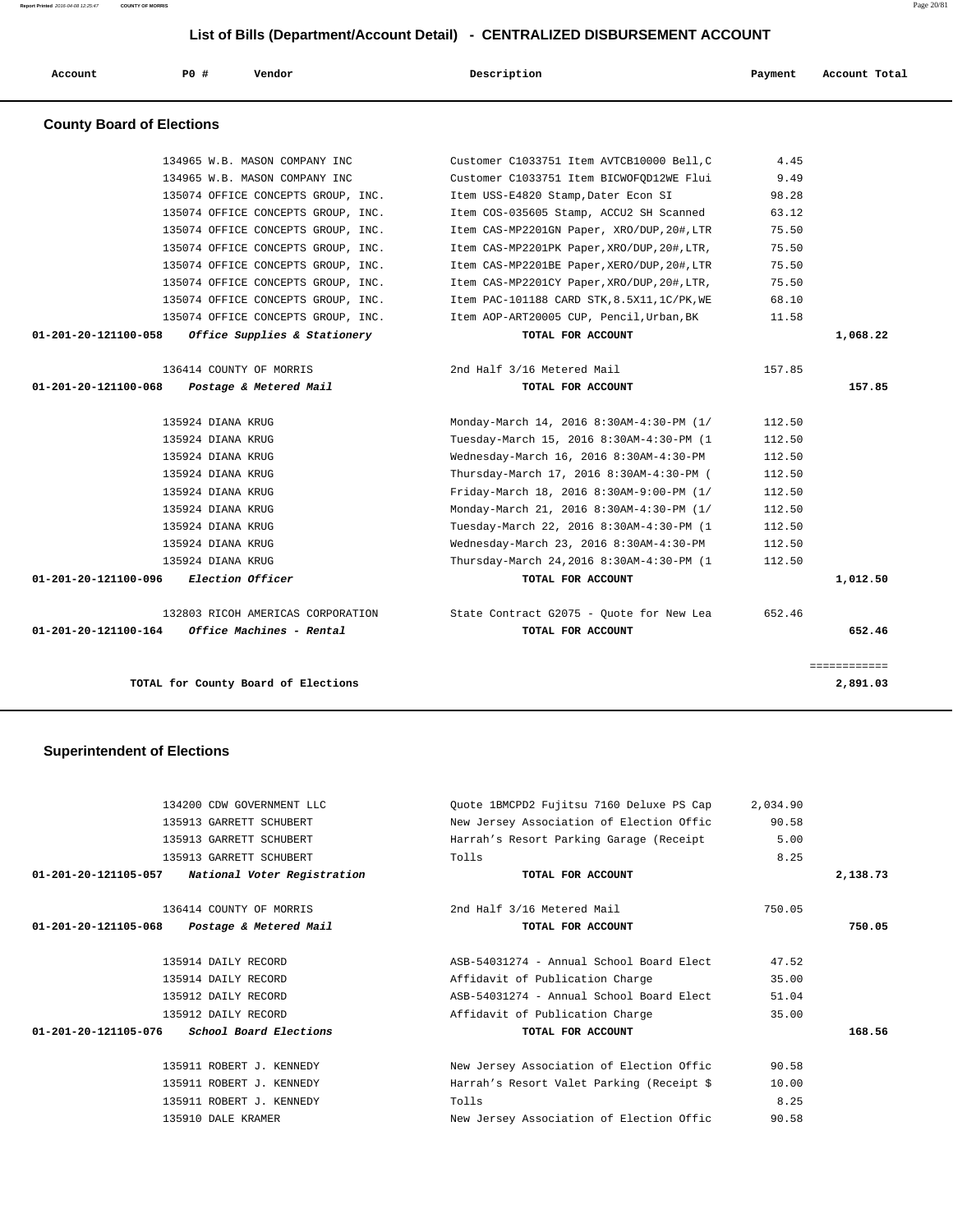|                                  | PO#               | Vendor                             | Description                                 | Payment | Account Total |
|----------------------------------|-------------------|------------------------------------|---------------------------------------------|---------|---------------|
| <b>County Board of Elections</b> |                   |                                    |                                             |         |               |
|                                  |                   | 134965 W.B. MASON COMPANY INC      | Customer C1033751 Item AVTCB10000 Bell.C    | 4.45    |               |
|                                  |                   | 134965 W.B. MASON COMPANY INC      | Customer C1033751 Item BICWOFOD12WE Flui    | 9.49    |               |
|                                  |                   | 135074 OFFICE CONCEPTS GROUP, INC. | Item USS-E4820 Stamp, Dater Econ SI         | 98.28   |               |
|                                  |                   | 135074 OFFICE CONCEPTS GROUP, INC. | Item COS-035605 Stamp, ACCU2 SH Scanned     | 63.12   |               |
|                                  |                   | 135074 OFFICE CONCEPTS GROUP, INC. | Item CAS-MP2201GN Paper, XRO/DUP, 20#, LTR  | 75.50   |               |
|                                  |                   | 135074 OFFICE CONCEPTS GROUP, INC. | Item CAS-MP2201PK Paper, XRO/DUP, 20#, LTR, | 75.50   |               |
|                                  |                   | 135074 OFFICE CONCEPTS GROUP, INC. | Item CAS-MP2201BE Paper, XERO/DUP, 20#, LTR | 75.50   |               |
|                                  |                   | 135074 OFFICE CONCEPTS GROUP, INC. | Item CAS-MP2201CY Paper, XRO/DUP, 20#, LTR, | 75.50   |               |
|                                  |                   | 135074 OFFICE CONCEPTS GROUP, INC. | Item PAC-101188 CARD STK, 8.5X11, 1C/PK, WE | 68.10   |               |
|                                  |                   | 135074 OFFICE CONCEPTS GROUP, INC. | Item AOP-ART20005 CUP, Pencil, Urban, BK    | 11.58   |               |
| 01-201-20-121100-058             |                   | Office Supplies & Stationery       | TOTAL FOR ACCOUNT                           |         | 1,068.22      |
|                                  |                   |                                    |                                             |         |               |
|                                  |                   | 136414 COUNTY OF MORRIS            | 2nd Half 3/16 Metered Mail                  | 157.85  |               |
| 01-201-20-121100-068             |                   | Postage & Metered Mail             | TOTAL FOR ACCOUNT                           |         | 157.85        |
|                                  | 135924 DIANA KRUG |                                    | Monday-March 14, 2016 8:30AM-4:30-PM (1/    | 112.50  |               |
|                                  | 135924 DIANA KRUG |                                    | Tuesday-March 15, 2016 8:30AM-4:30-PM (1    | 112.50  |               |
|                                  | 135924 DIANA KRUG |                                    | Wednesday-March 16, 2016 8:30AM-4:30-PM     | 112.50  |               |
|                                  | 135924 DIANA KRUG |                                    | Thursday-March 17, 2016 8:30AM-4:30-PM (    | 112.50  |               |
|                                  | 135924 DIANA KRUG |                                    | Friday-March 18, 2016 8:30AM-9:00-PM (1/    | 112.50  |               |
|                                  | 135924 DIANA KRUG |                                    | Monday-March 21, 2016 8:30AM-4:30-PM (1/    | 112.50  |               |
|                                  | 135924 DIANA KRUG |                                    | Tuesday-March 22, 2016 8:30AM-4:30-PM (1    | 112.50  |               |
|                                  | 135924 DIANA KRUG |                                    | Wednesday-March 23, 2016 8:30AM-4:30-PM     | 112.50  |               |
|                                  | 135924 DIANA KRUG |                                    | Thursday-March 24, 2016 8:30AM-4:30-PM (1   | 112.50  |               |
| 01-201-20-121100-096             |                   | Election Officer                   | TOTAL FOR ACCOUNT                           |         | 1,012.50      |
|                                  |                   | 132803 RICOH AMERICAS CORPORATION  | State Contract G2075 - Quote for New Lea    | 652.46  |               |
| 01-201-20-121100-164             |                   | Office Machines - Rental           | TOTAL FOR ACCOUNT                           |         | 652.46        |
|                                  |                   |                                    |                                             |         | ============  |
|                                  |                   |                                    |                                             |         |               |

# **Superintendent of Elections**

|                      | 134200 CDW GOVERNMENT LLC                   | Quote 1BMCPD2 Fujitsu 7160 Deluxe PS Cap  | 2,034.90 |          |
|----------------------|---------------------------------------------|-------------------------------------------|----------|----------|
|                      | 135913 GARRETT SCHUBERT                     | New Jersey Association of Election Offic  | 90.58    |          |
|                      | 135913 GARRETT SCHUBERT                     | Harrah's Resort Parking Garage (Receipt   | 5.00     |          |
|                      | 135913 GARRETT SCHUBERT                     | Tolls                                     | 8.25     |          |
| 01-201-20-121105-057 | National Voter Registration                 | TOTAL FOR ACCOUNT                         |          | 2,138.73 |
|                      | 136414 COUNTY OF MORRIS                     | 2nd Half 3/16 Metered Mail                | 750.05   |          |
| 01-201-20-121105-068 | Postage & Metered Mail                      | TOTAL FOR ACCOUNT                         |          | 750.05   |
|                      | 135914 DAILY RECORD                         | ASB-54031274 - Annual School Board Elect  | 47.52    |          |
|                      | 135914 DAILY RECORD                         | Affidavit of Publication Charge           | 35.00    |          |
|                      | 135912 DAILY RECORD                         | ASB-54031274 - Annual School Board Elect  | 51.04    |          |
|                      | 135912 DAILY RECORD                         | Affidavit of Publication Charge           | 35.00    |          |
|                      | 01-201-20-121105-076 School Board Elections | TOTAL FOR ACCOUNT                         |          | 168.56   |
|                      | 135911 ROBERT J. KENNEDY                    | New Jersey Association of Election Offic  | 90.58    |          |
|                      | 135911 ROBERT J. KENNEDY                    | Harrah's Resort Valet Parking (Receipt \$ | 10.00    |          |
|                      | 135911 ROBERT J. KENNEDY                    | Tolls                                     | 8.25     |          |
|                      | 135910 DALE KRAMER                          | New Jersey Association of Election Offic  | 90.58    |          |
|                      |                                             |                                           |          |          |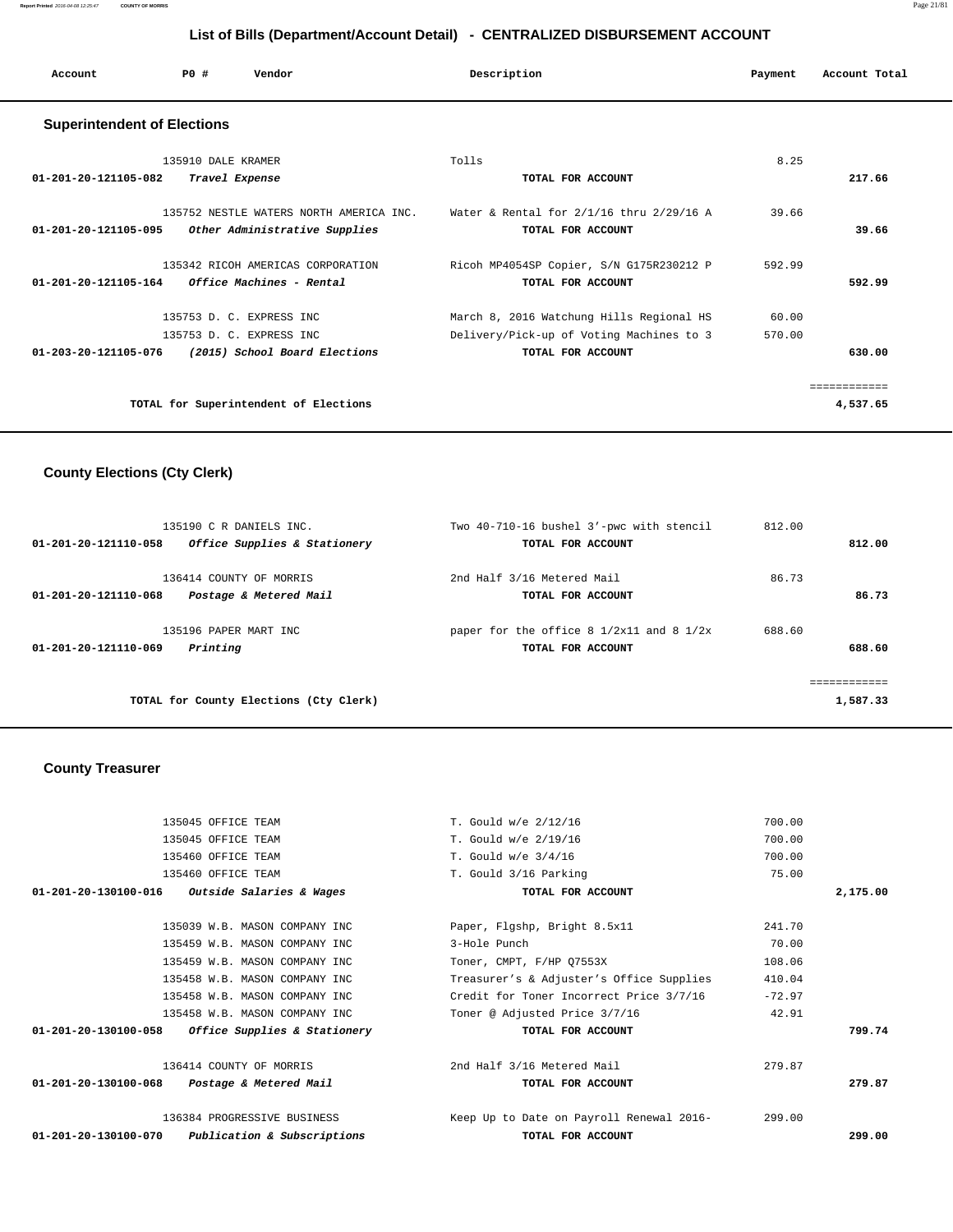| Account                            | PO#                | Vendor                                  | Description                              | Payment | Account Total |  |  |  |  |
|------------------------------------|--------------------|-----------------------------------------|------------------------------------------|---------|---------------|--|--|--|--|
| <b>Superintendent of Elections</b> |                    |                                         |                                          |         |               |  |  |  |  |
|                                    | 135910 DALE KRAMER |                                         | Tolls                                    | 8.25    |               |  |  |  |  |
| 01-201-20-121105-082               | Travel Expense     |                                         | TOTAL FOR ACCOUNT                        |         | 217.66        |  |  |  |  |
|                                    |                    | 135752 NESTLE WATERS NORTH AMERICA INC. | Water & Rental for 2/1/16 thru 2/29/16 A | 39.66   |               |  |  |  |  |
| 01-201-20-121105-095               |                    | Other Administrative Supplies           | TOTAL FOR ACCOUNT                        |         | 39.66         |  |  |  |  |
|                                    |                    | 135342 RICOH AMERICAS CORPORATION       | Ricoh MP4054SP Copier, S/N G175R230212 P | 592.99  |               |  |  |  |  |
| 01-201-20-121105-164               |                    | Office Machines - Rental                | TOTAL FOR ACCOUNT                        |         | 592.99        |  |  |  |  |
|                                    |                    | 135753 D. C. EXPRESS INC                | March 8, 2016 Watchung Hills Regional HS | 60.00   |               |  |  |  |  |
|                                    |                    | 135753 D. C. EXPRESS INC                | Delivery/Pick-up of Voting Machines to 3 | 570.00  |               |  |  |  |  |
| 01-203-20-121105-076               |                    | (2015) School Board Elections           | TOTAL FOR ACCOUNT                        |         | 630.00        |  |  |  |  |
|                                    |                    |                                         |                                          |         | eessessesses  |  |  |  |  |
|                                    |                    | TOTAL for Superintendent of Elections   |                                          |         | 4,537.65      |  |  |  |  |

# **County Elections (Cty Clerk)**

| 135190 C R DANIELS INC.                              | Two 40-710-16 bushel 3'-pwc with stencil     | 812.00   |
|------------------------------------------------------|----------------------------------------------|----------|
| Office Supplies & Stationery<br>01-201-20-121110-058 | TOTAL FOR ACCOUNT                            | 812.00   |
| 136414 COUNTY OF MORRIS                              | 2nd Half 3/16 Metered Mail                   | 86.73    |
| 01-201-20-121110-068<br>Postage & Metered Mail       | TOTAL FOR ACCOUNT                            | 86.73    |
| 135196 PAPER MART INC                                | paper for the office 8 $1/2x11$ and 8 $1/2x$ | 688.60   |
| 01-201-20-121110-069<br>Printing                     | TOTAL FOR ACCOUNT                            | 688.60   |
|                                                      |                                              |          |
| TOTAL for County Elections (Cty Clerk)               |                                              | 1,587.33 |

# **County Treasurer**

|                                | 135045 OFFICE TEAM                  | T. Gould w/e 2/12/16                     | 700.00   |          |
|--------------------------------|-------------------------------------|------------------------------------------|----------|----------|
|                                | 135045 OFFICE TEAM                  | T. Gould w/e 2/19/16                     | 700.00   |          |
|                                | 135460 OFFICE TEAM                  | T. Gould $w/e$ 3/4/16                    | 700.00   |          |
|                                | 135460 OFFICE TEAM                  | T. Gould 3/16 Parking                    | 75.00    |          |
| $01 - 201 - 20 - 130100 - 016$ | <i>Outside Salaries &amp; Wages</i> | TOTAL FOR ACCOUNT                        |          | 2,175.00 |
|                                | 135039 W.B. MASON COMPANY INC       | Paper, Flgshp, Bright 8.5x11             | 241.70   |          |
|                                | 135459 W.B. MASON COMPANY INC       | 3-Hole Punch                             | 70.00    |          |
|                                | 135459 W.B. MASON COMPANY INC       | Toner, CMPT, F/HP Q7553X                 | 108.06   |          |
|                                | 135458 W.B. MASON COMPANY INC       | Treasurer's & Adjuster's Office Supplies | 410.04   |          |
|                                | 135458 W.B. MASON COMPANY INC       | Credit for Toner Incorrect Price 3/7/16  | $-72.97$ |          |
|                                | 135458 W.B. MASON COMPANY INC       | Toner @ Adjusted Price 3/7/16            | 42.91    |          |
| 01-201-20-130100-058           | Office Supplies & Stationery        | TOTAL FOR ACCOUNT                        |          | 799.74   |
|                                | 136414 COUNTY OF MORRIS             | 2nd Half 3/16 Metered Mail               | 279.87   |          |
| 01-201-20-130100-068           | Postage & Metered Mail              | TOTAL FOR ACCOUNT                        |          | 279.87   |
|                                | 136384 PROGRESSIVE BUSINESS         | Keep Up to Date on Payroll Renewal 2016- | 299.00   |          |
| 01-201-20-130100-070           | Publication & Subscriptions         | TOTAL FOR ACCOUNT                        |          | 299.00   |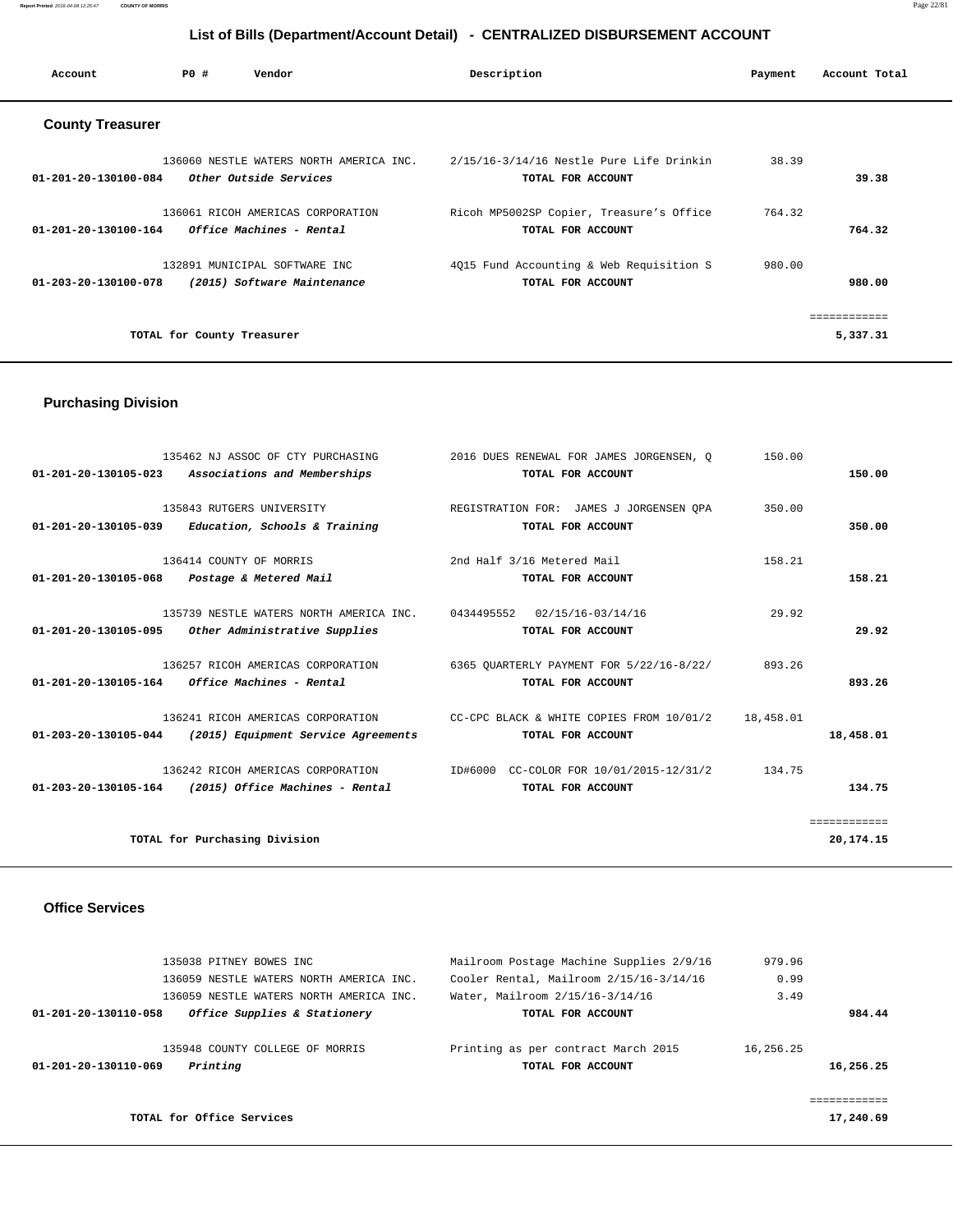**Report Printed** 2016-04-08 12:25:47 **COUNTY OF MORRIS** Page 22/81

# **List of Bills (Department/Account Detail) - CENTRALIZED DISBURSEMENT ACCOUNT**

| Account                 | PO#                        | Vendor                                                            | Description                                                   | Payment | Account Total |
|-------------------------|----------------------------|-------------------------------------------------------------------|---------------------------------------------------------------|---------|---------------|
| <b>County Treasurer</b> |                            |                                                                   |                                                               |         |               |
| 01-201-20-130100-084    |                            | 136060 NESTLE WATERS NORTH AMERICA INC.<br>Other Outside Services | 2/15/16-3/14/16 Nestle Pure Life Drinkin<br>TOTAL FOR ACCOUNT | 38.39   | 39.38         |
| 01-201-20-130100-164    |                            | 136061 RICOH AMERICAS CORPORATION<br>Office Machines - Rental     | Ricoh MP5002SP Copier, Treasure's Office<br>TOTAL FOR ACCOUNT | 764.32  | 764.32        |
| 01-203-20-130100-078    |                            | 132891 MUNICIPAL SOFTWARE INC<br>(2015) Software Maintenance      | 4Q15 Fund Accounting & Web Requisition S<br>TOTAL FOR ACCOUNT | 980.00  | 980.00        |
|                         |                            |                                                                   |                                                               |         |               |
|                         | TOTAL for County Treasurer |                                                                   |                                                               |         |               |

# **Purchasing Division**

|                      | 135462 NJ ASSOC OF CTY PURCHASING<br>01-201-20-130105-023 Associations and Memberships | 2016 DUES RENEWAL FOR JAMES JORGENSEN, Q<br>TOTAL FOR ACCOUNT | 150.00    | 150.00       |
|----------------------|----------------------------------------------------------------------------------------|---------------------------------------------------------------|-----------|--------------|
|                      |                                                                                        |                                                               |           |              |
|                      | 135843 RUTGERS UNIVERSITY                                                              | REGISTRATION FOR: JAMES J JORGENSEN OPA                       | 350.00    |              |
|                      | $01-201-20-130105-039$ Education, Schools & Training                                   | TOTAL FOR ACCOUNT                                             |           | 350.00       |
|                      | 136414 COUNTY OF MORRIS                                                                | 2nd Half 3/16 Metered Mail                                    | 158.21    |              |
| 01-201-20-130105-068 | Postage & Metered Mail                                                                 | TOTAL FOR ACCOUNT                                             |           | 158.21       |
|                      | 135739 NESTLE WATERS NORTH AMERICA INC. 0434495552 02/15/16-03/14/16                   |                                                               | 29.92     |              |
| 01-201-20-130105-095 | Other Administrative Supplies                                                          | TOTAL FOR ACCOUNT                                             |           | 29.92        |
|                      |                                                                                        |                                                               |           |              |
|                      | 136257 RICOH AMERICAS CORPORATION                                                      | 6365 OUARTERLY PAYMENT FOR 5/22/16-8/22/                      | 893.26    |              |
|                      | 01-201-20-130105-164 Office Machines - Rental                                          | TOTAL FOR ACCOUNT                                             |           | 893.26       |
|                      | 136241 RICOH AMERICAS CORPORATION                                                      | CC-CPC BLACK & WHITE COPIES FROM 10/01/2                      | 18,458.01 |              |
|                      | $01-203-20-130105-044$ (2015) Equipment Service Agreements                             | TOTAL FOR ACCOUNT                                             |           | 18,458.01    |
|                      | 136242 RICOH AMERICAS CORPORATION                                                      | ID#6000 CC-COLOR FOR 10/01/2015-12/31/2                       | 134.75    |              |
|                      | $01-203-20-130105-164$ (2015) Office Machines - Rental                                 | TOTAL FOR ACCOUNT                                             |           | 134.75       |
|                      |                                                                                        |                                                               |           |              |
|                      |                                                                                        |                                                               |           | ============ |
|                      | TOTAL for Purchasing Division                                                          |                                                               |           | 20,174.15    |

#### **Office Services**

|           | 979.96    | Mailroom Postage Machine Supplies 2/9/16 | 135038 PITNEY BOWES INC                              |
|-----------|-----------|------------------------------------------|------------------------------------------------------|
|           | 0.99      | Cooler Rental, Mailroom 2/15/16-3/14/16  | 136059 NESTLE WATERS NORTH AMERICA INC.              |
|           | 3.49      | Water, Mailroom 2/15/16-3/14/16          | 136059 NESTLE WATERS NORTH AMERICA INC.              |
| 984.44    |           | TOTAL FOR ACCOUNT                        | Office Supplies & Stationery<br>01-201-20-130110-058 |
|           | 16,256.25 | Printing as per contract March 2015      | 135948 COUNTY COLLEGE OF MORRIS                      |
| 16,256.25 |           | TOTAL FOR ACCOUNT                        | Printing<br>01-201-20-130110-069                     |
|           |           |                                          |                                                      |
| 17,240.69 |           |                                          | TOTAL for Office Services                            |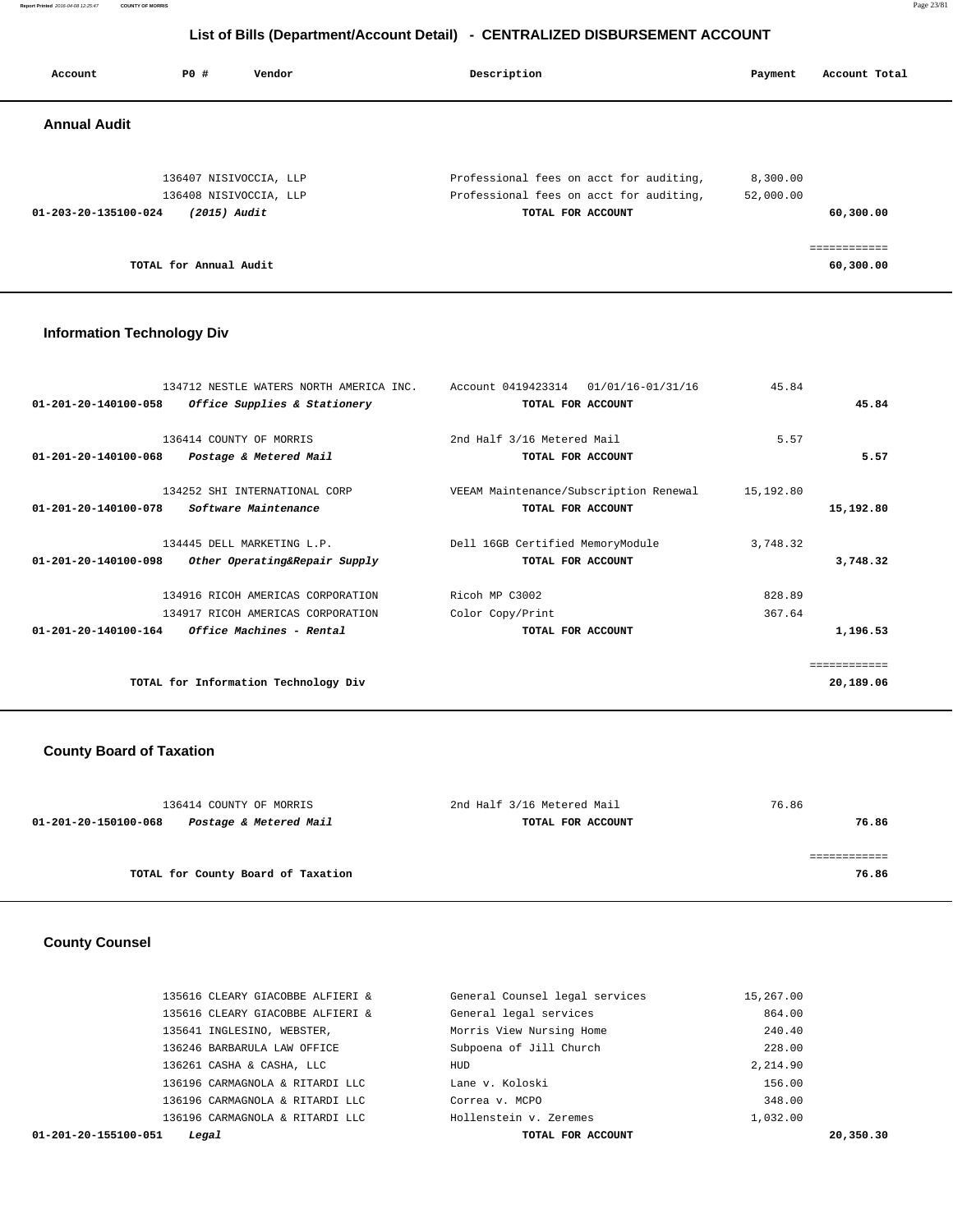**Report Printed** 2016-04-08 12:25:47 **COUNTY OF MORRIS** Page 23/81

# **List of Bills (Department/Account Detail) - CENTRALIZED DISBURSEMENT ACCOUNT**

| PO#                            | Vendor | Description                                                                                  | Payment                                 | Account Total             |
|--------------------------------|--------|----------------------------------------------------------------------------------------------|-----------------------------------------|---------------------------|
|                                |        |                                                                                              |                                         |                           |
|                                |        | Professional fees on acct for auditing,                                                      | 8,300.00                                |                           |
| $01 - 203 - 20 - 135100 - 024$ |        | TOTAL FOR ACCOUNT                                                                            |                                         | 60,300.00                 |
|                                |        |                                                                                              |                                         | ============<br>60,300.00 |
|                                |        | 136407 NISIVOCCIA, LLP<br>136408 NISIVOCCIA, LLP<br>$(2015)$ Audit<br>TOTAL for Annual Audit | Professional fees on acct for auditing, | 52,000.00                 |

### **Information Technology Div**

| 01/01/16-01/31/16<br>Account 0419423314 | 45.84                                                                  |                    |
|-----------------------------------------|------------------------------------------------------------------------|--------------------|
| TOTAL FOR ACCOUNT                       |                                                                        | 45.84              |
|                                         |                                                                        |                    |
| 2nd Half 3/16 Metered Mail              | 5.57                                                                   |                    |
| TOTAL FOR ACCOUNT                       |                                                                        | 5.57               |
|                                         |                                                                        |                    |
| VEEAM Maintenance/Subscription Renewal  | 15,192.80                                                              |                    |
| TOTAL FOR ACCOUNT                       |                                                                        | 15,192.80          |
|                                         |                                                                        |                    |
|                                         |                                                                        |                    |
| TOTAL FOR ACCOUNT                       |                                                                        | 3,748.32           |
|                                         |                                                                        |                    |
|                                         | 367.64                                                                 |                    |
| TOTAL FOR ACCOUNT                       |                                                                        | 1,196.53           |
|                                         |                                                                        |                    |
|                                         |                                                                        | ----------         |
|                                         |                                                                        | 20,189.06          |
|                                         | Dell 16GB Certified MemoryModule<br>Ricoh MP C3002<br>Color Copy/Print | 3,748.32<br>828.89 |

# **County Board of Taxation**

| 136414 COUNTY OF MORRIS                        | 2nd Half 3/16 Metered Mail | 76.86 |
|------------------------------------------------|----------------------------|-------|
| 01-201-20-150100-068<br>Postage & Metered Mail | TOTAL FOR ACCOUNT          | 76.86 |
|                                                |                            |       |
|                                                |                            |       |
| TOTAL for County Board of Taxation             |                            | 76.86 |

### **County Counsel**

| 01-201-20-155100-051<br>Legal    | TOTAL FOR ACCOUNT              | 20,350.30 |
|----------------------------------|--------------------------------|-----------|
| 136196 CARMAGNOLA & RITARDI LLC  | Hollenstein v. Zeremes         | 1,032.00  |
| 136196 CARMAGNOLA & RITARDI LLC  | Correa v. MCPO                 | 348.00    |
| 136196 CARMAGNOLA & RITARDI LLC  | Lane v. Koloski                | 156.00    |
| 136261 CASHA & CASHA, LLC        | HUD                            | 2,214.90  |
| 136246 BARBARULA LAW OFFICE      | Subpoena of Jill Church        | 228.00    |
| 135641 INGLESINO, WEBSTER,       | Morris View Nursing Home       | 240.40    |
| 135616 CLEARY GIACOBBE ALFIERI & | General legal services         | 864.00    |
| 135616 CLEARY GIACOBBE ALFIERI & | General Counsel legal services | 15,267.00 |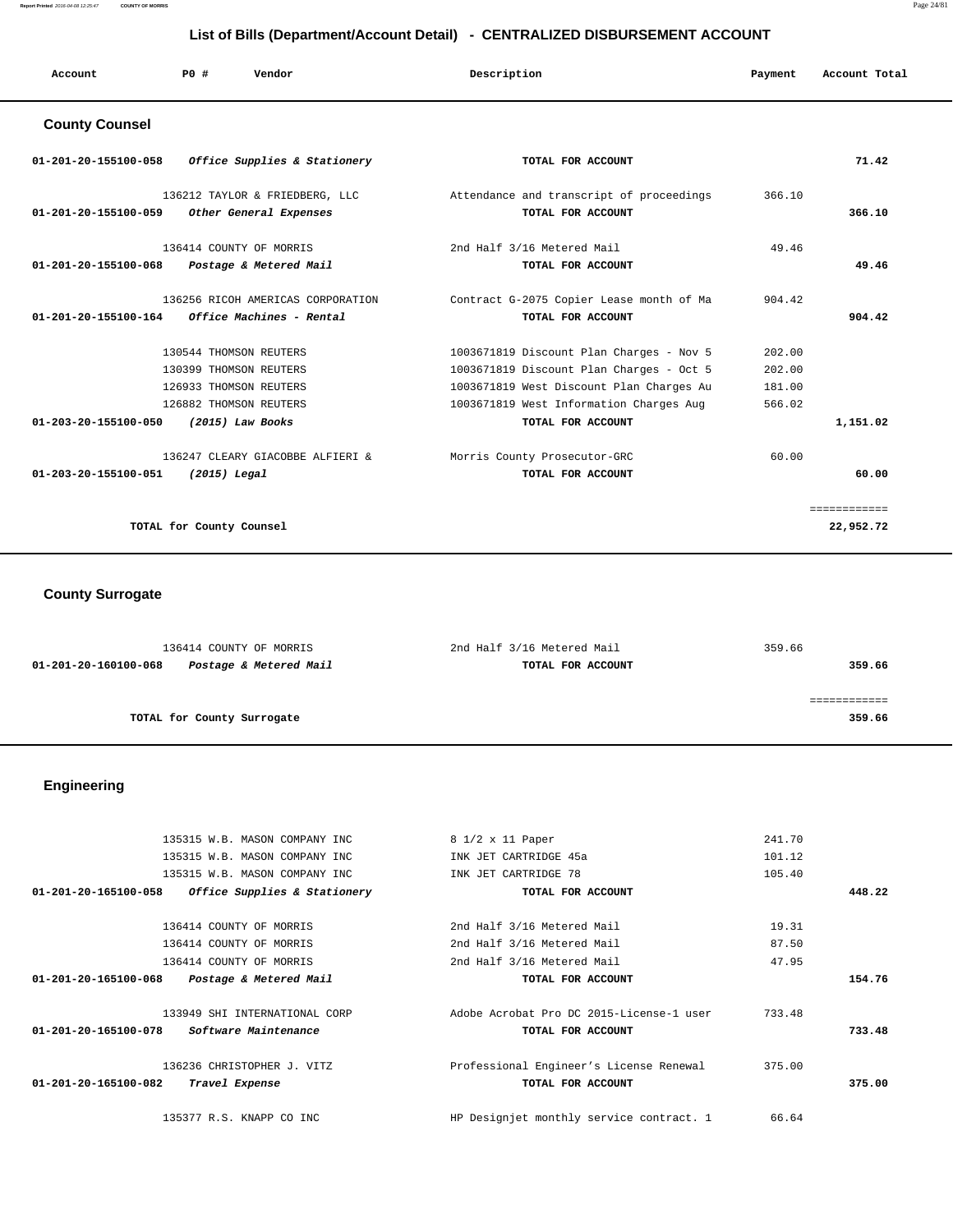**Report Printed** 2016-04-08 12:25:47 **COUNTY OF MORRIS** Page 24/81

# **List of Bills (Department/Account Detail) - CENTRALIZED DISBURSEMENT ACCOUNT**

| Account               | PO# | Vendor                                                   | Description                                                   | Payment | Account Total |
|-----------------------|-----|----------------------------------------------------------|---------------------------------------------------------------|---------|---------------|
| <b>County Counsel</b> |     |                                                          |                                                               |         |               |
| 01-201-20-155100-058  |     | Office Supplies & Stationery                             | TOTAL FOR ACCOUNT                                             |         | 71.42         |
| 01-201-20-155100-059  |     | 136212 TAYLOR & FRIEDBERG, LLC<br>Other General Expenses | Attendance and transcript of proceedings<br>TOTAL FOR ACCOUNT | 366.10  | 366.10        |

| 136414 COUNTY OF MORRIS                                  | 2nd Half 3/16 Metered Mail               | 49.46  |             |
|----------------------------------------------------------|------------------------------------------|--------|-------------|
| $01 - 201 - 20 - 155100 - 068$<br>Postage & Metered Mail | TOTAL FOR ACCOUNT                        |        | 49.46       |
|                                                          |                                          |        |             |
| 136256 RICOH AMERICAS CORPORATION                        | Contract G-2075 Copier Lease month of Ma | 904.42 |             |
| <i>Office Machines - Rental</i><br>01-201-20-155100-164  | TOTAL FOR ACCOUNT                        |        | 904.42      |
|                                                          |                                          |        |             |
| 130544 THOMSON REUTERS                                   | 1003671819 Discount Plan Charges - Nov 5 | 202.00 |             |
| 130399 THOMSON REUTERS                                   | 1003671819 Discount Plan Charges - Oct 5 | 202.00 |             |
| 126933 THOMSON REUTERS                                   | 1003671819 West Discount Plan Charges Au | 181.00 |             |
| 126882 THOMSON REUTERS                                   | 1003671819 West Information Charges Aug  | 566.02 |             |
| $01 - 203 - 20 - 155100 - 050$<br>(2015) Law Books       | TOTAL FOR ACCOUNT                        |        | 1,151.02    |
| 136247 CLEARY GIACOBBE ALFIERI &                         | Morris County Prosecutor-GRC             | 60.00  |             |
| 01-203-20-155100-051<br>$(2015)$ Legal                   | TOTAL FOR ACCOUNT                        |        | 60.00       |
|                                                          |                                          |        | =========== |
| TOTAL for County Counsel                                 |                                          |        | 22,952.72   |
|                                                          |                                          |        |             |

# **County Surrogate**

| 136414 COUNTY OF MORRIS                        | 2nd Half 3/16 Metered Mail | 359.66 |
|------------------------------------------------|----------------------------|--------|
| Postage & Metered Mail<br>01-201-20-160100-068 | TOTAL FOR ACCOUNT          | 359.66 |
|                                                |                            |        |
|                                                |                            |        |
| TOTAL for County Surrogate                     |                            | 359.66 |
|                                                |                            |        |

# **Engineering**

| 135315 W.B. MASON COMPANY INC                        | 8 1/2 x 11 Paper                         | 241.70 |        |
|------------------------------------------------------|------------------------------------------|--------|--------|
| 135315 W.B. MASON COMPANY INC                        | INK JET CARTRIDGE 45a                    | 101.12 |        |
| 135315 W.B. MASON COMPANY INC                        | INK JET CARTRIDGE 78                     | 105.40 |        |
| Office Supplies & Stationery<br>01-201-20-165100-058 | TOTAL FOR ACCOUNT                        |        | 448.22 |
| 136414 COUNTY OF MORRIS                              | 2nd Half 3/16 Metered Mail               | 19.31  |        |
| 136414 COUNTY OF MORRIS                              | 2nd Half 3/16 Metered Mail               | 87.50  |        |
| 136414 COUNTY OF MORRIS                              | 2nd Half 3/16 Metered Mail               | 47.95  |        |
| 01-201-20-165100-068<br>Postage & Metered Mail       | TOTAL FOR ACCOUNT                        |        | 154.76 |
| 133949 SHI INTERNATIONAL CORP                        | Adobe Acrobat Pro DC 2015-License-1 user | 733.48 |        |
| <i>Software Maintenance</i><br>01-201-20-165100-078  | TOTAL FOR ACCOUNT                        |        | 733.48 |
| 136236 CHRISTOPHER J. VITZ                           | Professional Engineer's License Renewal  | 375.00 |        |
| 01-201-20-165100-082<br>Travel Expense               | TOTAL FOR ACCOUNT                        |        | 375.00 |
| 135377 R.S. KNAPP CO INC                             | HP Designjet monthly service contract. 1 | 66.64  |        |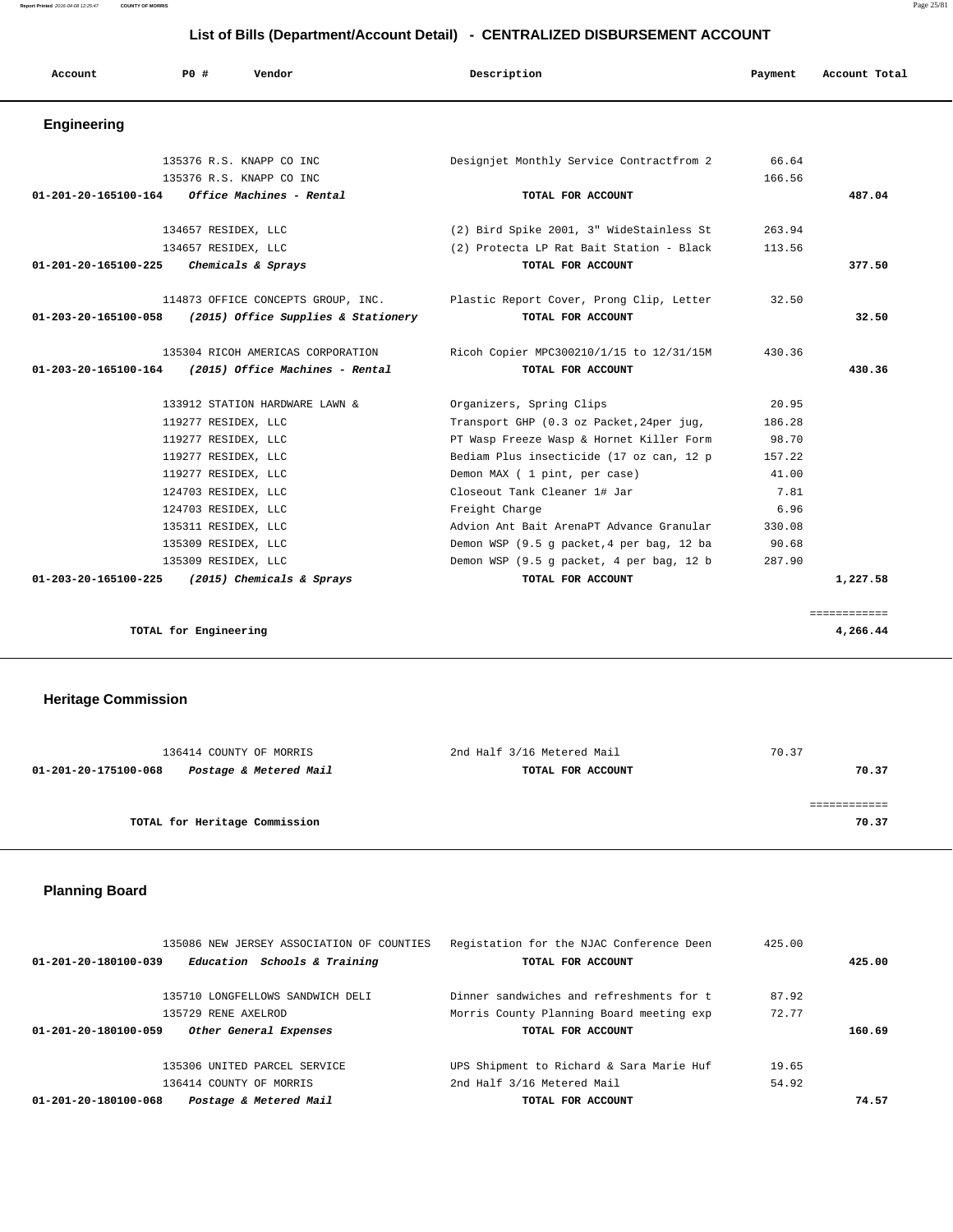| Account              | PO#                   | Vendor                              | Description                               | Payment | Account Total |
|----------------------|-----------------------|-------------------------------------|-------------------------------------------|---------|---------------|
| <b>Engineering</b>   |                       |                                     |                                           |         |               |
|                      |                       | 135376 R.S. KNAPP CO INC            | Designjet Monthly Service Contractfrom 2  | 66.64   |               |
|                      |                       | 135376 R.S. KNAPP CO INC            |                                           | 166.56  |               |
| 01-201-20-165100-164 |                       | Office Machines - Rental            | TOTAL FOR ACCOUNT                         |         | 487.04        |
|                      | 134657 RESIDEX, LLC   |                                     | (2) Bird Spike 2001, 3" WideStainless St  | 263.94  |               |
|                      | 134657 RESIDEX, LLC   |                                     | (2) Protecta LP Rat Bait Station - Black  | 113.56  |               |
| 01-201-20-165100-225 |                       | Chemicals & Sprays                  | TOTAL FOR ACCOUNT                         |         | 377.50        |
|                      |                       | 114873 OFFICE CONCEPTS GROUP, INC.  | Plastic Report Cover, Prong Clip, Letter  | 32.50   |               |
| 01-203-20-165100-058 |                       | (2015) Office Supplies & Stationery | TOTAL FOR ACCOUNT                         |         | 32.50         |
|                      |                       | 135304 RICOH AMERICAS CORPORATION   | Ricoh Copier MPC300210/1/15 to 12/31/15M  | 430.36  |               |
| 01-203-20-165100-164 |                       | (2015) Office Machines - Rental     | TOTAL FOR ACCOUNT                         |         | 430.36        |
|                      |                       | 133912 STATION HARDWARE LAWN &      | Organizers, Spring Clips                  | 20.95   |               |
|                      | 119277 RESIDEX, LLC   |                                     | Transport GHP (0.3 oz Packet, 24per jug,  | 186.28  |               |
|                      | 119277 RESIDEX, LLC   |                                     | PT Wasp Freeze Wasp & Hornet Killer Form  | 98.70   |               |
|                      | 119277 RESIDEX, LLC   |                                     | Bediam Plus insecticide (17 oz can, 12 p  | 157.22  |               |
|                      | 119277 RESIDEX, LLC   |                                     | Demon MAX ( 1 pint, per case)             | 41.00   |               |
|                      | 124703 RESIDEX, LLC   |                                     | Closeout Tank Cleaner 1# Jar              | 7.81    |               |
|                      | 124703 RESIDEX, LLC   |                                     | Freight Charge                            | 6.96    |               |
|                      | 135311 RESIDEX, LLC   |                                     | Advion Ant Bait ArenaPT Advance Granular  | 330.08  |               |
|                      | 135309 RESIDEX, LLC   |                                     | Demon WSP (9.5 q packet, 4 per bag, 12 ba | 90.68   |               |
|                      | 135309 RESIDEX, LLC   |                                     | Demon WSP (9.5 g packet, 4 per bag, 12 b  | 287.90  |               |
| 01-203-20-165100-225 |                       | (2015) Chemicals & Sprays           | TOTAL FOR ACCOUNT                         |         | 1,227.58      |
|                      |                       |                                     |                                           |         | ============  |
|                      | TOTAL for Engineering |                                     |                                           |         | 4,266.44      |

 **Heritage Commission** 

| 136414 COUNTY OF MORRIS                        | 2nd Half 3/16 Metered Mail | 70.37 |
|------------------------------------------------|----------------------------|-------|
| Postage & Metered Mail<br>01-201-20-175100-068 | TOTAL FOR ACCOUNT          | 70.37 |
|                                                |                            |       |
|                                                |                            |       |
| TOTAL for Heritage Commission                  |                            | 70.37 |
|                                                |                            |       |

# **Planning Board**

| 135086 NEW JERSEY ASSOCIATION OF COUNTIES<br>Education Schools & Training<br>01-201-20-180100-039 | Registation for the NJAC Conference Deen<br>TOTAL FOR ACCOUNT | 425.00 | 425.00 |
|---------------------------------------------------------------------------------------------------|---------------------------------------------------------------|--------|--------|
| 135710 LONGFELLOWS SANDWICH DELI                                                                  | Dinner sandwiches and refreshments for t                      | 87.92  |        |
| 135729 RENE AXELROD                                                                               | Morris County Planning Board meeting exp                      | 72.77  |        |
| 01-201-20-180100-059<br>Other General Expenses                                                    | TOTAL FOR ACCOUNT                                             |        | 160.69 |
| 135306 UNITED PARCEL SERVICE                                                                      | UPS Shipment to Richard & Sara Marie Huf                      | 19.65  |        |
| 136414 COUNTY OF MORRIS                                                                           | 2nd Half 3/16 Metered Mail                                    | 54.92  |        |
|                                                                                                   |                                                               |        |        |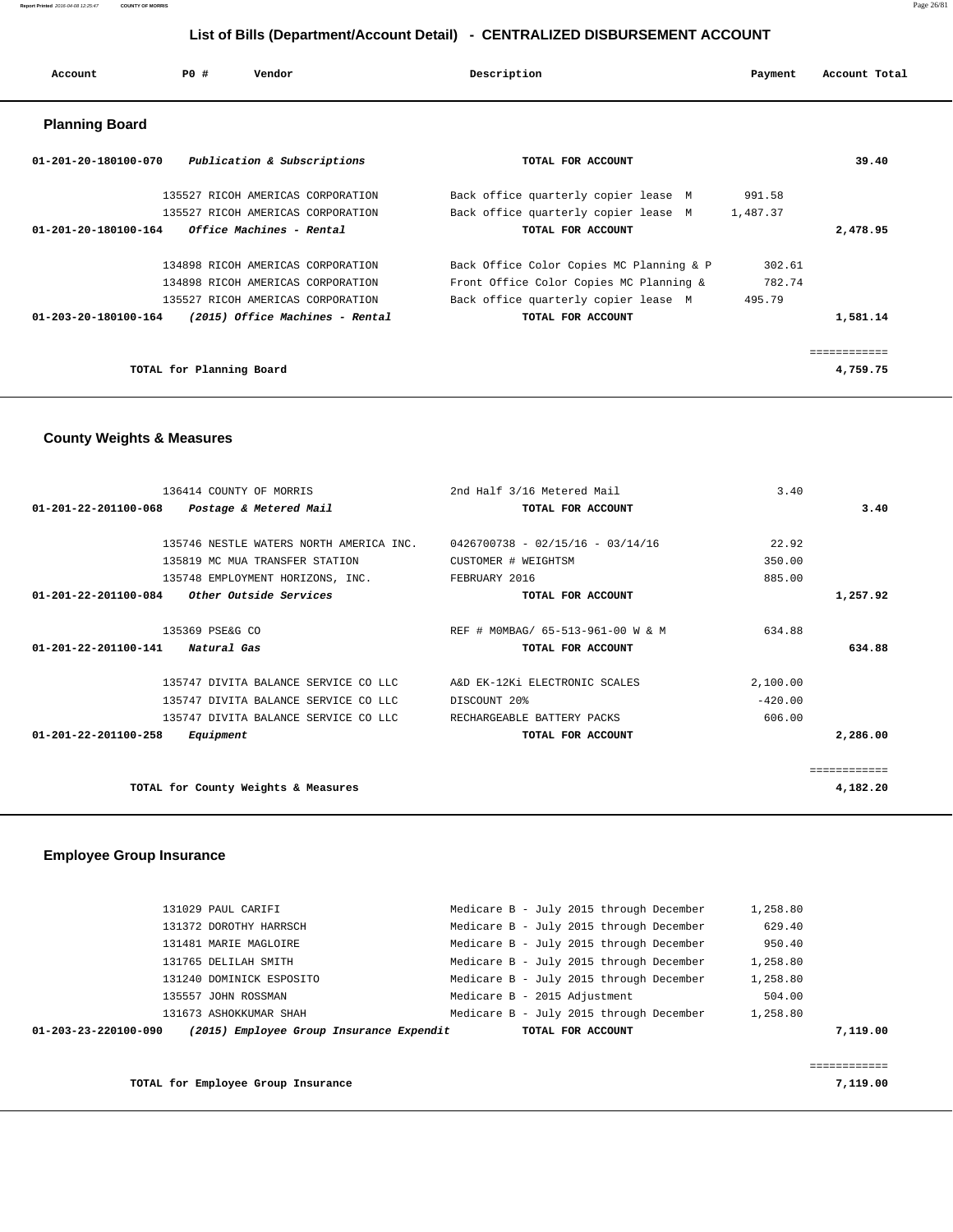| Account               | PO#                      | Vendor                            | Description |                                                | Payment  | Account Total |
|-----------------------|--------------------------|-----------------------------------|-------------|------------------------------------------------|----------|---------------|
| <b>Planning Board</b> |                          |                                   |             |                                                |          |               |
| 01-201-20-180100-070  |                          | Publication & Subscriptions       |             | TOTAL FOR ACCOUNT                              |          | 39.40         |
|                       |                          | 135527 RICOH AMERICAS CORPORATION |             | Back office quarterly copier lease $\hat{a}$ M | 991.58   |               |
|                       |                          | 135527 RICOH AMERICAS CORPORATION |             | Back office quarterly copier lease $\hat{a}$ M | 1,487.37 |               |
| 01-201-20-180100-164  |                          | Office Machines - Rental          |             | TOTAL FOR ACCOUNT                              |          | 2,478.95      |
|                       |                          | 134898 RICOH AMERICAS CORPORATION |             | Back Office Color Copies MC Planning & P       | 302.61   |               |
|                       |                          | 134898 RICOH AMERICAS CORPORATION |             | Front Office Color Copies MC Planning &        | 782.74   |               |
|                       |                          | 135527 RICOH AMERICAS CORPORATION |             | Back office quarterly copier lease $\hat{a}$ M | 495.79   |               |
| 01-203-20-180100-164  |                          | (2015) Office Machines - Rental   |             | TOTAL FOR ACCOUNT                              |          | 1,581.14      |
|                       |                          |                                   |             |                                                |          | eeeeeeeeeee   |
|                       | TOTAL for Planning Board |                                   |             |                                                |          | 4,759.75      |

### **County Weights & Measures**

| 2nd Half 3/16 Metered Mail                                                                                                                                                                                                                                                                                                                                         | 3.40                          |                                   |
|--------------------------------------------------------------------------------------------------------------------------------------------------------------------------------------------------------------------------------------------------------------------------------------------------------------------------------------------------------------------|-------------------------------|-----------------------------------|
| TOTAL FOR ACCOUNT                                                                                                                                                                                                                                                                                                                                                  |                               | 3.40                              |
|                                                                                                                                                                                                                                                                                                                                                                    |                               |                                   |
| $0426700738 - 02/15/16 - 03/14/16$                                                                                                                                                                                                                                                                                                                                 | 22.92                         |                                   |
| CUSTOMER # WEIGHTSM                                                                                                                                                                                                                                                                                                                                                | 350.00                        |                                   |
| FEBRUARY 2016                                                                                                                                                                                                                                                                                                                                                      | 885.00                        |                                   |
| TOTAL FOR ACCOUNT                                                                                                                                                                                                                                                                                                                                                  |                               | 1,257.92                          |
|                                                                                                                                                                                                                                                                                                                                                                    | 634.88                        |                                   |
| TOTAL FOR ACCOUNT                                                                                                                                                                                                                                                                                                                                                  |                               | 634.88                            |
|                                                                                                                                                                                                                                                                                                                                                                    | 2,100.00                      |                                   |
| DISCOUNT 20%                                                                                                                                                                                                                                                                                                                                                       | $-420.00$                     |                                   |
| RECHARGEABLE BATTERY PACKS                                                                                                                                                                                                                                                                                                                                         | 606.00                        |                                   |
| TOTAL FOR ACCOUNT                                                                                                                                                                                                                                                                                                                                                  |                               | 2,286.00                          |
|                                                                                                                                                                                                                                                                                                                                                                    |                               |                                   |
|                                                                                                                                                                                                                                                                                                                                                                    |                               | 4,182.20                          |
| 136414 COUNTY OF MORRIS<br>Postage & Metered Mail<br>135746 NESTLE WATERS NORTH AMERICA INC.<br>135819 MC MUA TRANSFER STATION<br>135748 EMPLOYMENT HORIZONS, INC.<br><i>Other Outside Services</i><br>135747 DIVITA BALANCE SERVICE CO LLC<br>135747 DIVITA BALANCE SERVICE CO LLC<br>135747 DIVITA BALANCE SERVICE CO LLC<br>TOTAL for County Weights & Measures | A&D EK-12Ki ELECTRONIC SCALES | REF # MOMBAG/ 65-513-961-00 W & M |

### **Employee Group Insurance**

|                      | 131029 PAUL CARIFI                       | Medicare B - July 2015 through December | 1,258.80 |          |
|----------------------|------------------------------------------|-----------------------------------------|----------|----------|
|                      | 131372 DOROTHY HARRSCH                   | Medicare B - July 2015 through December | 629.40   |          |
|                      | 131481 MARIE MAGLOIRE                    | Medicare B - July 2015 through December | 950.40   |          |
|                      | 131765 DELILAH SMITH                     | Medicare B - July 2015 through December | 1,258.80 |          |
|                      | 131240 DOMINICK ESPOSITO                 | Medicare B - July 2015 through December | 1,258.80 |          |
|                      | 135557 JOHN ROSSMAN                      | Medicare B - 2015 Adjustment            | 504.00   |          |
|                      | 131673 ASHOKKUMAR SHAH                   | Medicare B - July 2015 through December | 1,258.80 |          |
| 01-203-23-220100-090 | (2015) Employee Group Insurance Expendit | TOTAL FOR ACCOUNT                       |          | 7,119.00 |
|                      |                                          |                                         |          |          |
|                      |                                          |                                         |          |          |

**TOTAL for Employee Group Insurance 7,119.00**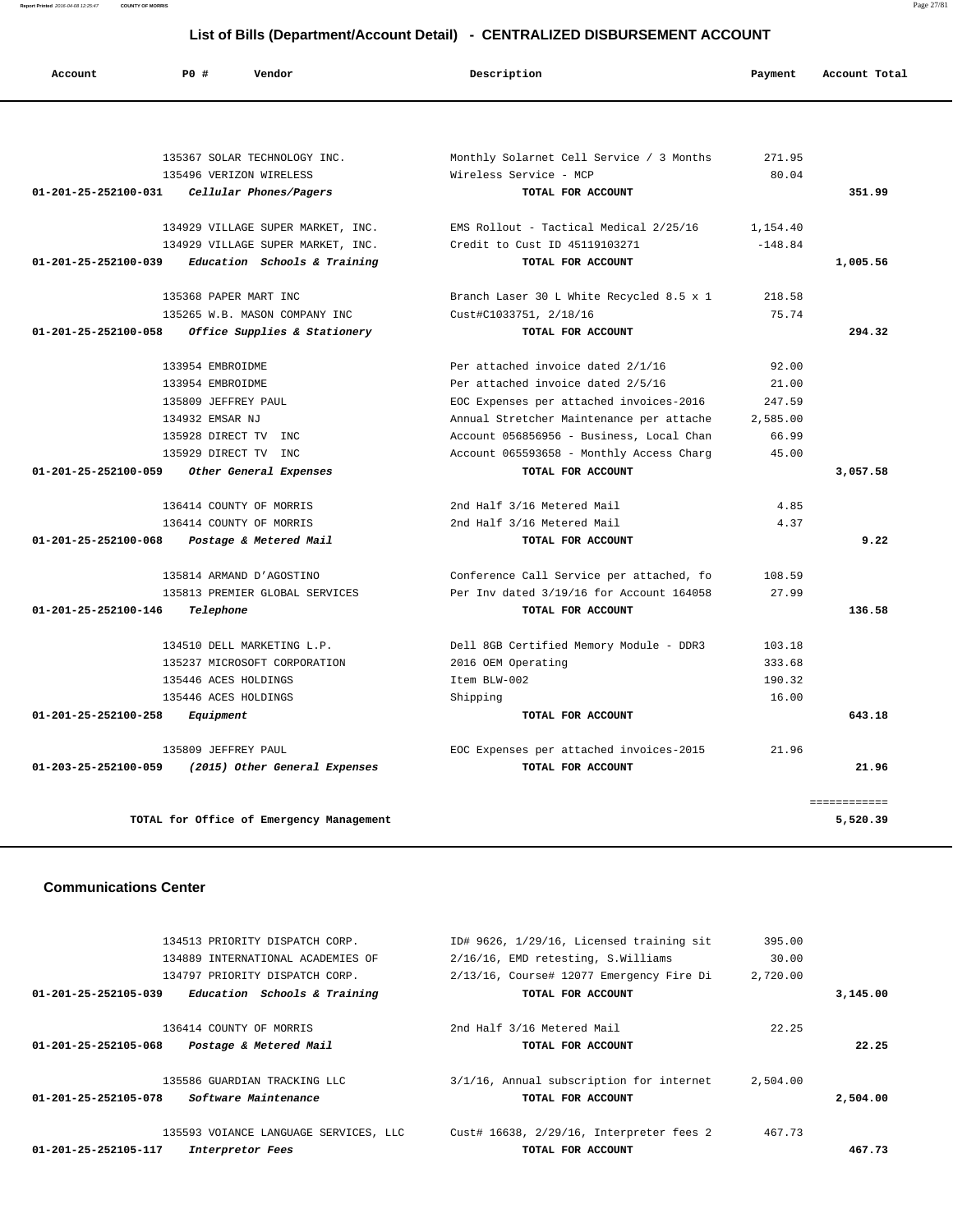**Report Printed** 2016-04-08 12:25:47 **COUNTY OF MORRIS** Page 27/81

# **List of Bills (Department/Account Detail) - CENTRALIZED DISBURSEMENT ACCOUNT**

| Account                        | PO#<br>Vendor                            | Description                              | Payment   | Account Total |
|--------------------------------|------------------------------------------|------------------------------------------|-----------|---------------|
|                                |                                          |                                          |           |               |
|                                | 135367 SOLAR TECHNOLOGY INC.             | Monthly Solarnet Cell Service / 3 Months | 271.95    |               |
|                                | 135496 VERIZON WIRELESS                  | Wireless Service - MCP                   | 80.04     |               |
| 01-201-25-252100-031           | Cellular Phones/Pagers                   | TOTAL FOR ACCOUNT                        |           | 351.99        |
|                                | 134929 VILLAGE SUPER MARKET, INC.        | EMS Rollout - Tactical Medical 2/25/16   | 1,154.40  |               |
|                                | 134929 VILLAGE SUPER MARKET, INC.        | Credit to Cust ID 45119103271            | $-148.84$ |               |
| 01-201-25-252100-039           | Education Schools & Training             | TOTAL FOR ACCOUNT                        |           | 1,005.56      |
|                                | 135368 PAPER MART INC                    | Branch Laser 30 L White Recycled 8.5 x 1 | 218.58    |               |
|                                | 135265 W.B. MASON COMPANY INC            | Cust#C1033751, 2/18/16                   | 75.74     |               |
| $01 - 201 - 25 - 252100 - 058$ | Office Supplies & Stationery             | TOTAL FOR ACCOUNT                        |           | 294.32        |
|                                | 133954 EMBROIDME                         | Per attached invoice dated 2/1/16        | 92.00     |               |
|                                | 133954 EMBROIDME                         | Per attached invoice dated 2/5/16        | 21.00     |               |
|                                | 135809 JEFFREY PAUL                      | EOC Expenses per attached invoices-2016  | 247.59    |               |
|                                | 134932 EMSAR NJ                          | Annual Stretcher Maintenance per attache | 2,585.00  |               |
|                                | 135928 DIRECT TV INC                     | Account 056856956 - Business, Local Chan | 66.99     |               |
|                                | 135929 DIRECT TV INC                     | Account 065593658 - Monthly Access Charg | 45.00     |               |
| 01-201-25-252100-059           | Other General Expenses                   | TOTAL FOR ACCOUNT                        |           | 3,057.58      |
|                                | 136414 COUNTY OF MORRIS                  | 2nd Half 3/16 Metered Mail               | 4.85      |               |
|                                | 136414 COUNTY OF MORRIS                  | 2nd Half 3/16 Metered Mail               | 4.37      |               |
| 01-201-25-252100-068           | Postage & Metered Mail                   | TOTAL FOR ACCOUNT                        |           | 9.22          |
|                                | 135814 ARMAND D'AGOSTINO                 | Conference Call Service per attached, fo | 108.59    |               |
|                                | 135813 PREMIER GLOBAL SERVICES           | Per Inv dated 3/19/16 for Account 164058 | 27.99     |               |
| 01-201-25-252100-146           | Telephone                                | TOTAL FOR ACCOUNT                        |           | 136.58        |
|                                | 134510 DELL MARKETING L.P.               | Dell 8GB Certified Memory Module - DDR3  | 103.18    |               |
|                                | 135237 MICROSOFT CORPORATION             | 2016 OEM Operating                       | 333.68    |               |
|                                | 135446 ACES HOLDINGS                     | Item BLW-002                             | 190.32    |               |
|                                | 135446 ACES HOLDINGS                     | Shipping                                 | 16.00     |               |
| 01-201-25-252100-258           | Equipment                                | TOTAL FOR ACCOUNT                        |           | 643.18        |
|                                | 135809 JEFFREY PAUL                      | EOC Expenses per attached invoices-2015  | 21.96     |               |
| 01-203-25-252100-059           | (2015) Other General Expenses            | TOTAL FOR ACCOUNT                        |           | 21.96         |
|                                |                                          |                                          |           | ============  |
|                                | TOTAL for Office of Emergency Management |                                          |           | 5,520.39      |

#### **Communications Center**

|          | 395.00   | ID# 9626, 1/29/16, Licensed training sit | 134513 PRIORITY DISPATCH CORP.                                 |
|----------|----------|------------------------------------------|----------------------------------------------------------------|
|          | 30.00    | 2/16/16, EMD retesting, S.Williams       | 134889 INTERNATIONAL ACADEMIES OF                              |
|          | 2,720.00 | 2/13/16, Course# 12077 Emergency Fire Di | 134797 PRIORITY DISPATCH CORP.                                 |
| 3,145.00 |          | TOTAL FOR ACCOUNT                        | Education Schools & Training<br>$01 - 201 - 25 - 252105 - 039$ |
|          | 22.25    | 2nd Half 3/16 Metered Mail               | 136414 COUNTY OF MORRIS                                        |
| 22.25    |          | TOTAL FOR ACCOUNT                        | Postage & Metered Mail<br>01-201-25-252105-068                 |
|          | 2,504.00 | 3/1/16, Annual subscription for internet | 135586 GUARDIAN TRACKING LLC                                   |
| 2,504.00 |          | TOTAL FOR ACCOUNT                        | 01-201-25-252105-078<br>Software Maintenance                   |
|          | 467.73   | Cust# 16638, 2/29/16, Interpreter fees 2 | 135593 VOIANCE LANGUAGE SERVICES, LLC                          |
| 467.73   |          | TOTAL FOR ACCOUNT                        | 01-201-25-252105-117<br>Interpretor Fees                       |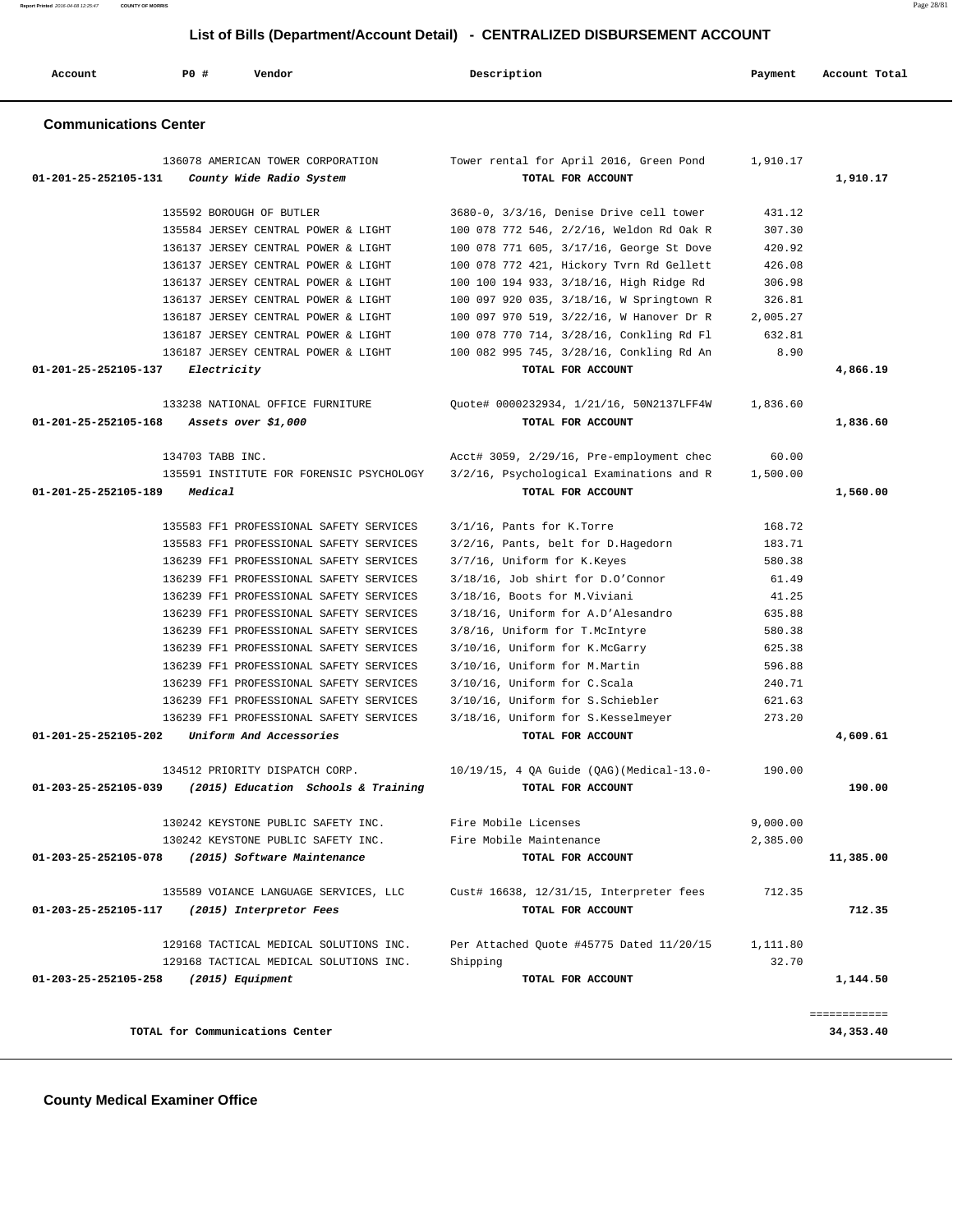| <b>Communications Center</b>                                          |                                               |          |              |
|-----------------------------------------------------------------------|-----------------------------------------------|----------|--------------|
| 136078 AMERICAN TOWER CORPORATION                                     | Tower rental for April 2016, Green Pond       | 1,910.17 |              |
| 01-201-25-252105-131<br>County Wide Radio System                      | TOTAL FOR ACCOUNT                             |          | 1,910.17     |
| 135592 BOROUGH OF BUTLER                                              | $3680-0$ , $3/3/16$ , Denise Drive cell tower | 431.12   |              |
| 135584 JERSEY CENTRAL POWER & LIGHT                                   | 100 078 772 546, 2/2/16, Weldon Rd Oak R      | 307.30   |              |
| 136137 JERSEY CENTRAL POWER & LIGHT                                   | 100 078 771 605, 3/17/16, George St Dove      | 420.92   |              |
| 136137 JERSEY CENTRAL POWER & LIGHT                                   | 100 078 772 421, Hickory Tvrn Rd Gellett      | 426.08   |              |
| 136137 JERSEY CENTRAL POWER & LIGHT                                   | 100 100 194 933, 3/18/16, High Ridge Rd       | 306.98   |              |
| 136137 JERSEY CENTRAL POWER & LIGHT                                   | 100 097 920 035, 3/18/16, W Springtown R      | 326.81   |              |
| 136187 JERSEY CENTRAL POWER & LIGHT                                   | 100 097 970 519, 3/22/16, W Hanover Dr R      | 2,005.27 |              |
| 136187 JERSEY CENTRAL POWER & LIGHT                                   | 100 078 770 714, 3/28/16, Conkling Rd Fl      | 632.81   |              |
| 136187 JERSEY CENTRAL POWER & LIGHT                                   | 100 082 995 745, 3/28/16, Conkling Rd An      | 8.90     |              |
| 01-201-25-252105-137<br>Electricity                                   | TOTAL FOR ACCOUNT                             |          | 4,866.19     |
| 133238 NATIONAL OFFICE FURNITURE                                      | Quote# 0000232934, 1/21/16, 50N2137LFF4W      | 1,836.60 |              |
| 01-201-25-252105-168<br>Assets over \$1,000                           | TOTAL FOR ACCOUNT                             |          | 1,836.60     |
| 134703 TABB INC.                                                      | Acct# 3059, 2/29/16, Pre-employment chec      | 60.00    |              |
| 135591 INSTITUTE FOR FORENSIC PSYCHOLOGY                              | 3/2/16, Psychological Examinations and R      | 1,500.00 |              |
| 01-201-25-252105-189<br>Medical                                       | TOTAL FOR ACCOUNT                             |          | 1,560.00     |
| 135583 FF1 PROFESSIONAL SAFETY SERVICES                               | 3/1/16, Pants for K.Torre                     | 168.72   |              |
| 135583 FF1 PROFESSIONAL SAFETY SERVICES                               | 3/2/16, Pants, belt for D.Hagedorn            | 183.71   |              |
| 136239 FF1 PROFESSIONAL SAFETY SERVICES                               | 3/7/16, Uniform for K.Keyes                   | 580.38   |              |
| 136239 FF1 PROFESSIONAL SAFETY SERVICES                               | 3/18/16, Job shirt for D.O'Connor             | 61.49    |              |
| 136239 FF1 PROFESSIONAL SAFETY SERVICES                               | 3/18/16, Boots for M.Viviani                  | 41.25    |              |
| 136239 FF1 PROFESSIONAL SAFETY SERVICES                               | 3/18/16, Uniform for A.D'Alesandro            | 635.88   |              |
| 136239 FF1 PROFESSIONAL SAFETY SERVICES                               | 3/8/16, Uniform for T.McIntyre                | 580.38   |              |
| 136239 FF1 PROFESSIONAL SAFETY SERVICES                               | 3/10/16, Uniform for K.McGarry                | 625.38   |              |
| 136239 FF1 PROFESSIONAL SAFETY SERVICES                               | 3/10/16, Uniform for M.Martin                 | 596.88   |              |
| 136239 FF1 PROFESSIONAL SAFETY SERVICES                               | 3/10/16, Uniform for C.Scala                  | 240.71   |              |
| 136239 FF1 PROFESSIONAL SAFETY SERVICES                               | 3/10/16, Uniform for S.Schiebler              | 621.63   |              |
| 136239 FF1 PROFESSIONAL SAFETY SERVICES                               | 3/18/16, Uniform for S.Kesselmeyer            | 273.20   |              |
| 01-201-25-252105-202<br>Uniform And Accessories                       | TOTAL FOR ACCOUNT                             |          | 4,609.61     |
| 134512 PRIORITY DISPATCH CORP.                                        | 10/19/15, 4 QA Guide (QAG) (Medical-13.0-     | 190.00   |              |
| $01 - 203 - 25 - 252105 - 039$<br>(2015) Education Schools & Training | TOTAL FOR ACCOUNT                             |          | 190.00       |
| 130242 KEYSTONE PUBLIC SAFETY INC.                                    | Fire Mobile Licenses                          | 9,000.00 |              |
| 130242 KEYSTONE PUBLIC SAFETY INC.                                    | Fire Mobile Maintenance                       | 2,385.00 |              |
| 01-203-25-252105-078<br>(2015) Software Maintenance                   | TOTAL FOR ACCOUNT                             |          | 11,385.00    |
| 135589 VOIANCE LANGUAGE SERVICES, LLC                                 | Cust# 16638, 12/31/15, Interpreter fees       | 712.35   |              |
| 01-203-25-252105-117<br>(2015) Interpretor Fees                       | TOTAL FOR ACCOUNT                             |          | 712.35       |
| 129168 TACTICAL MEDICAL SOLUTIONS INC.                                | Per Attached Quote #45775 Dated 11/20/15      | 1,111.80 |              |
| 129168 TACTICAL MEDICAL SOLUTIONS INC.                                | Shipping                                      | 32.70    |              |
| 01-203-25-252105-258<br>(2015) Equipment                              | TOTAL FOR ACCOUNT                             |          | 1,144.50     |
|                                                                       |                                               |          | ============ |
| TOTAL for Communications Center                                       |                                               |          | 34,353.40    |

 **Account P0 # Vendor Description Payment Account Total**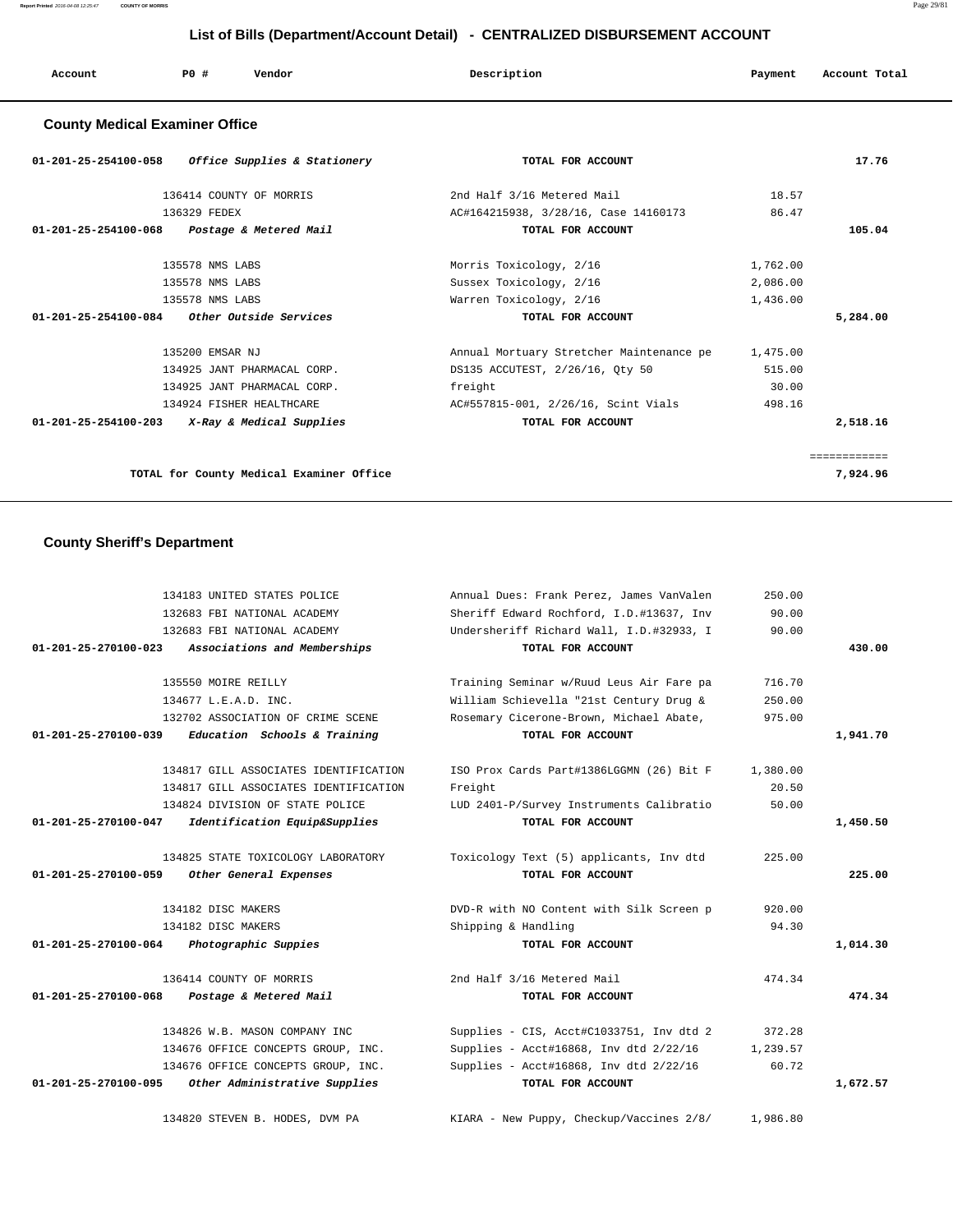| Account | P <sub>0</sub> | Vendor | Description | Payment       | Account Total |
|---------|----------------|--------|-------------|---------------|---------------|
|         |                |        |             | $\sim$ $\sim$ |               |
|         |                |        |             |               |               |

### **County Medical Examiner Office**

| 01-201-25-254100-058 Office Supplies & Stationery          | TOTAL FOR ACCOUNT                        |          | 17.76        |
|------------------------------------------------------------|------------------------------------------|----------|--------------|
| 136414 COUNTY OF MORRIS                                    | 2nd Half 3/16 Metered Mail               | 18.57    |              |
| 136329 FEDEX                                               | AC#164215938, 3/28/16, Case 14160173     | 86.47    |              |
| 01-201-25-254100-068<br>Postage & Metered Mail             | TOTAL FOR ACCOUNT                        |          | 105.04       |
| 135578 NMS LABS                                            | Morris Toxicology, 2/16                  | 1,762.00 |              |
| 135578 NMS LABS                                            | Sussex Toxicology, 2/16                  | 2,086.00 |              |
| 135578 NMS LABS                                            | Warren Toxicology, 2/16                  | 1,436.00 |              |
| $01-201-25-254100-084$ Other Outside Services              | TOTAL FOR ACCOUNT                        |          | 5,284.00     |
| 135200 EMSAR NJ                                            | Annual Mortuary Stretcher Maintenance pe | 1,475.00 |              |
| 134925 JANT PHARMACAL CORP.                                | DS135 ACCUTEST, 2/26/16, Qty 50          | 515.00   |              |
| 134925 JANT PHARMACAL CORP.                                | freight                                  | 30.00    |              |
| 134924 FISHER HEALTHCARE                                   | AC#557815-001, 2/26/16, Scint Vials      | 498.16   |              |
| $01 - 201 - 25 - 254100 - 203$<br>X-Ray & Medical Supplies | TOTAL FOR ACCOUNT                        |          | 2,518.16     |
|                                                            |                                          |          | ============ |
| TOTAL for County Medical Examiner Office                   |                                          |          | 7,924.96     |

# **County Sheriff's Department**

|                                | 134183 UNITED STATES POLICE           | Annual Dues: Frank Perez, James VanValen | 250.00   |          |
|--------------------------------|---------------------------------------|------------------------------------------|----------|----------|
|                                | 132683 FBI NATIONAL ACADEMY           | Sheriff Edward Rochford, I.D.#13637, Inv | 90.00    |          |
|                                | 132683 FBI NATIONAL ACADEMY           | Undersheriff Richard Wall, I.D.#32933, I | 90.00    |          |
| $01 - 201 - 25 - 270100 - 023$ | Associations and Memberships          | TOTAL FOR ACCOUNT                        |          | 430.00   |
|                                |                                       |                                          |          |          |
|                                | 135550 MOIRE REILLY                   | Training Seminar w/Ruud Leus Air Fare pa | 716.70   |          |
|                                | 134677 L.E.A.D. INC.                  | William Schievella "21st Century Drug &  | 250.00   |          |
|                                | 132702 ASSOCIATION OF CRIME SCENE     | Rosemary Cicerone-Brown, Michael Abate,  | 975.00   |          |
| $01 - 201 - 25 - 270100 - 039$ | Education Schools & Training          | TOTAL FOR ACCOUNT                        |          | 1,941.70 |
|                                |                                       |                                          |          |          |
|                                | 134817 GILL ASSOCIATES IDENTIFICATION | ISO Prox Cards Part#1386LGGMN (26) Bit F | 1,380.00 |          |
|                                | 134817 GILL ASSOCIATES IDENTIFICATION | Freight                                  | 20.50    |          |
|                                | 134824 DIVISION OF STATE POLICE       | LUD 2401-P/Survey Instruments Calibratio | 50.00    |          |
| 01-201-25-270100-047           | Identification Equip&Supplies         | TOTAL FOR ACCOUNT                        |          | 1,450.50 |
|                                |                                       |                                          |          |          |
|                                | 134825 STATE TOXICOLOGY LABORATORY    | Toxicology Text (5) applicants, Inv dtd  | 225.00   |          |
| 01-201-25-270100-059           | Other General Expenses                | TOTAL FOR ACCOUNT                        |          | 225.00   |
|                                | 134182 DISC MAKERS                    | DVD-R with NO Content with Silk Screen p | 920.00   |          |
|                                | 134182 DISC MAKERS                    | Shipping & Handling                      | 94.30    |          |
| 01-201-25-270100-064           | Photographic Suppies                  | TOTAL FOR ACCOUNT                        |          | 1,014.30 |
|                                |                                       |                                          |          |          |
|                                | 136414 COUNTY OF MORRIS               | 2nd Half 3/16 Metered Mail               | 474.34   |          |
| 01-201-25-270100-068           | Postage & Metered Mail                | TOTAL FOR ACCOUNT                        |          | 474.34   |
|                                | 134826 W.B. MASON COMPANY INC         | Supplies - CIS, Acct#C1033751, Inv dtd 2 | 372.28   |          |
|                                | 134676 OFFICE CONCEPTS GROUP, INC.    | Supplies - Acct#16868, Inv dtd 2/22/16   | 1,239.57 |          |
|                                | 134676 OFFICE CONCEPTS GROUP, INC.    | Supplies - Acct#16868, Inv dtd 2/22/16   | 60.72    |          |
| 01-201-25-270100-095           | Other Administrative Supplies         | TOTAL FOR ACCOUNT                        |          | 1,672.57 |
|                                |                                       |                                          |          |          |
|                                | 134820 STEVEN B. HODES, DVM PA        | KIARA - New Puppy, Checkup/Vaccines 2/8/ | 1,986.80 |          |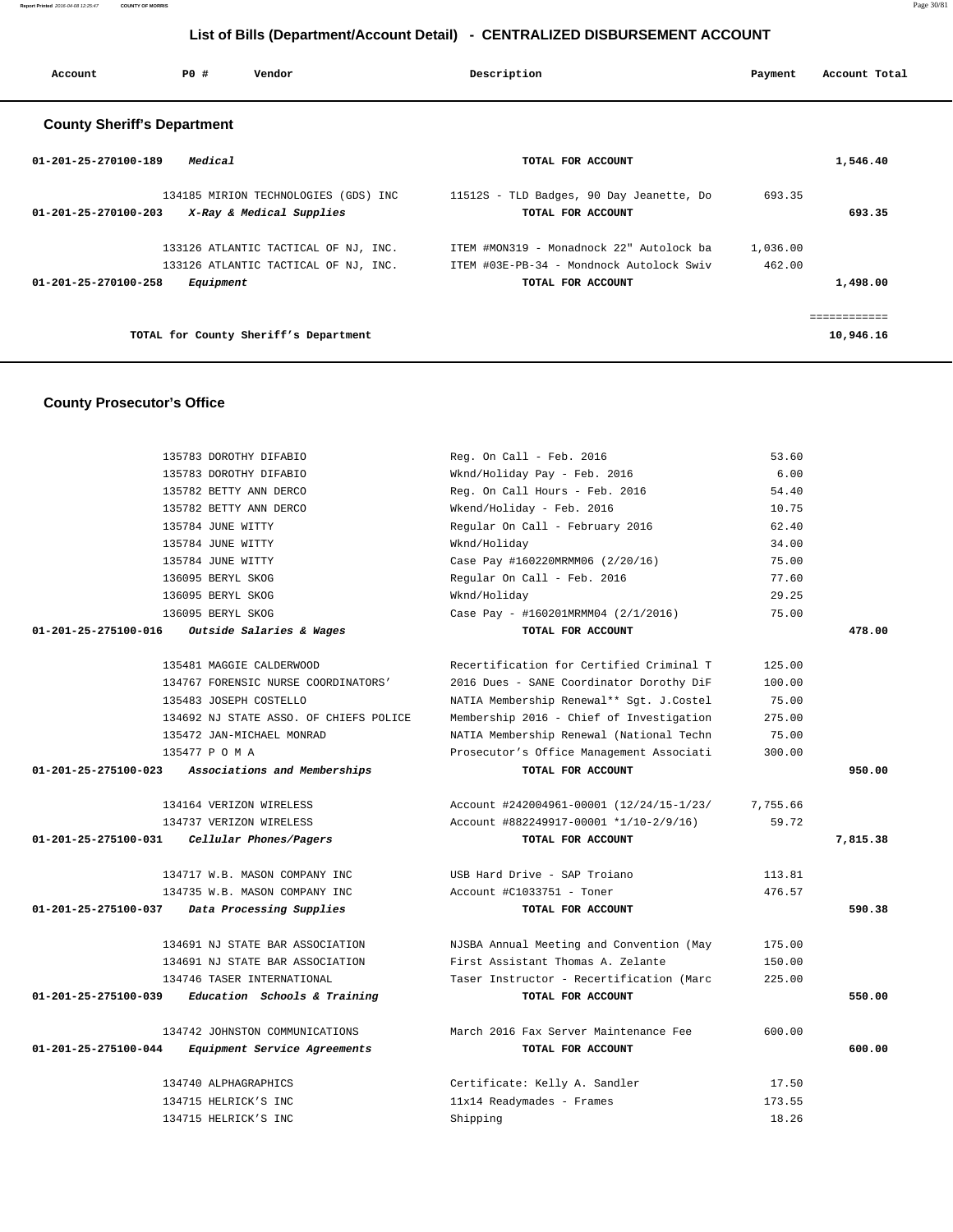**Report Printed** 2016-04-08 12:25:47 **COUNTY OF MORRIS** Page 30/81

# **List of Bills (Department/Account Detail) - CENTRALIZED DISBURSEMENT ACCOUNT**

| Account                            | PO#       | Vendor                                                                       | Description                                                                                               | Payment            | Account Total             |
|------------------------------------|-----------|------------------------------------------------------------------------------|-----------------------------------------------------------------------------------------------------------|--------------------|---------------------------|
| <b>County Sheriff's Department</b> |           |                                                                              |                                                                                                           |                    |                           |
| 01-201-25-270100-189               | Medical   |                                                                              | TOTAL FOR ACCOUNT                                                                                         |                    | 1,546.40                  |
| 01-201-25-270100-203               |           | 134185 MIRION TECHNOLOGIES (GDS) INC<br>X-Ray & Medical Supplies             | 11512S - TLD Badges, 90 Day Jeanette, Do<br>TOTAL FOR ACCOUNT                                             | 693.35             | 693.35                    |
| $01 - 201 - 25 - 270100 - 258$     | Equipment | 133126 ATLANTIC TACTICAL OF NJ, INC.<br>133126 ATLANTIC TACTICAL OF NJ, INC. | ITEM #MON319 - Monadnock 22" Autolock ba<br>ITEM #03E-PB-34 - Mondnock Autolock Swiv<br>TOTAL FOR ACCOUNT | 1,036.00<br>462.00 | 1,498.00                  |
|                                    |           | TOTAL for County Sheriff's Department                                        |                                                                                                           |                    | ============<br>10,946.16 |

# **County Prosecutor's Office**

|                      | 135783 DOROTHY DIFABIO                 | Reg. On Call - Feb. 2016                 | 53.60    |          |
|----------------------|----------------------------------------|------------------------------------------|----------|----------|
|                      | 135783 DOROTHY DIFABIO                 | Wknd/Holiday Pay - Feb. 2016             | 6.00     |          |
|                      | 135782 BETTY ANN DERCO                 | Reg. On Call Hours - Feb. 2016           | 54.40    |          |
|                      | 135782 BETTY ANN DERCO                 | Wkend/Holiday - Feb. 2016                | 10.75    |          |
|                      | 135784 JUNE WITTY                      | Regular On Call - February 2016          | 62.40    |          |
|                      | 135784 JUNE WITTY                      | Wknd/Holiday                             | 34.00    |          |
|                      | 135784 JUNE WITTY                      | Case Pay #160220MRMM06 (2/20/16)         | 75.00    |          |
|                      | 136095 BERYL SKOG                      | Regular On Call - Feb. 2016              | 77.60    |          |
|                      | 136095 BERYL SKOG                      | Wknd/Holiday                             | 29.25    |          |
|                      | 136095 BERYL SKOG                      | Case Pay - #160201MRMM04 (2/1/2016)      | 75.00    |          |
| 01-201-25-275100-016 | Outside Salaries & Wages               | TOTAL FOR ACCOUNT                        |          | 478.00   |
|                      | 135481 MAGGIE CALDERWOOD               | Recertification for Certified Criminal T | 125.00   |          |
|                      | 134767 FORENSIC NURSE COORDINATORS'    | 2016 Dues - SANE Coordinator Dorothy DiF | 100.00   |          |
|                      | 135483 JOSEPH COSTELLO                 | NATIA Membership Renewal** Sgt. J.Costel | 75.00    |          |
|                      | 134692 NJ STATE ASSO. OF CHIEFS POLICE | Membership 2016 - Chief of Investigation | 275.00   |          |
|                      | 135472 JAN-MICHAEL MONRAD              | NATIA Membership Renewal (National Techn | 75.00    |          |
|                      | 135477 P O M A                         | Prosecutor's Office Management Associati | 300.00   |          |
| 01-201-25-275100-023 | Associations and Memberships           | TOTAL FOR ACCOUNT                        |          | 950.00   |
|                      | 134164 VERIZON WIRELESS                | Account #242004961-00001 (12/24/15-1/23/ | 7,755.66 |          |
|                      | 134737 VERIZON WIRELESS                | Account #882249917-00001 *1/10-2/9/16)   | 59.72    |          |
| 01-201-25-275100-031 | Cellular Phones/Pagers                 | TOTAL FOR ACCOUNT                        |          | 7,815.38 |
|                      | 134717 W.B. MASON COMPANY INC          | USB Hard Drive - SAP Troiano             | 113.81   |          |
|                      | 134735 W.B. MASON COMPANY INC          | Account #C1033751 - Toner                | 476.57   |          |
| 01-201-25-275100-037 | Data Processing Supplies               | TOTAL FOR ACCOUNT                        |          | 590.38   |
|                      | 134691 NJ STATE BAR ASSOCIATION        | NJSBA Annual Meeting and Convention (May | 175.00   |          |
|                      | 134691 NJ STATE BAR ASSOCIATION        | First Assistant Thomas A. Zelante        | 150.00   |          |
|                      | 134746 TASER INTERNATIONAL             | Taser Instructor - Recertification (Marc | 225.00   |          |
| 01-201-25-275100-039 | Education Schools & Training           | TOTAL FOR ACCOUNT                        |          | 550.00   |
|                      | 134742 JOHNSTON COMMUNICATIONS         | March 2016 Fax Server Maintenance Fee    | 600.00   |          |
| 01-201-25-275100-044 | Equipment Service Agreements           | TOTAL FOR ACCOUNT                        |          | 600.00   |
|                      | 134740 ALPHAGRAPHICS                   | Certificate: Kelly A. Sandler            | 17.50    |          |
|                      |                                        |                                          | 173.55   |          |
|                      | 134715 HELRICK'S INC                   | 11x14 Readymades - Frames                |          |          |
|                      | 134715 HELRICK'S INC                   | Shipping                                 | 18.26    |          |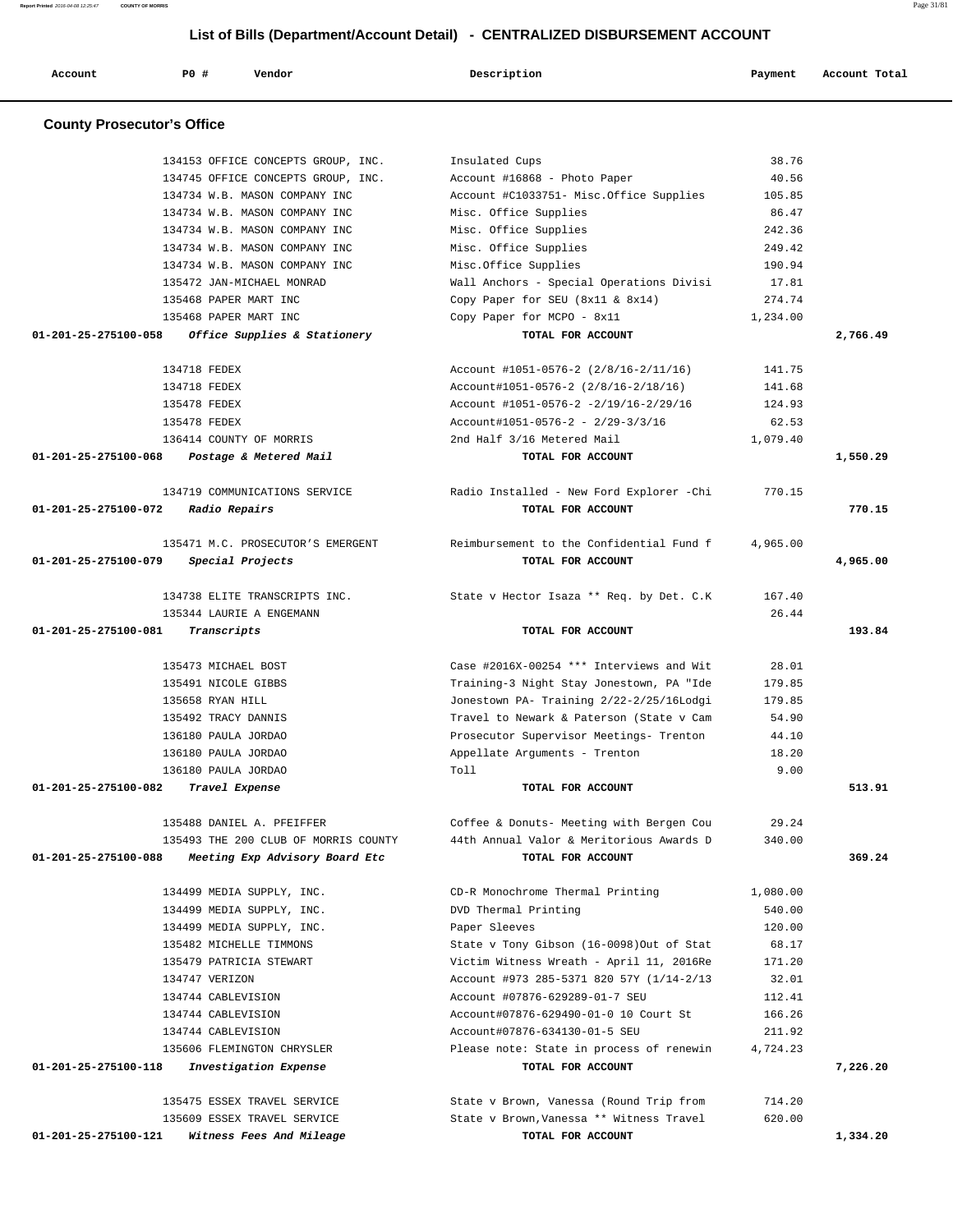**Report Printed** 2016-04-08 12:25:47 **COUNTY OF MORRIS** Page 31/81  **List of Bills (Department/Account Detail) - CENTRALIZED DISBURSEMENT ACCOUNT**

 **Account P0 # Vendor Description Payment Account Total County Prosecutor's Office** 134153 OFFICE CONCEPTS GROUP, INC. Insulated Cups 38.76 134745 OFFICE CONCEPTS GROUP, INC. Account #16868 - Photo Paper 40.56 134734 W.B. MASON COMPANY INC Account #C1033751- Misc.Office Supplies 105.85 134734 W.B. MASON COMPANY INC Misc. Office Supplies 86.47 134734 W.B. MASON COMPANY INC Misc. Office Supplies 242.36 134734 W.B. MASON COMPANY INC Misc. Office Supplies 249.42 134734 W.B. MASON COMPANY INC Misc.Office Supplies 190.94 135472 JAN-MICHAEL MONRAD Wall Anchors - Special Operations Divisi 17.81 135468 PAPER MART INC Copy Paper for SEU (8x11 & 8x14) 274.74 135468 PAPER MART INC Copy Paper for MCPO - 8x11 1,234.00  **01-201-25-275100-058 Office Supplies & Stationery TOTAL FOR ACCOUNT 2,766.49** 134718 FEDEX Account #1051-0576-2 (2/8/16-2/11/16) 141.75 134718 FEDEX Account#1051-0576-2 (2/8/16-2/18/16) 141.68 135478 FEDEX Account #1051-0576-2 -2/19/16-2/29/16 124.93 135478 FEDEX Account#1051-0576-2 - 2/29-3/3/16 62.53 136414 COUNTY OF MORRIS 2nd Half 3/16 Metered Mail 1,079.40  **01-201-25-275100-068 Postage & Metered Mail TOTAL FOR ACCOUNT 1,550.29** 134719 COMMUNICATIONS SERVICE Radio Installed - New Ford Explorer -Chi 770.15  **01-201-25-275100-072 Radio Repairs TOTAL FOR ACCOUNT 770.15** 135471 M.C. PROSECUTOR'S EMERGENT Reimbursement to the Confidential Fund f 4,965.00  **01-201-25-275100-079 Special Projects TOTAL FOR ACCOUNT 4,965.00** 134738 ELITE TRANSCRIPTS INC. State v Hector Isaza \*\* Req. by Det. C.K 167.40 135344 LAURIE A ENGEMANN 26.44  **01-201-25-275100-081 Transcripts TOTAL FOR ACCOUNT 193.84** 135473 MICHAEL BOST Case #2016X-00254 \*\*\* Interviews and Wit 28.01 135491 NICOLE GIBBS Training-3 Night Stay Jonestown, PA "Ide 179.85 135658 RYAN HILL Jonestown PA- Training 2/22-2/25/16Lodgi 179.85 135492 TRACY DANNIS Travel to Newark & Paterson (State v Cam 54.90 136180 PAULA JORDAO Prosecutor Supervisor Meetings- Trenton 44.10 136180 PAULA JORDAO Appellate Arguments - Trenton 18.20 136180 PAULA JORDAO Toll 9.00  **01-201-25-275100-082 Travel Expense TOTAL FOR ACCOUNT 513.91** 135488 DANIEL A. PFEIFFER Coffee & Donuts- Meeting with Bergen Cou 29.24 135493 THE 200 CLUB OF MORRIS COUNTY 44th Annual Valor & Meritorious Awards D 340.00  **01-201-25-275100-088 Meeting Exp Advisory Board Etc TOTAL FOR ACCOUNT 369.24** 134499 MEDIA SUPPLY, INC. CD-R Monochrome Thermal Printing 1,080.00 134499 MEDIA SUPPLY, INC. DVD Thermal Printing 540.00 134499 MEDIA SUPPLY, INC. Paper Sleeves 120.00 135482 MICHELLE TIMMONS State v Tony Gibson (16-0098)Out of Stat 68.17 135479 PATRICIA STEWART Victim Witness Wreath - April 11, 2016Re 171.20 134747 VERIZON Account #973 285-5371 820 57Y (1/14-2/13 32.01 134744 CABLEVISION Account #07876-629289-01-7 SEU 112.41 134744 CABLEVISION Account#07876-629490-01-0 10 Court St 166.26 134744 CABLEVISION Account#07876-634130-01-5 SEU 211.92 135606 FLEMINGTON CHRYSLER Please note: State in process of renewin 4,724.23  **01-201-25-275100-118 Investigation Expense TOTAL FOR ACCOUNT 7,226.20** 135475 ESSEX TRAVEL SERVICE State v Brown, Vanessa (Round Trip from 714.20 135609 ESSEX TRAVEL SERVICE State v Brown,Vanessa \*\* Witness Travel 620.00  **01-201-25-275100-121 Witness Fees And Mileage TOTAL FOR ACCOUNT 1,334.20**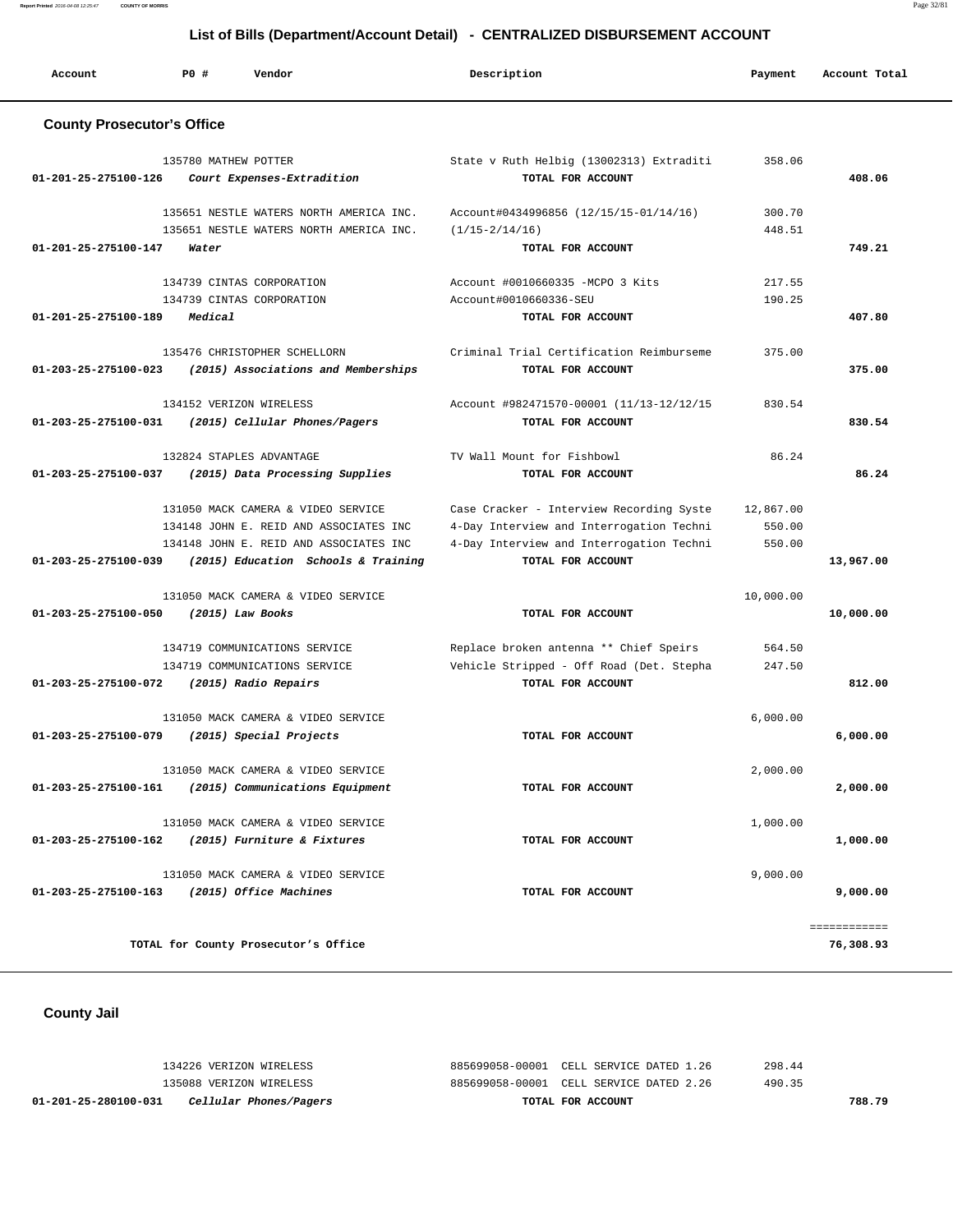**Report Printed** 2016-04-08 12:25:47 **COUNTY OF MORRIS** Page 32/81

# **List of Bills (Department/Account Detail) - CENTRALIZED DISBURSEMENT ACCOUNT**

| Account                                     | PO#                  | Vendor                                                              | Description                                                   | Payment   | Account Total |
|---------------------------------------------|----------------------|---------------------------------------------------------------------|---------------------------------------------------------------|-----------|---------------|
| <b>County Prosecutor's Office</b>           |                      |                                                                     |                                                               |           |               |
| 01-201-25-275100-126                        | 135780 MATHEW POTTER | Court Expenses-Extradition                                          | State v Ruth Helbig (13002313) Extraditi<br>TOTAL FOR ACCOUNT | 358.06    | 408.06        |
|                                             |                      | 135651 NESTLE WATERS NORTH AMERICA INC.                             | Account#0434996856 (12/15/15-01/14/16)                        | 300.70    |               |
|                                             |                      | 135651 NESTLE WATERS NORTH AMERICA INC.                             | $(1/15 - 2/14/16)$                                            | 448.51    |               |
| 01-201-25-275100-147                        | Water                |                                                                     | TOTAL FOR ACCOUNT                                             |           | 749.21        |
|                                             |                      | 134739 CINTAS CORPORATION                                           | Account #0010660335 -MCPO 3 Kits                              | 217.55    |               |
|                                             |                      | 134739 CINTAS CORPORATION                                           | Account#0010660336-SEU                                        | 190.25    |               |
| 01-201-25-275100-189                        | Medical              |                                                                     | TOTAL FOR ACCOUNT                                             |           | 407.80        |
| $01 - 203 - 25 - 275100 - 023$              |                      | 135476 CHRISTOPHER SCHELLORN<br>(2015) Associations and Memberships | Criminal Trial Certification Reimburseme<br>TOTAL FOR ACCOUNT | 375.00    | 375.00        |
| 01-203-25-275100-031                        |                      | 134152 VERIZON WIRELESS<br>(2015) Cellular Phones/Pagers            | Account #982471570-00001 (11/13-12/12/15<br>TOTAL FOR ACCOUNT | 830.54    | 830.54        |
|                                             |                      | 132824 STAPLES ADVANTAGE                                            | TV Wall Mount for Fishbowl                                    | 86.24     |               |
| 01-203-25-275100-037                        |                      | (2015) Data Processing Supplies                                     | TOTAL FOR ACCOUNT                                             |           | 86.24         |
|                                             |                      | 131050 MACK CAMERA & VIDEO SERVICE                                  | Case Cracker - Interview Recording Syste                      | 12,867.00 |               |
|                                             |                      | 134148 JOHN E. REID AND ASSOCIATES INC                              | 4-Day Interview and Interrogation Techni                      | 550.00    |               |
|                                             |                      | 134148 JOHN E. REID AND ASSOCIATES INC                              | 4-Day Interview and Interrogation Techni                      | 550.00    |               |
| 01-203-25-275100-039                        |                      | (2015) Education Schools & Training                                 | TOTAL FOR ACCOUNT                                             |           | 13,967.00     |
|                                             |                      | 131050 MACK CAMERA & VIDEO SERVICE                                  |                                                               | 10,000.00 |               |
| 01-203-25-275100-050                        |                      | $(2015)$ Law Books                                                  | TOTAL FOR ACCOUNT                                             |           | 10,000.00     |
|                                             |                      | 134719 COMMUNICATIONS SERVICE                                       | Replace broken antenna ** Chief Speirs                        | 564.50    |               |
|                                             |                      | 134719 COMMUNICATIONS SERVICE                                       | Vehicle Stripped - Off Road (Det. Stepha                      | 247.50    |               |
| 01-203-25-275100-072                        |                      | (2015) Radio Repairs                                                | TOTAL FOR ACCOUNT                                             |           | 812.00        |
|                                             |                      | 131050 MACK CAMERA & VIDEO SERVICE                                  |                                                               | 6,000.00  |               |
| 01-203-25-275100-079                        |                      | (2015) Special Projects                                             | TOTAL FOR ACCOUNT                                             |           | 6,000.00      |
|                                             |                      | 131050 MACK CAMERA & VIDEO SERVICE                                  |                                                               | 2,000.00  |               |
| 01-203-25-275100-161                        |                      | (2015) Communications Equipment                                     | TOTAL FOR ACCOUNT                                             |           | 2,000.00      |
|                                             |                      | 131050 MACK CAMERA & VIDEO SERVICE                                  |                                                               | 1,000.00  |               |
| 01-203-25-275100-162                        |                      | (2015) Furniture & Fixtures                                         | TOTAL FOR ACCOUNT                                             |           | 1,000.00      |
|                                             |                      | 131050 MACK CAMERA & VIDEO SERVICE                                  |                                                               | 9,000.00  |               |
| 01-203-25-275100-163 (2015) Office Machines |                      |                                                                     | TOTAL FOR ACCOUNT                                             |           | 9,000.00      |
|                                             |                      |                                                                     |                                                               |           | ============  |
|                                             |                      | TOTAL for County Prosecutor's Office                                |                                                               |           | 76,308.93     |

 **County Jail** 

 134226 VERIZON WIRELESS 885699058-00001 CELL SERVICE DATED 1.26 298.44 135088 VERIZON WIRELESS 885699058-00001 CELL SERVICE DATED 2.26 490.35  **01-201-25-280100-031 Cellular Phones/Pagers TOTAL FOR ACCOUNT 788.79**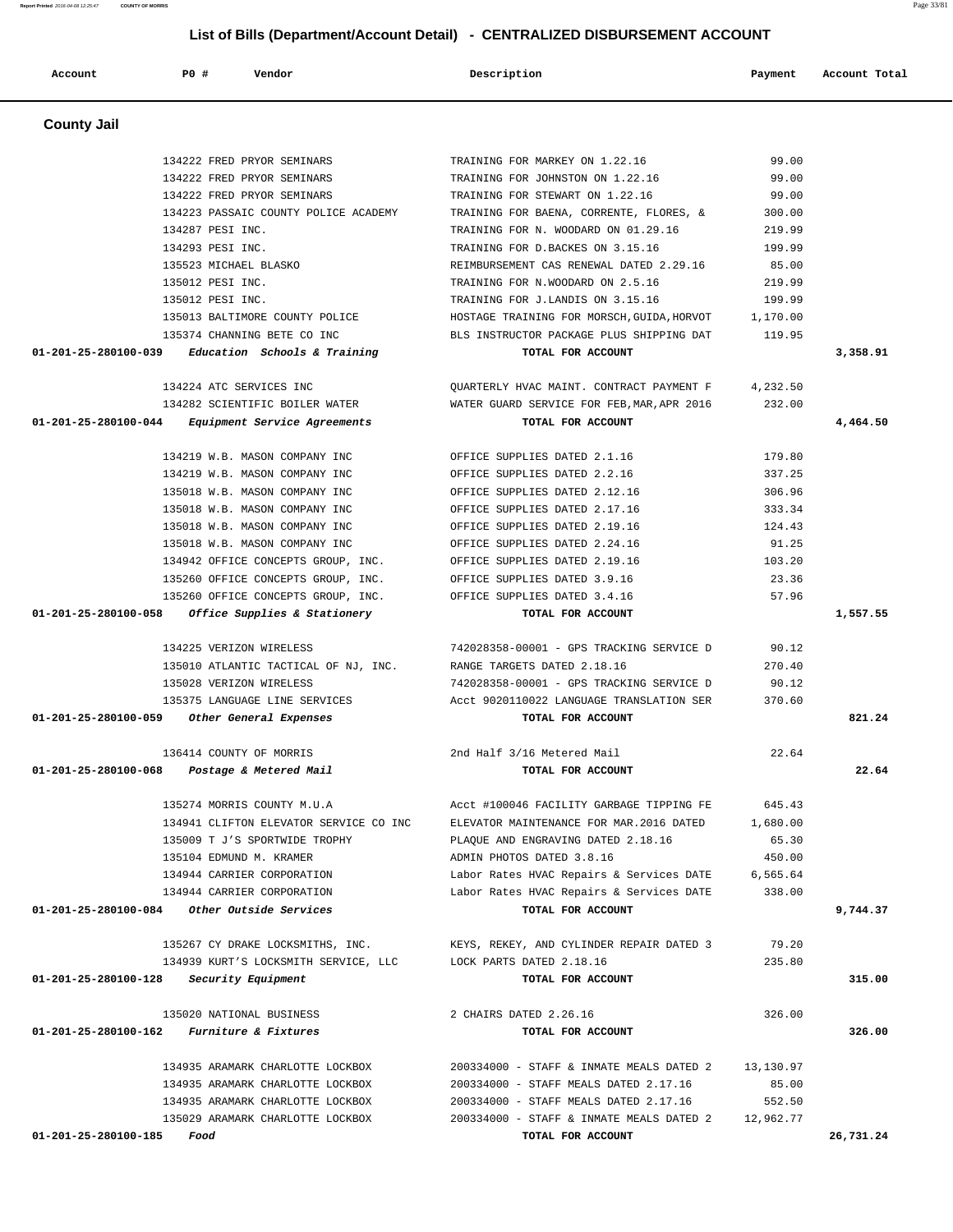| <b>County Jail</b>                                                                  |                                             |           |           |
|-------------------------------------------------------------------------------------|---------------------------------------------|-----------|-----------|
|                                                                                     |                                             |           |           |
| 134222 FRED PRYOR SEMINARS                                                          | TRAINING FOR MARKEY ON 1.22.16              | 99.00     |           |
| 134222 FRED PRYOR SEMINARS                                                          | TRAINING FOR JOHNSTON ON 1.22.16            | 99.00     |           |
| 134222 FRED PRYOR SEMINARS                                                          | TRAINING FOR STEWART ON 1.22.16             | 99.00     |           |
| 134223 PASSAIC COUNTY POLICE ACADEMY                                                | TRAINING FOR BAENA, CORRENTE, FLORES, &     | 300.00    |           |
| 134287 PESI INC.                                                                    | TRAINING FOR N. WOODARD ON 01.29.16         | 219.99    |           |
| 134293 PESI INC.                                                                    | TRAINING FOR D. BACKES ON 3.15.16           | 199.99    |           |
| 135523 MICHAEL BLASKO                                                               | REIMBURSEMENT CAS RENEWAL DATED 2.29.16     | 85.00     |           |
| 135012 PESI INC.                                                                    | TRAINING FOR N.WOODARD ON 2.5.16            | 219.99    |           |
| 135012 PESI INC.                                                                    | TRAINING FOR J.LANDIS ON 3.15.16            | 199.99    |           |
| 135013 BALTIMORE COUNTY POLICE                                                      | HOSTAGE TRAINING FOR MORSCH, GUIDA, HORVOT  | 1,170.00  |           |
| 135374 CHANNING BETE CO INC                                                         | BLS INSTRUCTOR PACKAGE PLUS SHIPPING DAT    | 119.95    |           |
| Education Schools & Training<br>01-201-25-280100-039                                | TOTAL FOR ACCOUNT                           |           | 3,358.91  |
| 134224 ATC SERVICES INC                                                             | OUARTERLY HVAC MAINT. CONTRACT PAYMENT F    | 4,232.50  |           |
| 134282 SCIENTIFIC BOILER WATER                                                      | WATER GUARD SERVICE FOR FEB, MAR, APR 2016  | 232.00    |           |
| 01-201-25-280100-044<br>Equipment Service Agreements                                | TOTAL FOR ACCOUNT                           |           | 4,464.50  |
|                                                                                     |                                             |           |           |
| 134219 W.B. MASON COMPANY INC.                                                      | OFFICE SUPPLIES DATED 2.1.16                | 179.80    |           |
| 134219 W.B. MASON COMPANY INC                                                       | OFFICE SUPPLIES DATED 2.2.16                | 337.25    |           |
| 135018 W.B. MASON COMPANY INC                                                       | OFFICE SUPPLIES DATED 2.12.16               | 306.96    |           |
| 135018 W.B. MASON COMPANY INC                                                       | OFFICE SUPPLIES DATED 2.17.16               | 333.34    |           |
| 135018 W.B. MASON COMPANY INC                                                       | OFFICE SUPPLIES DATED 2.19.16               | 124.43    |           |
| 135018 W.B. MASON COMPANY INC                                                       | OFFICE SUPPLIES DATED 2.24.16               | 91.25     |           |
| 134942 OFFICE CONCEPTS GROUP, INC.                                                  | OFFICE SUPPLIES DATED 2.19.16               | 103.20    |           |
| 135260 OFFICE CONCEPTS GROUP, INC.                                                  | OFFICE SUPPLIES DATED 3.9.16                | 23.36     |           |
| 135260 OFFICE CONCEPTS GROUP, INC.                                                  | OFFICE SUPPLIES DATED 3.4.16                | 57.96     |           |
| 01-201-25-280100-058<br>Office Supplies & Stationery                                | TOTAL FOR ACCOUNT                           |           | 1,557.55  |
| 134225 VERIZON WIRELESS                                                             | 742028358-00001 - GPS TRACKING SERVICE D    | 90.12     |           |
|                                                                                     | RANGE TARGETS DATED 2.18.16                 | 270.40    |           |
| 135010 ATLANTIC TACTICAL OF NJ, INC.<br>135028 VERIZON WIRELESS                     | 742028358-00001 - GPS TRACKING SERVICE D    | 90.12     |           |
| 135375 LANGUAGE LINE SERVICES                                                       | Acct 9020110022 LANGUAGE TRANSLATION SER    | 370.60    |           |
| $01 - 201 - 25 - 280100 - 059$<br>Other General Expenses                            | TOTAL FOR ACCOUNT                           |           | 821.24    |
|                                                                                     |                                             |           |           |
| 136414 COUNTY OF MORRIS                                                             | 2nd Half 3/16 Metered Mail                  | 22.64     |           |
| 01-201-25-280100-068<br>Postage & Metered Mail                                      | TOTAL FOR ACCOUNT                           |           | 22.64     |
| 135274 MORRIS COUNTY M.U.A                                                          | Acct #100046 FACILITY GARBAGE TIPPING FE    | 645.43    |           |
| 134941 CLIFTON ELEVATOR SERVICE CO INC                                              | ELEVATOR MAINTENANCE FOR MAR. 2016 DATED    | 1,680.00  |           |
| 135009 T J'S SPORTWIDE TROPHY                                                       | PLAQUE AND ENGRAVING DATED 2.18.16          | 65.30     |           |
| 135104 EDMUND M. KRAMER                                                             | ADMIN PHOTOS DATED 3.8.16                   | 450.00    |           |
| 134944 CARRIER CORPORATION                                                          | Labor Rates HVAC Repairs & Services DATE    | 6,565.64  |           |
| 134944 CARRIER CORPORATION                                                          | Labor Rates HVAC Repairs & Services DATE    | 338.00    |           |
| 01-201-25-280100-084<br>Other Outside Services                                      | TOTAL FOR ACCOUNT                           |           | 9,744.37  |
| 135267 CY DRAKE LOCKSMITHS, INC.                                                    | KEYS, REKEY, AND CYLINDER REPAIR DATED 3    | 79.20     |           |
| 134939 KURT'S LOCKSMITH SERVICE, LLC                                                | LOCK PARTS DATED 2.18.16                    | 235.80    |           |
| $01 - 201 - 25 - 280100 - 128$<br>Security Equipment                                | TOTAL FOR ACCOUNT                           |           | 315.00    |
|                                                                                     |                                             |           |           |
| 135020 NATIONAL BUSINESS<br>01-201-25-280100-162<br><i>Furniture &amp; Fixtures</i> | 2 CHAIRS DATED 2.26.16<br>TOTAL FOR ACCOUNT | 326.00    | 326.00    |
|                                                                                     |                                             |           |           |
| 134935 ARAMARK CHARLOTTE LOCKBOX                                                    | 200334000 - STAFF & INMATE MEALS DATED 2    | 13,130.97 |           |
| 134935 ARAMARK CHARLOTTE LOCKBOX                                                    | 200334000 - STAFF MEALS DATED 2.17.16       | 85.00     |           |
| 134935 ARAMARK CHARLOTTE LOCKBOX                                                    | 200334000 - STAFF MEALS DATED 2.17.16       | 552.50    |           |
| 135029 ARAMARK CHARLOTTE LOCKBOX                                                    | 200334000 - STAFF & INMATE MEALS DATED 2    | 12,962.77 |           |
| 01-201-25-280100-185<br>Food                                                        | TOTAL FOR ACCOUNT                           |           | 26,731.24 |

Account 20 PD # Vendor Payment Account Total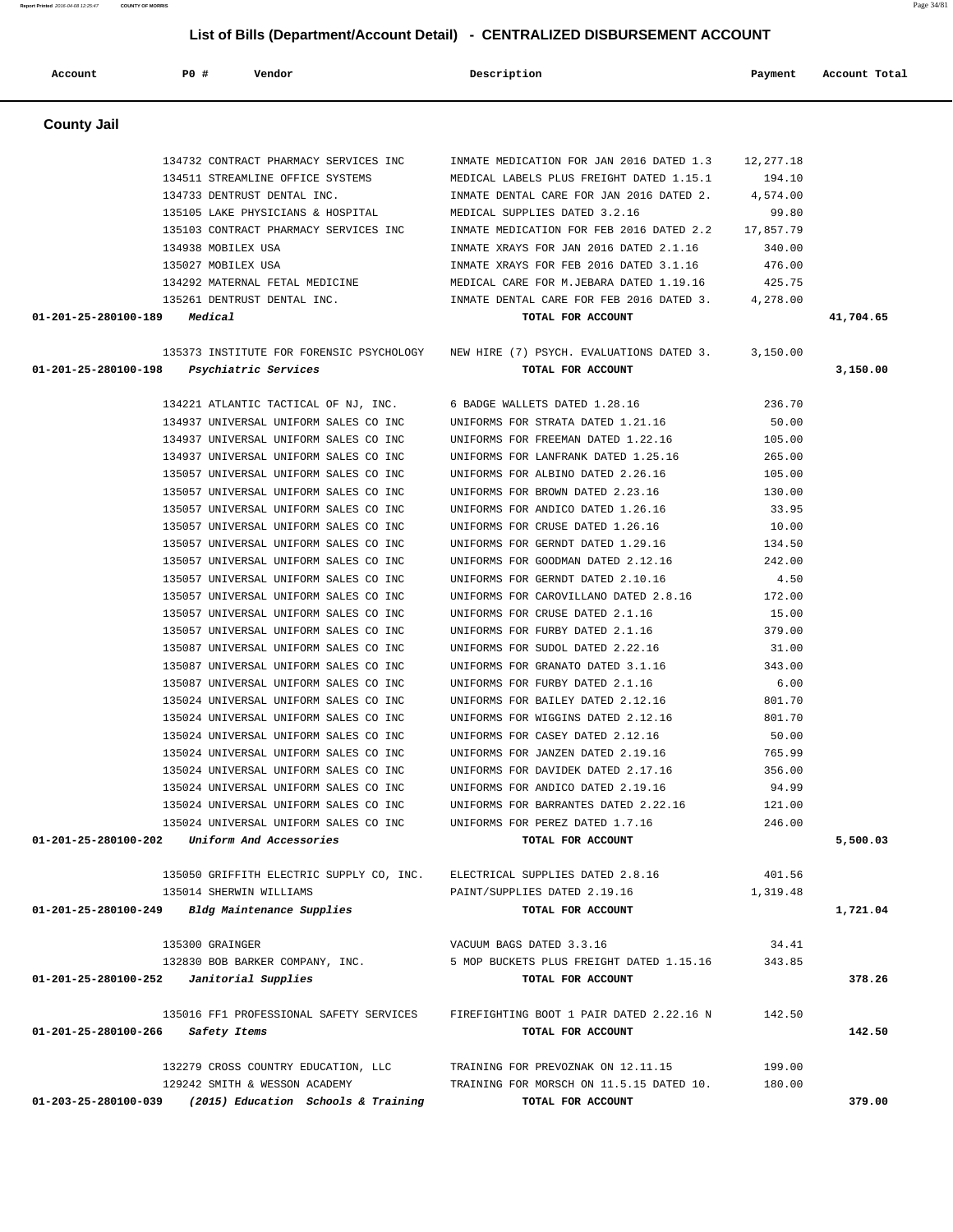**Report Printed** 2016-04-08 12:25:47 **COUNTY OF MORRIS** Page 34/81  **List of Bills (Department/Account Detail) - CENTRALIZED DISBURSEMENT ACCOUNT Account P0 # Vendor Description Payment Account Total County Jail**  134732 CONTRACT PHARMACY SERVICES INC INMATE MEDICATION FOR JAN 2016 DATED 1.3 12,277.18 134511 STREAMLINE OFFICE SYSTEMS MEDICAL LABELS PLUS FREIGHT DATED 1.15.1 194.10

 134733 DENTRUST DENTAL INC. INMATE DENTAL CARE FOR JAN 2016 DATED 2. 4,574.00 135105 LAKE PHYSICIANS & HOSPITAL MEDICAL SUPPLIES DATED 3.2.16 99.80 135103 CONTRACT PHARMACY SERVICES INC INMATE MEDICATION FOR FEB 2016 DATED 2.2 17,857.79 134938 MOBILEX USA INMATE XRAYS FOR JAN 2016 DATED 2.1.16 340.00 135027 MOBILEX USA INMATE XRAYS FOR FEB 2016 DATED 3.1.16 476.00 134292 MATERNAL FETAL MEDICINE MEDICAL CARE FOR M.JEBARA DATED 1.19.16 425.75 135261 DENTRUST DENTAL INC. INMATE DENTAL CARE FOR FEB 2016 DATED 3. 4,278.00  **01-201-25-280100-189 Medical TOTAL FOR ACCOUNT 41,704.65**

 135373 INSTITUTE FOR FORENSIC PSYCHOLOGY NEW HIRE (7) PSYCH. EVALUATIONS DATED 3. 3,150.00  **01-201-25-280100-198 Psychiatric Services TOTAL FOR ACCOUNT 3,150.00**

> 134221 ATLANTIC TACTICAL OF NJ, INC. 6 BADGE WALLETS DATED 1.28.16 236.70 134937 UNIVERSAL UNIFORM SALES CO INC UNIFORMS FOR STRATA DATED 1.21.16 50.00 134937 UNIVERSAL UNIFORM SALES CO INC UNIFORMS FOR FREEMAN DATED 1.22.16 105.00 134937 UNIVERSAL UNIFORM SALES CO INC UNIFORMS FOR LANFRANK DATED 1.25.16 265.00 135057 UNIVERSAL UNIFORM SALES CO INC UNIFORMS FOR ALBINO DATED 2.26.16 105.00 135057 UNIVERSAL UNIFORM SALES CO INC UNIFORMS FOR BROWN DATED 2.23.16 130.00 135057 UNIVERSAL UNIFORM SALES CO INC UNIFORMS FOR ANDICO DATED 1.26.16 33.95

 **01-201-25-280100-266 Safety Items TOTAL FOR ACCOUNT 142.50** 132279 CROSS COUNTRY EDUCATION, LLC TRAINING FOR PREVOZNAK ON 12.11.15 199.00 129242 SMITH & WESSON ACADEMY TRAINING FOR MORSCH ON 11.5.15 DATED 10. 180.00

# 135057 UNIVERSAL UNIFORM SALES CO INC UNIFORMS FOR CRUSE DATED 1.26.16 10.00 135057 UNIVERSAL UNIFORM SALES CO INC UNIFORMS FOR GERNDT DATED 1.29.16 134.50 135057 UNIVERSAL UNIFORM SALES CO INC UNIFORMS FOR GOODMAN DATED 2.12.16 242.00 135057 UNIVERSAL UNIFORM SALES CO INC UNIFORMS FOR GERNDT DATED 2.10.16 4.50 135057 UNIVERSAL UNIFORM SALES CO INC UNIFORMS FOR CAROVILLANO DATED 2.8.16 172.00 135057 UNIVERSAL UNIFORM SALES CO INC UNIFORMS FOR CRUSE DATED 2.1.16 15.00 135057 UNIVERSAL UNIFORM SALES CO INC UNIFORMS FOR FURBY DATED 2.1.16 379.00 135087 UNIVERSAL UNIFORM SALES CO INC UNIFORMS FOR SUDOL DATED 2.22.16 31.00 135087 UNIVERSAL UNIFORM SALES CO INC UNIFORMS FOR GRANATO DATED 3.1.16 343.00 135087 UNIVERSAL UNIFORM SALES CO INC UNIFORMS FOR FURBY DATED 2.1.16 6.00 135024 UNIVERSAL UNIFORM SALES CO INC UNIFORMS FOR BAILEY DATED 2.12.16 801.70 135024 UNIVERSAL UNIFORM SALES CO INC UNIFORMS FOR WIGGINS DATED 2.12.16 801.70 135024 UNIVERSAL UNIFORM SALES CO INC UNIFORMS FOR CASEY DATED 2.12.16 50.00 135024 UNIVERSAL UNIFORM SALES CO INC UNIFORMS FOR JANZEN DATED 2.19.16 765.99 135024 UNIVERSAL UNIFORM SALES CO INC UNIFORMS FOR DAVIDEK DATED 2.17.16 356.00 135024 UNIVERSAL UNIFORM SALES CO INC UNIFORMS FOR ANDICO DATED 2.19.16 94.99 135024 UNIVERSAL UNIFORM SALES CO INC UNIFORMS FOR BARRANTES DATED 2.22.16 121.00 135024 UNIVERSAL UNIFORM SALES CO INC UNIFORMS FOR PEREZ DATED 1.7.16 246.00  **01-201-25-280100-202 Uniform And Accessories TOTAL FOR ACCOUNT 5,500.03** 135050 GRIFFITH ELECTRIC SUPPLY CO, INC. E 135014 SHERWIN WILLIAMS P  **01-201-25-280100-249 Bldg Maintenance Supplies TOTAL FOR ACCOUNT 1,721.04** 135300 GRAINGER V 132830 BOB BARKER COMPANY, INC. 5 01-201-25-280100-252 *Janitorial Supplies* 135016 FF1 PROFESSIONAL SAFETY SERVICES F

| TOTAL FOR ACCOUNT                | 1,721.0  |
|----------------------------------|----------|
| AINT/SUPPLIES DATED 2.19.16      | 1,319.48 |
| LECTRICAL SUPPLIES DATED 2.8.16: | 401.56   |

| 34.41             |  |  |  |  |
|-------------------|--|--|--|--|
| 343.85            |  |  |  |  |
| TOTAL FOR ACCOUNT |  |  |  |  |
|                   |  |  |  |  |
| 142.50            |  |  |  |  |
|                   |  |  |  |  |

 **01-203-25-280100-039 (2015) Education Schools & Training TOTAL FOR ACCOUNT 379.00**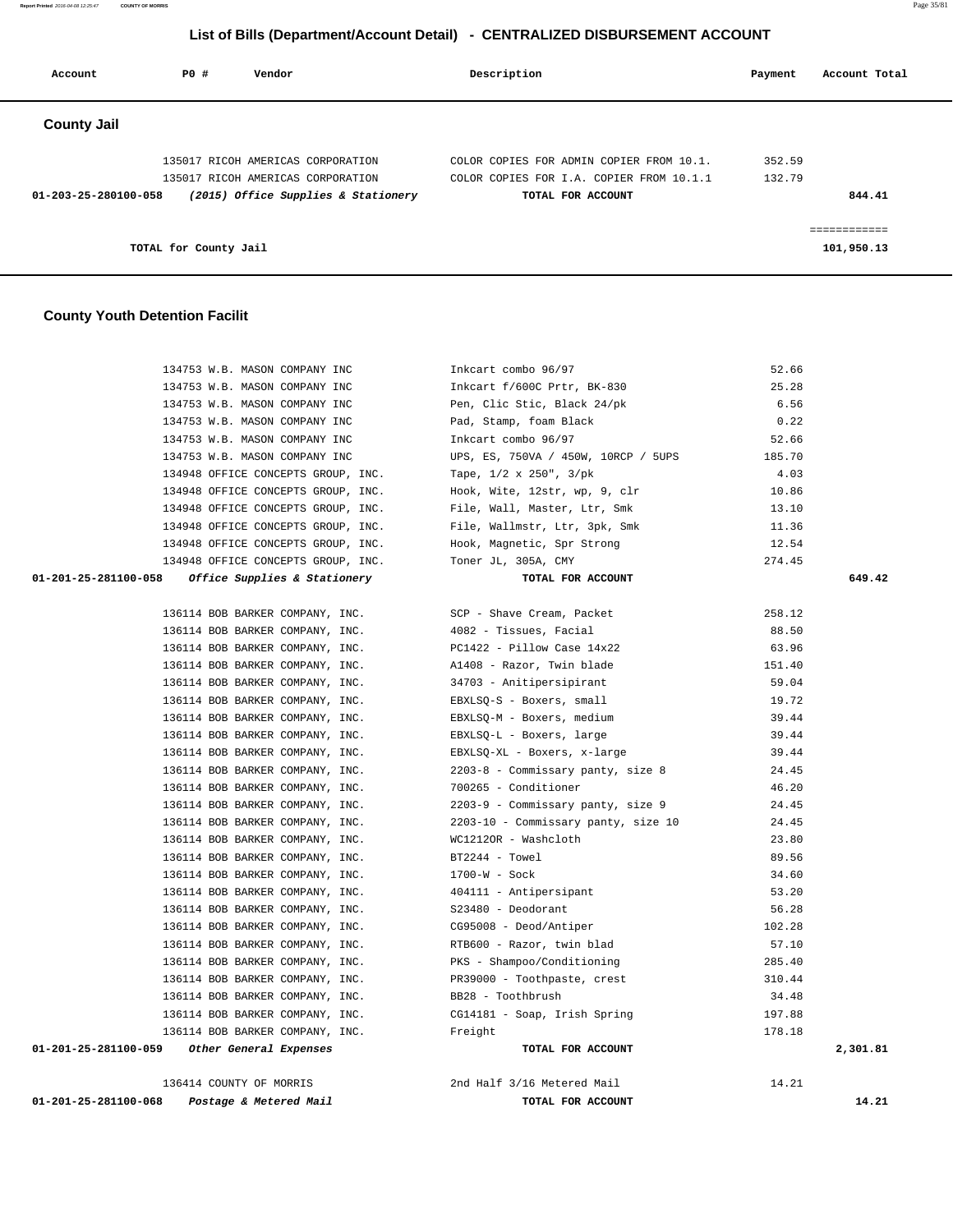**Report Printed** 2016-04-08 12:25:47 **COUNTY OF MORRIS** Page 35/81

# **List of Bills (Department/Account Detail) - CENTRALIZED DISBURSEMENT ACCOUNT**

| Account              | PO#                   | Vendor                                                                 | Description                                                                          | Payment          | Account Total              |
|----------------------|-----------------------|------------------------------------------------------------------------|--------------------------------------------------------------------------------------|------------------|----------------------------|
| <b>County Jail</b>   |                       |                                                                        |                                                                                      |                  |                            |
|                      |                       | 135017 RICOH AMERICAS CORPORATION<br>135017 RICOH AMERICAS CORPORATION | COLOR COPIES FOR ADMIN COPIER FROM 10.1.<br>COLOR COPIES FOR I.A. COPIER FROM 10.1.1 | 352.59<br>132.79 |                            |
| 01-203-25-280100-058 |                       | (2015) Office Supplies & Stationery                                    | TOTAL FOR ACCOUNT                                                                    |                  | 844.41                     |
|                      | TOTAL for County Jail |                                                                        |                                                                                      |                  | ------------<br>101,950.13 |

#### **County Youth Detention Facilit**

| 134753 W.B. MASON COMPANY INC                                    | Inkcart combo 96/97<br>Inkcart f/600C Prtr, BK-830                                                                                                                                                    | 52.66  |          |
|------------------------------------------------------------------|-------------------------------------------------------------------------------------------------------------------------------------------------------------------------------------------------------|--------|----------|
| 134753 W.B. MASON COMPANY INC                                    |                                                                                                                                                                                                       | 25.28  |          |
|                                                                  | 134753 W.B. MASON COMPANY INC Pen, Clic Stic, Black 24/pk                                                                                                                                             | 6.56   |          |
| 134753 W.B. MASON COMPANY INC <a>&gt;</a> Pad, Stamp, foam Black |                                                                                                                                                                                                       | 0.22   |          |
| 134753 W.B. MASON COMPANY INC                                    | Inkcart combo 96/97                                                                                                                                                                                   | 52.66  |          |
| 134753 W.B. MASON COMPANY INC                                    | UPS, ES, 750VA / 450W, 10RCP / 5UPS                                                                                                                                                                   | 185.70 |          |
| 134948 OFFICE CONCEPTS GROUP, INC.                               | Tape, 1/2 x 250", 3/pk                                                                                                                                                                                | 4.03   |          |
| 134948 OFFICE CONCEPTS GROUP, INC.                               | Hook, Wite, 12str, wp, 9, clr                                                                                                                                                                         | 10.86  |          |
| 134948 OFFICE CONCEPTS GROUP, INC.                               |                                                                                                                                                                                                       | 13.10  |          |
| 134948 OFFICE CONCEPTS GROUP, INC.                               | File, Wall, Master, Ltr, Smk<br>File, Wallmstr, Ltr, 3pk, Smk<br>Hook, Magnetic, Spr Strong                                                                                                           | 11.36  |          |
| 134948 OFFICE CONCEPTS GROUP, INC.                               |                                                                                                                                                                                                       | 12.54  |          |
| 134948 OFFICE CONCEPTS GROUP, INC. Toner JL, 305A, CMY           |                                                                                                                                                                                                       | 274.45 |          |
| 01-201-25-281100-058 Office Supplies & Stationery                | TOTAL FOR ACCOUNT                                                                                                                                                                                     |        | 649.42   |
|                                                                  | 136114 BOB BARKER COMPANY, INC. SCP - Shave Cream, Packet                                                                                                                                             | 258.12 |          |
|                                                                  | 136114 BOB BARKER COMPANY, INC. 4082 - Tissues, Facial                                                                                                                                                | 88.50  |          |
|                                                                  | 136114 BOB BARKER COMPANY, INC. PC1422 - Pillow Case 14x22                                                                                                                                            | 63.96  |          |
| 136114 BOB BARKER COMPANY, INC.                                  |                                                                                                                                                                                                       | 151.40 |          |
| 136114 BOB BARKER COMPANY, INC.                                  | A1408 - Razor, Twin blade<br>34703 - Anitipersipirant                                                                                                                                                 | 59.04  |          |
| 136114 BOB BARKER COMPANY, INC.                                  | EBXLSQ-S - Boxers, small                                                                                                                                                                              | 19.72  |          |
| 136114 BOB BARKER COMPANY, INC.                                  | EBXLSQ-M - Boxers, medium                                                                                                                                                                             | 39.44  |          |
|                                                                  | 136114 BOB BARKER COMPANY, INC. BBXLSQ-L - Boxers, large                                                                                                                                              | 39.44  |          |
| 136114 BOB BARKER COMPANY, INC.                                  | EBXLSQ-XL - Boxers, x-large                                                                                                                                                                           | 39.44  |          |
| 136114 BOB BARKER COMPANY, INC.                                  | 2203-8 - Commissary panty, size 8                                                                                                                                                                     | 24.45  |          |
| 136114 BOB BARKER COMPANY, INC. 700265 - Conditioner             |                                                                                                                                                                                                       | 46.20  |          |
|                                                                  | 136114 BOB BARKER COMPANY, INC. 2203-9 - Commissary panty, size 9                                                                                                                                     | 24.45  |          |
| 136114 BOB BARKER COMPANY, INC.                                  | 2203-10 - Commissary panty, size 10                                                                                                                                                                   | 24.45  |          |
| 136114 BOB BARKER COMPANY, INC.                                  | WC1212OR - Washcloth                                                                                                                                                                                  | 23.80  |          |
| 136114 BOB BARKER COMPANY, INC. BT2244 - Towel                   |                                                                                                                                                                                                       | 89.56  |          |
| 136114 BOB BARKER COMPANY, INC.                                  | $1700-W - Sock$                                                                                                                                                                                       | 34.60  |          |
|                                                                  |                                                                                                                                                                                                       | 53.20  |          |
|                                                                  | 136114 BOB BARKER COMPANY, INC.<br>136114 BOB BARKER COMPANY, INC.<br>136114 BOB BARKER COMPANY, INC.<br>136114 BOB BARKER COMPANY, INC.<br>136114 BOB BARKER COMPANY, INC.<br>CG95008 - Deod/Antiper | 56.28  |          |
|                                                                  |                                                                                                                                                                                                       | 102.28 |          |
|                                                                  |                                                                                                                                                                                                       | 57.10  |          |
|                                                                  | 136114 BOB BARKER COMPANY, INC.<br>136114 BOB BARKER COMPANY, INC.<br>2001 - 2001 - 2002 - 2003 - 2003 - 2003 - 2003 - 2003 - 2003 - 2003 - 2003 - 2003 - 2003 - 2003 - 2003 - 2003                   | 285.40 |          |
| 136114 BOB BARKER COMPANY, INC.                                  | PR39000 - Toothpaste, crest                                                                                                                                                                           | 310.44 |          |
| 136114 BOB BARKER COMPANY, INC.                                  | BB28 - Toothbrush                                                                                                                                                                                     | 34.48  |          |
|                                                                  | 136114 BOB BARKER COMPANY, INC. CG14181 - Soap, Irish Spring                                                                                                                                          | 197.88 |          |
| 136114 BOB BARKER COMPANY, INC. Freight                          |                                                                                                                                                                                                       | 178.18 |          |
| 01-201-25-281100-059 Other General Expenses                      | TOTAL FOR ACCOUNT                                                                                                                                                                                     |        | 2,301.81 |
| 136414 COUNTY OF MORRIS                                          | 2nd Half 3/16 Metered Mail                                                                                                                                                                            | 14.21  |          |

 **01-201-25-281100-068 Postage & Metered Mail TOTAL FOR ACCOUNT 14.21**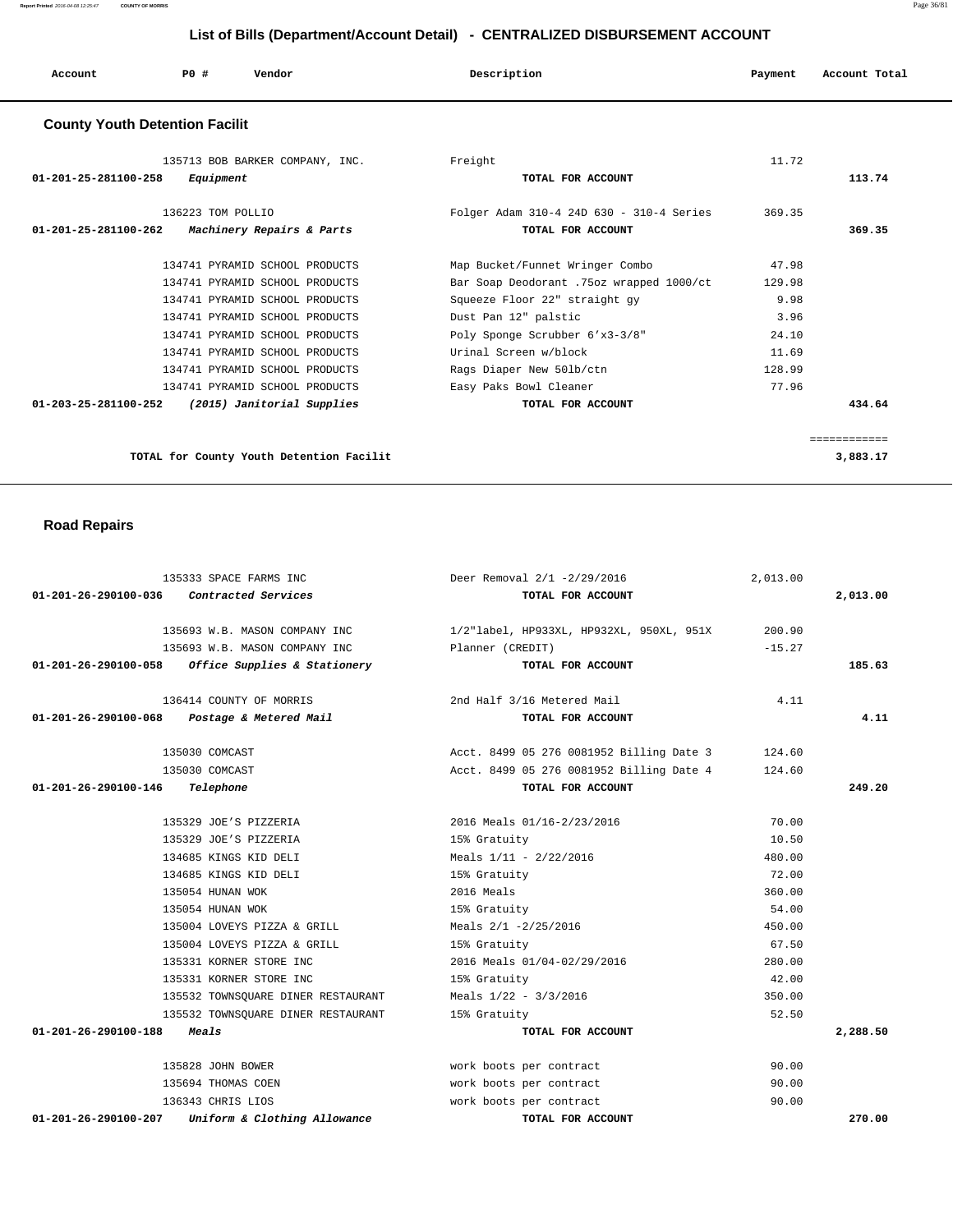| Account | P0 # | Vendor<br>. | Description | Payment | Account Total |
|---------|------|-------------|-------------|---------|---------------|
|         |      |             |             |         |               |

### **County Youth Detention Facilit**

| 135713 BOB BARKER COMPANY, INC.                              | Freight                                  | 11.72  |              |
|--------------------------------------------------------------|------------------------------------------|--------|--------------|
| 01-201-25-281100-258<br>Equipment                            | TOTAL FOR ACCOUNT                        |        | 113.74       |
|                                                              |                                          |        |              |
| 136223 TOM POLLIO                                            | Folger Adam 310-4 24D 630 - 310-4 Series | 369.35 |              |
| $01 - 201 - 25 - 281100 - 262$<br>Machinery Repairs & Parts  | TOTAL FOR ACCOUNT                        |        | 369.35       |
| 134741 PYRAMID SCHOOL PRODUCTS                               | Map Bucket/Funnet Wringer Combo          | 47.98  |              |
| 134741 PYRAMID SCHOOL PRODUCTS                               | Bar Soap Deodorant .75oz wrapped 1000/ct | 129.98 |              |
| 134741 PYRAMID SCHOOL PRODUCTS                               | Squeeze Floor 22" straight gy            | 9.98   |              |
| 134741 PYRAMID SCHOOL PRODUCTS                               | Dust Pan 12" palstic                     | 3.96   |              |
| 134741 PYRAMID SCHOOL PRODUCTS                               | Poly Sponge Scrubber 6'x3-3/8"           | 24.10  |              |
| 134741 PYRAMID SCHOOL PRODUCTS                               | Urinal Screen w/block                    | 11.69  |              |
| 134741 PYRAMID SCHOOL PRODUCTS                               | Rags Diaper New 501b/ctn                 | 128.99 |              |
| 134741 PYRAMID SCHOOL PRODUCTS                               | Easy Paks Bowl Cleaner                   | 77.96  |              |
| (2015) Janitorial Supplies<br>$01 - 203 - 25 - 281100 - 252$ | TOTAL FOR ACCOUNT                        |        | 434.64       |
|                                                              |                                          |        | ------------ |
| TOTAL for County Youth Detention Facilit                     |                                          |        | 3,883.17     |
|                                                              |                                          |        |              |

# **Road Repairs**

| 135333 SPACE FARMS INC                            |                                    | Deer Removal 2/1 -2/29/2016              | 2,013.00 |          |
|---------------------------------------------------|------------------------------------|------------------------------------------|----------|----------|
| 01-201-26-290100-036<br>Contracted Services       |                                    | TOTAL FOR ACCOUNT                        |          | 2,013.00 |
| 135693 W.B. MASON COMPANY INC                     |                                    | 1/2"label, HP933XL, HP932XL, 950XL, 951X | 200.90   |          |
| 135693 W.B. MASON COMPANY INC                     |                                    | Planner (CREDIT)                         | $-15.27$ |          |
| 01-201-26-290100-058 Office Supplies & Stationery |                                    | TOTAL FOR ACCOUNT                        |          | 185.63   |
| 136414 COUNTY OF MORRIS                           |                                    | 2nd Half 3/16 Metered Mail               | 4.11     |          |
| 01-201-26-290100-068 Postage & Metered Mail       |                                    | TOTAL FOR ACCOUNT                        |          | 4.11     |
| 135030 COMCAST                                    |                                    | Acct. 8499 05 276 0081952 Billing Date 3 | 124.60   |          |
| 135030 COMCAST                                    |                                    | Acct. 8499 05 276 0081952 Billing Date 4 | 124.60   |          |
| $01-201-26-290100-146$ Telephone                  |                                    | TOTAL FOR ACCOUNT                        |          | 249.20   |
| 135329 JOE'S PIZZERIA                             |                                    | 2016 Meals 01/16-2/23/2016               | 70.00    |          |
| 135329 JOE'S PIZZERIA                             |                                    | 15% Gratuity                             | 10.50    |          |
| 134685 KINGS KID DELI                             |                                    | Meals 1/11 - 2/22/2016                   | 480.00   |          |
| 134685 KINGS KID DELI                             |                                    | 15% Gratuity                             | 72.00    |          |
| 135054 HUNAN WOK                                  |                                    | 2016 Meals                               | 360.00   |          |
| 135054 HUNAN WOK                                  |                                    | 15% Gratuity                             | 54.00    |          |
| 135004 LOVEYS PIZZA & GRILL                       |                                    | Meals 2/1 -2/25/2016                     | 450.00   |          |
| 135004 LOVEYS PIZZA & GRILL                       |                                    | 15% Gratuity                             | 67.50    |          |
| 135331 KORNER STORE INC                           |                                    | 2016 Meals 01/04-02/29/2016              | 280.00   |          |
| 135331 KORNER STORE INC                           |                                    | 15% Gratuity                             | 42.00    |          |
|                                                   | 135532 TOWNSOUARE DINER RESTAURANT | Meals $1/22 - 3/3/2016$                  | 350.00   |          |
|                                                   | 135532 TOWNSQUARE DINER RESTAURANT | 15% Gratuity                             | 52.50    |          |
| 01-201-26-290100-188<br>Meals                     |                                    | TOTAL FOR ACCOUNT                        |          | 2,288.50 |
| 135828 JOHN BOWER                                 |                                    | work boots per contract                  | 90.00    |          |
| 135694 THOMAS COEN                                |                                    | work boots per contract                  | 90.00    |          |
| 136343 CHRIS LIOS                                 |                                    | work boots per contract                  | 90.00    |          |
| 01-201-26-290100-207                              | Uniform & Clothing Allowance       | TOTAL FOR ACCOUNT                        |          | 270.00   |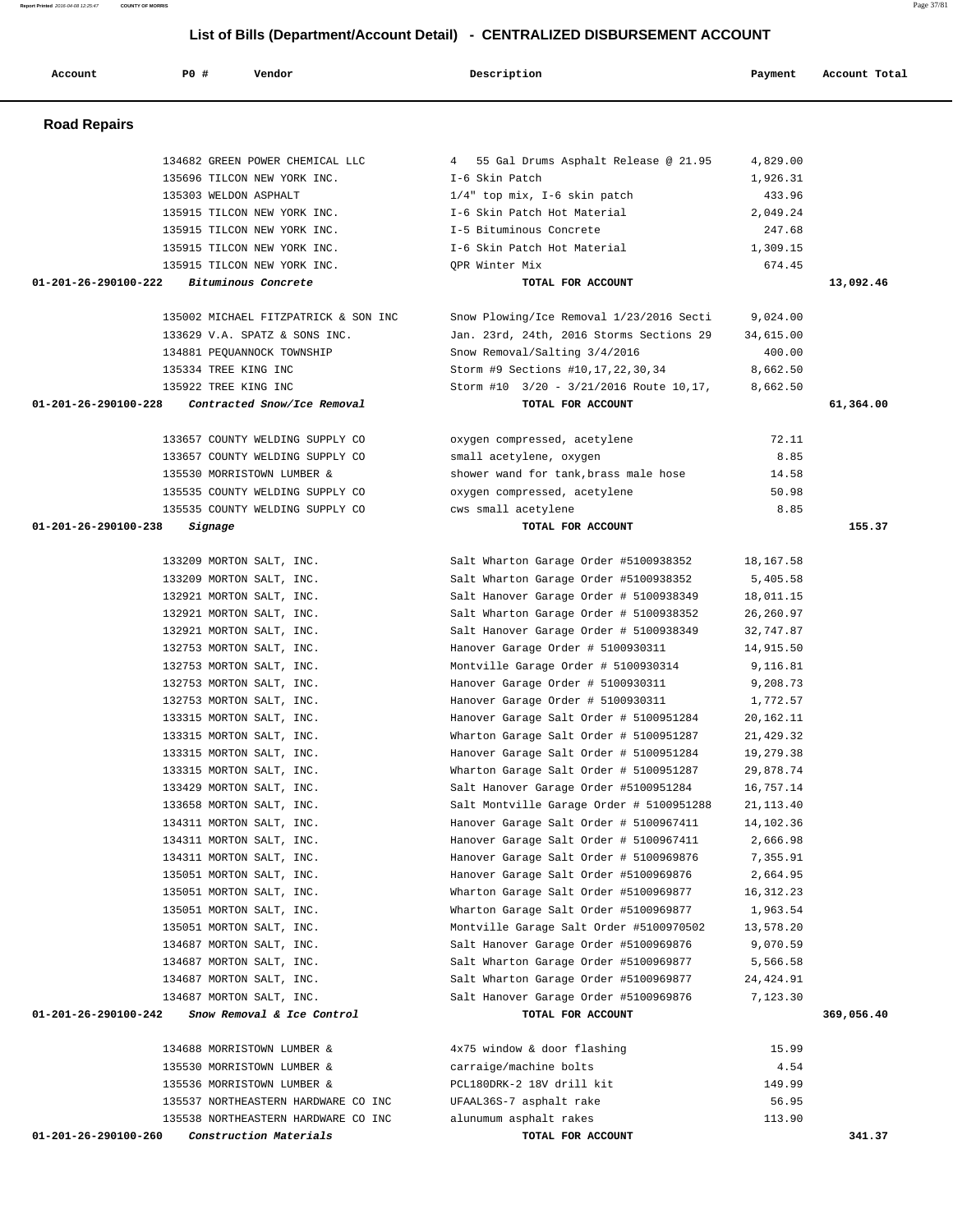**Report Printed** 2016-04-08 12:25:47 **COUNTY OF MORRIS** Page 37/81

 **List of Bills (Department/Account Detail) - CENTRALIZED DISBURSEMENT ACCOUNT**

| Account              | PO#                   | Vendor                                               | Description                                                                      | Payment                | Account Total |
|----------------------|-----------------------|------------------------------------------------------|----------------------------------------------------------------------------------|------------------------|---------------|
| <b>Road Repairs</b>  |                       |                                                      |                                                                                  |                        |               |
|                      |                       | 134682 GREEN POWER CHEMICAL LLC                      | 4 55 Gal Drums Asphalt Release @ 21.95                                           | 4,829.00               |               |
|                      |                       | 135696 TILCON NEW YORK INC.                          | I-6 Skin Patch                                                                   | 1,926.31               |               |
|                      | 135303 WELDON ASPHALT |                                                      | $1/4$ " top mix, I-6 skin patch                                                  | 433.96                 |               |
|                      |                       | 135915 TILCON NEW YORK INC.                          | I-6 Skin Patch Hot Material                                                      | 2,049.24               |               |
|                      |                       | 135915 TILCON NEW YORK INC.                          | I-5 Bituminous Concrete                                                          | 247.68                 |               |
|                      |                       | 135915 TILCON NEW YORK INC.                          | I-6 Skin Patch Hot Material                                                      | 1,309.15               |               |
|                      |                       | 135915 TILCON NEW YORK INC.                          | OPR Winter Mix                                                                   | 674.45                 |               |
| 01-201-26-290100-222 |                       | Bituminous Concrete                                  | TOTAL FOR ACCOUNT                                                                |                        | 13,092.46     |
|                      |                       | 135002 MICHAEL FITZPATRICK & SON INC                 | Snow Plowing/Ice Removal 1/23/2016 Secti                                         | 9,024.00               |               |
|                      |                       | 133629 V.A. SPATZ & SONS INC.                        | Jan. 23rd, 24th, 2016 Storms Sections 29                                         | 34,615.00              |               |
|                      |                       | 134881 PEOUANNOCK TOWNSHIP                           | Snow Removal/Salting 3/4/2016                                                    | 400.00                 |               |
|                      | 135334 TREE KING INC  |                                                      | Storm #9 Sections #10,17,22,30,34                                                | 8,662.50               |               |
|                      | 135922 TREE KING INC  |                                                      | Storm #10 3/20 - 3/21/2016 Route 10,17,                                          | 8,662.50               |               |
| 01-201-26-290100-228 |                       | Contracted Snow/Ice Removal                          | TOTAL FOR ACCOUNT                                                                |                        | 61,364.00     |
|                      |                       | 133657 COUNTY WELDING SUPPLY CO                      | oxygen compressed, acetylene                                                     | 72.11                  |               |
|                      |                       | 133657 COUNTY WELDING SUPPLY CO                      | small acetylene, oxygen                                                          | 8.85                   |               |
|                      |                       | 135530 MORRISTOWN LUMBER &                           | shower wand for tank, brass male hose                                            | 14.58                  |               |
|                      |                       | 135535 COUNTY WELDING SUPPLY CO                      | oxygen compressed, acetylene                                                     | 50.98                  |               |
|                      |                       | 135535 COUNTY WELDING SUPPLY CO                      | cws small acetylene                                                              | 8.85                   |               |
| 01-201-26-290100-238 | Signage               |                                                      | TOTAL FOR ACCOUNT                                                                |                        | 155.37        |
|                      |                       | 133209 MORTON SALT, INC.                             | Salt Wharton Garage Order #5100938352                                            | 18,167.58              |               |
|                      |                       | 133209 MORTON SALT, INC.                             | Salt Wharton Garage Order #5100938352                                            | 5,405.58               |               |
|                      |                       | 132921 MORTON SALT, INC.                             | Salt Hanover Garage Order # 5100938349                                           | 18,011.15              |               |
|                      |                       | 132921 MORTON SALT, INC.                             | Salt Wharton Garage Order # 5100938352                                           | 26, 260.97             |               |
|                      |                       | 132921 MORTON SALT, INC.                             | Salt Hanover Garage Order # 5100938349                                           | 32,747.87              |               |
|                      |                       | 132753 MORTON SALT, INC.                             | Hanover Garage Order # 5100930311                                                | 14,915.50              |               |
|                      |                       | 132753 MORTON SALT, INC.                             | Montville Garage Order # 5100930314                                              | 9,116.81               |               |
|                      |                       | 132753 MORTON SALT, INC.                             | Hanover Garage Order # 5100930311                                                | 9,208.73               |               |
|                      |                       | 132753 MORTON SALT, INC.                             | Hanover Garage Order # 5100930311                                                | 1,772.57               |               |
|                      |                       | 133315 MORTON SALT, INC.                             | Hanover Garage Salt Order # 5100951284                                           | 20,162.11              |               |
|                      |                       | 133315 MORTON SALT, INC.                             | Wharton Garage Salt Order # 5100951287                                           | 21,429.32              |               |
|                      |                       | 133315 MORTON SALT, INC.<br>133315 MORTON SALT, INC. | Hanover Garage Salt Order # 5100951284<br>Wharton Garage Salt Order # 5100951287 | 19,279.38<br>29,878.74 |               |
|                      |                       | 133429 MORTON SALT, INC.                             | Salt Hanover Garage Order #5100951284                                            | 16,757.14              |               |
|                      |                       | 133658 MORTON SALT, INC.                             | Salt Montville Garage Order # 5100951288                                         | 21, 113.40             |               |
|                      |                       | 134311 MORTON SALT, INC.                             | Hanover Garage Salt Order # 5100967411                                           | 14,102.36              |               |
|                      |                       | 134311 MORTON SALT, INC.                             | Hanover Garage Salt Order # 5100967411                                           | 2,666.98               |               |
|                      |                       | 134311 MORTON SALT, INC.                             | Hanover Garage Salt Order # 5100969876                                           | 7,355.91               |               |
|                      |                       | 135051 MORTON SALT, INC.                             | Hanover Garage Salt Order #5100969876                                            | 2,664.95               |               |
|                      |                       | 135051 MORTON SALT, INC.                             | Wharton Garage Salt Order #5100969877                                            | 16, 312.23             |               |
|                      |                       | 135051 MORTON SALT, INC.                             | Wharton Garage Salt Order #5100969877                                            | 1,963.54               |               |
|                      |                       | 135051 MORTON SALT, INC.                             | Montville Garage Salt Order #5100970502                                          | 13,578.20              |               |
|                      |                       | 134687 MORTON SALT, INC.                             | Salt Hanover Garage Order #5100969876                                            | 9,070.59               |               |
|                      |                       | 134687 MORTON SALT, INC.                             | Salt Wharton Garage Order #5100969877                                            | 5,566.58               |               |
|                      |                       | 134687 MORTON SALT, INC.                             | Salt Wharton Garage Order #5100969877                                            | 24,424.91              |               |
|                      |                       | 134687 MORTON SALT, INC.                             | Salt Hanover Garage Order #5100969876                                            | 7,123.30               |               |
| 01-201-26-290100-242 |                       | Snow Removal & Ice Control                           | TOTAL FOR ACCOUNT                                                                |                        | 369,056.40    |
|                      |                       | 134688 MORRISTOWN LUMBER &                           | 4x75 window & door flashing                                                      | 15.99                  |               |
|                      |                       | 135530 MORRISTOWN LUMBER &                           | carraige/machine bolts                                                           | 4.54                   |               |
|                      |                       | 135536 MORRISTOWN LUMBER &                           | PCL180DRK-2 18V drill kit                                                        | 149.99                 |               |
|                      |                       | 135537 NORTHEASTERN HARDWARE CO INC                  | UFAAL36S-7 asphalt rake                                                          | 56.95                  |               |
|                      |                       | 135538 NORTHEASTERN HARDWARE CO INC                  | alunumum asphalt rakes                                                           | 113.90                 |               |
| 01-201-26-290100-260 |                       | Construction Materials                               | TOTAL FOR ACCOUNT                                                                |                        | 341.37        |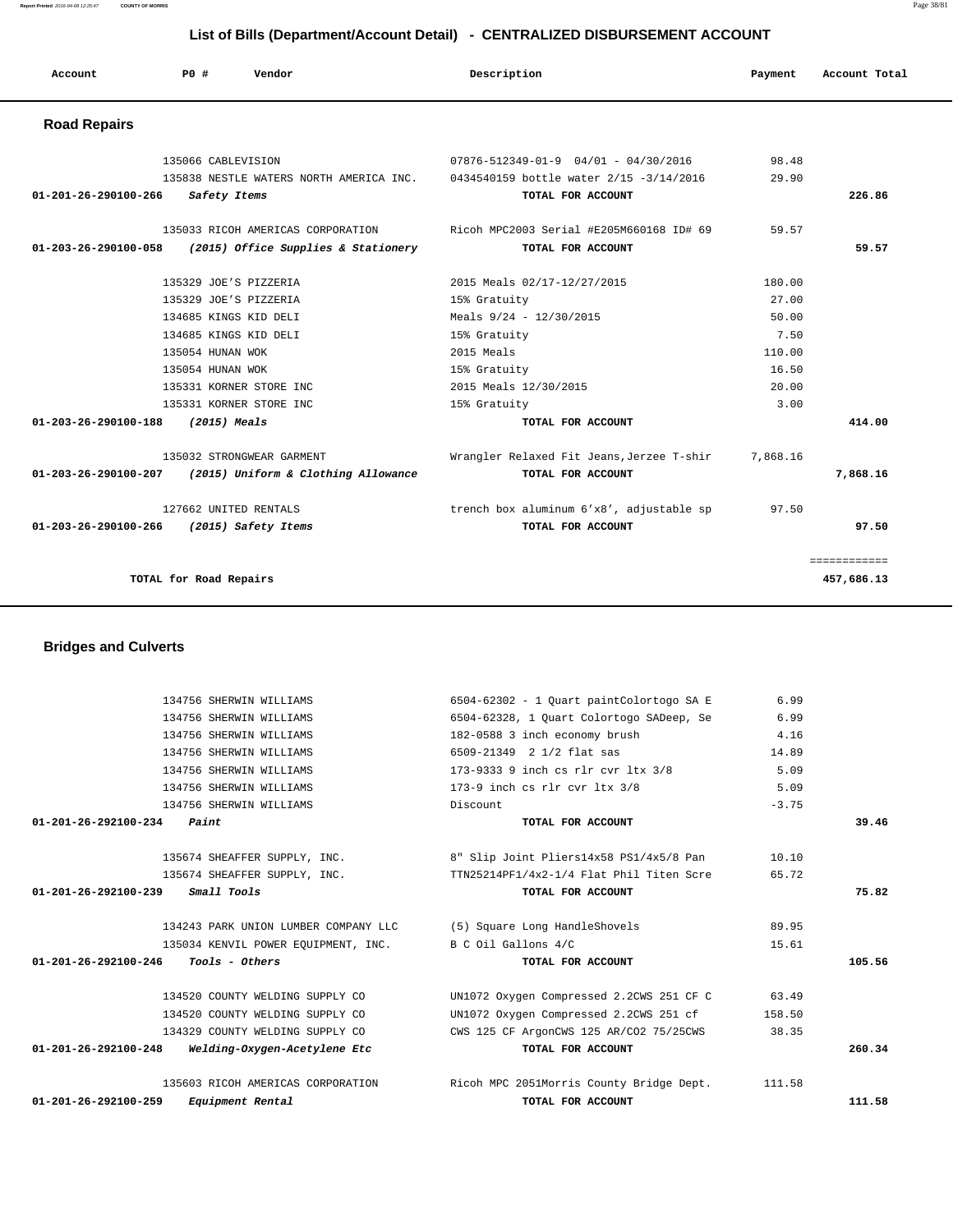134756 SHERWIN WILLIAMS 182-0588 3 inch economy brush 4.16 134756 SHERWIN WILLIAMS 6509-21349 2 1/2 flat sas 14.89 134756 SHERWIN WILLIAMS 173-9333 9 inch cs rlr cvr ltx 3/8 5.09 134756 SHERWIN WILLIAMS 173-9 inch cs rlr cvr ltx 3/8 5.09 134756 SHERWIN WILLIAMS Discount -3.75  **01-201-26-292100-234 Paint TOTAL FOR ACCOUNT 39.46** 135674 SHEAFFER SUPPLY, INC. 8" Slip Joint Pliers14x58 PS1/4x5/8 Pan 10.10 135674 SHEAFFER SUPPLY, INC. TTN25214PF1/4x2-1/4 Flat Phil Titen Scre 65.72  **01-201-26-292100-239 Small Tools TOTAL FOR ACCOUNT 75.82** 134243 PARK UNION LUMBER COMPANY LLC (5) Square Long HandleShovels 89.95 135034 KENVIL POWER EQUIPMENT, INC. B C Oil Gallons  $4/C$  15.61  **01-201-26-292100-246 Tools - Others TOTAL FOR ACCOUNT 105.56** 134520 COUNTY WELDING SUPPLY CO UN1072 Oxygen Compressed 2.2CWS 251 CF C 63.49 134520 COUNTY WELDING SUPPLY CO UN1072 Oxygen Compressed 2.2CWS 251 cf 158.50 134329 COUNTY WELDING SUPPLY CO CWS 125 CF ArgonCWS 125 AR/CO2 75/25CWS 38.35  **01-201-26-292100-248 Welding-Oxygen-Acetylene Etc TOTAL FOR ACCOUNT 260.34** 135603 RICOH AMERICAS CORPORATION Ricoh MPC 2051Morris County Bridge Dept. 111.58  **01-201-26-292100-259 Equipment Rental TOTAL FOR ACCOUNT 111.58**

 134756 SHERWIN WILLIAMS 6504-62302 - 1 Quart paintColortogo SA E 6.99 134756 SHERWIN WILLIAMS 6504-62328, 1 Quart Colortogo SADeep, Se 6.99

#### **Bridges and Culverts**

| <b>Road Repairs</b>                                         |                                                                                 |          |              |
|-------------------------------------------------------------|---------------------------------------------------------------------------------|----------|--------------|
| 135066 CABLEVISION                                          | $07876 - 512349 - 01 - 9$ 04/01 - 04/30/2016                                    | 98.48    |              |
|                                                             | 135838 NESTLE WATERS NORTH AMERICA INC. 0434540159 bottle water 2/15 -3/14/2016 | 29.90    |              |
| 01-201-26-290100-266<br>Safety Items                        | TOTAL FOR ACCOUNT                                                               |          | 226.86       |
|                                                             | 135033 RICOH AMERICAS CORPORATION Ricoh MPC2003 Serial #E205M660168 ID# 69      | 59.57    |              |
| (2015) Office Supplies & Stationery<br>01-203-26-290100-058 | TOTAL FOR ACCOUNT                                                               |          | 59.57        |
| 135329 JOE'S PIZZERIA                                       | 2015 Meals 02/17-12/27/2015                                                     | 180.00   |              |
| 135329 JOE'S PIZZERIA                                       | 15% Gratuity                                                                    | 27.00    |              |
| 134685 KINGS KID DELI                                       | Meals $9/24 - 12/30/2015$                                                       | 50.00    |              |
| 134685 KINGS KID DELI                                       | 15% Gratuity                                                                    | 7.50     |              |
| 135054 HUNAN WOK                                            | $2015$ Meals                                                                    | 110.00   |              |
| 135054 HUNAN WOK                                            | 15% Gratuity                                                                    | 16.50    |              |
| 135331 KORNER STORE INC                                     | 2015 Meals 12/30/2015                                                           | 20.00    |              |
| 135331 KORNER STORE INC                                     | 15% Gratuity                                                                    | 3.00     |              |
| 01-203-26-290100-188 (2015) Meals                           | TOTAL FOR ACCOUNT                                                               |          | 414.00       |
| 135032 STRONGWEAR GARMENT                                   | Wrangler Relaxed Fit Jeans, Jerzee T-shir                                       | 7,868.16 |              |
| 01-203-26-290100-207 (2015) Uniform & Clothing Allowance    | TOTAL FOR ACCOUNT                                                               |          | 7,868.16     |
| 127662 UNITED RENTALS                                       | trench box aluminum 6'x8', adjustable sp                                        | 97.50    |              |
| 01-203-26-290100-266 (2015) Safety Items                    | TOTAL FOR ACCOUNT                                                               |          | 97.50        |
|                                                             |                                                                                 |          | ============ |
| TOTAL for Road Repairs                                      |                                                                                 |          | 457,686.13   |

## **List of Bills (Department/Account Detail) - CENTRALIZED DISBURSEMENT ACCOUNT**

 **Account P0 # Vendor Description Payment Account Total**

**Report Printed** 2016-04-08 12:25:47 **COUNTY OF MORRIS** Page 38/81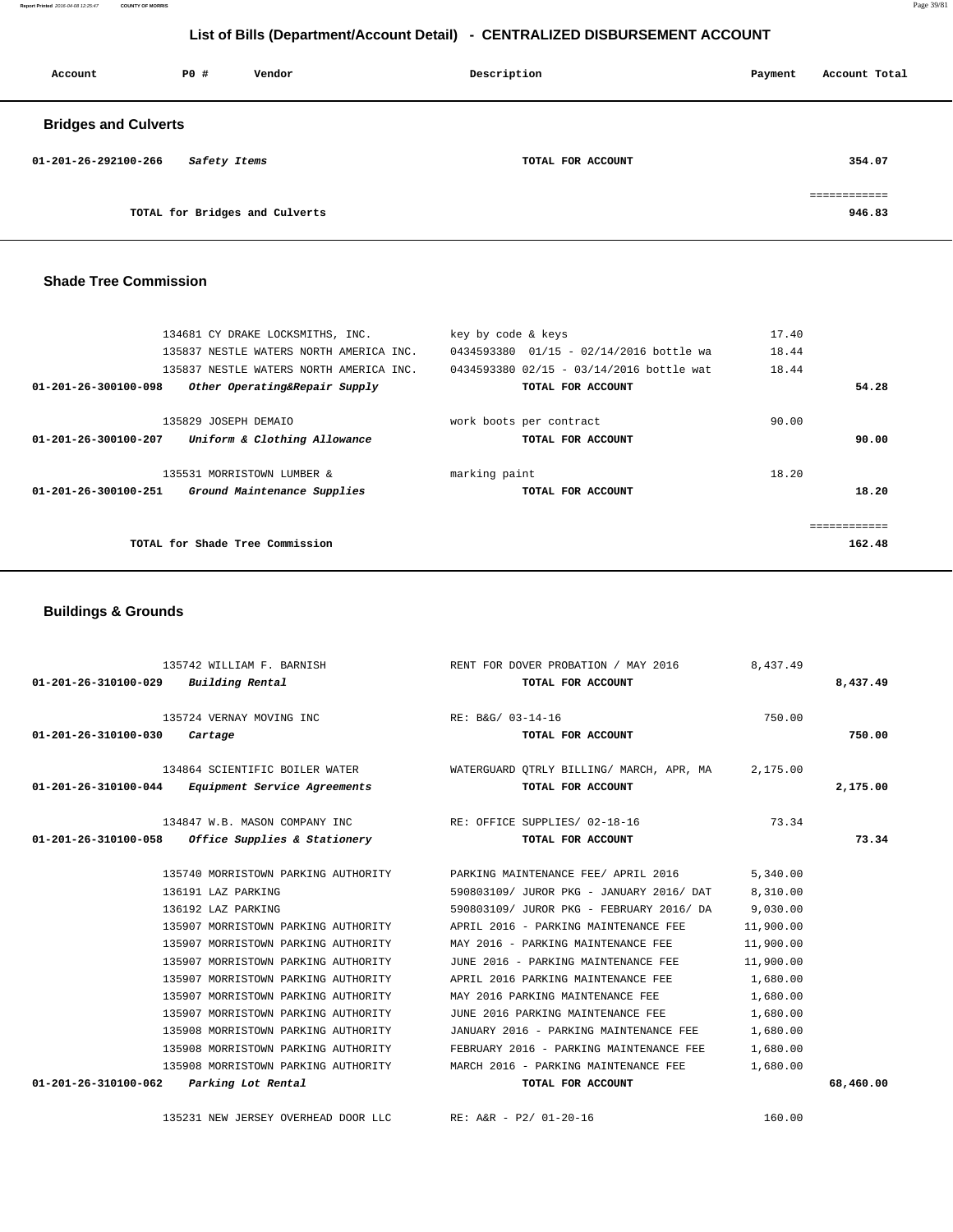**Report Printed** 2016-04-08 12:25:47 **COUNTY OF MORRIS** Page 39/81

# **List of Bills (Department/Account Detail) - CENTRALIZED DISBURSEMENT ACCOUNT**

| Account                     | PO#          | Vendor                         | Description       | Payment | Account Total          |
|-----------------------------|--------------|--------------------------------|-------------------|---------|------------------------|
| <b>Bridges and Culverts</b> |              |                                |                   |         |                        |
| 01-201-26-292100-266        | Safety Items |                                | TOTAL FOR ACCOUNT |         | 354.07                 |
|                             |              | TOTAL for Bridges and Culverts |                   |         | ============<br>946.83 |

#### **Shade Tree Commission**

| 134681 CY DRAKE LOCKSMITHS, INC.                              | key by code & keys                       | 17.40  |
|---------------------------------------------------------------|------------------------------------------|--------|
| 135837 NESTLE WATERS NORTH AMERICA INC.                       | 0434593380 01/15 - 02/14/2016 bottle wa  | 18.44  |
| 135837 NESTLE WATERS NORTH AMERICA INC.                       | 0434593380 02/15 - 03/14/2016 bottle wat | 18.44  |
| 01-201-26-300100-098<br>Other Operating&Repair Supply         | TOTAL FOR ACCOUNT                        | 54.28  |
| 135829 JOSEPH DEMAIO                                          | work boots per contract                  | 90.00  |
| 01-201-26-300100-207<br>Uniform & Clothing Allowance          | TOTAL FOR ACCOUNT                        | 90.00  |
| 135531 MORRISTOWN LUMBER &                                    | marking paint                            | 18.20  |
| $01 - 201 - 26 - 300100 - 251$<br>Ground Maintenance Supplies | TOTAL FOR ACCOUNT                        | 18.20  |
|                                                               |                                          |        |
| TOTAL for Shade Tree Commission                               |                                          | 162.48 |
|                                                               |                                          |        |

## **Buildings & Grounds**

| $01 - 201 - 26 - 310100 - 029$ Building Rental |                                                                                                                                                                                                                                                                                                                                                                                                                                              | 135742 WILLIAM F. BARNISH RENT FOR DOVER PROBATION / MAY 2016 8,437.49<br>TOTAL FOR ACCOUNT                                                                                                                                                                                                                                                                                                                                                                                                                                             |                                                                                                             | 8,437.49  |
|------------------------------------------------|----------------------------------------------------------------------------------------------------------------------------------------------------------------------------------------------------------------------------------------------------------------------------------------------------------------------------------------------------------------------------------------------------------------------------------------------|-----------------------------------------------------------------------------------------------------------------------------------------------------------------------------------------------------------------------------------------------------------------------------------------------------------------------------------------------------------------------------------------------------------------------------------------------------------------------------------------------------------------------------------------|-------------------------------------------------------------------------------------------------------------|-----------|
| $01 - 201 - 26 - 310100 - 030$ Cartage         | 135724 VERNAY MOVING INC                                                                                                                                                                                                                                                                                                                                                                                                                     | RE: B&G/ 03-14-16<br>TOTAL FOR ACCOUNT                                                                                                                                                                                                                                                                                                                                                                                                                                                                                                  | 750.00                                                                                                      | 750.00    |
|                                                | 01-201-26-310100-044 Equipment Service Agreements                                                                                                                                                                                                                                                                                                                                                                                            | 134864 SCIENTIFIC BOILER WATER WATER WATERGUARD QTRLY BILLING/ MARCH, APR, MA 2,175.00<br>TOTAL FOR ACCOUNT                                                                                                                                                                                                                                                                                                                                                                                                                             |                                                                                                             | 2,175.00  |
|                                                | $01-201-26-310100-058$ Office Supplies & Stationery                                                                                                                                                                                                                                                                                                                                                                                          | 134847 W.B. MASON COMPANY INC RE: OFFICE SUPPLIES/ 02-18-16<br>TOTAL FOR ACCOUNT                                                                                                                                                                                                                                                                                                                                                                                                                                                        | 73.34                                                                                                       | 73.34     |
| 01-201-26-310100-062 Parking Lot Rental        | 136191 LAZ PARKING<br>136192 LAZ PARKING<br>135907 MORRISTOWN PARKING AUTHORITY<br>135907 MORRISTOWN PARKING AUTHORITY<br>135907 MORRISTOWN PARKING AUTHORITY<br>135907 MORRISTOWN PARKING AUTHORITY<br>135907 MORRISTOWN PARKING AUTHORITY<br>135907 MORRISTOWN PARKING AUTHORITY<br>135908 MORRISTOWN PARKING AUTHORITY<br>135908 MORRISTOWN PARKING AUTHORITY<br>135908 MORRISTOWN PARKING AUTHORITY MARCH 2016 - PARKING MAINTENANCE FEE | 135740 MORRISTOWN PARKING AUTHORITY PARKING MAINTENANCE FEE APRIL 2016 5,340.00<br>590803109/ JUROR PKG - JANUARY 2016/ DAT 8,310.00<br>590803109/ JUROR PKG - FEBRUARY 2016/ DA 9,030.00<br>APRIL 2016 - PARKING MAINTENANCE FEE<br>MAY 2016 - PARKING MAINTENANCE FEE<br>JUNE 2016 - PARKING MAINTENANCE FEE<br>APRIL 2016 PARKING MAINTENANCE FEE<br>MAY 2016 PARKING MAINTENANCE FEE<br>JUNE 2016 PARKING MAINTENANCE FEE<br>JANUARY 2016 - PARKING MAINTENANCE FEE<br>FEBRUARY 2016 - PARKING MAINTENANCE FEE<br>TOTAL FOR ACCOUNT | 11,900.00<br>11,900.00<br>11,900.00<br>1,680.00<br>1,680.00<br>1,680.00<br>1,680.00<br>1,680.00<br>1,680.00 | 68,460.00 |
|                                                | 135231 NEW JERSEY OVERHEAD DOOR LLC                                                                                                                                                                                                                                                                                                                                                                                                          | RE: A&R - P2/ 01-20-16                                                                                                                                                                                                                                                                                                                                                                                                                                                                                                                  | 160.00                                                                                                      |           |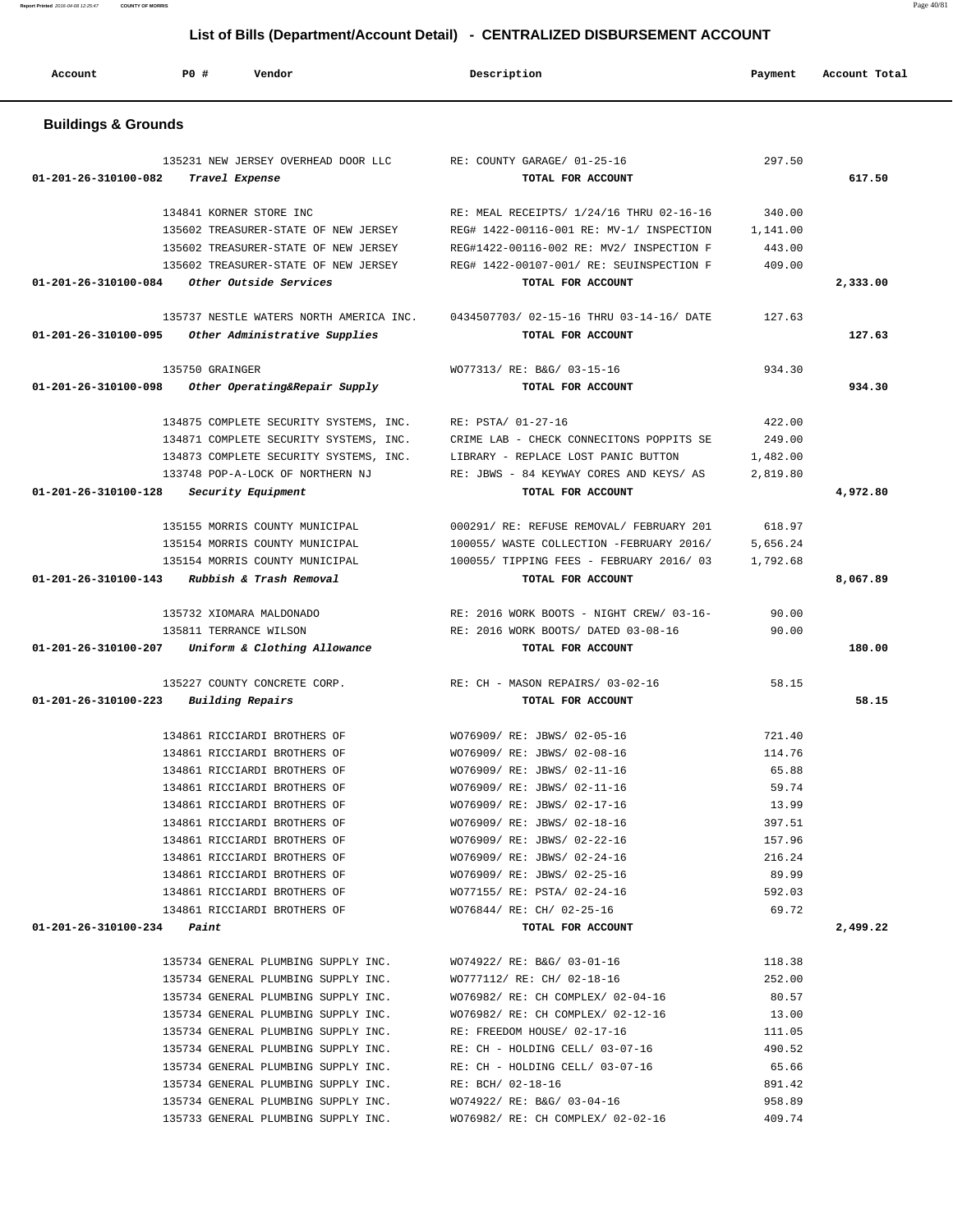| Account                              | PO#<br>Vendor                                                              | Description                                                                     | Payment            | Account Total |
|--------------------------------------|----------------------------------------------------------------------------|---------------------------------------------------------------------------------|--------------------|---------------|
| <b>Buildings &amp; Grounds</b>       |                                                                            |                                                                                 |                    |               |
|                                      | 135231 NEW JERSEY OVERHEAD DOOR LLC                                        | RE: COUNTY GARAGE/ 01-25-16                                                     | 297.50             |               |
| 01-201-26-310100-082                 | Travel Expense                                                             | TOTAL FOR ACCOUNT                                                               |                    | 617.50        |
|                                      |                                                                            |                                                                                 |                    |               |
|                                      | 134841 KORNER STORE INC                                                    | RE: MEAL RECEIPTS/ 1/24/16 THRU 02-16-16                                        | 340.00             |               |
|                                      | 135602 TREASURER-STATE OF NEW JERSEY                                       | REG# 1422-00116-001 RE: MV-1/ INSPECTION                                        | 1,141.00           |               |
|                                      | 135602 TREASURER-STATE OF NEW JERSEY                                       | REG#1422-00116-002 RE: MV2/ INSPECTION F                                        | 443.00             |               |
|                                      | 135602 TREASURER-STATE OF NEW JERSEY                                       | REG# 1422-00107-001/ RE: SEUINSPECTION F                                        | 409.00             |               |
| 01-201-26-310100-084                 | Other Outside Services                                                     | TOTAL FOR ACCOUNT                                                               |                    | 2,333.00      |
|                                      | 135737 NESTLE WATERS NORTH AMERICA INC.                                    | 0434507703/02-15-16 THRU 03-14-16/DATE                                          | 127.63             |               |
| 01-201-26-310100-095                 | Other Administrative Supplies                                              | TOTAL FOR ACCOUNT                                                               |                    | 127.63        |
|                                      |                                                                            |                                                                                 |                    |               |
|                                      | 135750 GRAINGER                                                            | WO77313/ RE: B&G/ 03-15-16                                                      | 934.30             |               |
| 01-201-26-310100-098                 | Other Operating&Repair Supply                                              | TOTAL FOR ACCOUNT                                                               |                    | 934.30        |
|                                      |                                                                            |                                                                                 |                    |               |
|                                      | 134875 COMPLETE SECURITY SYSTEMS, INC.                                     | RE: PSTA/ 01-27-16                                                              | 422.00             |               |
|                                      | 134871 COMPLETE SECURITY SYSTEMS, INC.                                     | CRIME LAB - CHECK CONNECITONS POPPITS SE<br>LIBRARY - REPLACE LOST PANIC BUTTON | 249.00<br>1,482.00 |               |
|                                      | 134873 COMPLETE SECURITY SYSTEMS, INC.<br>133748 POP-A-LOCK OF NORTHERN NJ | RE: JBWS - 84 KEYWAY CORES AND KEYS/ AS                                         | 2,819.80           |               |
| 01-201-26-310100-128                 | Security Equipment                                                         | TOTAL FOR ACCOUNT                                                               |                    | 4,972.80      |
|                                      |                                                                            |                                                                                 |                    |               |
|                                      | 135155 MORRIS COUNTY MUNICIPAL                                             | 000291/ RE: REFUSE REMOVAL/ FEBRUARY 201                                        | 618.97             |               |
|                                      | 135154 MORRIS COUNTY MUNICIPAL                                             | 100055/ WASTE COLLECTION -FEBRUARY 2016/                                        | 5,656.24           |               |
|                                      | 135154 MORRIS COUNTY MUNICIPAL                                             | 100055/ TIPPING FEES - FEBRUARY 2016/ 03                                        | 1,792.68           |               |
| 01-201-26-310100-143                 | Rubbish & Trash Removal                                                    | TOTAL FOR ACCOUNT                                                               |                    | 8,067.89      |
|                                      |                                                                            |                                                                                 |                    |               |
|                                      | 135732 XIOMARA MALDONADO                                                   | RE: 2016 WORK BOOTS - NIGHT CREW/ 03-16-                                        | 90.00              |               |
| 01-201-26-310100-207                 | 135811 TERRANCE WILSON<br>Uniform & Clothing Allowance                     | RE: 2016 WORK BOOTS/ DATED 03-08-16<br>TOTAL FOR ACCOUNT                        | 90.00              | 180.00        |
|                                      |                                                                            |                                                                                 |                    |               |
|                                      | 135227 COUNTY CONCRETE CORP.                                               | RE: CH - MASON REPAIRS/ 03-02-16                                                | 58.15              |               |
| 01-201-26-310100-223                 | Building Repairs                                                           | TOTAL FOR ACCOUNT                                                               |                    | 58.15         |
|                                      |                                                                            |                                                                                 |                    |               |
|                                      | 134861 RICCIARDI BROTHERS OF                                               | WO76909/ RE: JBWS/ 02-05-16                                                     | 721.40             |               |
|                                      | 134861 RICCIARDI BROTHERS OF                                               | WO76909/ RE: JBWS/ 02-08-16                                                     | 114.76             |               |
|                                      | 134861 RICCIARDI BROTHERS OF                                               | WO76909/ RE: JBWS/ 02-11-16                                                     | 65.88              |               |
|                                      | 134861 RICCIARDI BROTHERS OF                                               | WO76909/ RE: JBWS/ 02-11-16                                                     | 59.74              |               |
|                                      | 134861 RICCIARDI BROTHERS OF<br>134861 RICCIARDI BROTHERS OF               | WO76909/ RE: JBWS/ 02-17-16<br>WO76909/ RE: JBWS/ 02-18-16                      | 13.99<br>397.51    |               |
|                                      | 134861 RICCIARDI BROTHERS OF                                               | WO76909/ RE: JBWS/ 02-22-16                                                     | 157.96             |               |
|                                      | 134861 RICCIARDI BROTHERS OF                                               | WO76909/ RE: JBWS/ 02-24-16                                                     | 216.24             |               |
|                                      | 134861 RICCIARDI BROTHERS OF                                               | WO76909/ RE: JBWS/ 02-25-16                                                     | 89.99              |               |
|                                      | 134861 RICCIARDI BROTHERS OF                                               | WO77155/ RE: PSTA/ 02-24-16                                                     | 592.03             |               |
|                                      | 134861 RICCIARDI BROTHERS OF                                               | WO76844/ RE: CH/ 02-25-16                                                       | 69.72              |               |
| $01 - 201 - 26 - 310100 - 234$ Paint |                                                                            | TOTAL FOR ACCOUNT                                                               |                    | 2,499.22      |
|                                      |                                                                            |                                                                                 |                    |               |
|                                      | 135734 GENERAL PLUMBING SUPPLY INC.                                        | WO74922/ RE: B&G/ 03-01-16                                                      | 118.38             |               |
|                                      | 135734 GENERAL PLUMBING SUPPLY INC.                                        | WO777112/ RE: CH/ 02-18-16                                                      | 252.00             |               |
|                                      | 135734 GENERAL PLUMBING SUPPLY INC.                                        | WO76982/ RE: CH COMPLEX/ 02-04-16                                               | 80.57              |               |
|                                      | 135734 GENERAL PLUMBING SUPPLY INC.                                        | WO76982/ RE: CH COMPLEX/ 02-12-16                                               | 13.00              |               |
|                                      | 135734 GENERAL PLUMBING SUPPLY INC. RE: FREEDOM HOUSE/ 02-17-16            |                                                                                 | 111.05             |               |
|                                      |                                                                            | 135734 GENERAL PLUMBING SUPPLY INC. RE: CH - HOLDING CELL/ 03-07-16             | 490.52             |               |
|                                      |                                                                            | 135734 GENERAL PLUMBING SUPPLY INC. RE: CH - HOLDING CELL/ 03-07-16             | 65.66              |               |
|                                      | 135734 GENERAL PLUMBING SUPPLY INC.                                        | RE: BCH/ 02-18-16                                                               | 891.42             |               |
|                                      | 135734 GENERAL PLUMBING SUPPLY INC.                                        | WO74922/ RE: B&G/ 03-04-16                                                      | 958.89<br>409.74   |               |
|                                      | 135733 GENERAL PLUMBING SUPPLY INC.                                        | WO76982/ RE: CH COMPLEX/ 02-02-16                                               |                    |               |

**Report Printed** 2016-04-08 12:25:47 **COUNTY OF MORRIS** Page 40/81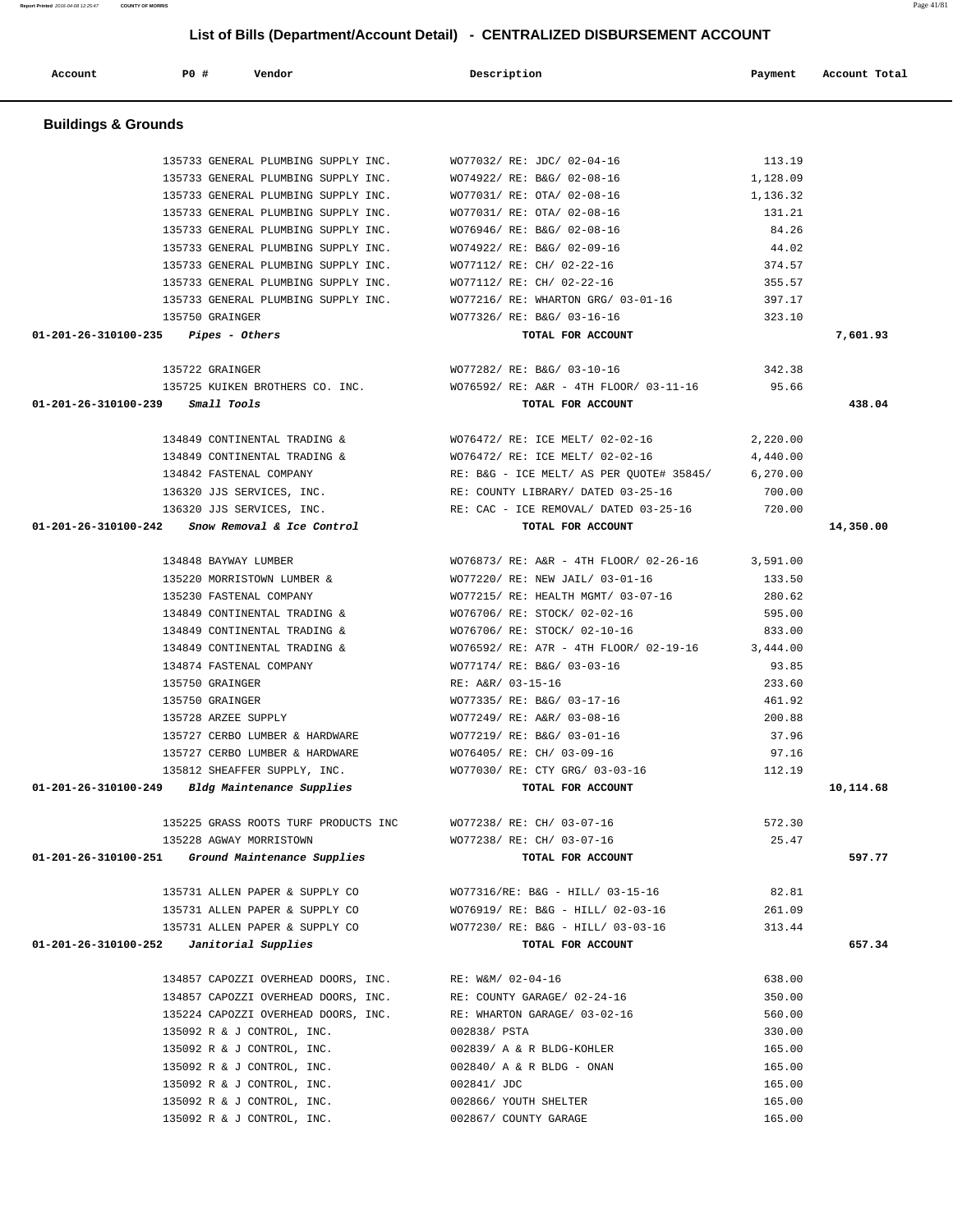| <b>Buildings &amp; Grounds</b>                                 |                                                                                                        |          |           |
|----------------------------------------------------------------|--------------------------------------------------------------------------------------------------------|----------|-----------|
|                                                                |                                                                                                        |          |           |
| 135733 GENERAL PLUMBING SUPPLY INC.                            | WO77032/ RE: JDC/ 02-04-16                                                                             | 113.19   |           |
| 135733 GENERAL PLUMBING SUPPLY INC.                            | WO74922/ RE: B&G/ 02-08-16                                                                             | 1,128.09 |           |
| 135733 GENERAL PLUMBING SUPPLY INC. WO77031/ RE: OTA/ 02-08-16 |                                                                                                        | 1,136.32 |           |
| 135733 GENERAL PLUMBING SUPPLY INC. WO77031/ RE: OTA/ 02-08-16 |                                                                                                        | 131.21   |           |
| 135733 GENERAL PLUMBING SUPPLY INC. WO76946/RE: B&G/02-08-16   |                                                                                                        | 84.26    |           |
| 135733 GENERAL PLUMBING SUPPLY INC. WO74922/ RE: B&G/ 02-09-16 |                                                                                                        | 44.02    |           |
| 135733 GENERAL PLUMBING SUPPLY INC. WO77112/RE: CH/ 02-22-16   |                                                                                                        | 374.57   |           |
| 135733 GENERAL PLUMBING SUPPLY INC.                            | WO77112/ RE: CH/ 02-22-16                                                                              | 355.57   |           |
| 135733 GENERAL PLUMBING SUPPLY INC.                            | WO77216/ RE: WHARTON GRG/ 03-01-16                                                                     | 397.17   |           |
| 135750 GRAINGER                                                | WO77326/ RE: B&G/ 03-16-16                                                                             | 323.10   |           |
| $01-201-26-310100-235$ Pipes - Others                          | TOTAL FOR ACCOUNT                                                                                      |          | 7,601.93  |
| 135722 GRAINGER                                                | WO77282/ RE: B&G/ 03-10-16                                                                             | 342.38   |           |
|                                                                | 135725 KUIKEN BROTHERS CO. INC. WO76592/ RE: A&R - 4TH FLOOR/ 03-11-16 95.66                           |          |           |
| 01-201-26-310100-239 Small Tools                               | TOTAL FOR ACCOUNT                                                                                      |          | 438.04    |
|                                                                |                                                                                                        |          |           |
| 134849 CONTINENTAL TRADING &                                   | WO76472/ RE: ICE MELT/ 02-02-16<br>134849 CONTINENTAL TRADING $\alpha$ WO76472/ RE: ICE MELT/ 02-02-16 | 2,220.00 |           |
| 134842 FASTENAL COMPANY                                        | RE: B&G - ICE MELT/ AS PER QUOTE# 35845/ 6,270.00                                                      | 4,440.00 |           |
|                                                                |                                                                                                        |          |           |
|                                                                | 136320 JJS SERVICES, INC. THE RE: COUNTY LIBRARY/ DATED 03-25-16                                       | 700.00   |           |
|                                                                | 136320 JJS SERVICES, INC. THE REPORT ON THE REMOVAL ARE DONEY 120.00                                   |          |           |
| $01-201-26-310100-242$ Snow Removal & Ice Control              | TOTAL FOR ACCOUNT                                                                                      |          | 14,350.00 |
| 134848 BAYWAY LUMBER                                           | WO76873/ RE: A&R - 4TH FLOOR/ 02-26-16 3,591.00                                                        |          |           |
| 135220 MORRISTOWN LUMBER &                                     | WO77220/ RE: NEW JAIL/ 03-01-16                                                                        | 133.50   |           |
| 135230 FASTENAL COMPANY                                        | WO77215/ RE: HEALTH MGMT/ 03-07-16 280.62                                                              |          |           |
| 134849 CONTINENTAL TRADING & WO76706/RE: STOCK/02-02-16        |                                                                                                        | 595.00   |           |
|                                                                | 134849 CONTINENTAL TRADING & WO76706/RE: STOCK/02-10-16                                                | 833.00   |           |
|                                                                | 134849 CONTINENTAL TRADING & WO76592/RE: A7R - 4TH FLOOR/02-19-16 3,444.00                             |          |           |
| 134874 FASTENAL COMPANY                                        | WO77174/ RE: B&G/ 03-03-16                                                                             | 93.85    |           |
| 135750 GRAINGER                                                | RE: A&R/ 03-15-16                                                                                      | 233.60   |           |
| 135750 GRAINGER                                                | WO77335/ RE: B&G/ 03-17-16                                                                             | 461.92   |           |
| 135728 ARZEE SUPPLY                                            | WO77249/ RE: A&R/ 03-08-16                                                                             | 200.88   |           |
| 135727 CERBO LUMBER & HARDWARE WO77219/RE: B&G/ 03-01-16       |                                                                                                        | 37.96    |           |
| 135727 CERBO LUMBER & HARDWARE WO76405/ RE: CH/ 03-09-16       |                                                                                                        | 97.16    |           |
| 135812 SHEAFFER SUPPLY, INC.                                   | WO77030/ RE: CTY GRG/ 03-03-16                                                                         | 112.19   |           |
| 01-201-26-310100-249 Bldg Maintenance Supplies                 | TOTAL FOR ACCOUNT                                                                                      |          | 10,114.68 |
| 135225 GRASS ROOTS TURF PRODUCTS INC                           | WO77238/ RE: CH/ 03-07-16                                                                              | 572.30   |           |
| 135228 AGWAY MORRISTOWN                                        | WO77238/ RE: CH/ 03-07-16                                                                              | 25.47    |           |
| $01-201-26-310100-251$ Ground Maintenance Supplies             | TOTAL FOR ACCOUNT                                                                                      |          | 597.77    |
|                                                                |                                                                                                        |          |           |
| 135731 ALLEN PAPER & SUPPLY CO                                 | WO77316/RE: B&G - HILL/ 03-15-16                                                                       | 82.81    |           |
| 135731 ALLEN PAPER & SUPPLY CO                                 | WO76919/ RE: B&G - HILL/ 02-03-16                                                                      | 261.09   |           |
| 135731 ALLEN PAPER & SUPPLY CO                                 | WO77230/ RE: B&G - HILL/ 03-03-16                                                                      | 313.44   |           |
| $01-201-26-310100-252$ Janitorial Supplies                     | TOTAL FOR ACCOUNT                                                                                      |          | 657.34    |
| 134857 CAPOZZI OVERHEAD DOORS, INC.                            | RE: W&M/ 02-04-16                                                                                      | 638.00   |           |
| 134857 CAPOZZI OVERHEAD DOORS, INC.                            | RE: COUNTY GARAGE/ 02-24-16                                                                            | 350.00   |           |
| 135224 CAPOZZI OVERHEAD DOORS, INC.                            | RE: WHARTON GARAGE/ 03-02-16                                                                           | 560.00   |           |
| 135092 R & J CONTROL, INC.                                     | 002838/ PSTA                                                                                           | 330.00   |           |
| 135092 R & J CONTROL, INC.                                     | 002839/ A & R BLDG-KOHLER                                                                              | 165.00   |           |
| 135092 R & J CONTROL, INC.                                     | 002840/ A & R BLDG - ONAN                                                                              | 165.00   |           |
| 135092 R & J CONTROL, INC.                                     | 002841/ JDC                                                                                            | 165.00   |           |
| 135092 R & J CONTROL, INC.                                     | 002866/ YOUTH SHELTER                                                                                  | 165.00   |           |
| 135092 R & J CONTROL, INC.                                     | 002867/ COUNTY GARAGE                                                                                  | 165.00   |           |

Account **1892 PO #** Vendor **Description** Payment Account Total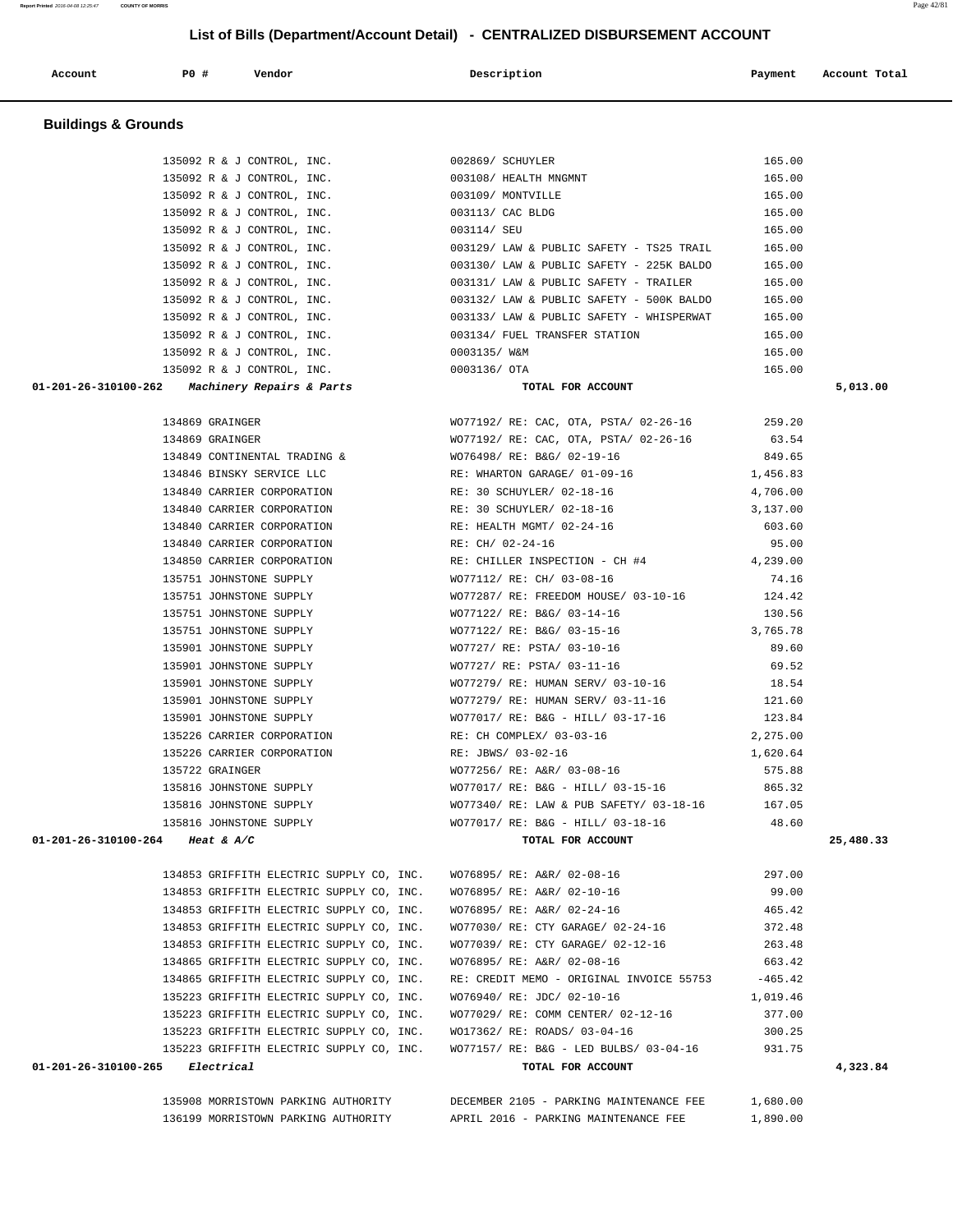|  | 135908 MORRISTOWN PARKING AUTHORITY |  |  |
|--|-------------------------------------|--|--|
|  | 136199 MORRISTOWN PARKING AUTHORITY |  |  |

DECEMBER 2105 - PARKING MAINTENANCE FEE 1,680.00

APRIL 2016 - PARKING MAINTENANCE FEE 1,890.00

 134853 GRIFFITH ELECTRIC SUPPLY CO, INC. WO76895/ RE: A&R/ 02-10-16 99.00 134853 GRIFFITH ELECTRIC SUPPLY CO, INC. WO76895/ RE: A&R/ 02-24-16 465.42 134853 GRIFFITH ELECTRIC SUPPLY CO, INC. WO77030/ RE: CTY GARAGE/ 02-24-16 372.48 134853 GRIFFITH ELECTRIC SUPPLY CO, INC. WO77039/ RE: CTY GARAGE/ 02-12-16 263.48 134865 GRIFFITH ELECTRIC SUPPLY CO, INC. WO76895/ RE: A&R/ 02-08-16 663.42 134865 GRIFFITH ELECTRIC SUPPLY CO, INC. RE: CREDIT MEMO - ORIGINAL INVOICE 55753 -465.42 135223 GRIFFITH ELECTRIC SUPPLY CO, INC. WO76940/ RE: JDC/ 02-10-16 1,019.46 135223 GRIFFITH ELECTRIC SUPPLY CO, INC. WO77029/ RE: COMM CENTER/ 02-12-16 377.00 135223 GRIFFITH ELECTRIC SUPPLY CO, INC. WO17362/ RE: ROADS/ 03-04-16 300.25 135223 GRIFFITH ELECTRIC SUPPLY CO, INC. WO77157/ RE: B&G - LED BULBS/ 03-04-16 931.75  **01-201-26-310100-265 Electrical TOTAL FOR ACCOUNT 4,323.84**

134853 GRIFFITH ELECTRIC SUPPLY CO, INC. WO76895/ RE: A&R/ 02-08-16 297.00

 **01-201-26-310100-264 Heat & A/C TOTAL FOR ACCOUNT 25,480.33**

| 2      | <i>Machinery Repairs &amp; Pa</i> |
|--------|-----------------------------------|
| 134869 | GRAINGER                          |
|        | 134869 GRAINGER                   |
|        | 134849 CONTINENTAL TRADING        |
| 134846 | BINSKY SERVICE LLC                |
|        |                                   |
| 134840 | CARRIER CORPORATION               |
| 134840 | CARRIER CORPORATION               |
| 134840 | CARRIER CORPORATION               |
|        | 134840 CARRIER CORPORATION        |
|        | 134850 CARRIER CORPORATION        |
| 135751 | JOHNSTONE SUPPLY                  |
| 135751 | JOHNSTONE SUPPLY                  |
|        | 135751 JOHNSTONE SUPPLY           |
| 135751 | JOHNSTONE SUPPLY                  |
| 135901 | JOHNSTONE SUPPLY                  |
| 135901 | JOHNSTONE SUPPLY                  |
| 135901 | JOHNSTONE SUPPLY                  |
| 135901 | JOHNSTONE SUPPLY                  |
| 135901 | JOHNSTONE SUPPLY                  |
| 135226 | CARRIER CORPORATION               |
| 135226 | CARRIER CORPORATION               |
| 135722 | GRAINGER                          |
| 135816 | JOHNSTONE SUPPLY                  |
|        | 135816 JOHNSTONE SUPPLY           |
| 135816 | JOHNSTONE SUPPLY                  |

|                                               | 134849 CONTINENTAL TRADING & WO76498/ RE: B&G/ 02-19-16 849.65      |          |
|-----------------------------------------------|---------------------------------------------------------------------|----------|
|                                               | 134846 BINSKY SERVICE LLC RE: WHARTON GARAGE/ 01-09-16 1,456.83     |          |
|                                               | 134840 CARRIER CORPORATION RE: 30 SCHUYLER/ 02-18-16                | 4,706.00 |
|                                               | 134840 CARRIER CORPORATION RE: 30 SCHUYLER/ 02-18-16                | 3,137.00 |
|                                               | 134840 CARRIER CORPORATION RE: HEALTH MGMT/ $02-24-16$ 603.60       |          |
| 134840 CARRIER CORPORATION                    | RE: CH/ 02-24-16                                                    | 95.00    |
|                                               | 134850 CARRIER CORPORATION RE: CHILLER INSPECTION - CH #4 4,239.00  |          |
|                                               | 135751 JOHNSTONE SUPPLY WO77112/ RE: CH/ 03-08-16                   | 74.16    |
|                                               | 135751 JOHNSTONE SUPPLY WO77287/ RE: FREEDOM HOUSE/ 03-10-16 124.42 |          |
|                                               | 135751 JOHNSTONE SUPPLY WO77122/ RE: B&G/ 03-14-16 130.56           |          |
|                                               | 135751 JOHNSTONE SUPPLY WO77122/ RE: B&G/ 03-15-16 3,765.78         |          |
|                                               | 135901 JOHNSTONE SUPPLY 69.60 WO7727/ RE: PSTA/ 03-10-16 89.60      |          |
|                                               | 135901 JOHNSTONE SUPPLY WO7727/ RE: PSTA/ 03-11-16 69.52            |          |
|                                               | 135901 JOHNSTONE SUPPLY WO77279/ RE: HUMAN SERV/ 03-10-16 18.54     |          |
|                                               | 135901 JOHNSTONE SUPPLY WO77279/ RE: HUMAN SERV/ 03-11-16 121.60    |          |
|                                               | 135901 JOHNSTONE SUPPLY WO77017/RE: B&G - HILL/ 03-17-16 123.84     |          |
|                                               | 135226 CARRIER CORPORATION RE: CH COMPLEX/ 03-03-16 2,275.00        |          |
| 135226 CARRIER CORPORATION RE: JBWS/ 03-02-16 |                                                                     | 1,620.64 |
| 135722 GRAINGER                               | WO77256/ RE: A&R/ 03-08-16 575.88                                   |          |
|                                               | 135816 JOHNSTONE SUPPLY WO77017/RE: B&G - HILL/ 03-15-16 865.32     |          |
| 135816 JOHNSTONE SUPPLY                       | WO77340/ RE: LAW & PUB SAFETY/ 03-18-16 167.05                      |          |
| 135816 JOHNSTONE SUPPLY                       | WO77017/ RE: B&G - HILL/ 03-18-16 48.60                             |          |

 **01-201-26-310100-262 Machinery Repairs & Parts TOTAL FOR ACCOUNT 5,013.00**

135092 R & J CONTROL, INC. 003114/ SEU 165.00 135092 R & J CONTROL, INC. 003129/ LAW & PUBLIC SAFETY - TS25 TRAIL 165.00 135092 R & J CONTROL, INC. 003130/ LAW & PUBLIC SAFETY - 225K BALDO 165.00 135092 R & J CONTROL, INC. 003131/ LAW & PUBLIC SAFETY - TRAILER 165.00 135092 R & J CONTROL, INC. 003132/ LAW & PUBLIC SAFETY - 500K BALDO 165.00 135092 R & J CONTROL, INC. 003133/ LAW & PUBLIC SAFETY - WHISPERWAT 165.00 135092 R & J CONTROL, INC. 003134/ FUEL TRANSFER STATION 165.00 135092 R & J CONTROL, INC. 0003135/ W&M 165.00 135092 R & J CONTROL, INC. 0003136/ OTA 165.00

 **Report Printed** 2016-04-08 12:25:47 **COUNTY OF MORRIS** Page 42/81  **List of Bills (Department/Account Detail) - CENTRALIZED DISBURSEMENT ACCOUNT Account P0 # Vendor Description Payment Account Total Buildings & Grounds**  135092 R & J CONTROL, INC. 002869/ SCHUYLER 165.00 135092 R & J CONTROL, INC. 003108/ HEALTH MNGMNT 165.00 135092 R & J CONTROL, INC. 003109/ MONTVILLE 165.00 135092 R & J CONTROL, INC. 003113/ CAC BLDG 165.00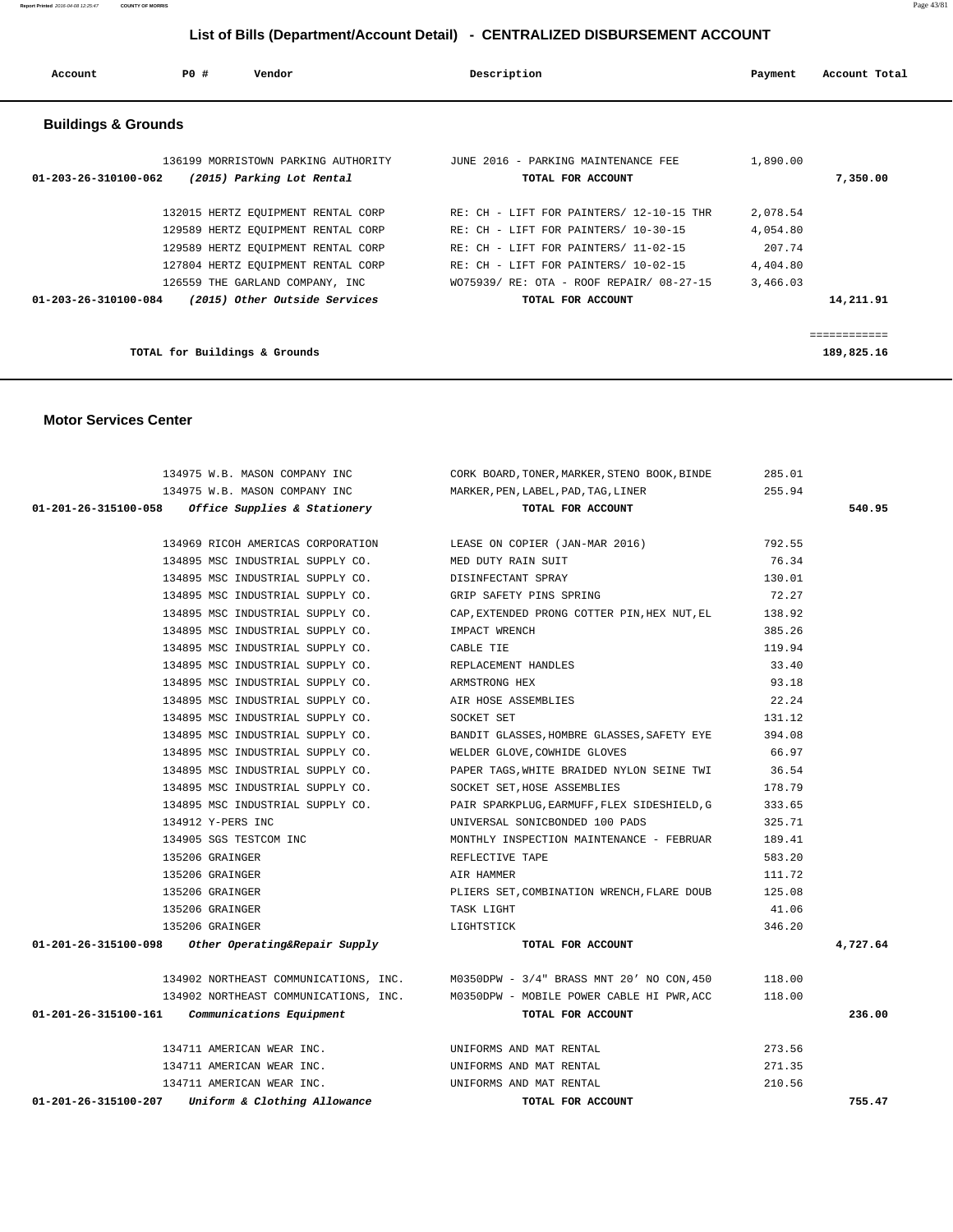**Report Printed** 2016-04-08 12:25:47 **COUNTY OF MORRIS** Page 43/81

# **List of Bills (Department/Account Detail) - CENTRALIZED DISBURSEMENT ACCOUNT**

| Account                        | PO#<br>Vendor                                                                                                                                                                           | Description                                                                                                                                                                                                  | Payment                                                | Account Total |
|--------------------------------|-----------------------------------------------------------------------------------------------------------------------------------------------------------------------------------------|--------------------------------------------------------------------------------------------------------------------------------------------------------------------------------------------------------------|--------------------------------------------------------|---------------|
| <b>Buildings &amp; Grounds</b> |                                                                                                                                                                                         |                                                                                                                                                                                                              |                                                        |               |
| $01 - 203 - 26 - 310100 - 062$ | 136199 MORRISTOWN PARKING AUTHORITY<br>(2015) Parking Lot Rental                                                                                                                        | JUNE 2016 - PARKING MAINTENANCE FEE<br>TOTAL FOR ACCOUNT                                                                                                                                                     | 1,890.00                                               | 7,350.00      |
|                                | 132015 HERTZ EQUIPMENT RENTAL CORP<br>129589 HERTZ EQUIPMENT RENTAL CORP<br>129589 HERTZ EQUIPMENT RENTAL CORP<br>127804 HERTZ EQUIPMENT RENTAL CORP<br>126559 THE GARLAND COMPANY, INC | RE: CH - LIFT FOR PAINTERS/ 12-10-15 THR<br>RE: CH - LIFT FOR PAINTERS/ 10-30-15<br>RE: CH - LIFT FOR PAINTERS/ 11-02-15<br>RE: CH - LIFT FOR PAINTERS/ 10-02-15<br>WO75939/ RE: OTA - ROOF REPAIR/ 08-27-15 | 2,078.54<br>4,054.80<br>207.74<br>4,404.80<br>3,466.03 |               |
| $01 - 203 - 26 - 310100 - 084$ | (2015) Other Outside Services                                                                                                                                                           | TOTAL FOR ACCOUNT                                                                                                                                                                                            |                                                        | 14,211.91     |
|                                |                                                                                                                                                                                         |                                                                                                                                                                                                              |                                                        | ============  |
|                                | TOTAL for Buildings & Grounds                                                                                                                                                           |                                                                                                                                                                                                              |                                                        | 189,825.16    |

#### **Motor Services Center**

| 134975 W.B. MASON COMPANY INC                                         | CORK BOARD, TONER, MARKER, STENO BOOK, BINDE                                    | 285.01          |          |
|-----------------------------------------------------------------------|---------------------------------------------------------------------------------|-----------------|----------|
| 134975 W.B. MASON COMPANY INC                                         | MARKER, PEN, LABEL, PAD, TAG, LINER                                             | 255.94          |          |
| $01-201-26-315100-058$ Office Supplies & Stationery                   | TOTAL FOR ACCOUNT                                                               |                 | 540.95   |
|                                                                       |                                                                                 |                 |          |
| 134969 RICOH AMERICAS CORPORATION<br>134895 MSC INDUSTRIAL SUPPLY CO. | LEASE ON COPIER (JAN-MAR 2016)<br>MED DUTY RAIN SUIT                            | 792.55<br>76.34 |          |
|                                                                       |                                                                                 |                 |          |
| 134895 MSC INDUSTRIAL SUPPLY CO. DISINFECTANT SPRAY                   |                                                                                 | 130.01          |          |
| 134895 MSC INDUSTRIAL SUPPLY CO. GRIP SAFETY PINS SPRING              |                                                                                 | 72.27           |          |
|                                                                       | 134895 MSC INDUSTRIAL SUPPLY CO. CAP, EXTENDED PRONG COTTER PIN, HEX NUT, EL    | 138.92          |          |
| 134895 MSC INDUSTRIAL SUPPLY CO.                                      | IMPACT WRENCH                                                                   | 385.26          |          |
| 134895 MSC INDUSTRIAL SUPPLY CO.                                      | CABLE TIE                                                                       | 119.94          |          |
| 134895 MSC INDUSTRIAL SUPPLY CO.                                      | REPLACEMENT HANDLES                                                             | 33.40           |          |
| 134895 MSC INDUSTRIAL SUPPLY CO.                                      | ARMSTRONG HEX                                                                   | 93.18           |          |
| 134895 MSC INDUSTRIAL SUPPLY CO.                                      | AIR HOSE ASSEMBLIES                                                             | 22.24           |          |
| 134895 MSC INDUSTRIAL SUPPLY CO.                                      | SOCKET SET                                                                      | 131.12          |          |
| 134895 MSC INDUSTRIAL SUPPLY CO.                                      | BANDIT GLASSES, HOMBRE GLASSES, SAFETY EYE                                      | 394.08          |          |
| 134895 MSC INDUSTRIAL SUPPLY CO.                                      | WELDER GLOVE, COWHIDE GLOVES                                                    | 66.97           |          |
| 134895 MSC INDUSTRIAL SUPPLY CO.                                      | PAPER TAGS, WHITE BRAIDED NYLON SEINE TWI 36.54                                 |                 |          |
| 134895 MSC INDUSTRIAL SUPPLY CO.                                      | SOCKET SET, HOSE ASSEMBLIES                                                     | 178.79          |          |
| 134895 MSC INDUSTRIAL SUPPLY CO.                                      | PAIR SPARKPLUG, EARMUFF, FLEX SIDESHIELD, G                                     | 333.65          |          |
| 134912 Y-PERS INC                                                     | UNIVERSAL SONICBONDED 100 PADS                                                  | 325.71          |          |
| 134905 SGS TESTCOM INC                                                | MONTHLY INSPECTION MAINTENANCE - FEBRUAR                                        | 189.41          |          |
| 135206 GRAINGER                                                       | REFLECTIVE TAPE                                                                 | 583.20          |          |
| 135206 GRAINGER                                                       | AIR HAMMER                                                                      | 111.72          |          |
| 135206 GRAINGER                                                       | PLIERS SET, COMBINATION WRENCH, FLARE DOUB                                      | 125.08          |          |
| 135206 GRAINGER                                                       | TASK LIGHT                                                                      | 41.06           |          |
| 135206 GRAINGER                                                       | LIGHTSTICK                                                                      | 346.20          |          |
| $01-201-26-315100-098$ Other Operating&Repair Supply                  | TOTAL FOR ACCOUNT                                                               |                 | 4,727.64 |
|                                                                       | 134902 NORTHEAST COMMUNICATIONS, INC. M0350DPW - 3/4" BRASS MNT 20' NO CON, 450 | 118.00          |          |
|                                                                       | 134902 NORTHEAST COMMUNICATIONS, INC. M0350DPW - MOBILE POWER CABLE HI PWR, ACC | 118.00          |          |
| $01-201-26-315100-161$ Communications Equipment                       | TOTAL FOR ACCOUNT                                                               |                 | 236.00   |
|                                                                       |                                                                                 |                 |          |
| 134711 AMERICAN WEAR INC.                                             | UNIFORMS AND MAT RENTAL                                                         | 273.56          |          |
| 134711 AMERICAN WEAR INC.                                             | UNIFORMS AND MAT RENTAL                                                         | 271.35          |          |
| 134711 AMERICAN WEAR INC.                                             | UNIFORMS AND MAT RENTAL                                                         | 210.56          |          |
| 01-201-26-315100-207<br>Uniform & Clothing Allowance                  | TOTAL FOR ACCOUNT                                                               |                 | 755.47   |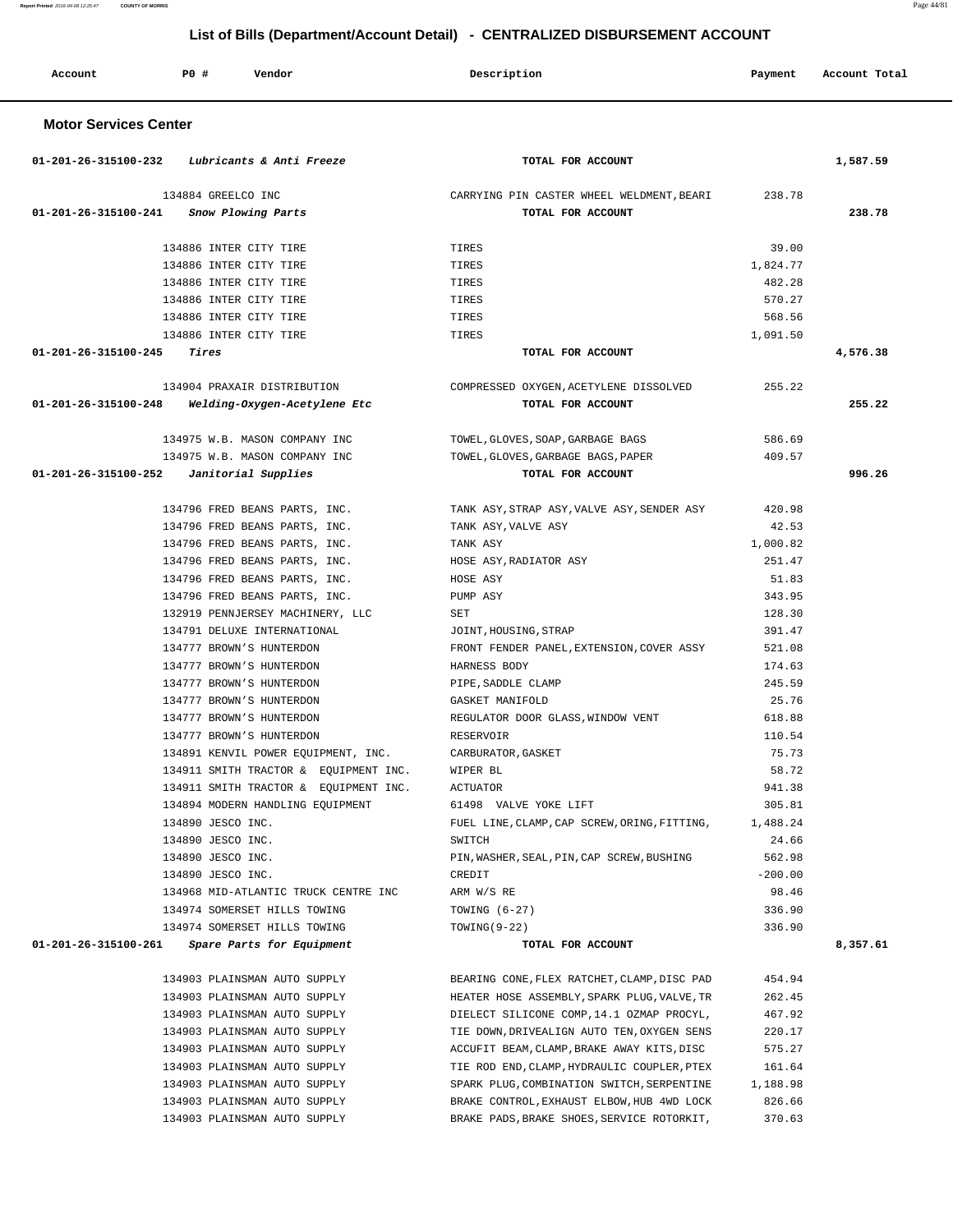| Account                        | <b>PO #</b><br>Vendor                                           | Description                                                    | Payment         | Account Total |
|--------------------------------|-----------------------------------------------------------------|----------------------------------------------------------------|-----------------|---------------|
| <b>Motor Services Center</b>   |                                                                 |                                                                |                 |               |
| 01-201-26-315100-232           | Lubricants & Anti Freeze                                        | TOTAL FOR ACCOUNT                                              |                 | 1,587.59      |
| $01 - 201 - 26 - 315100 - 241$ | 134884 GREELCO INC<br>Snow Plowing Parts                        | CARRYING PIN CASTER WHEEL WELDMENT, BEARI<br>TOTAL FOR ACCOUNT | 238.78          | 238.78        |
|                                |                                                                 |                                                                |                 |               |
|                                | 134886 INTER CITY TIRE                                          | TIRES                                                          | 39.00           |               |
|                                | 134886 INTER CITY TIRE                                          | TIRES                                                          | 1,824.77        |               |
|                                | 134886 INTER CITY TIRE                                          | TIRES                                                          | 482.28          |               |
|                                | 134886 INTER CITY TIRE                                          | TIRES                                                          | 570.27          |               |
|                                | 134886 INTER CITY TIRE                                          | TIRES                                                          | 568.56          |               |
|                                | 134886 INTER CITY TIRE                                          | TIRES                                                          | 1,091.50        |               |
| 01-201-26-315100-245           | Tires                                                           | TOTAL FOR ACCOUNT                                              |                 | 4,576.38      |
|                                | 134904 PRAXAIR DISTRIBUTION                                     | COMPRESSED OXYGEN, ACETYLENE DISSOLVED                         | 255.22          |               |
| 01-201-26-315100-248           | Welding-Oxygen-Acetylene Etc                                    | TOTAL FOR ACCOUNT                                              |                 | 255.22        |
|                                | 134975 W.B. MASON COMPANY INC                                   | TOWEL, GLOVES, SOAP, GARBAGE BAGS                              | 586.69          |               |
|                                | 134975 W.B. MASON COMPANY INC                                   | TOWEL, GLOVES, GARBAGE BAGS, PAPER                             | 409.57          |               |
| $01 - 201 - 26 - 315100 - 252$ | Janitorial Supplies                                             | TOTAL FOR ACCOUNT                                              |                 | 996.26        |
|                                | 134796 FRED BEANS PARTS, INC.                                   | TANK ASY, STRAP ASY, VALVE ASY, SENDER ASY                     | 420.98          |               |
|                                | 134796 FRED BEANS PARTS, INC.                                   | TANK ASY, VALVE ASY                                            | 42.53           |               |
|                                | 134796 FRED BEANS PARTS, INC.                                   | TANK ASY                                                       | 1,000.82        |               |
|                                | 134796 FRED BEANS PARTS, INC.                                   | HOSE ASY, RADIATOR ASY                                         | 251.47          |               |
|                                | 134796 FRED BEANS PARTS, INC.                                   | HOSE ASY                                                       | 51.83           |               |
|                                | 134796 FRED BEANS PARTS, INC.                                   | PUMP ASY                                                       | 343.95          |               |
|                                | 132919 PENNJERSEY MACHINERY, LLC                                | SET                                                            | 128.30          |               |
|                                | 134791 DELUXE INTERNATIONAL                                     | JOINT, HOUSING, STRAP                                          | 391.47          |               |
|                                | 134777 BROWN'S HUNTERDON                                        | FRONT FENDER PANEL, EXTENSION, COVER ASSY                      | 521.08          |               |
|                                | 134777 BROWN'S HUNTERDON                                        | HARNESS BODY                                                   | 174.63          |               |
|                                | 134777 BROWN'S HUNTERDON                                        | PIPE, SADDLE CLAMP                                             | 245.59          |               |
|                                | 134777 BROWN'S HUNTERDON                                        | GASKET MANIFOLD                                                | 25.76           |               |
|                                | 134777 BROWN'S HUNTERDON                                        | REGULATOR DOOR GLASS, WINDOW VENT                              | 618.88          |               |
|                                | 134777 BROWN'S HUNTERDON<br>134891 KENVIL POWER EQUIPMENT, INC. | RESERVOIR<br>CARBURATOR, GASKET                                | 110.54<br>75.73 |               |
|                                | 134911 SMITH TRACTOR & EQUIPMENT INC.                           | WIPER BL                                                       | 58.72           |               |
|                                | 134911 SMITH TRACTOR & EQUIPMENT INC.                           | ACTUATOR                                                       | 941.38          |               |
|                                | 134894 MODERN HANDLING EQUIPMENT                                | 61498 VALVE YOKE LIFT                                          | 305.81          |               |
|                                | 134890 JESCO INC.                                               | FUEL LINE, CLAMP, CAP SCREW, ORING, FITTING,                   | 1,488.24        |               |
|                                | 134890 JESCO INC.                                               | SWITCH                                                         | 24.66           |               |
|                                | 134890 JESCO INC.                                               | PIN, WASHER, SEAL, PIN, CAP SCREW, BUSHING                     | 562.98          |               |
|                                | 134890 JESCO INC.                                               | CREDIT                                                         | $-200.00$       |               |
|                                | 134968 MID-ATLANTIC TRUCK CENTRE INC                            | ARM W/S RE                                                     | 98.46           |               |
|                                | 134974 SOMERSET HILLS TOWING                                    | TOWING $(6-27)$                                                | 336.90          |               |
|                                | 134974 SOMERSET HILLS TOWING                                    | $TOWING(9-22)$                                                 | 336.90          |               |
| 01-201-26-315100-261           | Spare Parts for Equipment                                       | TOTAL FOR ACCOUNT                                              |                 | 8,357.61      |
|                                | 134903 PLAINSMAN AUTO SUPPLY                                    | BEARING CONE, FLEX RATCHET, CLAMP, DISC PAD                    | 454.94          |               |
|                                | 134903 PLAINSMAN AUTO SUPPLY                                    | HEATER HOSE ASSEMBLY, SPARK PLUG, VALVE, TR                    | 262.45          |               |
|                                | 134903 PLAINSMAN AUTO SUPPLY                                    | DIELECT SILICONE COMP, 14.1 OZMAP PROCYL,                      | 467.92          |               |
|                                | 134903 PLAINSMAN AUTO SUPPLY                                    | TIE DOWN, DRIVEALIGN AUTO TEN, OXYGEN SENS                     | 220.17          |               |
|                                | 134903 PLAINSMAN AUTO SUPPLY                                    | ACCUFIT BEAM, CLAMP, BRAKE AWAY KITS, DISC                     | 575.27          |               |
|                                | 134903 PLAINSMAN AUTO SUPPLY                                    | TIE ROD END, CLAMP, HYDRAULIC COUPLER, PTEX                    | 161.64          |               |
|                                | 134903 PLAINSMAN AUTO SUPPLY                                    | SPARK PLUG, COMBINATION SWITCH, SERPENTINE                     | 1,188.98        |               |
|                                | 134903 PLAINSMAN AUTO SUPPLY                                    | BRAKE CONTROL, EXHAUST ELBOW, HUB 4WD LOCK                     | 826.66          |               |
|                                | 134903 PLAINSMAN AUTO SUPPLY                                    | BRAKE PADS, BRAKE SHOES, SERVICE ROTORKIT,                     | 370.63          |               |

**Report Printed** 2016-04-08 12:25:47 **COUNTY OF MORRIS** Page 44/81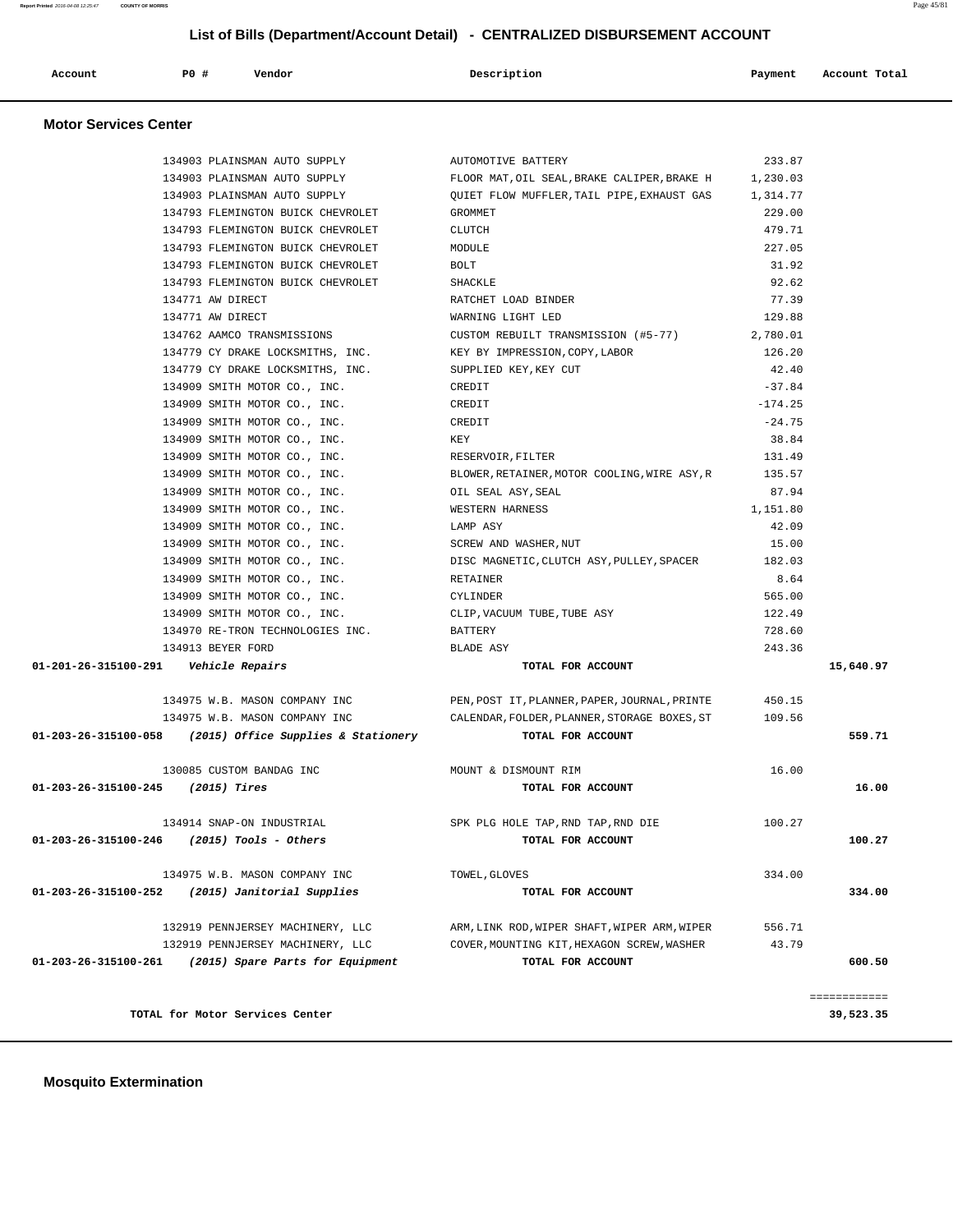| Account | P0 # | Vendor | Description | Payment | Account Total<br>. |
|---------|------|--------|-------------|---------|--------------------|
|         |      |        |             |         |                    |

#### **Motor Services Center**

|                                     | 134903 PLAINSMAN AUTO SUPPLY                               | AUTOMOTIVE BATTERY                                                                 | 233.87    |              |
|-------------------------------------|------------------------------------------------------------|------------------------------------------------------------------------------------|-----------|--------------|
|                                     |                                                            | 134903 PLAINSMAN AUTO SUPPLY FLOOR MAT, OIL SEAL, BRAKE CALIPER, BRAKE H 1, 230.03 |           |              |
|                                     | 134903 PLAINSMAN AUTO SUPPLY                               | QUIET FLOW MUFFLER, TAIL PIPE, EXHAUST GAS                                         | 1,314.77  |              |
|                                     | 134793 FLEMINGTON BUICK CHEVROLET                          | GROMMET                                                                            | 229.00    |              |
|                                     | 134793 FLEMINGTON BUICK CHEVROLET                          | <b>CLUTCH</b>                                                                      | 479.71    |              |
|                                     | 134793 FLEMINGTON BUICK CHEVROLET                          | MODULE                                                                             | 227.05    |              |
|                                     | 134793 FLEMINGTON BUICK CHEVROLET                          | BOLT                                                                               | 31.92     |              |
|                                     | 134793 FLEMINGTON BUICK CHEVROLET                          | SHACKLE                                                                            | 92.62     |              |
|                                     | 134771 AW DIRECT                                           | RATCHET LOAD BINDER                                                                | 77.39     |              |
|                                     | 134771 AW DIRECT                                           | WARNING LIGHT LED                                                                  | 129.88    |              |
|                                     | 134762 AAMCO TRANSMISSIONS                                 | CUSTOM REBUILT TRANSMISSION (#5-77)                                                | 2,780.01  |              |
|                                     | 134779 CY DRAKE LOCKSMITHS, INC.                           | KEY BY IMPRESSION, COPY, LABOR                                                     | 126.20    |              |
|                                     | 134779 CY DRAKE LOCKSMITHS, INC.                           | SUPPLIED KEY, KEY CUT                                                              | 42.40     |              |
|                                     | 134909 SMITH MOTOR CO., INC.                               | CREDIT                                                                             | $-37.84$  |              |
|                                     | 134909 SMITH MOTOR CO., INC.                               | CREDIT                                                                             | $-174.25$ |              |
|                                     | 134909 SMITH MOTOR CO., INC.                               | CREDIT                                                                             | $-24.75$  |              |
|                                     | 134909 SMITH MOTOR CO., INC.                               | KEY                                                                                | 38.84     |              |
|                                     | 134909 SMITH MOTOR CO., INC.                               | RESERVOIR, FILTER                                                                  | 131.49    |              |
|                                     | 134909 SMITH MOTOR CO., INC.                               | BLOWER, RETAINER, MOTOR COOLING, WIRE ASY, R                                       | 135.57    |              |
|                                     | 134909 SMITH MOTOR CO., INC.                               | OIL SEAL ASY, SEAL                                                                 | 87.94     |              |
|                                     | 134909 SMITH MOTOR CO., INC.                               | WESTERN HARNESS                                                                    | 1,151.80  |              |
|                                     | 134909 SMITH MOTOR CO., INC.                               | LAMP ASY                                                                           | 42.09     |              |
|                                     | 134909 SMITH MOTOR CO., INC. SCREW AND WASHER, NUT         |                                                                                    | 15.00     |              |
|                                     |                                                            | 134909 SMITH MOTOR CO., INC. DISC MAGNETIC, CLUTCH ASY, PULLEY, SPACER 182.03      |           |              |
|                                     | 134909 SMITH MOTOR CO., INC.                               | RETAINER                                                                           | 8.64      |              |
|                                     | 134909 SMITH MOTOR CO., INC.                               | CYLINDER                                                                           | 565.00    |              |
|                                     | 134909 SMITH MOTOR CO., INC.                               | CLIP,VACUUM TUBE,TUBE ASY                                                          | 122.49    |              |
|                                     | 134970 RE-TRON TECHNOLOGIES INC.                           | BATTERY                                                                            | 728.60    |              |
|                                     | 134913 BEYER FORD                                          | BLADE ASY                                                                          | 243.36    |              |
|                                     | 01-201-26-315100-291    Vehicle Repairs                    | TOTAL FOR ACCOUNT                                                                  |           | 15,640.97    |
|                                     |                                                            |                                                                                    |           |              |
|                                     |                                                            | 134975 W.B. MASON COMPANY INC PEN, POST IT, PLANNER, PAPER, JOURNAL, PRINTE 450.15 |           |              |
|                                     | 134975 W.B. MASON COMPANY INC                              | CALENDAR, FOLDER, PLANNER, STORAGE BOXES, ST 109.56                                |           |              |
|                                     | $01-203-26-315100-058$ (2015) Office Supplies & Stationery | TOTAL FOR ACCOUNT                                                                  |           | 559.71       |
|                                     |                                                            |                                                                                    |           |              |
|                                     | 130085 CUSTOM BANDAG INC                                   | MOUNT & DISMOUNT RIM                                                               | 16.00     |              |
| $01-203-26-315100-245$ (2015) Tires |                                                            | TOTAL FOR ACCOUNT                                                                  |           | 16.00        |
|                                     |                                                            |                                                                                    |           |              |
|                                     | 134914 SNAP-ON INDUSTRIAL                                  | SPK PLG HOLE TAP.RND TAP.RND DIE                                                   | 100.27    |              |
| 01-203-26-315100-246                | $(2015)$ Tools - Others                                    | TOTAL FOR ACCOUNT                                                                  |           | 100.27       |
|                                     |                                                            |                                                                                    |           |              |
|                                     | 134975 W.B. MASON COMPANY INC                              | TOWEL, GLOVES                                                                      | 334.00    |              |
| 01-203-26-315100-252                | (2015) Janitorial Supplies                                 | TOTAL FOR ACCOUNT                                                                  |           | 334.00       |
|                                     |                                                            |                                                                                    |           |              |
|                                     | 132919 PENNJERSEY MACHINERY, LLC                           | ARM, LINK ROD, WIPER SHAFT, WIPER ARM, WIPER                                       | 556.71    |              |
|                                     | 132919 PENNJERSEY MACHINERY, LLC                           | COVER, MOUNTING KIT, HEXAGON SCREW, WASHER                                         | 43.79     |              |
| 01-203-26-315100-261                | (2015) Spare Parts for Equipment                           | TOTAL FOR ACCOUNT                                                                  |           | 600.50       |
|                                     |                                                            |                                                                                    |           |              |
|                                     |                                                            |                                                                                    |           | ============ |
|                                     | TOTAL for Motor Services Center                            |                                                                                    |           | 39,523.35    |
|                                     |                                                            |                                                                                    |           |              |

# **Mosquito Extermination**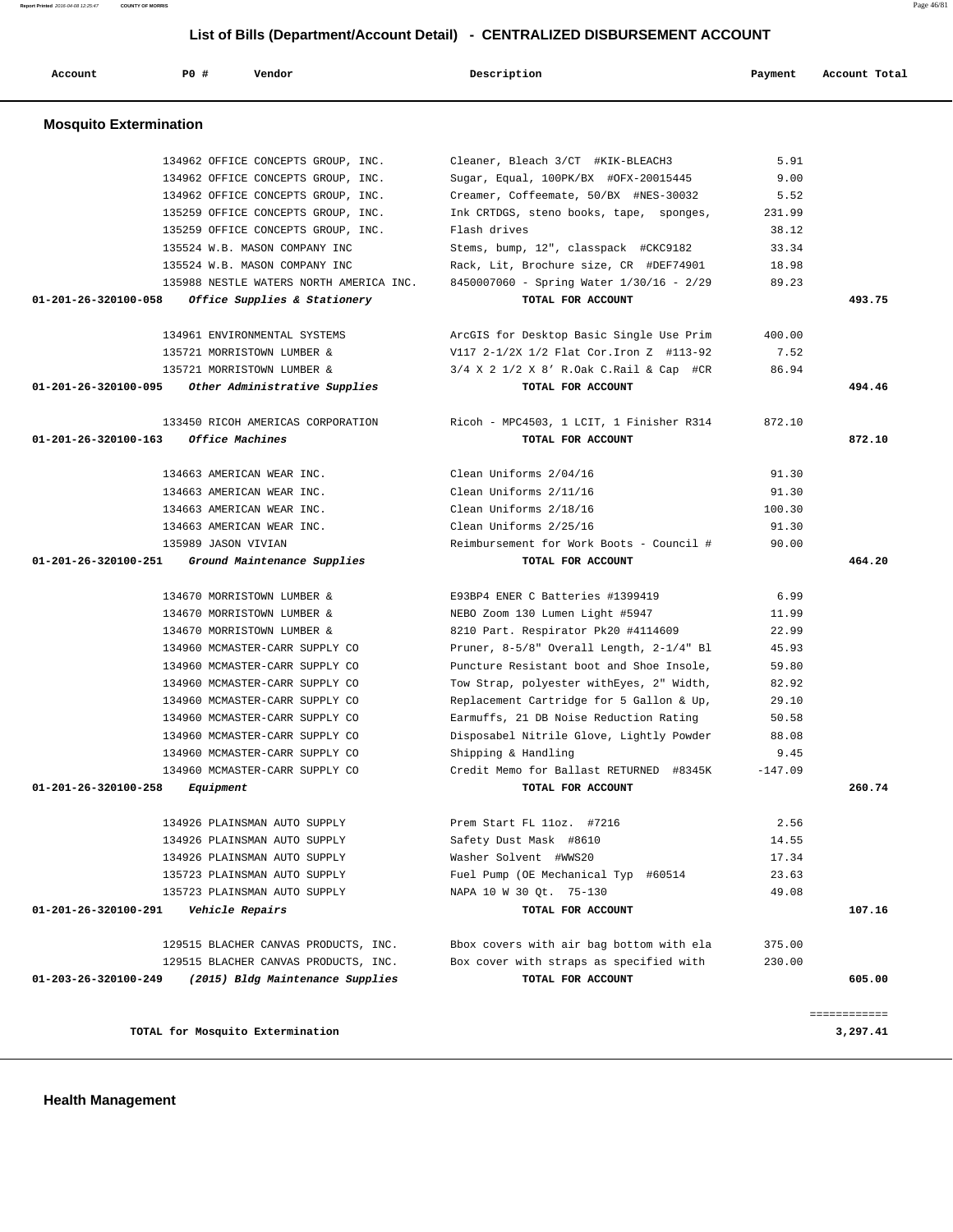| 134962 OFFICE CONCEPTS GROUP, INC.                    | Cleaner, Bleach 3/CT #KIK-BLEACH3         | 5.91      |        |
|-------------------------------------------------------|-------------------------------------------|-----------|--------|
| 134962 OFFICE CONCEPTS GROUP, INC.                    | Sugar, Equal, 100PK/BX #OFX-20015445      | 9.00      |        |
| 134962 OFFICE CONCEPTS GROUP, INC.                    | Creamer, Coffeemate, 50/BX #NES-30032     | 5.52      |        |
| 135259 OFFICE CONCEPTS GROUP, INC.                    | Ink CRTDGS, steno books, tape, sponges,   | 231.99    |        |
| 135259 OFFICE CONCEPTS GROUP, INC.                    | Flash drives                              | 38.12     |        |
| 135524 W.B. MASON COMPANY INC                         | Stems, bump, 12", classpack #CKC9182      | 33.34     |        |
| 135524 W.B. MASON COMPANY INC.                        | Rack, Lit, Brochure size, CR #DEF74901    | 18.98     |        |
| 135988 NESTLE WATERS NORTH AMERICA INC.               | 8450007060 - Spring Water 1/30/16 - 2/29  | 89.23     |        |
| 01-201-26-320100-058<br>Office Supplies & Stationery  | TOTAL FOR ACCOUNT                         |           | 493.75 |
| 134961 ENVIRONMENTAL SYSTEMS                          | ArcGIS for Desktop Basic Single Use Prim  | 400.00    |        |
| 135721 MORRISTOWN LUMBER &                            | V117 2-1/2X 1/2 Flat Cor. Iron Z #113-92  | 7.52      |        |
| 135721 MORRISTOWN LUMBER &                            | $3/4$ X 2 1/2 X 8' R.Oak C.Rail & Cap #CR | 86.94     |        |
| Other Administrative Supplies<br>01-201-26-320100-095 | TOTAL FOR ACCOUNT                         |           | 494.46 |
| 133450 RICOH AMERICAS CORPORATION                     | Ricoh - MPC4503, 1 LCIT, 1 Finisher R314  | 872.10    |        |
| 01-201-26-320100-163<br>Office Machines               | TOTAL FOR ACCOUNT                         |           | 872.10 |
|                                                       |                                           |           |        |
| 134663 AMERICAN WEAR INC.                             | Clean Uniforms 2/04/16                    | 91.30     |        |
| 134663 AMERICAN WEAR INC.                             | Clean Uniforms 2/11/16                    | 91.30     |        |
| 134663 AMERICAN WEAR INC.                             | Clean Uniforms 2/18/16                    | 100.30    |        |
| 134663 AMERICAN WEAR INC.                             | Clean Uniforms 2/25/16                    | 91.30     |        |
| 135989 JASON VIVIAN                                   | Reimbursement for Work Boots - Council #  | 90.00     |        |
| 01-201-26-320100-251<br>Ground Maintenance Supplies   | TOTAL FOR ACCOUNT                         |           | 464.20 |
| 134670 MORRISTOWN LUMBER &                            | E93BP4 ENER C Batteries #1399419          | 6.99      |        |
| 134670 MORRISTOWN LUMBER &                            | NEBO Zoom 130 Lumen Light #5947           | 11.99     |        |
| 134670 MORRISTOWN LUMBER &                            | 8210 Part. Respirator Pk20 #4114609       | 22.99     |        |
| 134960 MCMASTER-CARR SUPPLY CO                        | Pruner, 8-5/8" Overall Length, 2-1/4" Bl  | 45.93     |        |
| 134960 MCMASTER-CARR SUPPLY CO                        | Puncture Resistant boot and Shoe Insole,  | 59.80     |        |
| 134960 MCMASTER-CARR SUPPLY CO                        | Tow Strap, polyester withEyes, 2" Width,  | 82.92     |        |
| 134960 MCMASTER-CARR SUPPLY CO                        | Replacement Cartridge for 5 Gallon & Up,  | 29.10     |        |
| 134960 MCMASTER-CARR SUPPLY CO                        | Earmuffs, 21 DB Noise Reduction Rating    | 50.58     |        |
| 134960 MCMASTER-CARR SUPPLY CO                        | Disposabel Nitrile Glove, Lightly Powder  | 88.08     |        |
| 134960 MCMASTER-CARR SUPPLY CO                        | Shipping & Handling                       | 9.45      |        |
| 134960 MCMASTER-CARR SUPPLY CO                        | Credit Memo for Ballast RETURNED #8345K   | $-147.09$ |        |
| 01-201-26-320100-258<br>Equipment                     | TOTAL FOR ACCOUNT                         |           | 260.74 |
| 134926 PLAINSMAN AUTO SUPPLY                          | Prem Start FL 11oz. #7216                 | 2.56      |        |
| 134926 PLAINSMAN AUTO SUPPLY                          | Safety Dust Mask #8610                    | 14.55     |        |
| 134926 PLAINSMAN AUTO SUPPLY                          | Washer Solvent #WWS20                     | 17.34     |        |
| 135723 PLAINSMAN AUTO SUPPLY                          | Fuel Pump (OE Mechanical Typ #60514       | 23.63     |        |
| 135723 PLAINSMAN AUTO SUPPLY                          | NAPA 10 W 30 Qt. 75-130                   | 49.08     |        |
| 01-201-26-320100-291<br>Vehicle Repairs               | TOTAL FOR ACCOUNT                         |           | 107.16 |
| 129515 BLACHER CANVAS PRODUCTS, INC.                  | Bbox covers with air bag bottom with ela  | 375.00    |        |
| 129515 BLACHER CANVAS PRODUCTS, INC.                  | Box cover with straps as specified with   | 230.00    |        |
|                                                       |                                           |           |        |

 **Account P0 # Vendor Description Payment Account Total**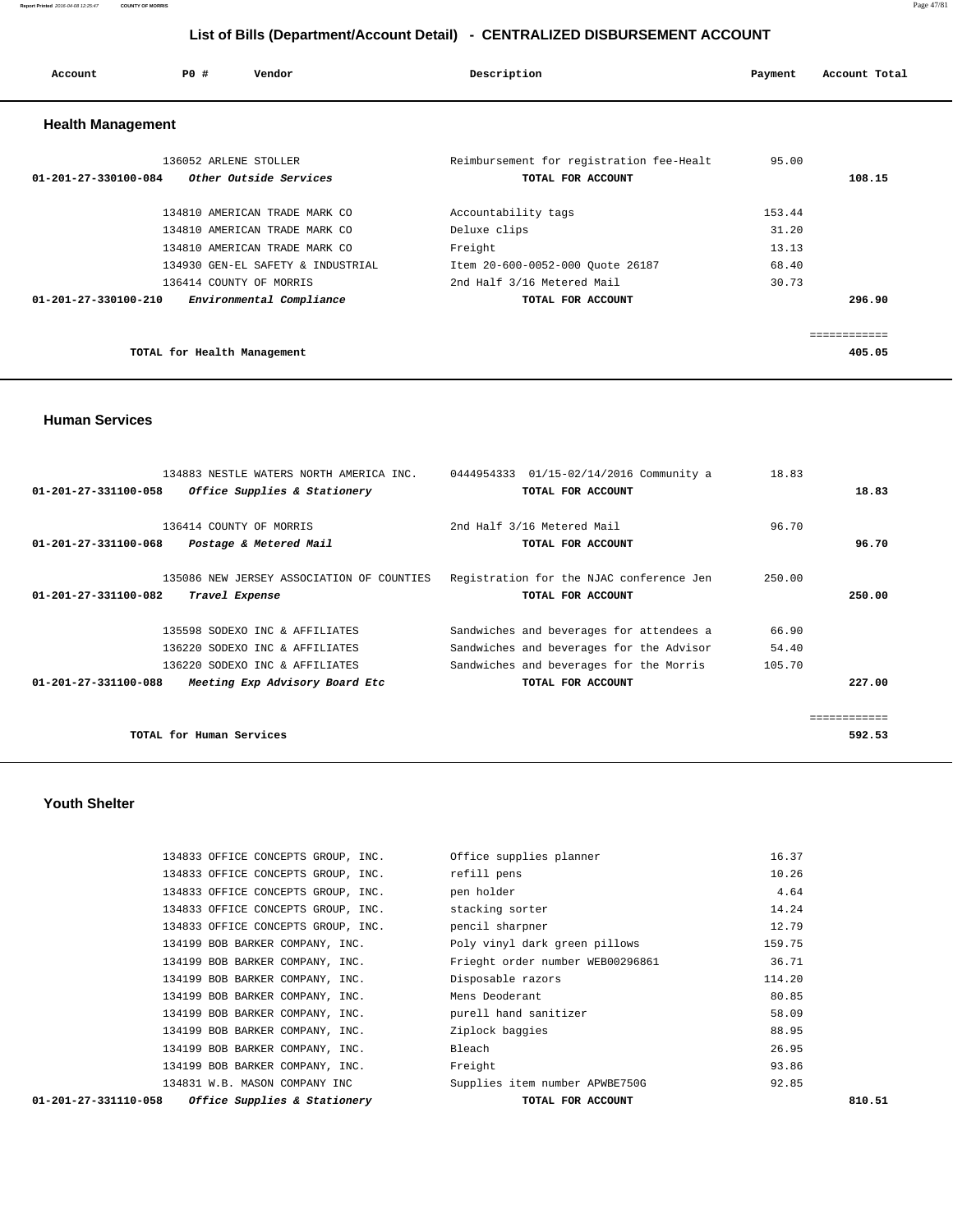| Account                        | Vendor<br>PO#                                                                                 | Description                                                               | Payment                 | Account Total |
|--------------------------------|-----------------------------------------------------------------------------------------------|---------------------------------------------------------------------------|-------------------------|---------------|
| <b>Health Management</b>       |                                                                                               |                                                                           |                         |               |
| $01 - 201 - 27 - 330100 - 084$ | 136052 ARLENE STOLLER<br>Other Outside Services                                               | Reimbursement for registration fee-Healt<br>TOTAL FOR ACCOUNT             | 95.00                   | 108.15        |
|                                | 134810 AMERICAN TRADE MARK CO<br>134810 AMERICAN TRADE MARK CO                                | Accountability tags<br>Deluxe clips                                       | 153.44<br>31.20         |               |
|                                | 134810 AMERICAN TRADE MARK CO<br>134930 GEN-EL SAFETY & INDUSTRIAL<br>136414 COUNTY OF MORRIS | Freight<br>Item 20-600-0052-000 Quote 26187<br>2nd Half 3/16 Metered Mail | 13.13<br>68.40<br>30.73 |               |
| $01 - 201 - 27 - 330100 - 210$ | Environmental Compliance                                                                      | TOTAL FOR ACCOUNT                                                         |                         | 296.90        |
|                                |                                                                                               |                                                                           |                         | ============  |
|                                | TOTAL for Health Management                                                                   |                                                                           |                         | 405.05        |

 **Human Services** 

| 134883 NESTLE WATERS NORTH AMERICA INC.                | 01/15-02/14/2016 Community a<br>0444954333 | 18.83  |
|--------------------------------------------------------|--------------------------------------------|--------|
| Office Supplies & Stationery<br>01-201-27-331100-058   | TOTAL FOR ACCOUNT                          | 18.83  |
|                                                        |                                            |        |
| 136414 COUNTY OF MORRIS                                | 2nd Half 3/16 Metered Mail                 | 96.70  |
| 01-201-27-331100-068<br>Postage & Metered Mail         | TOTAL FOR ACCOUNT                          | 96.70  |
|                                                        |                                            |        |
| 135086 NEW JERSEY ASSOCIATION OF COUNTIES              | Registration for the NJAC conference Jen   | 250.00 |
| 01-201-27-331100-082<br>Travel Expense                 | TOTAL FOR ACCOUNT                          | 250.00 |
|                                                        |                                            |        |
| 135598 SODEXO INC & AFFILIATES                         | Sandwiches and beverages for attendees a   | 66.90  |
| 136220 SODEXO INC & AFFILIATES                         | Sandwiches and beverages for the Advisor   | 54.40  |
| 136220 SODEXO INC & AFFILIATES                         | Sandwiches and beverages for the Morris    | 105.70 |
| 01-201-27-331100-088<br>Meeting Exp Advisory Board Etc | TOTAL FOR ACCOUNT                          | 227.00 |
|                                                        |                                            |        |
|                                                        |                                            |        |
| TOTAL for Human Services                               |                                            | 592.53 |

#### **Youth Shelter**

| <i>Office Supplies &amp; Stationery</i><br>01-201-27-331110-058 | TOTAL FOR ACCOUNT                | 810.51 |
|-----------------------------------------------------------------|----------------------------------|--------|
| 134831 W.B. MASON COMPANY INC                                   | Supplies item number APWBE750G   | 92.85  |
| 134199 BOB BARKER COMPANY, INC.                                 | Freight                          | 93.86  |
| 134199 BOB BARKER COMPANY, INC.                                 | Bleach                           | 26.95  |
| 134199 BOB BARKER COMPANY, INC.                                 | Ziplock baggies                  | 88.95  |
| 134199 BOB BARKER COMPANY, INC.                                 | purell hand sanitizer            | 58.09  |
| 134199 BOB BARKER COMPANY, INC.                                 | Mens Deoderant                   | 80.85  |
| 134199 BOB BARKER COMPANY, INC.                                 | Disposable razors                | 114.20 |
| 134199 BOB BARKER COMPANY, INC.                                 | Frieght order number WEB00296861 | 36.71  |
| 134199 BOB BARKER COMPANY, INC.                                 | Poly vinyl dark green pillows    | 159.75 |
| 134833 OFFICE CONCEPTS GROUP, INC.                              | pencil sharpner                  | 12.79  |
| 134833 OFFICE CONCEPTS GROUP, INC.                              | stacking sorter                  | 14.24  |
| 134833 OFFICE CONCEPTS GROUP, INC.                              | pen holder                       | 4.64   |
| 134833 OFFICE CONCEPTS GROUP, INC.                              | refill pens                      | 10.26  |
| 134833 OFFICE CONCEPTS GROUP, INC.                              | Office supplies planner          | 16.37  |
|                                                                 |                                  |        |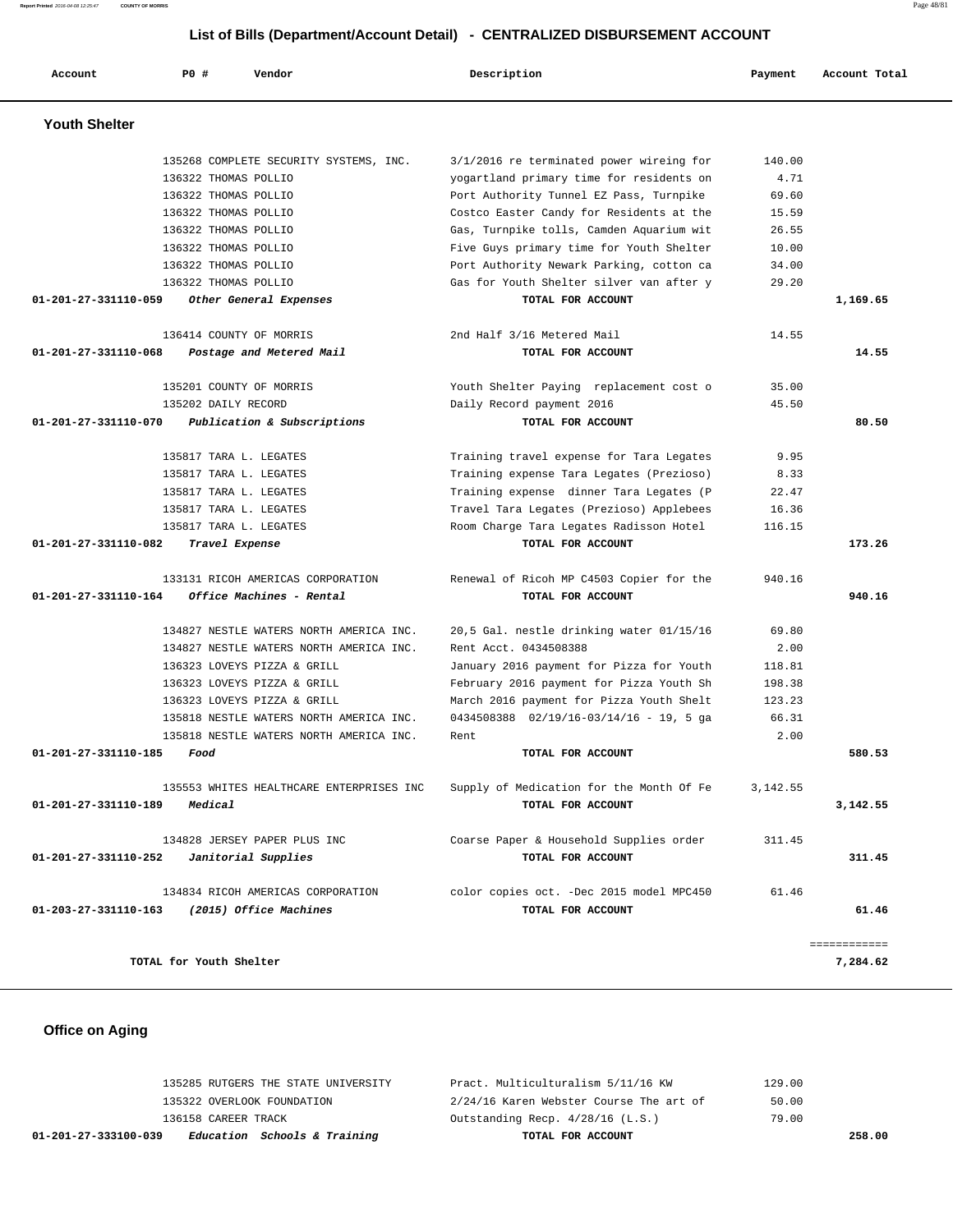**Report Printed** 2016-04-08 12:25:47 **COUNTY OF MORRIS** Page 48/81

# **List of Bills (Department/Account Detail) - CENTRALIZED DISBURSEMENT ACCOUNT**

| Account                        | PO#                     | Vendor                                   | Description                                  | Payment  | Account Total |
|--------------------------------|-------------------------|------------------------------------------|----------------------------------------------|----------|---------------|
| <b>Youth Shelter</b>           |                         |                                          |                                              |          |               |
|                                |                         | 135268 COMPLETE SECURITY SYSTEMS, INC.   | 3/1/2016 re terminated power wireing for     | 140.00   |               |
|                                | 136322 THOMAS POLLIO    |                                          | yogartland primary time for residents on     | 4.71     |               |
|                                | 136322 THOMAS POLLIO    |                                          | Port Authority Tunnel EZ Pass, Turnpike      | 69.60    |               |
|                                | 136322 THOMAS POLLIO    |                                          | Costco Easter Candy for Residents at the     | 15.59    |               |
|                                | 136322 THOMAS POLLIO    |                                          | Gas, Turnpike tolls, Camden Aquarium wit     | 26.55    |               |
|                                | 136322 THOMAS POLLIO    |                                          | Five Guys primary time for Youth Shelter     | 10.00    |               |
|                                | 136322 THOMAS POLLIO    |                                          | Port Authority Newark Parking, cotton ca     | 34.00    |               |
|                                | 136322 THOMAS POLLIO    |                                          | Gas for Youth Shelter silver van after y     | 29.20    |               |
| 01-201-27-331110-059           |                         | Other General Expenses                   | TOTAL FOR ACCOUNT                            |          | 1,169.65      |
|                                |                         | 136414 COUNTY OF MORRIS                  | 2nd Half 3/16 Metered Mail                   | 14.55    |               |
| $01 - 201 - 27 - 331110 - 068$ |                         | Postage and Metered Mail                 | TOTAL FOR ACCOUNT                            |          | 14.55         |
|                                |                         | 135201 COUNTY OF MORRIS                  | Youth Shelter Paying replacement cost o      | 35.00    |               |
|                                | 135202 DAILY RECORD     |                                          | Daily Record payment 2016                    | 45.50    |               |
| 01-201-27-331110-070           |                         | Publication & Subscriptions              | TOTAL FOR ACCOUNT                            |          | 80.50         |
|                                |                         | 135817 TARA L. LEGATES                   | Training travel expense for Tara Legates     | 9.95     |               |
|                                |                         | 135817 TARA L. LEGATES                   | Training expense Tara Legates (Prezioso)     | 8.33     |               |
|                                |                         | 135817 TARA L. LEGATES                   | Training expense dinner Tara Legates (P      | 22.47    |               |
|                                |                         | 135817 TARA L. LEGATES                   | Travel Tara Legates (Prezioso) Applebees     | 16.36    |               |
|                                |                         | 135817 TARA L. LEGATES                   | Room Charge Tara Legates Radisson Hotel      | 116.15   |               |
| 01-201-27-331110-082           |                         | Travel Expense                           | TOTAL FOR ACCOUNT                            |          | 173.26        |
|                                |                         | 133131 RICOH AMERICAS CORPORATION        | Renewal of Ricoh MP C4503 Copier for the     | 940.16   |               |
| 01-201-27-331110-164           |                         | Office Machines - Rental                 | TOTAL FOR ACCOUNT                            |          | 940.16        |
|                                |                         | 134827 NESTLE WATERS NORTH AMERICA INC.  | 20,5 Gal. nestle drinking water 01/15/16     | 69.80    |               |
|                                |                         | 134827 NESTLE WATERS NORTH AMERICA INC.  | Rent Acct. 0434508388                        | 2.00     |               |
|                                |                         | 136323 LOVEYS PIZZA & GRILL              | January 2016 payment for Pizza for Youth     | 118.81   |               |
|                                |                         | 136323 LOVEYS PIZZA & GRILL              | February 2016 payment for Pizza Youth Sh     | 198.38   |               |
|                                |                         | 136323 LOVEYS PIZZA & GRILL              | March 2016 payment for Pizza Youth Shelt     | 123.23   |               |
|                                |                         | 135818 NESTLE WATERS NORTH AMERICA INC.  | $0434508388$ $02/19/16-03/14/16 - 19$ , 5 ga | 66.31    |               |
|                                |                         | 135818 NESTLE WATERS NORTH AMERICA INC.  | Rent                                         | 2.00     |               |
| 01-201-27-331110-185           | Food                    |                                          | TOTAL FOR ACCOUNT                            |          | 580.53        |
|                                |                         | 135553 WHITES HEALTHCARE ENTERPRISES INC | Supply of Medication for the Month Of Fe     | 3,142.55 |               |
| 01-201-27-331110-189           | Medical                 |                                          | TOTAL FOR ACCOUNT                            |          | 3,142.55      |
|                                |                         | 134828 JERSEY PAPER PLUS INC             | Coarse Paper & Household Supplies order      | 311.45   |               |
| 01-201-27-331110-252           |                         | Janitorial Supplies                      | TOTAL FOR ACCOUNT                            |          | 311.45        |
|                                |                         | 134834 RICOH AMERICAS CORPORATION        | color copies oct. -Dec 2015 model MPC450     | 61.46    |               |
| 01-203-27-331110-163           |                         | (2015) Office Machines                   | TOTAL FOR ACCOUNT                            |          | 61.46         |
|                                |                         |                                          |                                              |          | ============  |
|                                | TOTAL for Youth Shelter |                                          |                                              |          | 7,284.62      |

# **Office on Aging**

| Education Schools & Training<br>01-201-27-333100-039 | TOTAL FOR ACCOUNT                       |        | 258.00 |
|------------------------------------------------------|-----------------------------------------|--------|--------|
| 136158 CAREER TRACK                                  | Outstanding Recp. 4/28/16 (L.S.)        | 79.00  |        |
| 135322 OVERLOOK FOUNDATION                           | 2/24/16 Karen Webster Course The art of | 50.00  |        |
| 135285 RUTGERS THE STATE UNIVERSITY                  | Pract. Multiculturalism 5/11/16 KW      | 129.00 |        |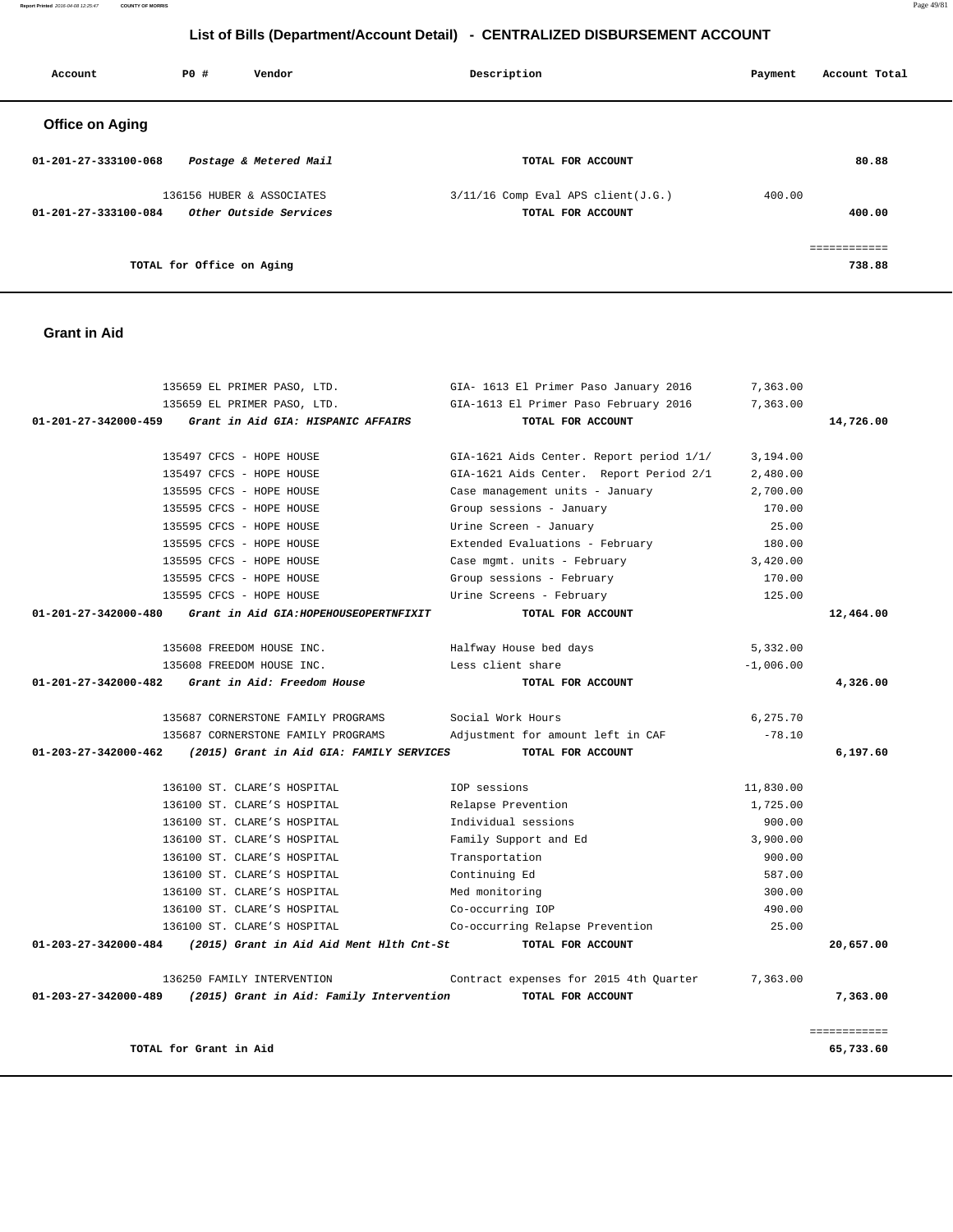**Report Printed** 2016-04-08 12:25:47 **COUNTY OF MORRIS** Page 49/81

# **List of Bills (Department/Account Detail) - CENTRALIZED DISBURSEMENT ACCOUNT**

| Account                | P0#                       | Vendor                    | Description                          | Payment | Account Total          |
|------------------------|---------------------------|---------------------------|--------------------------------------|---------|------------------------|
| <b>Office on Aging</b> |                           |                           |                                      |         |                        |
| 01-201-27-333100-068   |                           | Postage & Metered Mail    | TOTAL FOR ACCOUNT                    |         | 80.88                  |
|                        |                           | 136156 HUBER & ASSOCIATES | $3/11/16$ Comp Eval APS client(J.G.) | 400.00  |                        |
| 01-201-27-333100-084   |                           | Other Outside Services    | TOTAL FOR ACCOUNT                    |         | 400.00                 |
|                        | TOTAL for Office on Aging |                           |                                      |         | essessessess<br>738.88 |
|                        |                           |                           |                                      |         |                        |

## **Grant in Aid**

|                                | 135659 EL PRIMER PASO, LTD.              | GIA- 1613 El Primer Paso January 2016    | 7,363.00    |              |
|--------------------------------|------------------------------------------|------------------------------------------|-------------|--------------|
|                                | 135659 EL PRIMER PASO, LTD.              | GIA-1613 El Primer Paso February 2016    | 7,363.00    |              |
| $01 - 201 - 27 - 342000 - 459$ | Grant in Aid GIA: HISPANIC AFFAIRS       | TOTAL FOR ACCOUNT                        |             | 14,726.00    |
|                                | 135497 CFCS - HOPE HOUSE                 | GIA-1621 Aids Center. Report period 1/1/ | 3,194.00    |              |
|                                | 135497 CFCS - HOPE HOUSE                 | GIA-1621 Aids Center. Report Period 2/1  | 2,480.00    |              |
|                                | 135595 CFCS - HOPE HOUSE                 | Case management units - January          | 2,700.00    |              |
|                                | 135595 CFCS - HOPE HOUSE                 | Group sessions - January                 | 170.00      |              |
|                                | 135595 CFCS - HOPE HOUSE                 | Urine Screen - January                   | 25.00       |              |
|                                | 135595 CFCS - HOPE HOUSE                 | Extended Evaluations - February          | 180.00      |              |
|                                | 135595 CFCS - HOPE HOUSE                 | Case mgmt. units - February              | 3,420.00    |              |
|                                | 135595 CFCS - HOPE HOUSE                 | Group sessions - February                | 170.00      |              |
|                                | 135595 CFCS - HOPE HOUSE                 | Urine Screens - February                 | 125.00      |              |
| 01-201-27-342000-480           | Grant in Aid GIA: HOPEHOUSEOPERTNFIXIT   | TOTAL FOR ACCOUNT                        |             | 12,464.00    |
|                                | 135608 FREEDOM HOUSE INC.                | Halfway House bed days                   | 5,332.00    |              |
|                                | 135608 FREEDOM HOUSE INC.                | Less client share                        | $-1,006.00$ |              |
| 01-201-27-342000-482           | Grant in Aid: Freedom House              | TOTAL FOR ACCOUNT                        |             | 4,326.00     |
|                                | 135687 CORNERSTONE FAMILY PROGRAMS       | Social Work Hours                        | 6,275.70    |              |
|                                | 135687 CORNERSTONE FAMILY PROGRAMS       | Adjustment for amount left in CAF        | $-78.10$    |              |
| 01-203-27-342000-462           | (2015) Grant in Aid GIA: FAMILY SERVICES | TOTAL FOR ACCOUNT                        |             | 6,197.60     |
|                                | 136100 ST. CLARE'S HOSPITAL              | IOP sessions                             | 11,830.00   |              |
|                                | 136100 ST. CLARE'S HOSPITAL              | Relapse Prevention                       | 1,725.00    |              |
|                                | 136100 ST. CLARE'S HOSPITAL              | Individual sessions                      | 900.00      |              |
|                                | 136100 ST. CLARE'S HOSPITAL              | Family Support and Ed                    | 3,900.00    |              |
|                                | 136100 ST. CLARE'S HOSPITAL              | Transportation                           | 900.00      |              |
|                                | 136100 ST. CLARE'S HOSPITAL              | Continuing Ed                            | 587.00      |              |
|                                | 136100 ST. CLARE'S HOSPITAL              | Med monitoring                           | 300.00      |              |
|                                | 136100 ST. CLARE'S HOSPITAL              | Co-occurring IOP                         | 490.00      |              |
|                                | 136100 ST. CLARE'S HOSPITAL              | Co-occurring Relapse Prevention          | 25.00       |              |
| $01 - 203 - 27 - 342000 - 484$ | (2015) Grant in Aid Aid Ment Hlth Cnt-St | TOTAL FOR ACCOUNT                        |             | 20,657.00    |
|                                | 136250 FAMILY INTERVENTION               | Contract expenses for 2015 4th Quarter   | 7,363.00    |              |
| 01-203-27-342000-489           | (2015) Grant in Aid: Family Intervention | TOTAL FOR ACCOUNT                        |             | 7,363.00     |
|                                |                                          |                                          |             | ============ |
|                                | TOTAL for Grant in Aid                   |                                          |             | 65,733.60    |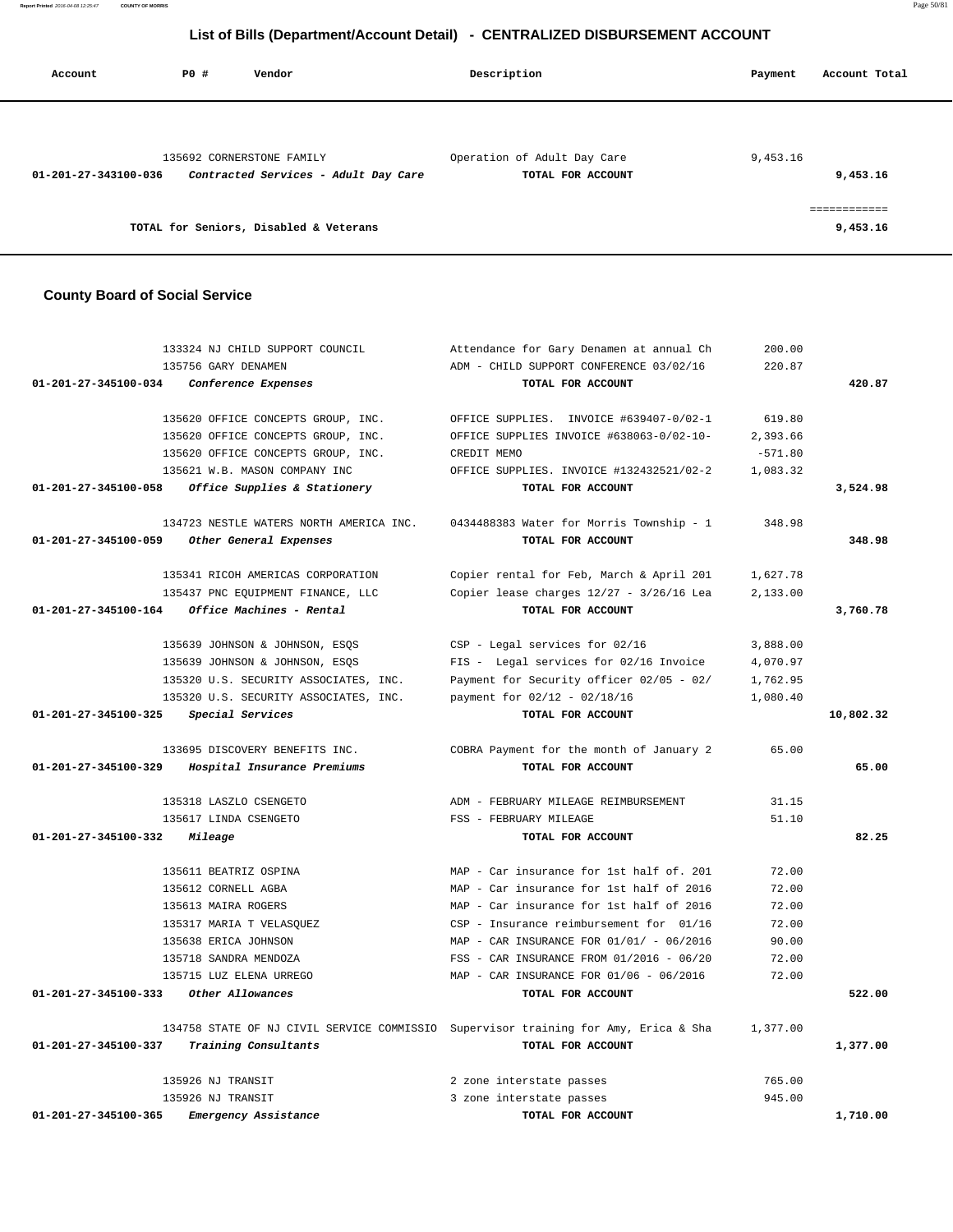**Report Printed** 2016-04-08 12:25:47 **COUNTY OF MORRIS** Page 50/81

# **List of Bills (Department/Account Detail) - CENTRALIZED DISBURSEMENT ACCOUNT**

|                                       | List of Bins (Bepartment/resount Betail)<br><b>PERTITULED DISDONDEMENT ACCO</b> |                                                                                                                                                                                                                                                                   |           |               |  |  |
|---------------------------------------|---------------------------------------------------------------------------------|-------------------------------------------------------------------------------------------------------------------------------------------------------------------------------------------------------------------------------------------------------------------|-----------|---------------|--|--|
| Account                               | PO#<br>Vendor                                                                   | Description                                                                                                                                                                                                                                                       | Payment   | Account Total |  |  |
|                                       |                                                                                 |                                                                                                                                                                                                                                                                   |           |               |  |  |
|                                       | 135692 CORNERSTONE FAMILY                                                       | Operation of Adult Day Care                                                                                                                                                                                                                                       | 9,453.16  |               |  |  |
| 01-201-27-343100-036                  | Contracted Services - Adult Day Care                                            | TOTAL FOR ACCOUNT                                                                                                                                                                                                                                                 |           | 9,453.16      |  |  |
|                                       |                                                                                 |                                                                                                                                                                                                                                                                   |           |               |  |  |
|                                       |                                                                                 |                                                                                                                                                                                                                                                                   |           | ============  |  |  |
|                                       | TOTAL for Seniors, Disabled & Veterans                                          |                                                                                                                                                                                                                                                                   |           | 9,453.16      |  |  |
|                                       |                                                                                 |                                                                                                                                                                                                                                                                   |           |               |  |  |
| <b>County Board of Social Service</b> |                                                                                 |                                                                                                                                                                                                                                                                   |           |               |  |  |
|                                       | 133324 NJ CHILD SUPPORT COUNCIL                                                 | Attendance for Gary Denamen at annual Ch                                                                                                                                                                                                                          | 200.00    |               |  |  |
|                                       | 135756 GARY DENAMEN                                                             | ADM - CHILD SUPPORT CONFERENCE 03/02/16                                                                                                                                                                                                                           | 220.87    |               |  |  |
| 01-201-27-345100-034                  | Conference Expenses                                                             | TOTAL FOR ACCOUNT                                                                                                                                                                                                                                                 |           | 420.87        |  |  |
|                                       |                                                                                 | 135620 OFFICE CONCEPTS GROUP, INC. OFFICE SUPPLIES. INVOICE #639407-0/02-1                                                                                                                                                                                        | 619.80    |               |  |  |
|                                       |                                                                                 | 135620 OFFICE CONCEPTS GROUP, INC. OFFICE SUPPLIES INVOICE #638063-0/02-10-                                                                                                                                                                                       | 2,393.66  |               |  |  |
|                                       | 135620 OFFICE CONCEPTS GROUP, INC.                                              | CREDIT MEMO                                                                                                                                                                                                                                                       | $-571.80$ |               |  |  |
|                                       | 135621 W.B. MASON COMPANY INC                                                   | OFFICE SUPPLIES. INVOICE #132432521/02-2                                                                                                                                                                                                                          | 1,083.32  |               |  |  |
| 01-201-27-345100-058                  | Office Supplies & Stationery                                                    | TOTAL FOR ACCOUNT                                                                                                                                                                                                                                                 |           | 3,524.98      |  |  |
|                                       |                                                                                 | 134723 NESTLE WATERS NORTH AMERICA INC. 0434488383 Water for Morris Township - 1                                                                                                                                                                                  | 348.98    |               |  |  |
|                                       | $01.201.27.245100.050$ $0.01cm$ $0.01cm$ $0.01cm$                               | $EXAMPLE EXAMPLE EXAMPLE EXAMPLE EXAMPLE EXAMPLE EXAMPLE EXAMPLE EXAMPLE EXAMPLE EXAMPLE EXAMPLE EXAMPLE EXAMPLE EXAMPLE EXAMPLE EXAMPLE EXAMPLE EXAMPLE EXAMPLE EXAMPLE EXAMPLE EXAMPLE EXAMPLE EXAMPLE EXAMPLE EXAMPLE EXAMPLE EXAMPLE EXAMPLE EXAMPLE EXAMPLE$ |           | 240.00        |  |  |

|                                | 135756 GARY DENAMEN                     | ADM - CHILD SUPPORT CONFERENCE 03/02/16                                             | 220.87    |           |
|--------------------------------|-----------------------------------------|-------------------------------------------------------------------------------------|-----------|-----------|
| $01 - 201 - 27 - 345100 - 034$ | <i>Conference Expenses</i>              | TOTAL FOR ACCOUNT                                                                   |           | 420.87    |
|                                |                                         |                                                                                     |           |           |
|                                | 135620 OFFICE CONCEPTS GROUP, INC.      | OFFICE SUPPLIES. INVOICE #639407-0/02-1                                             | 619.80    |           |
|                                | 135620 OFFICE CONCEPTS GROUP, INC.      | OFFICE SUPPLIES INVOICE #638063-0/02-10-                                            | 2,393.66  |           |
|                                | 135620 OFFICE CONCEPTS GROUP, INC.      | CREDIT MEMO                                                                         | $-571.80$ |           |
|                                | 135621 W.B. MASON COMPANY INC           | OFFICE SUPPLIES. INVOICE #132432521/02-2                                            | 1,083.32  |           |
| 01-201-27-345100-058           | Office Supplies & Stationery            | TOTAL FOR ACCOUNT                                                                   |           | 3,524.98  |
|                                |                                         |                                                                                     |           |           |
|                                | 134723 NESTLE WATERS NORTH AMERICA INC. | 0434488383 Water for Morris Township - 1                                            | 348.98    |           |
| 01-201-27-345100-059           | Other General Expenses                  | TOTAL FOR ACCOUNT                                                                   |           | 348.98    |
|                                |                                         |                                                                                     |           |           |
|                                | 135341 RICOH AMERICAS CORPORATION       | Copier rental for Feb, March & April 201                                            | 1,627.78  |           |
|                                | 135437 PNC EQUIPMENT FINANCE, LLC       | Copier lease charges 12/27 - 3/26/16 Lea                                            | 2,133.00  |           |
| 01-201-27-345100-164           | Office Machines - Rental                | TOTAL FOR ACCOUNT                                                                   |           | 3,760.78  |
|                                |                                         |                                                                                     |           |           |
|                                | 135639 JOHNSON & JOHNSON, ESQS          | CSP - Legal services for 02/16                                                      | 3,888.00  |           |
|                                | 135639 JOHNSON & JOHNSON, ESQS          | FIS - Legal services for 02/16 Invoice                                              | 4,070.97  |           |
|                                | 135320 U.S. SECURITY ASSOCIATES, INC.   | Payment for Security officer 02/05 - 02/                                            | 1,762.95  |           |
|                                | 135320 U.S. SECURITY ASSOCIATES, INC.   | payment for 02/12 - 02/18/16                                                        | 1,080.40  |           |
| 01-201-27-345100-325           | Special Services                        | TOTAL FOR ACCOUNT                                                                   |           | 10,802.32 |
|                                |                                         |                                                                                     |           |           |
|                                | 133695 DISCOVERY BENEFITS INC.          | COBRA Payment for the month of January 2                                            | 65.00     |           |
| 01-201-27-345100-329           | Hospital Insurance Premiums             | TOTAL FOR ACCOUNT                                                                   |           | 65.00     |
|                                | 135318 LASZLO CSENGETO                  | ADM - FEBRUARY MILEAGE REIMBURSEMENT                                                | 31.15     |           |
|                                | 135617 LINDA CSENGETO                   | FSS - FEBRUARY MILEAGE                                                              | 51.10     |           |
| 01-201-27-345100-332           | Mileage                                 | TOTAL FOR ACCOUNT                                                                   |           | 82.25     |
|                                |                                         |                                                                                     |           |           |
|                                | 135611 BEATRIZ OSPINA                   | MAP - Car insurance for 1st half of. 201                                            | 72.00     |           |
|                                | 135612 CORNELL AGBA                     | MAP - Car insurance for 1st half of 2016                                            | 72.00     |           |
|                                | 135613 MAIRA ROGERS                     | MAP - Car insurance for 1st half of 2016                                            | 72.00     |           |
|                                | 135317 MARIA T VELASOUEZ                | CSP - Insurance reimbursement for 01/16                                             | 72.00     |           |
|                                | 135638 ERICA JOHNSON                    | MAP - CAR INSURANCE FOR 01/01/ - 06/2016                                            | 90.00     |           |
|                                | 135718 SANDRA MENDOZA                   | FSS - CAR INSURANCE FROM 01/2016 - 06/20                                            | 72.00     |           |
|                                | 135715 LUZ ELENA URREGO                 | MAP - CAR INSURANCE FOR $01/06 - 06/2016$                                           | 72.00     |           |
| 01-201-27-345100-333           | Other Allowances                        | TOTAL FOR ACCOUNT                                                                   |           | 522.00    |
|                                |                                         |                                                                                     |           |           |
|                                |                                         | 134758 STATE OF NJ CIVIL SERVICE COMMISSIO Supervisor training for Amy, Erica & Sha | 1,377.00  |           |
| 01-201-27-345100-337           | Training Consultants                    | TOTAL FOR ACCOUNT                                                                   |           | 1,377.00  |
|                                |                                         |                                                                                     |           |           |
|                                | 135926 NJ TRANSIT                       | 2 zone interstate passes                                                            | 765.00    |           |
|                                | 135926 NJ TRANSIT                       | 3 zone interstate passes                                                            | 945.00    |           |

 **01-201-27-345100-365 Emergency Assistance TOTAL FOR ACCOUNT 1,710.00**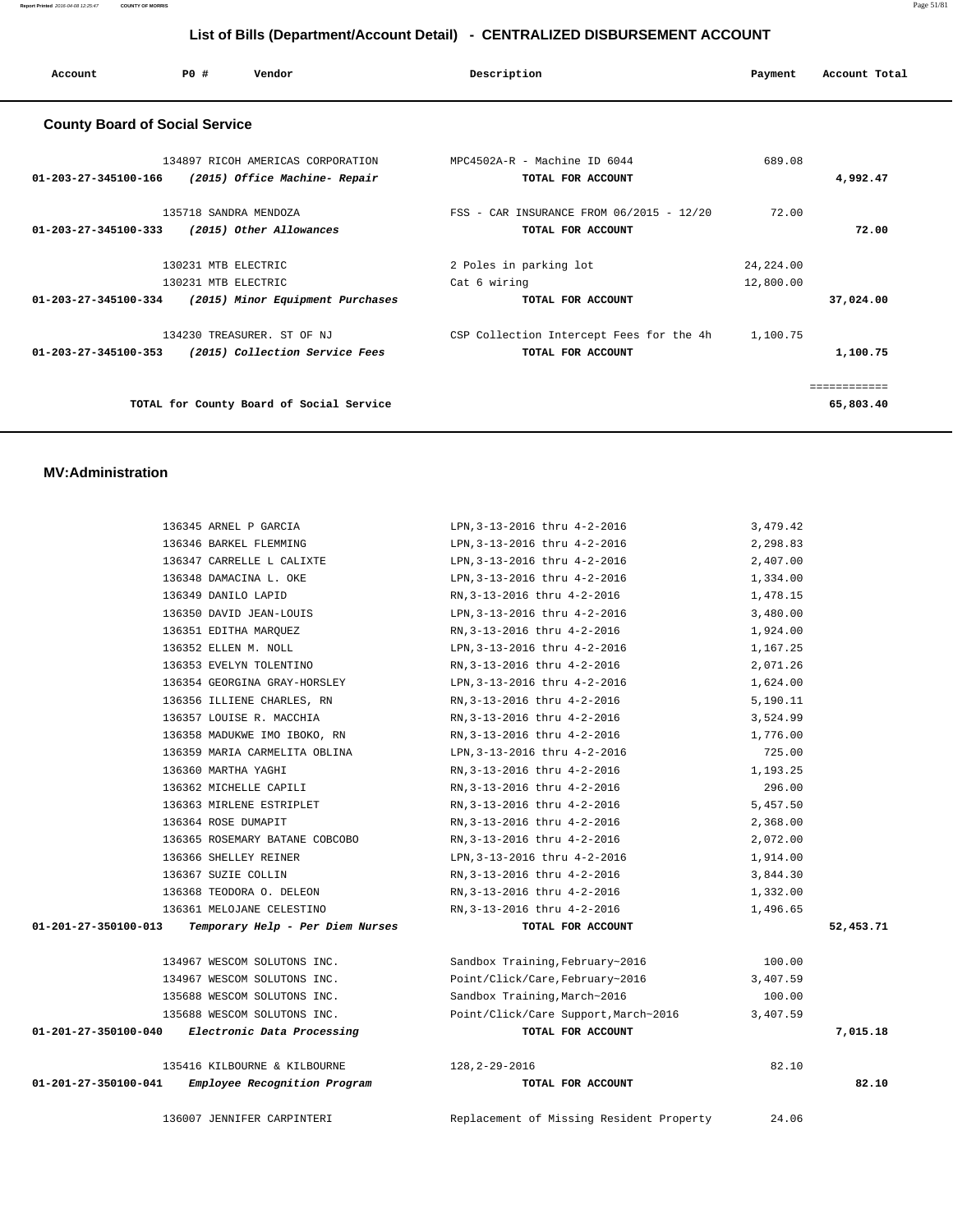| Account                               | PO#                                        | Vendor                                                                                  | Description                                                            | Payment                 | Account Total             |
|---------------------------------------|--------------------------------------------|-----------------------------------------------------------------------------------------|------------------------------------------------------------------------|-------------------------|---------------------------|
| <b>County Board of Social Service</b> |                                            |                                                                                         |                                                                        |                         |                           |
|                                       |                                            | 134897 RICOH AMERICAS CORPORATION<br>01-203-27-345100-166 (2015) Office Machine- Repair | MPC4502A-R - Machine ID 6044<br>TOTAL FOR ACCOUNT                      | 689.08                  | 4,992.47                  |
| 01-203-27-345100-333                  | 135718 SANDRA MENDOZA                      | (2015) Other Allowances                                                                 | FSS - CAR INSURANCE FROM 06/2015 - 12/20<br>TOTAL FOR ACCOUNT          | 72.00                   | 72.00                     |
|                                       | 130231 MTB ELECTRIC<br>130231 MTB ELECTRIC | 01-203-27-345100-334 (2015) Minor Equipment Purchases                                   | 2 Poles in parking lot<br>Cat 6 wiring<br>TOTAL FOR ACCOUNT            | 24, 224.00<br>12,800.00 | 37,024.00                 |
| 01-203-27-345100-353                  |                                            | 134230 TREASURER. ST OF NJ<br>(2015) Collection Service Fees                            | CSP Collection Intercept Fees for the 4h 1,100.75<br>TOTAL FOR ACCOUNT |                         | 1,100.75                  |
|                                       |                                            | TOTAL for County Board of Social Service                                                |                                                                        |                         | ============<br>65,803.40 |
|                                       |                                            |                                                                                         |                                                                        |                         |                           |

#### **MV:Administration**

|                                                 | 136007 JENNIFER CARPINTERI       | Replacement of Missing Resident Property | 24.06    |           |
|-------------------------------------------------|----------------------------------|------------------------------------------|----------|-----------|
| 01-201-27-350100-041                            | Employee Recognition Program     | TOTAL FOR ACCOUNT                        |          | 82.10     |
|                                                 | 135416 KILBOURNE & KILBOURNE     | 128, 2-29-2016                           | 82.10    |           |
| 01-201-27-350100-040 Electronic Data Processing |                                  | TOTAL FOR ACCOUNT                        |          | 7,015.18  |
|                                                 | 135688 WESCOM SOLUTONS INC.      | Point/Click/Care Support, March~2016     | 3,407.59 |           |
|                                                 | 135688 WESCOM SOLUTONS INC.      | Sandbox Training, March~2016             | 100.00   |           |
|                                                 | 134967 WESCOM SOLUTONS INC.      | Point/Click/Care, February~2016          | 3,407.59 |           |
|                                                 | 134967 WESCOM SOLUTONS INC.      | Sandbox Training, February~2016          | 100.00   |           |
| 01-201-27-350100-013                            | Temporary Help - Per Diem Nurses | TOTAL FOR ACCOUNT                        |          | 52,453.71 |
|                                                 | 136361 MELOJANE CELESTINO        | RN, 3-13-2016 thru 4-2-2016              | 1,496.65 |           |
|                                                 | 136368 TEODORA O. DELEON         | RN, 3-13-2016 thru 4-2-2016              | 1,332.00 |           |
|                                                 | 136367 SUZIE COLLIN              | RN, 3-13-2016 thru 4-2-2016              | 3,844.30 |           |
|                                                 | 136366 SHELLEY REINER            | LPN, 3-13-2016 thru 4-2-2016             | 1,914.00 |           |
|                                                 | 136365 ROSEMARY BATANE COBCOBO   | RN, 3-13-2016 thru 4-2-2016              | 2,072.00 |           |
|                                                 | 136364 ROSE DUMAPIT              | RN, 3-13-2016 thru 4-2-2016              | 2,368.00 |           |
|                                                 | 136363 MIRLENE ESTRIPLET         | RN, 3-13-2016 thru 4-2-2016              | 5,457.50 |           |
|                                                 | 136362 MICHELLE CAPILI           | RN, 3-13-2016 thru 4-2-2016              | 296.00   |           |
|                                                 | 136360 MARTHA YAGHI              | RN, 3-13-2016 thru 4-2-2016              | 1,193.25 |           |
|                                                 | 136359 MARIA CARMELITA OBLINA    | LPN, 3-13-2016 thru 4-2-2016             | 725.00   |           |
|                                                 | 136358 MADUKWE IMO IBOKO, RN     | RN, 3-13-2016 thru 4-2-2016              | 1,776.00 |           |
|                                                 | 136357 LOUISE R. MACCHIA         | RN, 3-13-2016 thru 4-2-2016              | 3,524.99 |           |
|                                                 | 136356 ILLIENE CHARLES, RN       | RN, 3-13-2016 thru 4-2-2016              | 5,190.11 |           |
|                                                 | 136354 GEORGINA GRAY-HORSLEY     | LPN, 3-13-2016 thru 4-2-2016             | 1,624.00 |           |
|                                                 | 136353 EVELYN TOLENTINO          | RN, 3-13-2016 thru 4-2-2016              | 2,071.26 |           |
|                                                 | 136352 ELLEN M. NOLL             | LPN, 3-13-2016 thru 4-2-2016             | 1,167.25 |           |
|                                                 | 136351 EDITHA MARQUEZ            | RN, 3-13-2016 thru 4-2-2016              | 1,924.00 |           |
|                                                 | 136350 DAVID JEAN-LOUIS          | LPN, 3-13-2016 thru 4-2-2016             | 3,480.00 |           |
|                                                 | 136349 DANILO LAPID              | RN, 3-13-2016 thru 4-2-2016              | 1,478.15 |           |
|                                                 | 136348 DAMACINA L. OKE           | LPN, 3-13-2016 thru 4-2-2016             | 1,334.00 |           |
|                                                 | 136347 CARRELLE L CALIXTE        | LPN, 3-13-2016 thru 4-2-2016             | 2,407.00 |           |
|                                                 | 136346 BARKEL FLEMMING           | LPN, 3-13-2016 thru 4-2-2016             | 2,298.83 |           |
|                                                 | 136345 ARNEL P GARCIA            | LPN, 3-13-2016 thru 4-2-2016             | 3,479.42 |           |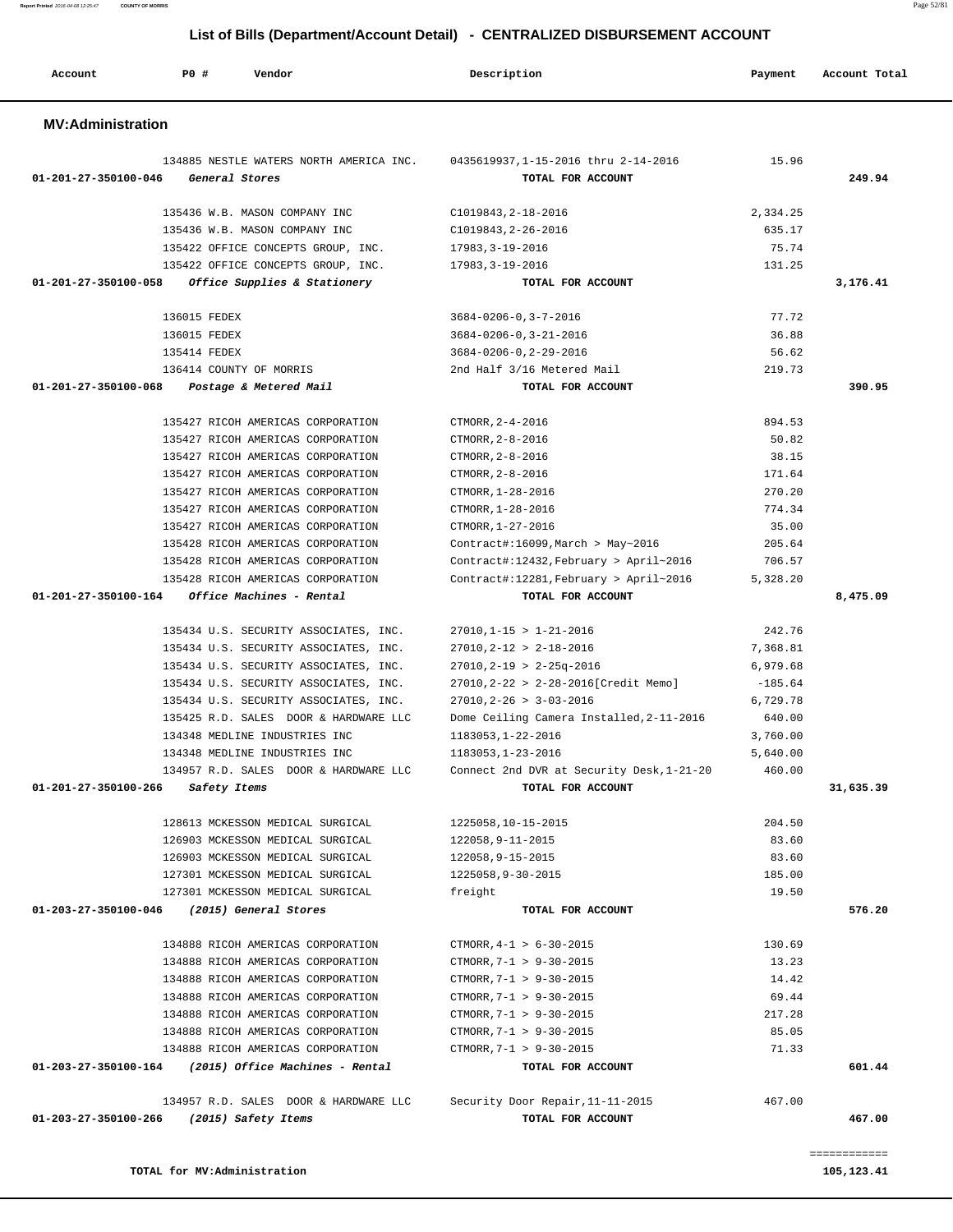| 134885 NESTLE WATERS NORTH AMERICA INC. 0435619937,1-15-2016 thru 2-14-2016<br>01-201-27-350100-046<br>General Stores | TOTAL FOR ACCOUNT                                     | 15.96     | 249.94    |
|-----------------------------------------------------------------------------------------------------------------------|-------------------------------------------------------|-----------|-----------|
|                                                                                                                       |                                                       |           |           |
| 135436 W.B. MASON COMPANY INC                                                                                         | C1019843, 2-18-2016                                   | 2,334.25  |           |
| 135436 W.B. MASON COMPANY INC                                                                                         | C1019843, 2-26-2016                                   | 635.17    |           |
| 135422 OFFICE CONCEPTS GROUP, INC.                                                                                    | 17983,3-19-2016                                       | 75.74     |           |
| 135422 OFFICE CONCEPTS GROUP, INC.<br>01-201-27-350100-058<br>Office Supplies & Stationery                            | 17983,3-19-2016<br>TOTAL FOR ACCOUNT                  | 131.25    | 3,176.41  |
|                                                                                                                       |                                                       |           |           |
| 136015 FEDEX                                                                                                          | $3684 - 0206 - 0, 3 - 7 - 2016$                       | 77.72     |           |
| 136015 FEDEX                                                                                                          | $3684 - 0206 - 0, 3 - 21 - 2016$                      | 36.88     |           |
| 135414 FEDEX                                                                                                          | 3684-0206-0, 2-29-2016                                | 56.62     |           |
| 136414 COUNTY OF MORRIS                                                                                               | 2nd Half 3/16 Metered Mail                            | 219.73    |           |
| 01-201-27-350100-068<br>Postage & Metered Mail                                                                        | TOTAL FOR ACCOUNT                                     |           | 390.95    |
| 135427 RICOH AMERICAS CORPORATION                                                                                     | CTMORR, 2-4-2016                                      | 894.53    |           |
| 135427 RICOH AMERICAS CORPORATION                                                                                     | CTMORR, 2-8-2016                                      | 50.82     |           |
| 135427 RICOH AMERICAS CORPORATION                                                                                     | CTMORR, 2-8-2016                                      | 38.15     |           |
| 135427 RICOH AMERICAS CORPORATION                                                                                     | CTMORR, 2-8-2016                                      | 171.64    |           |
| 135427 RICOH AMERICAS CORPORATION                                                                                     | CTMORR, 1-28-2016                                     | 270.20    |           |
| 135427 RICOH AMERICAS CORPORATION                                                                                     | CTMORR, 1-28-2016                                     | 774.34    |           |
| 135427 RICOH AMERICAS CORPORATION                                                                                     | CTMORR, 1-27-2016                                     | 35.00     |           |
| 135428 RICOH AMERICAS CORPORATION                                                                                     | Contract#:16099, March > May~2016                     | 205.64    |           |
| 135428 RICOH AMERICAS CORPORATION                                                                                     | Contract#:12432, February > April~2016                | 706.57    |           |
| 135428 RICOH AMERICAS CORPORATION                                                                                     | Contract#:12281, February > April~2016                | 5,328.20  |           |
| 01-201-27-350100-164<br>Office Machines - Rental                                                                      | TOTAL FOR ACCOUNT                                     |           | 8,475.09  |
| 135434 U.S. SECURITY ASSOCIATES, INC.                                                                                 | $27010, 1 - 15 > 1 - 21 - 2016$                       | 242.76    |           |
| 135434 U.S. SECURITY ASSOCIATES, INC.                                                                                 | $27010, 2 - 12 > 2 - 18 - 2016$                       | 7,368.81  |           |
| 135434 U.S. SECURITY ASSOCIATES, INC.                                                                                 | $27010, 2 - 19 > 2 - 25q - 2016$                      | 6,979.68  |           |
| 135434 U.S. SECURITY ASSOCIATES, INC.                                                                                 | 27010, 2-22 > 2-28-2016 [Credit Memo]                 | $-185.64$ |           |
| 135434 U.S. SECURITY ASSOCIATES, INC.                                                                                 | $27010, 2 - 26 > 3 - 03 - 2016$                       | 6,729.78  |           |
| 135425 R.D. SALES DOOR & HARDWARE LLC                                                                                 | Dome Ceiling Camera Installed, 2-11-2016              | 640.00    |           |
| 134348 MEDLINE INDUSTRIES INC                                                                                         | 1183053, 1-22-2016                                    | 3,760.00  |           |
| 134348 MEDLINE INDUSTRIES INC                                                                                         | 1183053, 1-23-2016                                    | 5,640.00  |           |
| 134957 R.D. SALES DOOR & HARDWARE LLC                                                                                 | Connect 2nd DVR at Security Desk, 1-21-20             | 460.00    |           |
| 01-201-27-350100-266 Safety Items                                                                                     | TOTAL FOR ACCOUNT                                     |           | 31,635.39 |
| 128613 MCKESSON MEDICAL SURGICAL                                                                                      | 1225058,10-15-2015                                    | 204.50    |           |
| 126903 MCKESSON MEDICAL SURGICAL                                                                                      | 122058, 9-11-2015                                     | 83.60     |           |
| 126903 MCKESSON MEDICAL SURGICAL                                                                                      | 122058,9-15-2015                                      | 83.60     |           |
| 127301 MCKESSON MEDICAL SURGICAL                                                                                      | 1225058,9-30-2015                                     | 185.00    |           |
| 127301 MCKESSON MEDICAL SURGICAL                                                                                      | freight                                               | 19.50     |           |
| 01-203-27-350100-046<br>(2015) General Stores                                                                         | TOTAL FOR ACCOUNT                                     |           | 576.20    |
| 134888 RICOH AMERICAS CORPORATION                                                                                     | CTMORR, $4-1 > 6-30-2015$                             | 130.69    |           |
| 134888 RICOH AMERICAS CORPORATION                                                                                     | CTMORR, 7-1 > 9-30-2015                               | 13.23     |           |
| 134888 RICOH AMERICAS CORPORATION                                                                                     | CTMORR, 7-1 > 9-30-2015                               | 14.42     |           |
| 134888 RICOH AMERICAS CORPORATION                                                                                     | CTMORR, 7-1 > 9-30-2015                               | 69.44     |           |
| 134888 RICOH AMERICAS CORPORATION                                                                                     | CTMORR, 7-1 > 9-30-2015                               | 217.28    |           |
| 134888 RICOH AMERICAS CORPORATION                                                                                     | CTMORR, 7-1 > 9-30-2015                               | 85.05     |           |
| 134888 RICOH AMERICAS CORPORATION                                                                                     | CTMORR, 7-1 > 9-30-2015                               | 71.33     |           |
|                                                                                                                       |                                                       |           | 601.44    |
| (2015) Office Machines - Rental                                                                                       | TOTAL FOR ACCOUNT                                     |           |           |
|                                                                                                                       |                                                       |           |           |
| 01-203-27-350100-164<br>134957 R.D. SALES DOOR & HARDWARE LLC<br>01-203-27-350100-266<br>(2015) Safety Items          | Security Door Repair, 11-11-2015<br>TOTAL FOR ACCOUNT | 467.00    | 467.00    |

 **Account P0 # Vendor Description Payment Account Total**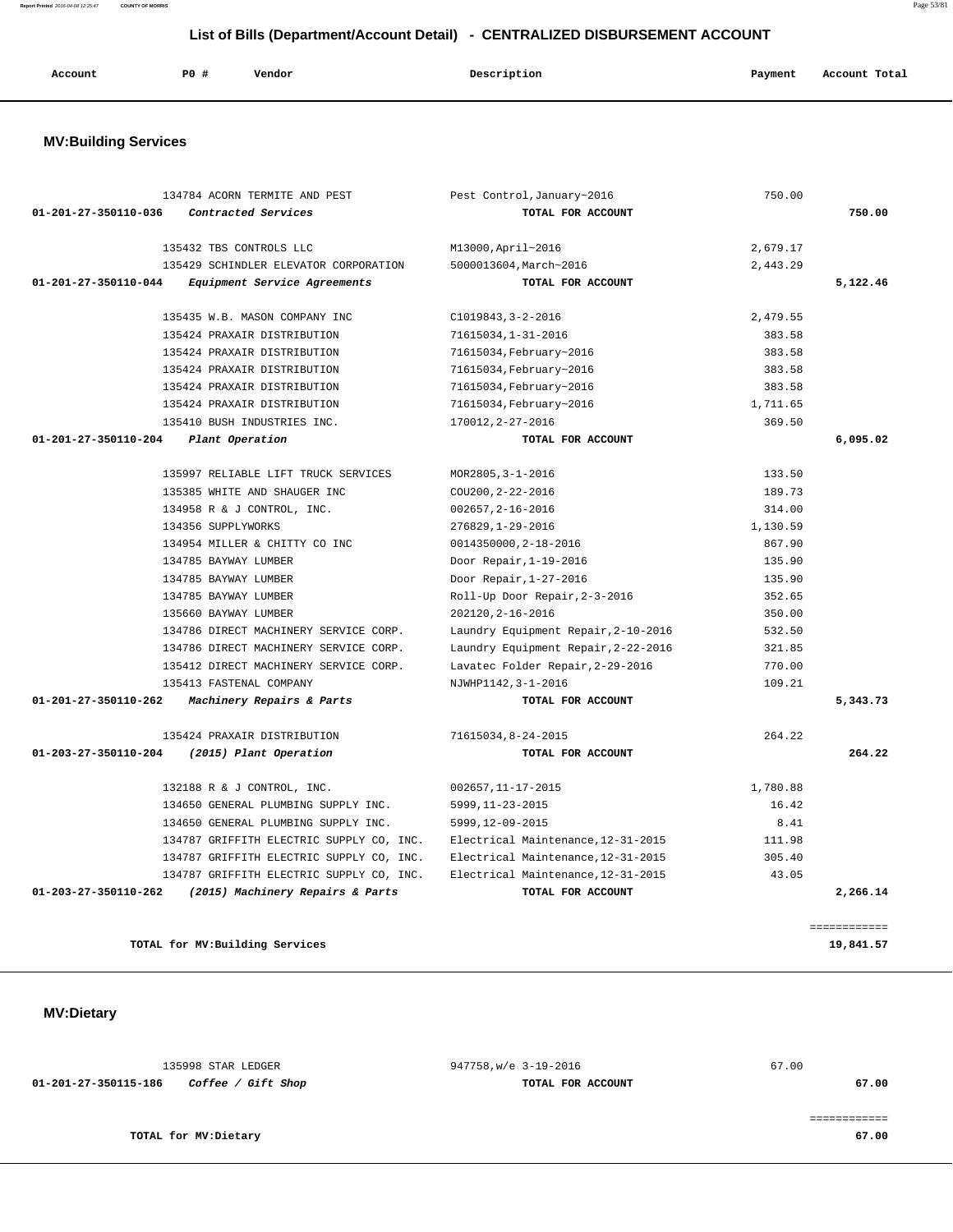135998 STAR LEDGER 947758,w/e 3-19-2016 67.00  **01-201-27-350115-186 Coffee / Gift Shop TOTAL FOR ACCOUNT 67.00** ============ **TOTAL for MV:Dietary** 67.00

**TOTAL for MV:Building Services** 19,841.57

 **MV:Dietary** 

|                      | 134784 ACORN TERMITE AND PEST            | Pest Control, January~2016          | 750.00   |              |
|----------------------|------------------------------------------|-------------------------------------|----------|--------------|
| 01-201-27-350110-036 | Contracted Services                      | TOTAL FOR ACCOUNT                   |          | 750.00       |
|                      | 135432 TBS CONTROLS LLC                  | M13000, April~2016                  | 2,679.17 |              |
|                      | 135429 SCHINDLER ELEVATOR CORPORATION    | 5000013604, March~2016              | 2,443.29 |              |
| 01-201-27-350110-044 | Equipment Service Agreements             | TOTAL FOR ACCOUNT                   |          | 5,122.46     |
|                      | 135435 W.B. MASON COMPANY INC            | $C1019843, 3 - 2 - 2016$            | 2,479.55 |              |
|                      | 135424 PRAXAIR DISTRIBUTION              | 71615034,1-31-2016                  | 383.58   |              |
|                      | 135424 PRAXAIR DISTRIBUTION              | 71615034, February~2016             | 383.58   |              |
|                      | 135424 PRAXAIR DISTRIBUTION              | 71615034, February~2016             | 383.58   |              |
|                      | 135424 PRAXAIR DISTRIBUTION              | 71615034, February~2016             | 383.58   |              |
|                      | 135424 PRAXAIR DISTRIBUTION              | 71615034, February~2016             | 1,711.65 |              |
|                      | 135410 BUSH INDUSTRIES INC.              | 170012, 2-27-2016                   | 369.50   |              |
| 01-201-27-350110-204 | Plant Operation                          | TOTAL FOR ACCOUNT                   |          | 6,095.02     |
|                      | 135997 RELIABLE LIFT TRUCK SERVICES      | MOR2805, 3-1-2016                   | 133.50   |              |
|                      | 135385 WHITE AND SHAUGER INC             | COU200, 2-22-2016                   | 189.73   |              |
|                      | 134958 R & J CONTROL, INC.               | $002657, 2 - 16 - 2016$             | 314.00   |              |
|                      | 134356 SUPPLYWORKS                       | 276829, 1-29-2016                   | 1,130.59 |              |
|                      | 134954 MILLER & CHITTY CO INC            | 0014350000, 2-18-2016               | 867.90   |              |
|                      | 134785 BAYWAY LUMBER                     | Door Repair, 1-19-2016              | 135.90   |              |
|                      | 134785 BAYWAY LUMBER                     | Door Repair, 1-27-2016              | 135.90   |              |
|                      | 134785 BAYWAY LUMBER                     | Roll-Up Door Repair, 2-3-2016       | 352.65   |              |
|                      | 135660 BAYWAY LUMBER                     | 202120, 2-16-2016                   | 350.00   |              |
|                      | 134786 DIRECT MACHINERY SERVICE CORP.    | Laundry Equipment Repair, 2-10-2016 | 532.50   |              |
|                      | 134786 DIRECT MACHINERY SERVICE CORP.    | Laundry Equipment Repair, 2-22-2016 | 321.85   |              |
|                      | 135412 DIRECT MACHINERY SERVICE CORP.    | Lavatec Folder Repair, 2-29-2016    | 770.00   |              |
|                      | 135413 FASTENAL COMPANY                  | NJWHP1142, 3-1-2016                 | 109.21   |              |
| 01-201-27-350110-262 | Machinery Repairs & Parts                | TOTAL FOR ACCOUNT                   |          | 5,343.73     |
|                      | 135424 PRAXAIR DISTRIBUTION              | 71615034,8-24-2015                  | 264.22   |              |
| 01-203-27-350110-204 | (2015) Plant Operation                   | TOTAL FOR ACCOUNT                   |          | 264.22       |
|                      | 132188 R & J CONTROL, INC.               | 002657, 11-17-2015                  | 1,780.88 |              |
|                      | 134650 GENERAL PLUMBING SUPPLY INC.      | 5999, 11-23-2015                    | 16.42    |              |
|                      | 134650 GENERAL PLUMBING SUPPLY INC.      | 5999, 12-09-2015                    | 8.41     |              |
|                      | 134787 GRIFFITH ELECTRIC SUPPLY CO, INC. | Electrical Maintenance, 12-31-2015  | 111.98   |              |
|                      | 134787 GRIFFITH ELECTRIC SUPPLY CO, INC. | Electrical Maintenance, 12-31-2015  | 305.40   |              |
|                      | 134787 GRIFFITH ELECTRIC SUPPLY CO, INC. | Electrical Maintenance, 12-31-2015  | 43.05    |              |
| 01-203-27-350110-262 | (2015) Machinery Repairs & Parts         | TOTAL FOR ACCOUNT                   |          | 2,266.14     |
|                      |                                          |                                     |          |              |
|                      |                                          |                                     |          | ============ |

# **MV:Building Services**

# **Account P0 # Vendor Description Payment Account Total**

# **List of Bills (Department/Account Detail) - CENTRALIZED DISBURSEMENT ACCOUNT**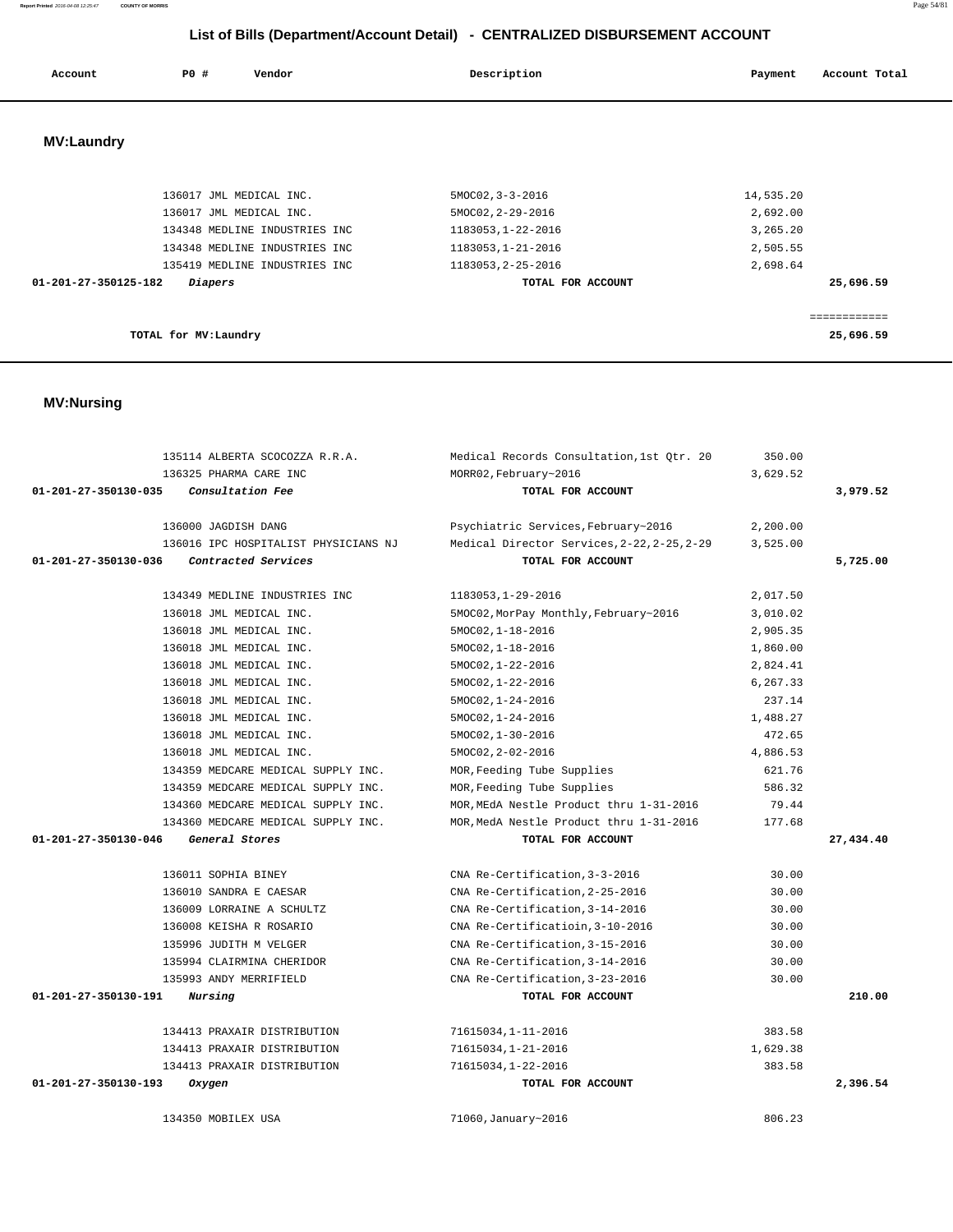# **01-201-27-350130-035 Consultation Fee TOTAL FOR ACCOUNT 3,979.52** 136000 JAGDISH DANG Psychiatric Services,February~2016 2,200.00 136016 IPC HOSPITALIST PHYSICIANS NJ Medical Director Services,2-22,2-25,2-29 3,525.00  **01-201-27-350130-036 Contracted Services TOTAL FOR ACCOUNT 5,725.00** 134349 MEDLINE INDUSTRIES INC 1183053,1-29-2016 2,017.50 136018 JML MEDICAL INC. 5MOC02,MorPay Monthly,February~2016 3,010.02 136018 JML MEDICAL INC. 5MOC02,1-18-2016 2,905.35 136018 JML MEDICAL INC. 5MOC02,1-18-2016 1,860.00 136018 JML MEDICAL INC. 5MOC02,1-22-2016 2,824.41 136018 JML MEDICAL INC. 5MOC02,1-22-2016 6,267.33 136018 JML MEDICAL INC. 6. 1. 1. 5MOC02, 1-24-2016 237.14 136018 JML MEDICAL INC. 5MOC02,1-24-2016 1,488.27 136018 JML MEDICAL INC. 5MOC02,1-30-2016 472.65 136018 JML MEDICAL INC. 5MOC02,2-02-2016 4,886.53 134359 MEDCARE MEDICAL SUPPLY INC. MOR,Feeding Tube Supplies 621.76 134359 MEDCARE MEDICAL SUPPLY INC. MOR,Feeding Tube Supplies 586.32 134360 MEDCARE MEDICAL SUPPLY INC. MOR,MEdA Nestle Product thru 1-31-2016 79.44 134360 MEDCARE MEDICAL SUPPLY INC. MOR,MedA Nestle Product thru 1-31-2016 177.68  **01-201-27-350130-046 General Stores TOTAL FOR ACCOUNT 27,434.40** 136011 SOPHIA BINEY CNA Re-Certification,3-3-2016 30.00 136010 SANDRA E CAESAR CNA Re-Certification,2-25-2016 30.00 136009 LORRAINE A SCHULTZ CNA Re-Certification,3-14-2016 30.00 136008 KEISHA R ROSARIO CNA Re-Certificatioin,3-10-2016 30.00 135996 JUDITH M VELGER CNA Re-Certification,3-15-2016 30.00 135994 CLAIRMINA CHERIDOR CNA Re-Certification,3-14-2016 30.00 135993 ANDY MERRIFIELD CNA Re-Certification,3-23-2016 30.00  **01-201-27-350130-191 Nursing TOTAL FOR ACCOUNT 210.00** 134413 PRAXAIR DISTRIBUTION 71615034,1-11-2016 383.58 134413 PRAXAIR DISTRIBUTION 71615034,1-21-2016 1,629.38 134413 PRAXAIR DISTRIBUTION 71615034,1-22-2016 383.58  **01-201-27-350130-193 Oxygen TOTAL FOR ACCOUNT 2,396.54** 134350 MOBILEX USA 71060,January~2016 806.23

#### **MV:Nursing**

| 136017 JML MEDICAL INC.                | $5MOCO2, 3-3-2016$ | 14,535.20 |
|----------------------------------------|--------------------|-----------|
| 136017 JML MEDICAL INC.                | 5MOC02, 2-29-2016  | 2,692.00  |
| 134348 MEDLINE INDUSTRIES INC          | 1183053, 1-22-2016 | 3,265.20  |
| 134348 MEDLINE INDUSTRIES INC          | 1183053, 1-21-2016 | 2,505.55  |
| 135419 MEDLINE INDUSTRIES INC.         | 1183053, 2-25-2016 | 2,698.64  |
| 01-201-27-350125-182<br><i>Diapers</i> | TOTAL FOR ACCOUNT  | 25,696.59 |
|                                        |                    |           |
|                                        |                    |           |
| TOTAL for MV:Laundry                   |                    | 25,696.59 |
|                                        |                    |           |

 135114 ALBERTA SCOCOZZA R.R.A. Medical Records Consultation,1st Qtr. 20 350.00 136325 PHARMA CARE INC MORR02,February~2016 3,629.52

# **List of Bills (Department/Account Detail) - CENTRALIZED DISBURSEMENT ACCOUNT Account P0 # Vendor Description Payment Account Total MV:Laundry**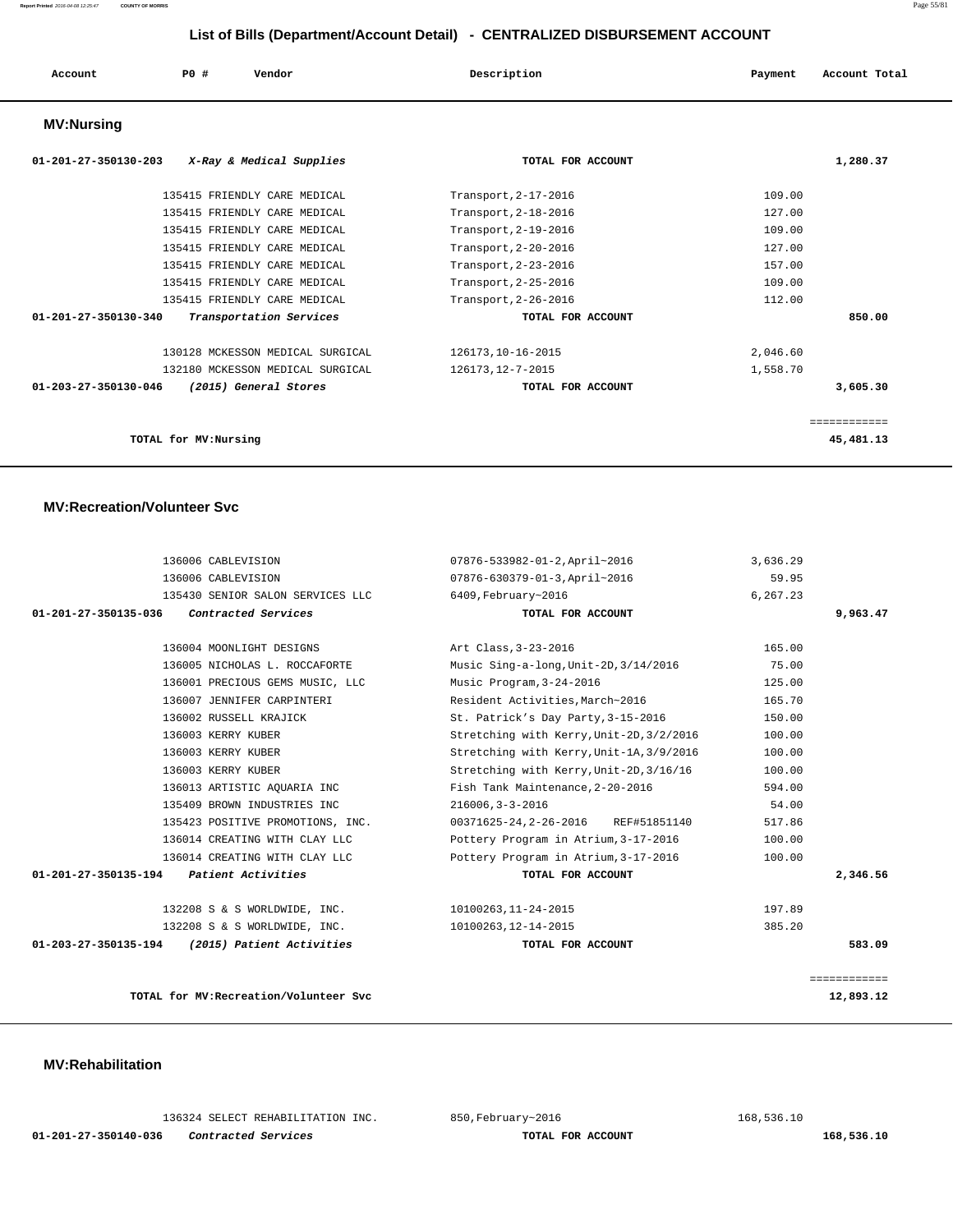| Account           | P0 # | Vendor | Description | Payment | Account Total |
|-------------------|------|--------|-------------|---------|---------------|
| <b>MV:Nursing</b> |      |        |             |         |               |

| 01-201-27-350130-203<br>X-Ray & Medical Supplies          | TOTAL FOR ACCOUNT    | 1,280.37  |
|-----------------------------------------------------------|----------------------|-----------|
| 135415 FRIENDLY CARE MEDICAL                              | Transport, 2-17-2016 | 109.00    |
| 135415 FRIENDLY CARE MEDICAL                              | Transport, 2-18-2016 | 127.00    |
| 135415 FRIENDLY CARE MEDICAL                              | Transport, 2-19-2016 | 109.00    |
| 135415 FRIENDLY CARE MEDICAL                              | Transport, 2-20-2016 | 127.00    |
| 135415 FRIENDLY CARE MEDICAL                              | Transport, 2-23-2016 | 157.00    |
| 135415 FRIENDLY CARE MEDICAL                              | Transport, 2-25-2016 | 109.00    |
| 135415 FRIENDLY CARE MEDICAL                              | Transport, 2-26-2016 | 112.00    |
| $01 - 201 - 27 - 350130 - 340$<br>Transportation Services | TOTAL FOR ACCOUNT    | 850.00    |
| 130128 MCKESSON MEDICAL SURGICAL                          | 126173, 10-16-2015   | 2,046.60  |
| 132180 MCKESSON MEDICAL SURGICAL                          | 126173, 12-7-2015    | 1,558.70  |
| 01-203-27-350130-046<br>(2015) General Stores             | TOTAL FOR ACCOUNT    | 3,605.30  |
|                                                           |                      |           |
| TOTAL for MV: Nursing                                     |                      | 45,481.13 |

#### **MV:Recreation/Volunteer Svc**

| 07876-533982-01-2, April~2016            | 3,636.29                                                        |                  |
|------------------------------------------|-----------------------------------------------------------------|------------------|
| 07876-630379-01-3, April~2016            | 59.95                                                           |                  |
| 6409, February~2016                      | 6,267.23                                                        |                  |
| TOTAL FOR ACCOUNT                        |                                                                 | 9,963.47         |
|                                          |                                                                 |                  |
| Art Class, 3-23-2016                     | 165.00                                                          |                  |
| Music Sing-a-long, Unit-2D, 3/14/2016    | 75.00                                                           |                  |
| Music Program, 3-24-2016                 | 125.00                                                          |                  |
| Resident Activities, March~2016          | 165.70                                                          |                  |
| St. Patrick's Day Party, 3-15-2016       | 150.00                                                          |                  |
| Stretching with Kerry, Unit-2D, 3/2/2016 | 100.00                                                          |                  |
| Stretching with Kerry, Unit-1A, 3/9/2016 | 100.00                                                          |                  |
| Stretching with Kerry, Unit-2D, 3/16/16  | 100.00                                                          |                  |
| Fish Tank Maintenance, 2-20-2016         | 594.00                                                          |                  |
| $216006, 3 - 3 - 2016$                   | 54.00                                                           |                  |
| 00371625-24, 2-26-2016 REF#51851140      | 517.86                                                          |                  |
| Pottery Program in Atrium, 3-17-2016     | 100.00                                                          |                  |
| Pottery Program in Atrium, 3-17-2016     | 100.00                                                          |                  |
| TOTAL FOR ACCOUNT                        |                                                                 | 2,346.56         |
|                                          |                                                                 |                  |
|                                          |                                                                 |                  |
|                                          |                                                                 | 583.09           |
|                                          |                                                                 |                  |
|                                          |                                                                 | ============     |
|                                          | 10100263,11-24-2015<br>10100263,12-14-2015<br>TOTAL FOR ACCOUNT | 197.89<br>385.20 |

**TOTAL for MV:Recreation/Volunteer Svc 12,893.12**

| <b>MV:Rehabilitation</b> |
|--------------------------|
|--------------------------|

|                      |  | 136324 SELECT REHABILITATION INC |  |
|----------------------|--|----------------------------------|--|
| 01-201-27-350140-036 |  | Contracted Services              |  |

 $168,536.10$  and  $850,$  February~2016 168,536.10

 **168,536.10 168,536.10**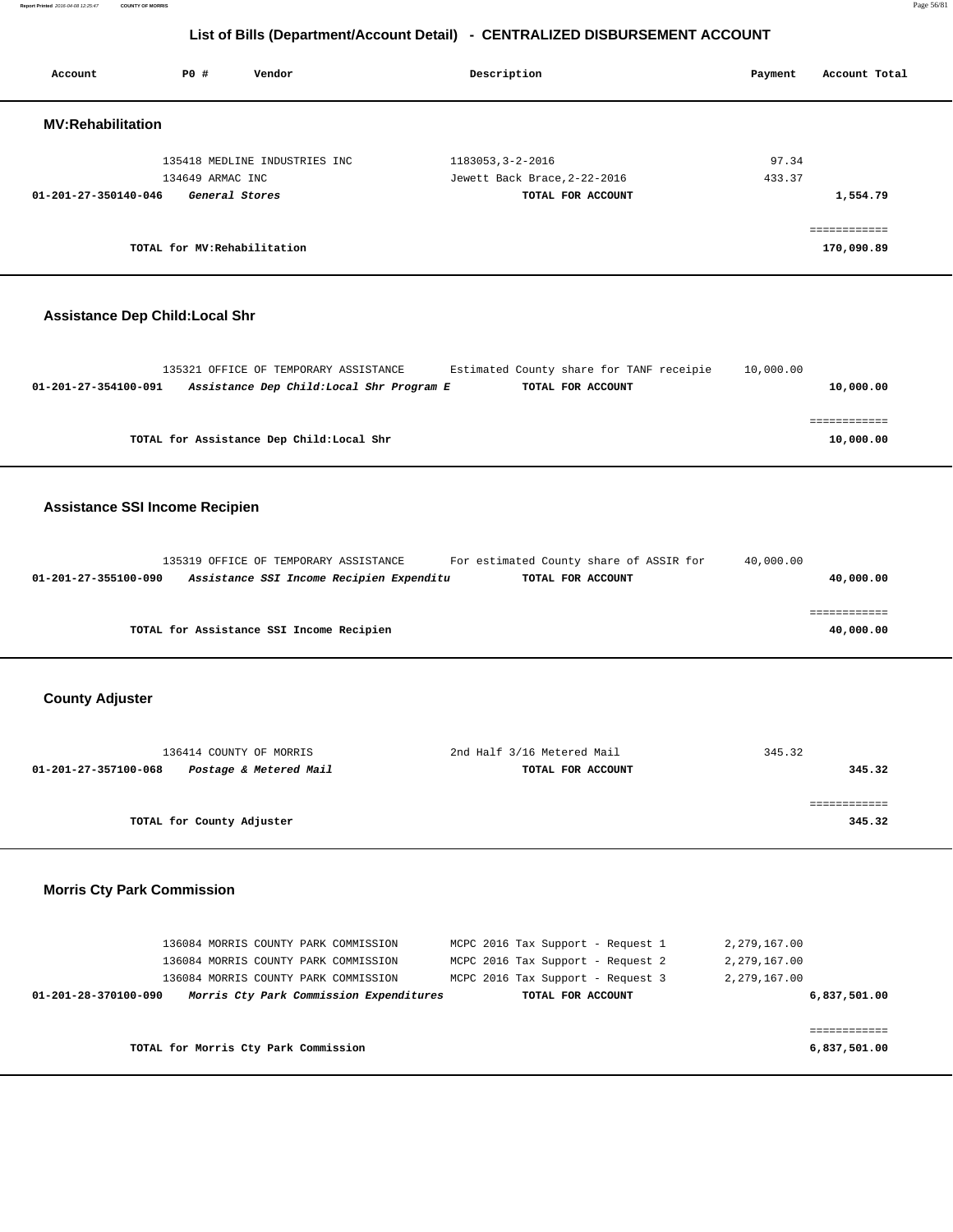**Report Printed** 2016-04-08 12:25:47 **COUNTY OF MORRIS** Page 56/81

# **List of Bills (Department/Account Detail) - CENTRALIZED DISBURSEMENT ACCOUNT**

| Account                               | P0 #                               | Vendor                                                                                                                                                          | Description                                                                                                                      | Payment                                      | Account Total                |
|---------------------------------------|------------------------------------|-----------------------------------------------------------------------------------------------------------------------------------------------------------------|----------------------------------------------------------------------------------------------------------------------------------|----------------------------------------------|------------------------------|
| <b>MV:Rehabilitation</b>              |                                    |                                                                                                                                                                 |                                                                                                                                  |                                              |                              |
| 01-201-27-350140-046                  | 134649 ARMAC INC<br>General Stores | 135418 MEDLINE INDUSTRIES INC                                                                                                                                   | 1183053, 3-2-2016<br>Jewett Back Brace, 2-22-2016<br>TOTAL FOR ACCOUNT                                                           | 97.34<br>433.37                              | 1,554.79                     |
|                                       | TOTAL for MV:Rehabilitation        |                                                                                                                                                                 |                                                                                                                                  |                                              | ============<br>170,090.89   |
| <b>Assistance Dep Child:Local Shr</b> |                                    |                                                                                                                                                                 |                                                                                                                                  |                                              |                              |
| 01-201-27-354100-091                  |                                    | 135321 OFFICE OF TEMPORARY ASSISTANCE<br>Assistance Dep Child: Local Shr Program E                                                                              | Estimated County share for TANF receipie<br>TOTAL FOR ACCOUNT                                                                    | 10,000.00                                    | 10,000.00                    |
|                                       |                                    | TOTAL for Assistance Dep Child: Local Shr                                                                                                                       |                                                                                                                                  |                                              | ============<br>10,000.00    |
| <b>Assistance SSI Income Recipien</b> |                                    |                                                                                                                                                                 |                                                                                                                                  |                                              |                              |
| 01-201-27-355100-090                  |                                    | 135319 OFFICE OF TEMPORARY ASSISTANCE<br>Assistance SSI Income Recipien Expenditu                                                                               | For estimated County share of ASSIR for<br>TOTAL FOR ACCOUNT                                                                     | 40,000.00                                    | 40,000.00                    |
|                                       |                                    | TOTAL for Assistance SSI Income Recipien                                                                                                                        |                                                                                                                                  |                                              | ============<br>40,000.00    |
| <b>County Adjuster</b>                |                                    |                                                                                                                                                                 |                                                                                                                                  |                                              |                              |
| 01-201-27-357100-068                  | 136414 COUNTY OF MORRIS            | Postage & Metered Mail                                                                                                                                          | 2nd Half 3/16 Metered Mail<br>TOTAL FOR ACCOUNT                                                                                  | 345.32                                       | 345.32                       |
|                                       | TOTAL for County Adjuster          |                                                                                                                                                                 |                                                                                                                                  |                                              | ============<br>345.32       |
| <b>Morris Cty Park Commission</b>     |                                    |                                                                                                                                                                 |                                                                                                                                  |                                              |                              |
| 01-201-28-370100-090                  |                                    | 136084 MORRIS COUNTY PARK COMMISSION<br>136084 MORRIS COUNTY PARK COMMISSION<br>136084 MORRIS COUNTY PARK COMMISSION<br>Morris Cty Park Commission Expenditures | MCPC 2016 Tax Support - Request 1<br>MCPC 2016 Tax Support - Request 2<br>MCPC 2016 Tax Support - Request 3<br>TOTAL FOR ACCOUNT | 2,279,167.00<br>2,279,167.00<br>2,279,167.00 | 6,837,501.00                 |
|                                       |                                    | TOTAL for Morris Cty Park Commission                                                                                                                            |                                                                                                                                  |                                              | ============<br>6,837,501.00 |
|                                       |                                    |                                                                                                                                                                 |                                                                                                                                  |                                              |                              |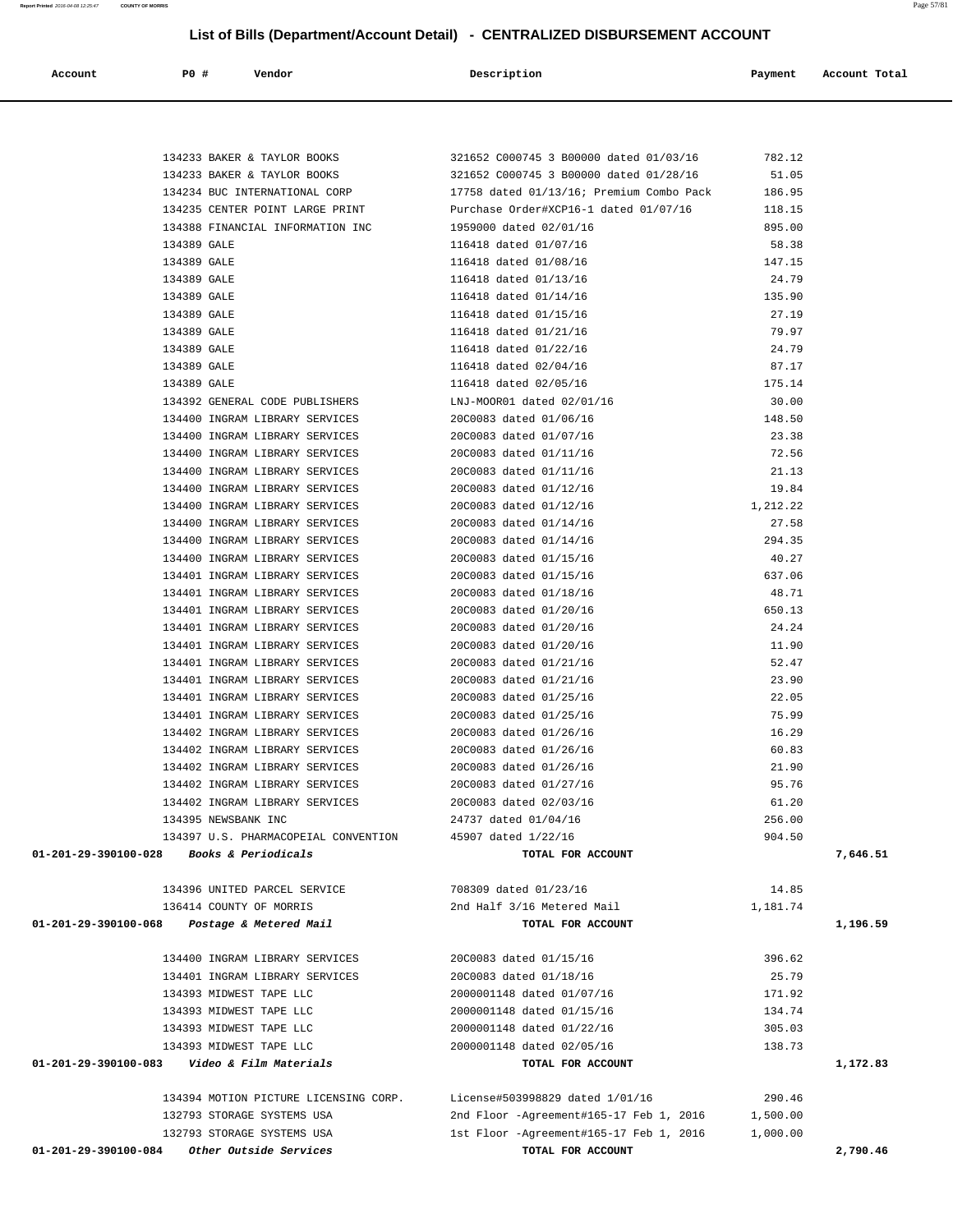| P0 #<br>Account                                | Vendor                                                           | Description                                            | Payment          | Account Total |
|------------------------------------------------|------------------------------------------------------------------|--------------------------------------------------------|------------------|---------------|
|                                                |                                                                  |                                                        |                  |               |
|                                                | 134233 BAKER & TAYLOR BOOKS                                      | 321652 C000745 3 B00000 dated 01/03/16                 | 782.12           |               |
|                                                | 134233 BAKER & TAYLOR BOOKS                                      | 321652 C000745 3 B00000 dated 01/28/16                 | 51.05            |               |
|                                                | 134234 BUC INTERNATIONAL CORP                                    | 17758 dated 01/13/16; Premium Combo Pack               | 186.95           |               |
|                                                | 134235 CENTER POINT LARGE PRINT                                  | Purchase Order#XCP16-1 dated 01/07/16                  | 118.15           |               |
|                                                | 134388 FINANCIAL INFORMATION INC                                 | 1959000 dated 02/01/16                                 | 895.00           |               |
| 134389 GALE                                    |                                                                  | 116418 dated 01/07/16                                  | 58.38            |               |
| 134389 GALE                                    |                                                                  | 116418 dated 01/08/16                                  | 147.15           |               |
| 134389 GALE                                    |                                                                  | 116418 dated 01/13/16                                  | 24.79            |               |
| 134389 GALE                                    |                                                                  | 116418 dated 01/14/16                                  | 135.90           |               |
| 134389 GALE                                    |                                                                  | 116418 dated 01/15/16                                  | 27.19            |               |
| 134389 GALE                                    |                                                                  | 116418 dated 01/21/16                                  | 79.97            |               |
| 134389 GALE                                    |                                                                  | 116418 dated 01/22/16                                  | 24.79            |               |
| 134389 GALE                                    |                                                                  | 116418 dated 02/04/16                                  | 87.17            |               |
| 134389 GALE                                    | 134392 GENERAL CODE PUBLISHERS                                   | 116418 dated 02/05/16<br>LNJ-MOOR01 dated 02/01/16     | 175.14<br>30.00  |               |
|                                                | 134400 INGRAM LIBRARY SERVICES                                   | 20C0083 dated 01/06/16                                 | 148.50           |               |
|                                                | 134400 INGRAM LIBRARY SERVICES                                   | 20C0083 dated 01/07/16                                 | 23.38            |               |
|                                                | 134400 INGRAM LIBRARY SERVICES                                   | 20C0083 dated 01/11/16                                 | 72.56            |               |
|                                                | 134400 INGRAM LIBRARY SERVICES                                   | 20C0083 dated 01/11/16                                 | 21.13            |               |
|                                                | 134400 INGRAM LIBRARY SERVICES                                   | 20C0083 dated 01/12/16                                 | 19.84            |               |
|                                                | 134400 INGRAM LIBRARY SERVICES                                   | 20C0083 dated 01/12/16                                 | 1,212.22         |               |
|                                                | 134400 INGRAM LIBRARY SERVICES                                   | 20C0083 dated 01/14/16                                 | 27.58            |               |
|                                                | 134400 INGRAM LIBRARY SERVICES                                   | 20C0083 dated 01/14/16                                 | 294.35           |               |
|                                                | 134400 INGRAM LIBRARY SERVICES                                   | 20C0083 dated 01/15/16                                 | 40.27            |               |
|                                                | 134401 INGRAM LIBRARY SERVICES                                   | 20C0083 dated 01/15/16                                 | 637.06           |               |
|                                                | 134401 INGRAM LIBRARY SERVICES                                   | 20C0083 dated 01/18/16                                 | 48.71            |               |
|                                                | 134401 INGRAM LIBRARY SERVICES                                   | 20C0083 dated 01/20/16                                 | 650.13           |               |
|                                                | 134401 INGRAM LIBRARY SERVICES                                   | 20C0083 dated 01/20/16                                 | 24.24            |               |
|                                                | 134401 INGRAM LIBRARY SERVICES                                   | 20C0083 dated 01/20/16                                 | 11.90            |               |
|                                                | 134401 INGRAM LIBRARY SERVICES                                   | 20C0083 dated 01/21/16                                 | 52.47            |               |
|                                                | 134401 INGRAM LIBRARY SERVICES                                   | 20C0083 dated 01/21/16                                 | 23.90            |               |
|                                                | 134401 INGRAM LIBRARY SERVICES                                   | 20C0083 dated 01/25/16                                 | 22.05            |               |
|                                                | 134401 INGRAM LIBRARY SERVICES                                   | 20C0083 dated 01/25/16                                 | 75.99            |               |
|                                                | 134402 INGRAM LIBRARY SERVICES                                   | 20C0083 dated 01/26/16                                 | 16.29            |               |
|                                                | 134402 INGRAM LIBRARY SERVICES                                   | 20C0083 dated 01/26/16                                 | 60.83            |               |
|                                                | 134402 INGRAM LIBRARY SERVICES                                   | 20C0083 dated 01/26/16                                 | 21.90            |               |
|                                                | 134402 INGRAM LIBRARY SERVICES<br>134402 INGRAM LIBRARY SERVICES | 20C0083 dated 01/27/16<br>20C0083 dated 02/03/16       | 95.76<br>61.20   |               |
|                                                | 134395 NEWSBANK INC                                              | 24737 dated 01/04/16                                   | 256.00           |               |
|                                                | 134397 U.S. PHARMACOPEIAL CONVENTION                             | 45907 dated 1/22/16                                    | 904.50           |               |
| 01-201-29-390100-028                           | <i>Books &amp; Periodicals</i>                                   | TOTAL FOR ACCOUNT                                      |                  | 7,646.51      |
|                                                | 134396 UNITED PARCEL SERVICE                                     | 708309 dated 01/23/16                                  | 14.85            |               |
|                                                | 136414 COUNTY OF MORRIS                                          | 2nd Half 3/16 Metered Mail                             | 1,181.74         |               |
| 01-201-29-390100-068                           | Postage & Metered Mail                                           | TOTAL FOR ACCOUNT                                      |                  | 1,196.59      |
|                                                | 134400 INGRAM LIBRARY SERVICES                                   | 20C0083 dated 01/15/16                                 | 396.62           |               |
|                                                | 134401 INGRAM LIBRARY SERVICES                                   | 20C0083 dated 01/18/16                                 | 25.79            |               |
|                                                | 134393 MIDWEST TAPE LLC<br>134393 MIDWEST TAPE LLC               | 2000001148 dated 01/07/16                              | 171.92<br>134.74 |               |
|                                                | 134393 MIDWEST TAPE LLC                                          | 2000001148 dated 01/15/16<br>2000001148 dated 01/22/16 | 305.03           |               |
|                                                | 134393 MIDWEST TAPE LLC                                          | 2000001148 dated 02/05/16                              | 138.73           |               |
| 01-201-29-390100-083    Video & Film Materials |                                                                  | TOTAL FOR ACCOUNT                                      |                  | 1,172.83      |
|                                                | 134394 MOTION PICTURE LICENSING CORP.                            | License#503998829 dated 1/01/16                        | 290.46           |               |
|                                                | 132793 STORAGE SYSTEMS USA                                       | 2nd Floor -Agreement#165-17 Feb 1, 2016                | 1,500.00         |               |
|                                                | 132793 STORAGE SYSTEMS USA                                       | 1st Floor -Agreement#165-17 Feb 1, 2016                | 1,000.00         |               |
| 01-201-29-390100-084                           | Other Outside Services                                           | TOTAL FOR ACCOUNT                                      |                  | 2,790.46      |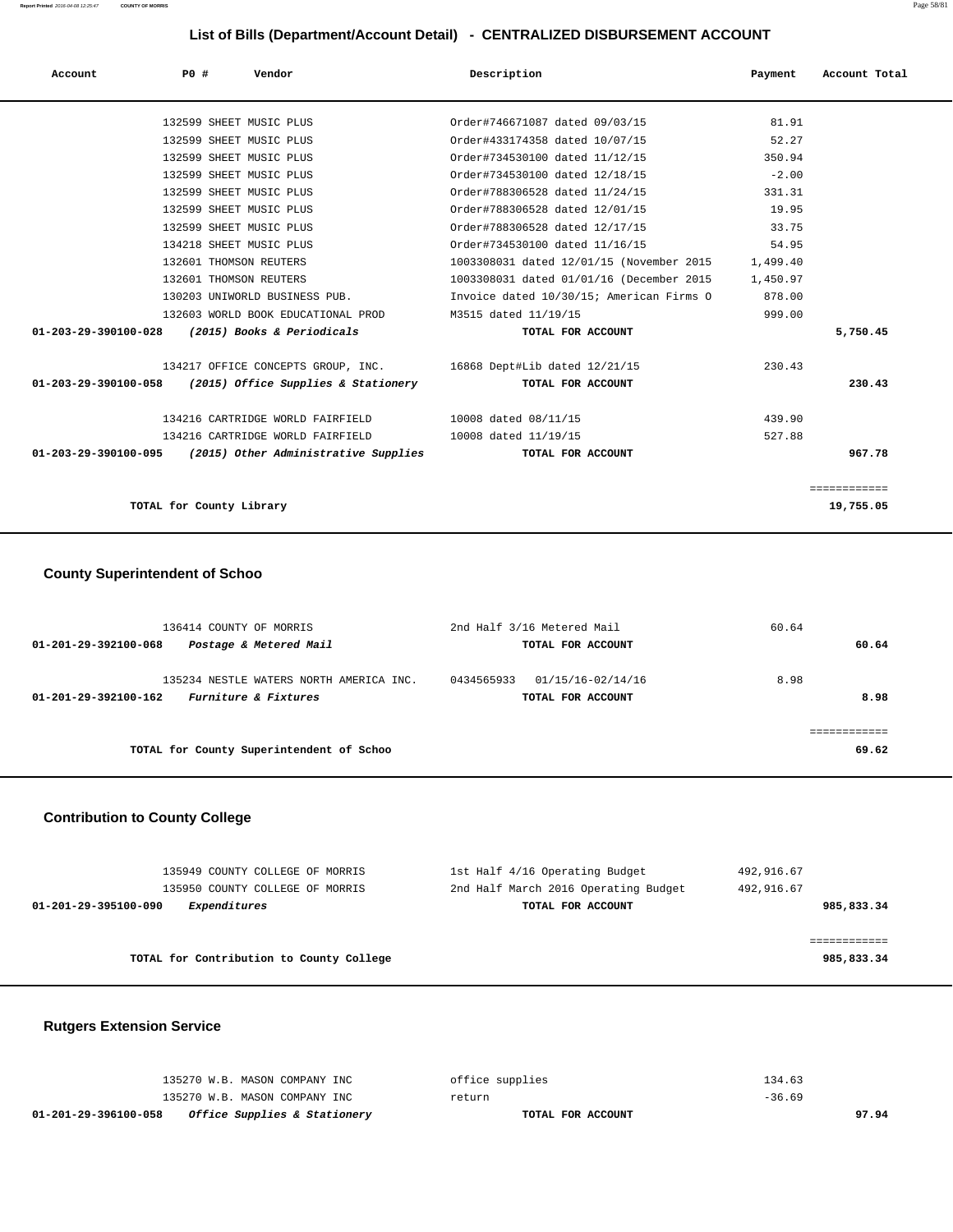| Account                                         | PO# |                          | Vendor                                                      | Description                                                      | Payment  | Account Total |
|-------------------------------------------------|-----|--------------------------|-------------------------------------------------------------|------------------------------------------------------------------|----------|---------------|
|                                                 |     |                          | 132599 SHEET MUSIC PLUS                                     | Order#746671087 dated 09/03/15                                   | 81.91    |               |
|                                                 |     |                          | 132599 SHEET MUSIC PLUS                                     | Order#433174358 dated 10/07/15                                   | 52.27    |               |
|                                                 |     |                          | 132599 SHEET MUSIC PLUS                                     | Order#734530100 dated 11/12/15                                   | 350.94   |               |
|                                                 |     |                          | 132599 SHEET MUSIC PLUS                                     | Order#734530100 dated 12/18/15                                   | $-2.00$  |               |
|                                                 |     |                          | 132599 SHEET MUSIC PLUS                                     | Order#788306528 dated 11/24/15                                   | 331.31   |               |
|                                                 |     |                          | 132599 SHEET MUSIC PLUS                                     | Order#788306528 dated 12/01/15                                   | 19.95    |               |
|                                                 |     |                          | 132599 SHEET MUSIC PLUS                                     | Order#788306528 dated 12/17/15                                   | 33.75    |               |
|                                                 |     |                          | 134218 SHEET MUSIC PLUS                                     | Order#734530100 dated 11/16/15                                   | 54.95    |               |
|                                                 |     |                          | 132601 THOMSON REUTERS                                      | 1003308031 dated 12/01/15 (November 2015 1,499.40                |          |               |
|                                                 |     |                          | 132601 THOMSON REUTERS                                      | 1003308031 dated 01/01/16 (December 2015                         | 1,450.97 |               |
|                                                 |     |                          | 130203 UNIWORLD BUSINESS PUB.                               | Invoice dated 10/30/15; American Firms O                         | 878.00   |               |
|                                                 |     |                          | 132603 WORLD BOOK EDUCATIONAL PROD                          | M3515 dated 11/19/15                                             | 999.00   |               |
| 01-203-29-390100-028 (2015) Books & Periodicals |     |                          |                                                             | TOTAL FOR ACCOUNT                                                |          | 5,750.45      |
|                                                 |     |                          |                                                             | 134217 OFFICE CONCEPTS GROUP, INC. 16868 Dept#Lib dated 12/21/15 | 230.43   |               |
|                                                 |     |                          | $01-203-29-390100-058$ (2015) Office Supplies & Stationery  | TOTAL FOR ACCOUNT                                                |          | 230.43        |
|                                                 |     |                          | 134216 CARTRIDGE WORLD FAIRFIELD                            | 10008 dated 08/11/15                                             | 439.90   |               |
|                                                 |     |                          | 134216 CARTRIDGE WORLD FAIRFIELD 10008 dated 11/19/15       |                                                                  | 527.88   |               |
|                                                 |     |                          | $01-203-29-390100-095$ (2015) Other Administrative Supplies | TOTAL FOR ACCOUNT                                                |          | 967.78        |
|                                                 |     |                          |                                                             |                                                                  |          | ============  |
|                                                 |     | TOTAL for County Library |                                                             |                                                                  |          | 19,755.05     |

# **County Superintendent of Schoo**

| 136414 COUNTY OF MORRIS                                                                            | 2nd Half 3/16 Metered Mail                           | 60.64        |
|----------------------------------------------------------------------------------------------------|------------------------------------------------------|--------------|
| Postage & Metered Mail<br>01-201-29-392100-068                                                     | TOTAL FOR ACCOUNT                                    | 60.64        |
| 135234 NESTLE WATERS NORTH AMERICA INC.<br><i>Furniture &amp; Fixtures</i><br>01-201-29-392100-162 | 0434565933<br>01/15/16-02/14/16<br>TOTAL FOR ACCOUNT | 8.98<br>8.98 |
| TOTAL for County Superintendent of Schoo                                                           |                                                      | 69.62        |
|                                                                                                    |                                                      |              |

# **Contribution to County College**

| 135949 COUNTY COLLEGE OF MORRIS          | 1st Half 4/16 Operating Budget       | 492,916.67 |
|------------------------------------------|--------------------------------------|------------|
| 135950 COUNTY COLLEGE OF MORRIS          | 2nd Half March 2016 Operating Budget | 492,916.67 |
| 01-201-29-395100-090<br>Expenditures     | TOTAL FOR ACCOUNT                    | 985,833.34 |
|                                          |                                      |            |
|                                          |                                      |            |
| TOTAL for Contribution to County College |                                      | 985,833.34 |
|                                          |                                      |            |

# **Rutgers Extension Service**

| 01-201-29-396100-058<br><i>Office Supplies &amp; Stationery</i> | TOTAL FOR ACCOUNT | 97.94    |
|-----------------------------------------------------------------|-------------------|----------|
| 135270 W.B. MASON COMPANY INC                                   | return            | $-36.69$ |
| 135270 W.B. MASON COMPANY INC                                   | office supplies   | 134.63   |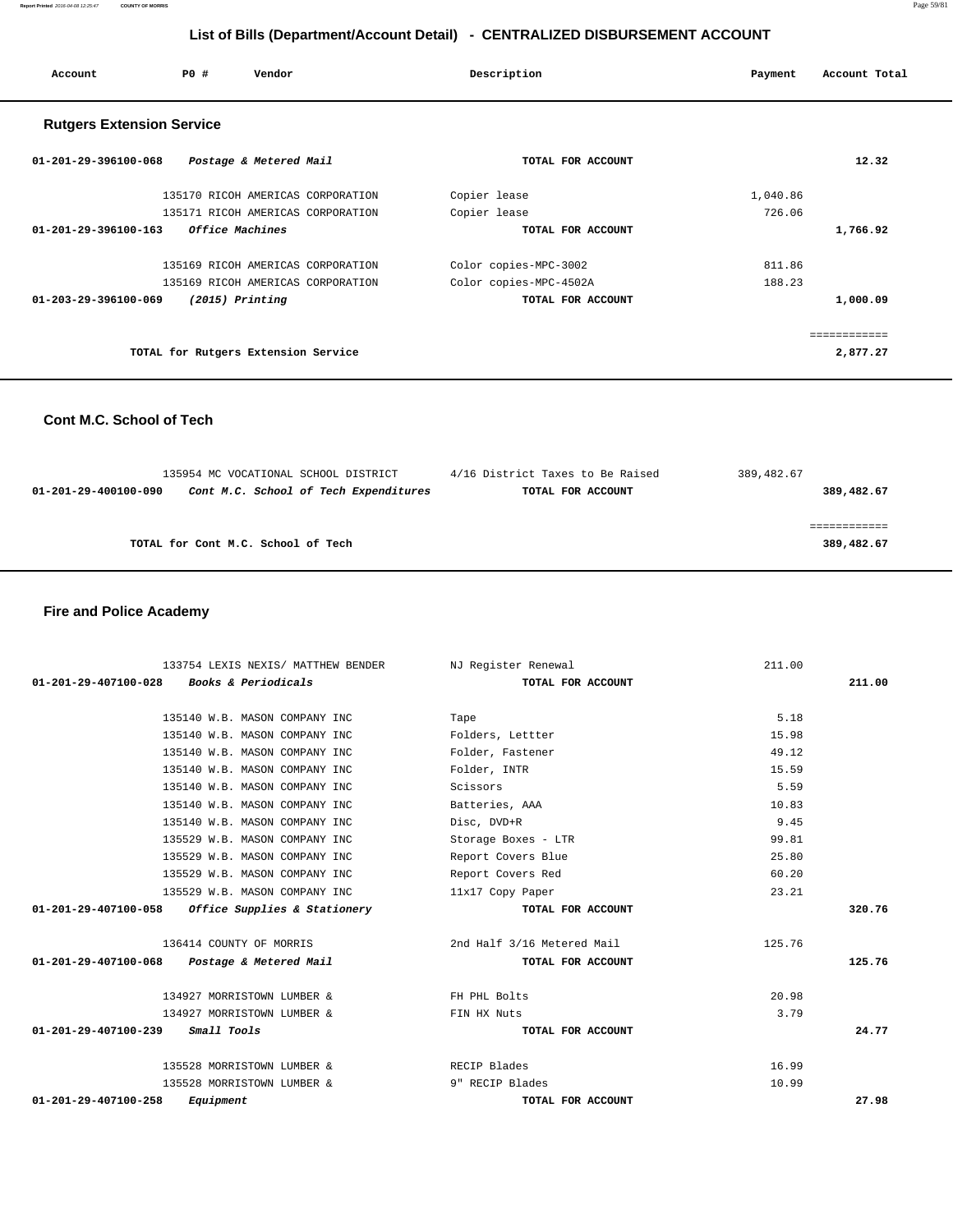**Report Printed** 2016-04-08 12:25:47 **COUNTY OF MORRIS** Page 59/81

# **List of Bills (Department/Account Detail) - CENTRALIZED DISBURSEMENT ACCOUNT**

| PO#<br>Account                   | Vendor                              | Description            | Account Total<br>Payment |
|----------------------------------|-------------------------------------|------------------------|--------------------------|
| <b>Rutgers Extension Service</b> |                                     |                        |                          |
| $01 - 201 - 29 - 396100 - 068$   | Postage & Metered Mail              | TOTAL FOR ACCOUNT      | 12.32                    |
|                                  | 135170 RICOH AMERICAS CORPORATION   | Copier lease           | 1,040.86                 |
|                                  | 135171 RICOH AMERICAS CORPORATION   | Copier lease           | 726.06                   |
| $01 - 201 - 29 - 396100 - 163$   | <i><b>Office Machines</b></i>       | TOTAL FOR ACCOUNT      | 1,766.92                 |
|                                  | 135169 RICOH AMERICAS CORPORATION   | Color copies-MPC-3002  | 811.86                   |
|                                  | 135169 RICOH AMERICAS CORPORATION   | Color copies-MPC-4502A | 188.23                   |
| 01-203-29-396100-069             | $(2015)$ Printing                   | TOTAL FOR ACCOUNT      | 1,000.09                 |
|                                  |                                     |                        | ============             |
|                                  | TOTAL for Rutgers Extension Service |                        | 2,877.27                 |

 **Cont M.C. School of Tech** 

|                      | 135954 MC VOCATIONAL SCHOOL DISTRICT  | 4/16 District Taxes to Be Raised | 389,482.67 |
|----------------------|---------------------------------------|----------------------------------|------------|
| 01-201-29-400100-090 | Cont M.C. School of Tech Expenditures | TOTAL FOR ACCOUNT                | 389,482.67 |
|                      |                                       |                                  |            |
|                      |                                       |                                  |            |
|                      | TOTAL for Cont M.C. School of Tech    |                                  | 389,482.67 |
|                      |                                       |                                  |            |

## **Fire and Police Academy**

| 133754 LEXIS NEXIS/ MATTHEW BENDER                    | NJ Register Renewal        | 211.00 |        |
|-------------------------------------------------------|----------------------------|--------|--------|
| Books & Periodicals<br>$01 - 201 - 29 - 407100 - 028$ | TOTAL FOR ACCOUNT          |        | 211.00 |
|                                                       |                            |        |        |
| 135140 W.B. MASON COMPANY INC                         | Tape                       | 5.18   |        |
| 135140 W.B. MASON COMPANY INC                         | Folders, Lettter           | 15.98  |        |
| 135140 W.B. MASON COMPANY INC                         | Folder, Fastener           | 49.12  |        |
| 135140 W.B. MASON COMPANY INC                         | Folder, INTR               | 15.59  |        |
| 135140 W.B. MASON COMPANY INC                         | Scissors                   | 5.59   |        |
| 135140 W.B. MASON COMPANY INC                         | Batteries, AAA             | 10.83  |        |
| 135140 W.B. MASON COMPANY INC                         | Disc, DVD+R                | 9.45   |        |
| 135529 W.B. MASON COMPANY INC                         | Storage Boxes - LTR        | 99.81  |        |
| 135529 W.B. MASON COMPANY INC                         | Report Covers Blue         | 25.80  |        |
| 135529 W.B. MASON COMPANY INC                         | Report Covers Red          | 60.20  |        |
| 135529 W.B. MASON COMPANY INC                         | 11x17 Copy Paper           | 23.21  |        |
| 01-201-29-407100-058 Office Supplies & Stationery     | TOTAL FOR ACCOUNT          |        | 320.76 |
| 136414 COUNTY OF MORRIS                               | 2nd Half 3/16 Metered Mail | 125.76 |        |
| 01-201-29-407100-068 Postage & Metered Mail           | TOTAL FOR ACCOUNT          |        | 125.76 |
| 134927 MORRISTOWN LUMBER &                            | FH PHL Bolts               | 20.98  |        |
| 134927 MORRISTOWN LUMBER &                            | FIN HX Nuts                | 3.79   |        |
| $01 - 201 - 29 - 407100 - 239$ Small Tools            | TOTAL FOR ACCOUNT          |        | 24.77  |
| 135528 MORRISTOWN LUMBER &                            | RECIP Blades               | 16.99  |        |
| 135528 MORRISTOWN LUMBER &                            | 9" RECIP Blades            | 10.99  |        |
| 01-201-29-407100-258<br>Equipment                     | TOTAL FOR ACCOUNT          |        | 27.98  |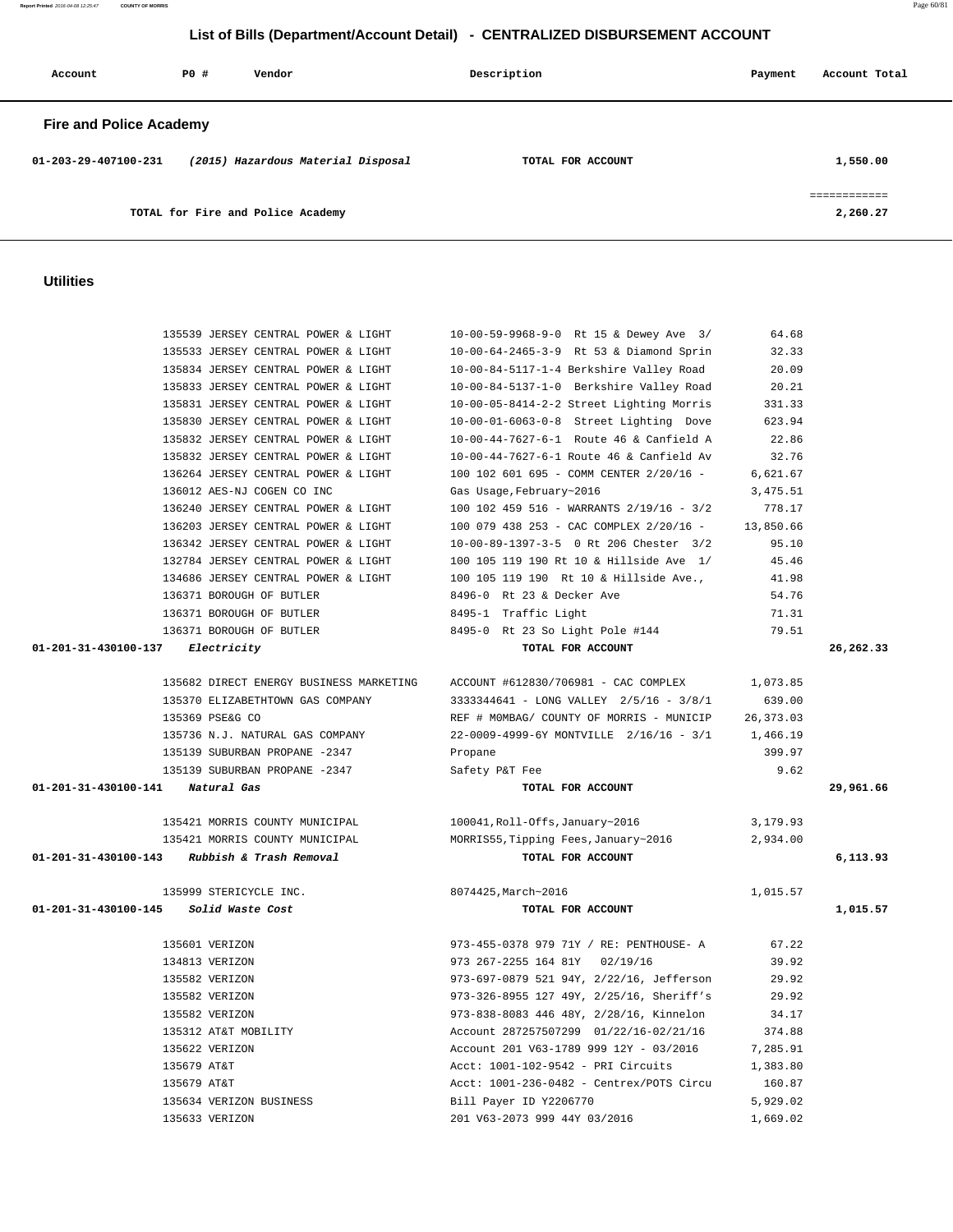**Report Printed** 2016-04-08 12:25:47 **COUNTY OF MORRIS** Page 60/81

# **List of Bills (Department/Account Detail) - CENTRALIZED DISBURSEMENT ACCOUNT**

| Account                        | PO# | Vendor                             | Description       | Payment | Account Total |
|--------------------------------|-----|------------------------------------|-------------------|---------|---------------|
| <b>Fire and Police Academy</b> |     |                                    |                   |         |               |
| $01 - 203 - 29 - 407100 - 231$ |     | (2015) Hazardous Material Disposal | TOTAL FOR ACCOUNT |         | 1,550.00      |
|                                |     |                                    |                   |         |               |
|                                |     | TOTAL for Fire and Police Academy  |                   |         | 2,260.27      |

## **Utilities**

| 135539 JERSEY CENTRAL POWER & LIGHT             | 10-00-59-9968-9-0 Rt 15 & Dewey Ave 3/                                       | 64.68      |           |
|-------------------------------------------------|------------------------------------------------------------------------------|------------|-----------|
| 135533 JERSEY CENTRAL POWER & LIGHT             | 10-00-64-2465-3-9 Rt 53 & Diamond Sprin                                      | 32.33      |           |
| 135834 JERSEY CENTRAL POWER & LIGHT             | 10-00-84-5117-1-4 Berkshire Valley Road                                      | 20.09      |           |
| 135833 JERSEY CENTRAL POWER & LIGHT             | 10-00-84-5137-1-0 Berkshire Valley Road                                      | 20.21      |           |
| 135831 JERSEY CENTRAL POWER & LIGHT             | 10-00-05-8414-2-2 Street Lighting Morris                                     | 331.33     |           |
| 135830 JERSEY CENTRAL POWER & LIGHT             | 10-00-01-6063-0-8 Street Lighting Dove                                       | 623.94     |           |
| 135832 JERSEY CENTRAL POWER & LIGHT             | 10-00-44-7627-6-1 Route 46 & Canfield A                                      | 22.86      |           |
| 135832 JERSEY CENTRAL POWER & LIGHT             | 10-00-44-7627-6-1 Route 46 & Canfield Av                                     | 32.76      |           |
| 136264 JERSEY CENTRAL POWER & LIGHT             | 100 102 601 695 - COMM CENTER 2/20/16 -                                      | 6,621.67   |           |
| 136012 AES-NJ COGEN CO INC                      | Gas Usage, February~2016                                                     | 3,475.51   |           |
| 136240 JERSEY CENTRAL POWER & LIGHT             | 100 102 459 516 - WARRANTS 2/19/16 - 3/2                                     | 778.17     |           |
| 136203 JERSEY CENTRAL POWER & LIGHT             | 100 079 438 253 - CAC COMPLEX 2/20/16 -                                      | 13,850.66  |           |
| 136342 JERSEY CENTRAL POWER & LIGHT             | 10-00-89-1397-3-5 0 Rt 206 Chester 3/2                                       | 95.10      |           |
| 132784 JERSEY CENTRAL POWER & LIGHT             | 100 105 119 190 Rt 10 & Hillside Ave 1/                                      | 45.46      |           |
| 134686 JERSEY CENTRAL POWER & LIGHT             | 100 105 119 190 Rt 10 & Hillside Ave.,                                       | 41.98      |           |
| 136371 BOROUGH OF BUTLER                        | 8496-0 Rt 23 & Decker Ave                                                    | 54.76      |           |
| 136371 BOROUGH OF BUTLER                        | 8495-1 Traffic Light                                                         | 71.31      |           |
| 136371 BOROUGH OF BUTLER                        | 8495-0 Rt 23 So Light Pole #144                                              | 79.51      |           |
| 01-201-31-430100-137 Electricity                | TOTAL FOR ACCOUNT                                                            |            | 26,262.33 |
|                                                 |                                                                              |            |           |
|                                                 | 135682 DIRECT ENERGY BUSINESS MARKETING ACCOUNT #612830/706981 - CAC COMPLEX | 1,073.85   |           |
| 135370 ELIZABETHTOWN GAS COMPANY                | 3333344641 - LONG VALLEY 2/5/16 - 3/8/1                                      | 639.00     |           |
| 135369 PSE&G CO                                 | REF # MOMBAG/ COUNTY OF MORRIS - MUNICIP                                     | 26, 373.03 |           |
| 135736 N.J. NATURAL GAS COMPANY                 | 22-0009-4999-6Y MONTVILLE 2/16/16 - 3/1                                      | 1,466.19   |           |
| 135139 SUBURBAN PROPANE -2347                   | Propane                                                                      | 399.97     |           |
| 135139 SUBURBAN PROPANE -2347                   | Safety P&T Fee                                                               | 9.62       |           |
| 01-201-31-430100-141<br>Natural Gas             | TOTAL FOR ACCOUNT                                                            |            | 29,961.66 |
|                                                 |                                                                              |            |           |
| 135421 MORRIS COUNTY MUNICIPAL                  | 100041, Roll-Offs, January~2016                                              | 3,179.93   |           |
| 135421 MORRIS COUNTY MUNICIPAL                  | MORRIS55, Tipping Fees, January~2016                                         | 2,934.00   |           |
| 01-201-31-430100-143<br>Rubbish & Trash Removal | TOTAL FOR ACCOUNT                                                            |            | 6,113.93  |
|                                                 |                                                                              |            |           |
| 135999 STERICYCLE INC.                          | 8074425, March~2016                                                          | 1,015.57   |           |
| 01-201-31-430100-145 Solid Waste Cost           | TOTAL FOR ACCOUNT                                                            |            | 1,015.57  |
|                                                 |                                                                              |            |           |
| 135601 VERIZON                                  | 973-455-0378 979 71Y / RE: PENTHOUSE- A                                      | 67.22      |           |
| 134813 VERIZON                                  | 973 267-2255 164 81Y 02/19/16                                                | 39.92      |           |
| 135582 VERIZON                                  | 973-697-0879 521 94Y, 2/22/16, Jefferson                                     | 29.92      |           |
| 135582 VERIZON                                  | 973-326-8955 127 49Y, 2/25/16, Sheriff's                                     | 29.92      |           |
| 135582 VERIZON                                  | 973-838-8083 446 48Y, 2/28/16, Kinnelon                                      | 34.17      |           |
| 135312 AT&T MOBILITY                            | Account 287257507299 01/22/16-02/21/16                                       | 374.88     |           |
| 135622 VERIZON                                  | Account 201 V63-1789 999 12Y - 03/2016                                       | 7,285.91   |           |
| 135679 AT&T                                     | Acct: 1001-102-9542 - PRI Circuits                                           | 1,383.80   |           |
| 135679 AT&T                                     | $Acct: 1001-236-0482 - Centrex/POSTS Circu$                                  | 160.87     |           |
| 135634 VERIZON BUSINESS                         | Bill Payer ID Y2206770                                                       | 5,929.02   |           |
| 135633 VERIZON                                  | 201 V63-2073 999 44Y 03/2016                                                 | 1,669.02   |           |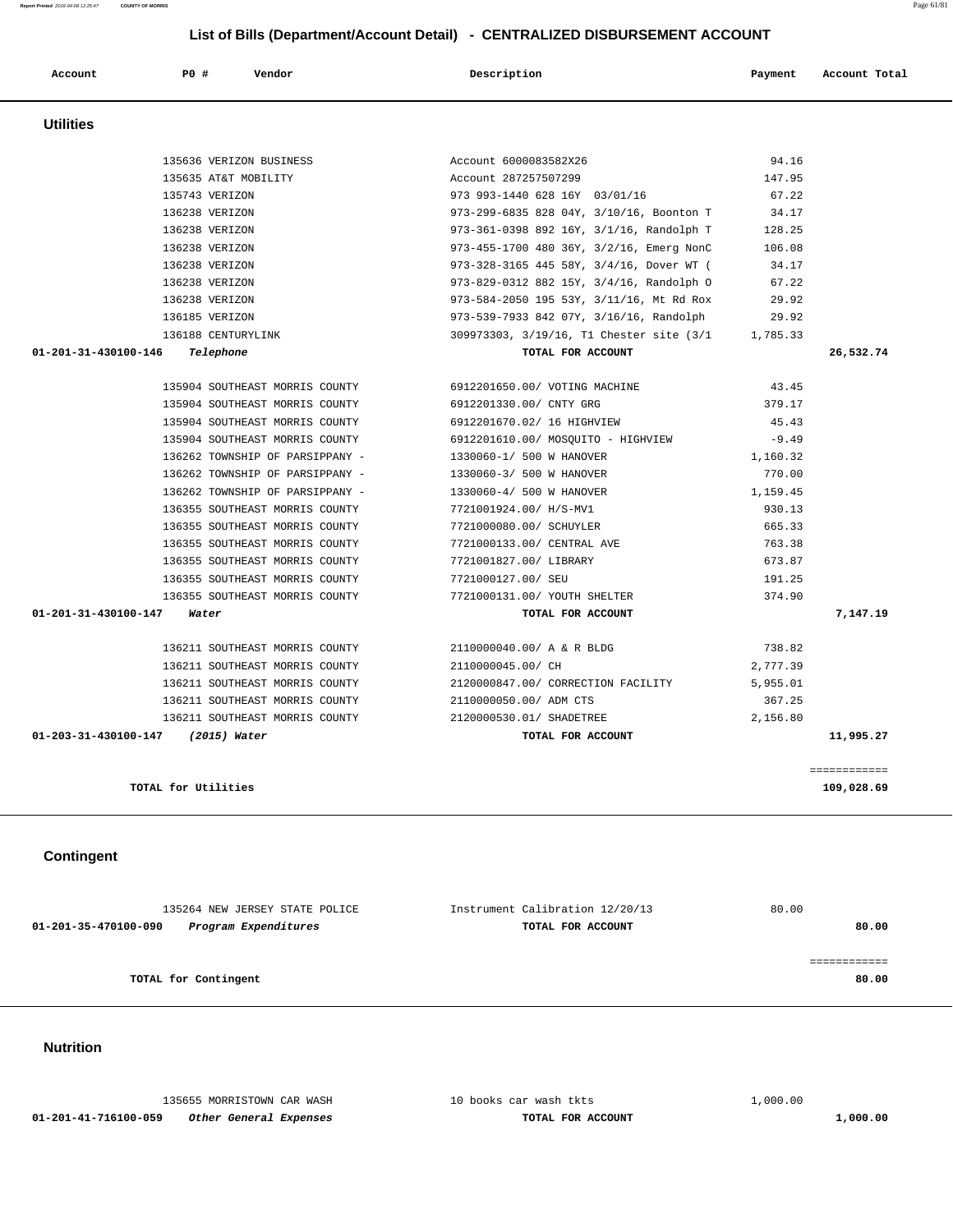|                  |                         | List of Bills (Department/Account Detail) - CENTRALIZED DISBURSEMENT ACCOUNT |         |               |
|------------------|-------------------------|------------------------------------------------------------------------------|---------|---------------|
| Account          | PO#<br>Vendor           | Description                                                                  | Payment | Account Total |
| <b>Utilities</b> |                         |                                                                              |         |               |
|                  | 135636 VERIZON BUSINESS | Account 6000083582X26                                                        | 94.16   |               |
|                  | 135635 AT&T MOBILITY    | Account 287257507299                                                         | 147.95  |               |
|                  | 135743 VERIZON          | 973 993-1440 628 16Y 03/01/16                                                | 67.22   |               |
|                  | 136238 VERIZON          | 973-299-6835 828 04Y, 3/10/16, Boonton T                                     | 34.17   |               |
|                  | 136238 VERIZON          | 973-361-0398 892 16Y, 3/1/16, Randolph T                                     | 128.25  |               |
|                  | 136238 VERIZON          | 973-455-1700 480 36Y, 3/2/16, Emerg NonC                                     | 106.08  |               |
|                  | 136238 VERIZON          | 973-328-3165 445 587 3/4/16 Dover MT /                                       | 34 17   |               |

| 67.22<br>973 993-1440 628 16Y 03/01/16<br>34.17<br>973-299-6835 828 04Y, 3/10/16, Boonton T<br>973-361-0398 892 16Y, 3/1/16, Randolph T<br>128.25<br>973-455-1700 480 36Y, 3/2/16, Emerg NonC<br>106.08<br>973-328-3165 445 58Y, 3/4/16, Dover WT (<br>34.17<br>973-829-0312 882 15Y, 3/4/16, Randolph O<br>67.22<br>973-584-2050 195 53Y, 3/11/16, Mt Rd Rox<br>29.92<br>973-539-7933 842 07Y, 3/16/16, Randolph<br>29.92<br>136188 CENTURYLINK<br>309973303, 3/19/16, T1 Chester site (3/1 1,785.33 |
|-------------------------------------------------------------------------------------------------------------------------------------------------------------------------------------------------------------------------------------------------------------------------------------------------------------------------------------------------------------------------------------------------------------------------------------------------------------------------------------------------------|
|                                                                                                                                                                                                                                                                                                                                                                                                                                                                                                       |
|                                                                                                                                                                                                                                                                                                                                                                                                                                                                                                       |
|                                                                                                                                                                                                                                                                                                                                                                                                                                                                                                       |
|                                                                                                                                                                                                                                                                                                                                                                                                                                                                                                       |
|                                                                                                                                                                                                                                                                                                                                                                                                                                                                                                       |
|                                                                                                                                                                                                                                                                                                                                                                                                                                                                                                       |
|                                                                                                                                                                                                                                                                                                                                                                                                                                                                                                       |
|                                                                                                                                                                                                                                                                                                                                                                                                                                                                                                       |
|                                                                                                                                                                                                                                                                                                                                                                                                                                                                                                       |
| TOTAL FOR ACCOUNT<br>26,532.74                                                                                                                                                                                                                                                                                                                                                                                                                                                                        |
| 6912201650.00/ VOTING MACHINE<br>43.45<br>135904 SOUTHEAST MORRIS COUNTY                                                                                                                                                                                                                                                                                                                                                                                                                              |
| 135904 SOUTHEAST MORRIS COUNTY<br>6912201330.00/ CNTY GRG<br>379.17                                                                                                                                                                                                                                                                                                                                                                                                                                   |
| 135904 SOUTHEAST MORRIS COUNTY<br>6912201670.02/ 16 HIGHVIEW<br>45.43                                                                                                                                                                                                                                                                                                                                                                                                                                 |
| $-9.49$<br>135904 SOUTHEAST MORRIS COUNTY<br>6912201610.00/ MOSQUITO - HIGHVIEW                                                                                                                                                                                                                                                                                                                                                                                                                       |
| 136262 TOWNSHIP OF PARSIPPANY -<br>1330060-1/ 500 W HANOVER<br>1,160.32                                                                                                                                                                                                                                                                                                                                                                                                                               |
| 136262 TOWNSHIP OF PARSIPPANY -<br>1330060-3/ 500 W HANOVER<br>770.00                                                                                                                                                                                                                                                                                                                                                                                                                                 |
| 136262 TOWNSHIP OF PARSIPPANY -<br>1330060-4/ 500 W HANOVER<br>1,159.45                                                                                                                                                                                                                                                                                                                                                                                                                               |
| 136355 SOUTHEAST MORRIS COUNTY<br>7721001924.00/ H/S-MV1<br>930.13                                                                                                                                                                                                                                                                                                                                                                                                                                    |
| 136355 SOUTHEAST MORRIS COUNTY<br>7721000080.00/ SCHUYLER<br>665.33                                                                                                                                                                                                                                                                                                                                                                                                                                   |
| 136355 SOUTHEAST MORRIS COUNTY<br>7721000133.00/ CENTRAL AVE<br>763.38                                                                                                                                                                                                                                                                                                                                                                                                                                |
| 136355 SOUTHEAST MORRIS COUNTY<br>7721001827.00/ LIBRARY<br>673.87                                                                                                                                                                                                                                                                                                                                                                                                                                    |
| 136355 SOUTHEAST MORRIS COUNTY<br>7721000127.00/ SEU<br>191.25                                                                                                                                                                                                                                                                                                                                                                                                                                        |
| 136355 SOUTHEAST MORRIS COUNTY<br>7721000131.00/ YOUTH SHELTER<br>374.90                                                                                                                                                                                                                                                                                                                                                                                                                              |
| TOTAL FOR ACCOUNT<br>7,147.19                                                                                                                                                                                                                                                                                                                                                                                                                                                                         |
| 136211 SOUTHEAST MORRIS COUNTY<br>738.82<br>2110000040.00/ A & R BLDG                                                                                                                                                                                                                                                                                                                                                                                                                                 |
| 136211 SOUTHEAST MORRIS COUNTY<br>2,777.39<br>2110000045.00/ CH                                                                                                                                                                                                                                                                                                                                                                                                                                       |
| 136211 SOUTHEAST MORRIS COUNTY<br>2120000847.00/ CORRECTION FACILITY<br>5,955.01                                                                                                                                                                                                                                                                                                                                                                                                                      |
| 136211 SOUTHEAST MORRIS COUNTY<br>2110000050.00/ ADM CTS<br>367.25                                                                                                                                                                                                                                                                                                                                                                                                                                    |
| 136211 SOUTHEAST MORRIS COUNTY 2120000530.01/ SHADETREE<br>2,156.80                                                                                                                                                                                                                                                                                                                                                                                                                                   |
| 01-203-31-430100-147 (2015) Water<br>TOTAL FOR ACCOUNT<br>11,995.27                                                                                                                                                                                                                                                                                                                                                                                                                                   |
| ============                                                                                                                                                                                                                                                                                                                                                                                                                                                                                          |
| 109,028.69                                                                                                                                                                                                                                                                                                                                                                                                                                                                                            |

# **Contingent**

| 135264 NEW JERSEY STATE POLICE               | Instrument Calibration 12/20/13 | 80.00 |
|----------------------------------------------|---------------------------------|-------|
| Program Expenditures<br>01-201-35-470100-090 | TOTAL FOR ACCOUNT               | 80.00 |
|                                              |                                 |       |
|                                              |                                 |       |
| TOTAL for Contingent                         |                                 | 80.00 |
|                                              |                                 |       |

# **Nutrition**

|                      | 135655 MORRISTOWN CAR WASH | 10 books car wash tkts | 1.000.00 |
|----------------------|----------------------------|------------------------|----------|
| 01-201-41-716100-059 | Other General Expenses     | TOTAL FOR ACCOUNT      | 1,000.00 |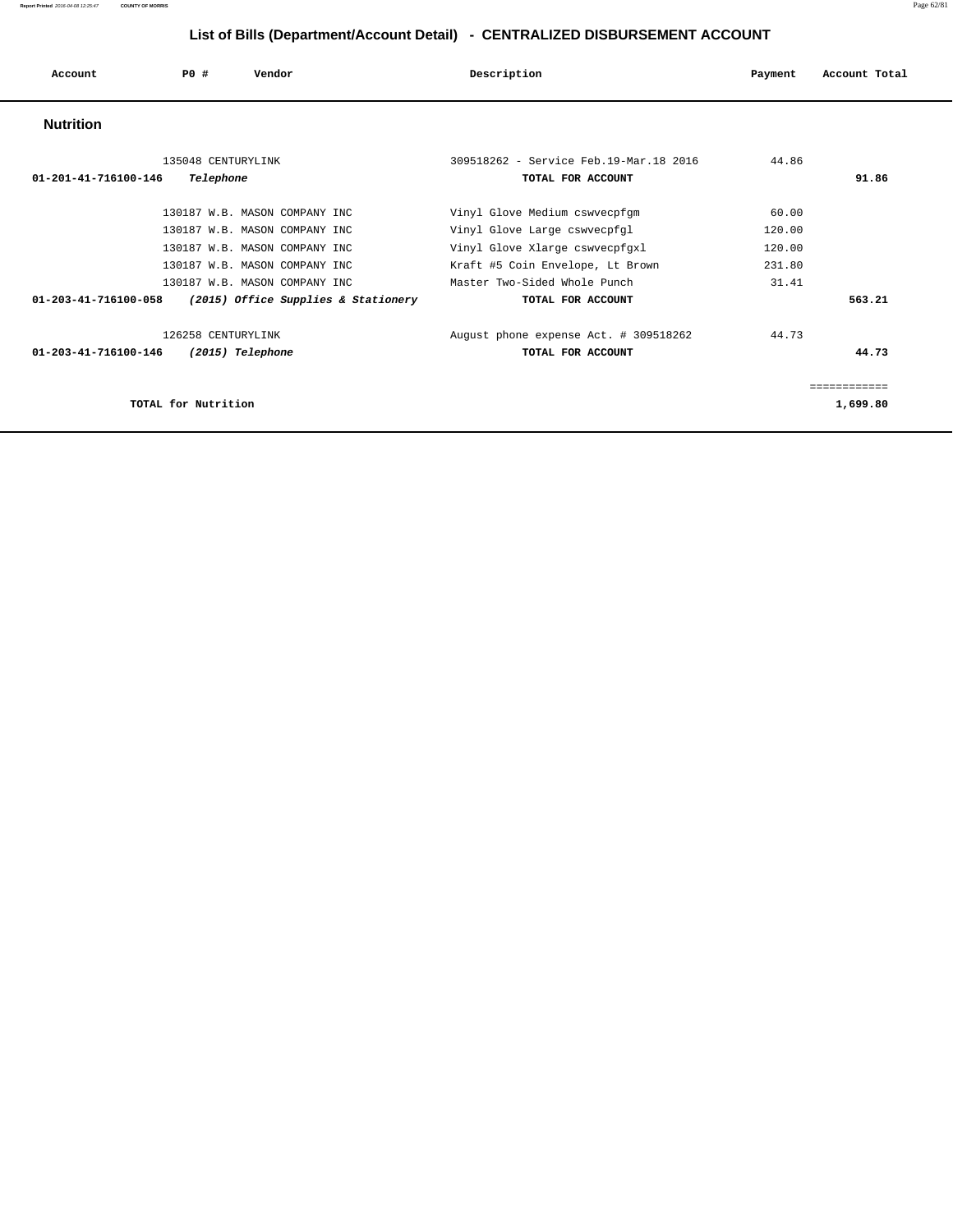| Account              | PO#                 | Vendor                              | Description                            | Payment | Account Total |
|----------------------|---------------------|-------------------------------------|----------------------------------------|---------|---------------|
| <b>Nutrition</b>     |                     |                                     |                                        |         |               |
|                      | 135048 CENTURYLINK  |                                     | 309518262 - Service Feb.19-Mar.18 2016 | 44.86   |               |
| 01-201-41-716100-146 | Telephone           |                                     | TOTAL FOR ACCOUNT                      |         | 91.86         |
|                      |                     |                                     |                                        |         |               |
|                      |                     | 130187 W.B. MASON COMPANY INC       | Vinyl Glove Medium cswvecpfgm          | 60.00   |               |
|                      |                     | 130187 W.B. MASON COMPANY INC       | Vinyl Glove Large cswvecpfgl           | 120.00  |               |
|                      |                     | 130187 W.B. MASON COMPANY INC       | Vinyl Glove Xlarge cswvecpfgxl         | 120.00  |               |
|                      |                     | 130187 W.B. MASON COMPANY INC       | Kraft #5 Coin Envelope, Lt Brown       | 231.80  |               |
|                      |                     | 130187 W.B. MASON COMPANY INC       | Master Two-Sided Whole Punch           | 31.41   |               |
| 01-203-41-716100-058 |                     | (2015) Office Supplies & Stationery | TOTAL FOR ACCOUNT                      |         | 563.21        |
|                      | 126258 CENTURYLINK  |                                     | August phone expense Act. # 309518262  | 44.73   |               |
| 01-203-41-716100-146 |                     | (2015) Telephone                    | TOTAL FOR ACCOUNT                      |         | 44.73         |
|                      |                     |                                     |                                        |         | ============  |
|                      | TOTAL for Nutrition |                                     |                                        |         | 1,699.80      |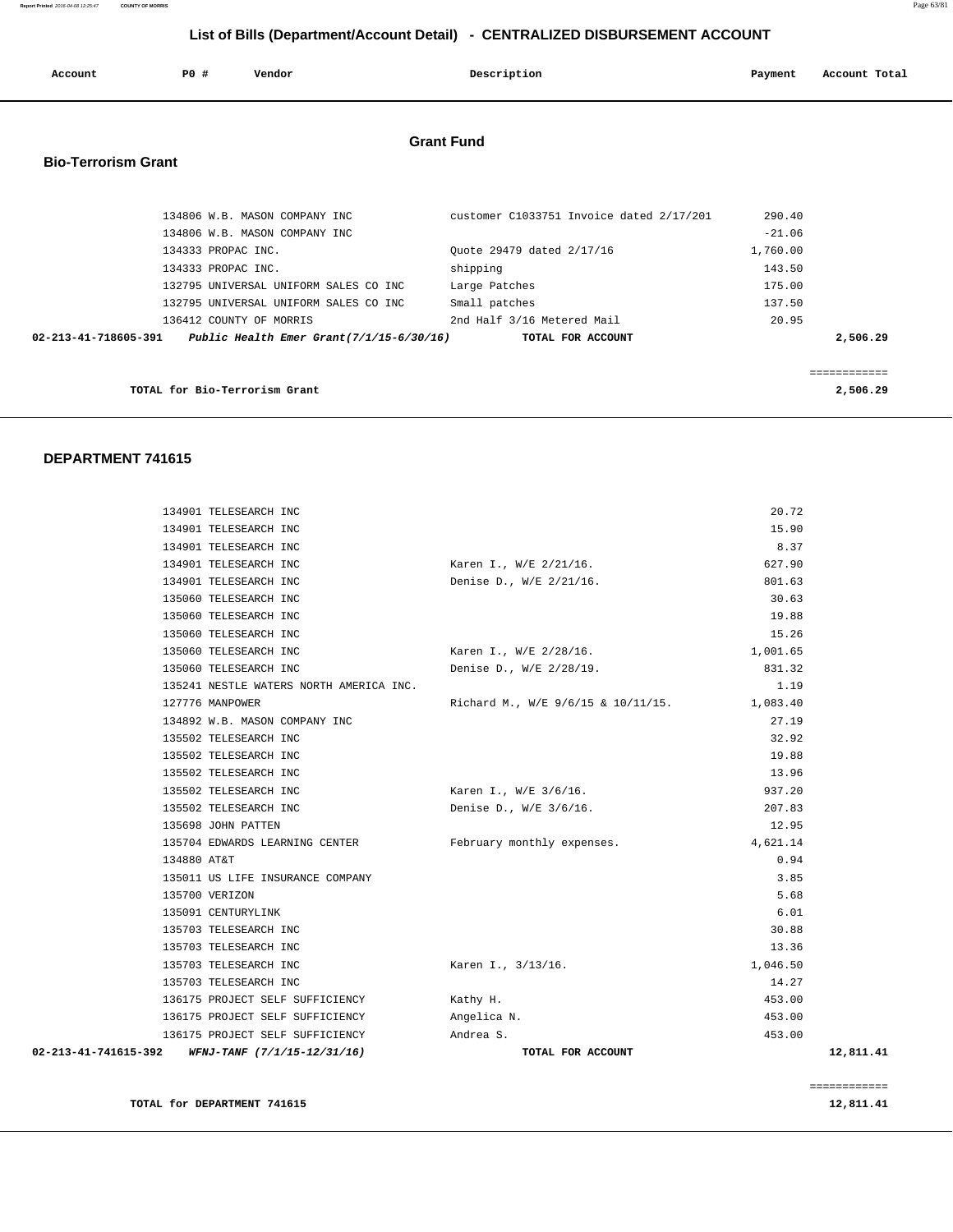**Report Printed** 2016-04-08 12:25:47 **COUNTY OF MORRIS** Page 63/81

#### **List of Bills (Department/Account Detail) - CENTRALIZED DISBURSEMENT ACCOUNT**

| Account                    | PO#                           | Vendor                                   | Description                              | Payment  | Account Total |
|----------------------------|-------------------------------|------------------------------------------|------------------------------------------|----------|---------------|
|                            |                               |                                          |                                          |          |               |
|                            |                               |                                          | <b>Grant Fund</b>                        |          |               |
| <b>Bio-Terrorism Grant</b> |                               |                                          |                                          |          |               |
|                            |                               |                                          |                                          |          |               |
|                            |                               | 134806 W.B. MASON COMPANY INC            | customer C1033751 Invoice dated 2/17/201 | 290.40   |               |
|                            |                               | 134806 W.B. MASON COMPANY INC            |                                          | $-21.06$ |               |
|                            | 134333 PROPAC INC.            |                                          | Quote 29479 dated 2/17/16                | 1,760.00 |               |
|                            | 134333 PROPAC INC.            |                                          | shipping                                 | 143.50   |               |
|                            |                               | 132795 UNIVERSAL UNIFORM SALES CO INC    | Large Patches                            | 175.00   |               |
|                            |                               | 132795 UNIVERSAL UNIFORM SALES CO INC    | Small patches                            | 137.50   |               |
|                            |                               | 136412 COUNTY OF MORRIS                  | 2nd Half 3/16 Metered Mail               | 20.95    |               |
| 02-213-41-718605-391       |                               | Public Health Emer Grant(7/1/15-6/30/16) | TOTAL FOR ACCOUNT                        |          | 2,506.29      |
|                            |                               |                                          |                                          |          |               |
|                            |                               |                                          |                                          |          | ============  |
|                            | TOTAL for Bio-Terrorism Grant |                                          |                                          |          | 2,506.29      |

#### **DEPARTMENT 741615**

| 02-213-41-741615-392<br>WFNJ-TANF (7/1/15-12/31/16) | TOTAL FOR ACCOUNT                  |          | 12,811.41 |
|-----------------------------------------------------|------------------------------------|----------|-----------|
| 136175 PROJECT SELF SUFFICIENCY                     | Andrea S.                          | 453.00   |           |
| 136175 PROJECT SELF SUFFICIENCY                     | Angelica N.                        | 453.00   |           |
| 136175 PROJECT SELF SUFFICIENCY                     | Kathy H.                           | 453.00   |           |
| 135703 TELESEARCH INC                               |                                    | 14.27    |           |
| 135703 TELESEARCH INC                               | Karen I., 3/13/16.                 | 1,046.50 |           |
| 135703 TELESEARCH INC                               |                                    | 13.36    |           |
| 135703 TELESEARCH INC                               |                                    | 30.88    |           |
| 135091 CENTURYLINK                                  |                                    | 6.01     |           |
| 135700 VERIZON                                      |                                    | 5.68     |           |
| 135011 US LIFE INSURANCE COMPANY                    |                                    | 3.85     |           |
| 134880 AT&T                                         |                                    | 0.94     |           |
| 135704 EDWARDS LEARNING CENTER                      | February monthly expenses.         | 4,621.14 |           |
| 135698 JOHN PATTEN                                  |                                    | 12.95    |           |
| 135502 TELESEARCH INC                               | Denise D., W/E 3/6/16.             | 207.83   |           |
| 135502 TELESEARCH INC                               | Karen I., W/E 3/6/16.              | 937.20   |           |
| 135502 TELESEARCH INC                               |                                    | 13.96    |           |
| 135502 TELESEARCH INC                               |                                    | 19.88    |           |
| 135502 TELESEARCH INC                               |                                    | 32.92    |           |
| 134892 W.B. MASON COMPANY INC                       |                                    | 27.19    |           |
| 127776 MANPOWER                                     | Richard M., W/E 9/6/15 & 10/11/15. | 1,083.40 |           |
| 135241 NESTLE WATERS NORTH AMERICA INC.             |                                    | 1.19     |           |
| 135060 TELESEARCH INC                               | Denise D., W/E 2/28/19.            | 831.32   |           |
| 135060 TELESEARCH INC                               | Karen I., W/E 2/28/16.             | 1,001.65 |           |
| 135060 TELESEARCH INC                               |                                    | 15.26    |           |
| 135060 TELESEARCH INC                               |                                    | 19.88    |           |
| 135060 TELESEARCH INC                               |                                    | 30.63    |           |
| 134901 TELESEARCH INC                               | Denise D., W/E 2/21/16.            | 801.63   |           |
| 134901 TELESEARCH INC                               | Karen I., W/E 2/21/16.             | 627.90   |           |
| 134901 TELESEARCH INC                               |                                    | 8.37     |           |
| 134901 TELESEARCH INC                               |                                    | 15.90    |           |
| 134901 TELESEARCH INC                               |                                    | 20.72    |           |
|                                                     |                                    |          |           |

**TOTAL for DEPARTMENT 741615** 12,811.41

============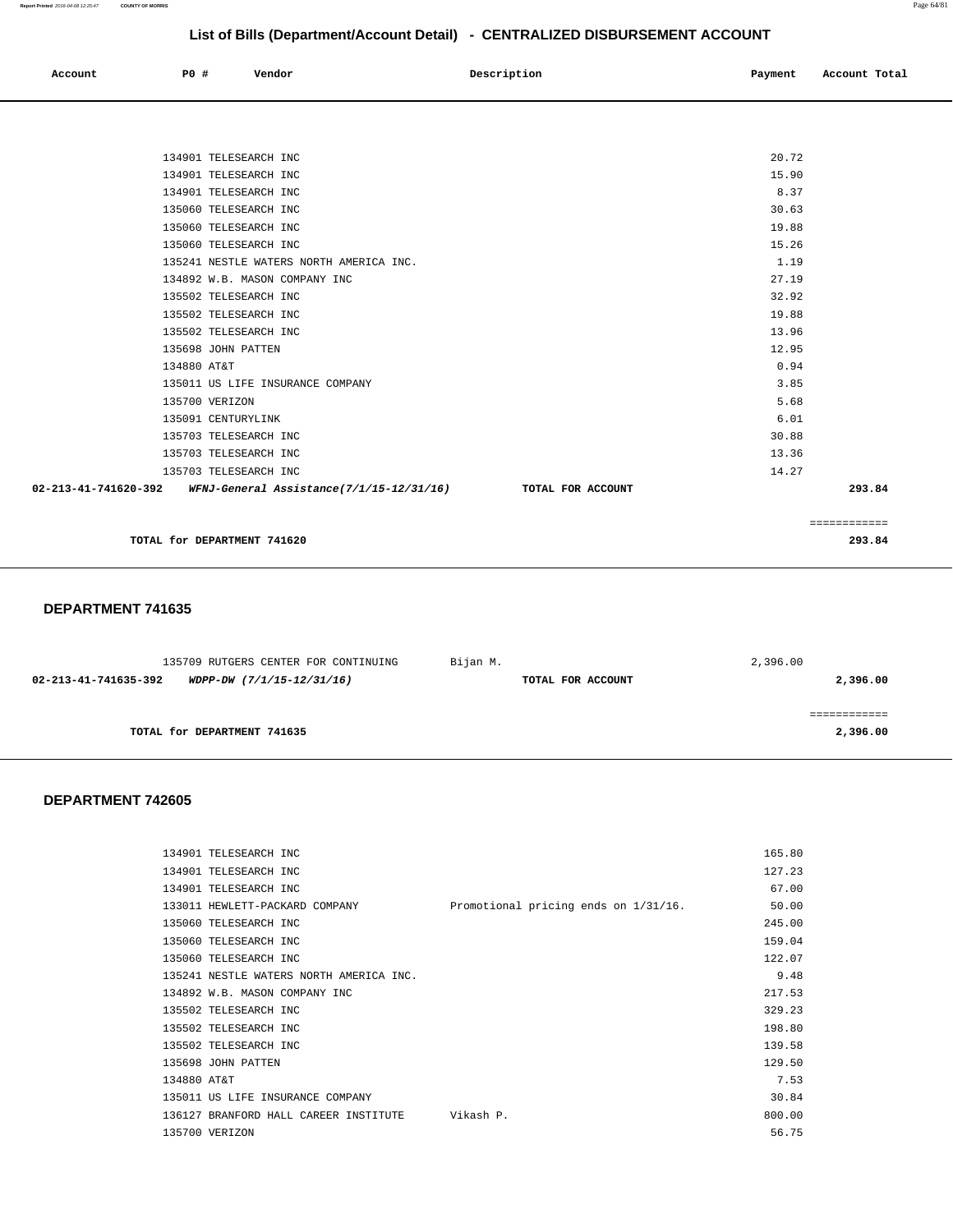| Account | $PO +$ | Vendor<br>. | Description | Payment | Account Total |
|---------|--------|-------------|-------------|---------|---------------|
|         |        |             |             |         |               |

| 20.72<br>134901 TELESEARCH INC                                                  |              |
|---------------------------------------------------------------------------------|--------------|
| 134901 TELESEARCH INC<br>15.90                                                  |              |
| 8.37<br>134901 TELESEARCH INC                                                   |              |
| 30.63<br>135060 TELESEARCH INC                                                  |              |
| 19.88<br>135060 TELESEARCH INC                                                  |              |
| 15.26<br>135060 TELESEARCH INC                                                  |              |
| 135241 NESTLE WATERS NORTH AMERICA INC.<br>1.19                                 |              |
| 27.19<br>134892 W.B. MASON COMPANY INC                                          |              |
| 32.92<br>135502 TELESEARCH INC                                                  |              |
| 19.88<br>135502 TELESEARCH INC                                                  |              |
| 13.96<br>135502 TELESEARCH INC                                                  |              |
| 12.95<br>135698 JOHN PATTEN                                                     |              |
| 134880 AT&T                                                                     | 0.94         |
| 135011 US LIFE INSURANCE COMPANY                                                | 3.85         |
| 135700 VERIZON                                                                  | 5.68         |
| 135091 CENTURYLINK                                                              | 6.01         |
| 30.88<br>135703 TELESEARCH INC                                                  |              |
| 13.36<br>135703 TELESEARCH INC                                                  |              |
| 14.27<br>135703 TELESEARCH INC                                                  |              |
| 02-213-41-741620-392 WFNJ-General Assistance(7/1/15-12/31/16) TOTAL FOR ACCOUNT | 293.84       |
|                                                                                 |              |
|                                                                                 | ============ |

**TOTAL for DEPARTMENT 741620 293.84**

#### **DEPARTMENT 741635**

| 135709 RUTGERS CENTER FOR CONTINUING              | Bijan M.          | 2,396.00 |
|---------------------------------------------------|-------------------|----------|
| 02-213-41-741635-392<br>WDPP-DW (7/1/15-12/31/16) | TOTAL FOR ACCOUNT | 2,396.00 |
|                                                   |                   |          |
|                                                   |                   |          |
| TOTAL for DEPARTMENT 741635                       |                   | 2,396.00 |
|                                                   |                   |          |

| 134901 TELESEARCH INC                   |                                      | 165.80 |
|-----------------------------------------|--------------------------------------|--------|
| 134901 TELESEARCH INC                   |                                      | 127.23 |
| 134901 TELESEARCH INC                   |                                      | 67.00  |
| 133011 HEWLETT-PACKARD COMPANY          | Promotional pricing ends on 1/31/16. | 50.00  |
| 135060 TELESEARCH INC                   |                                      | 245.00 |
| 135060 TELESEARCH INC                   |                                      | 159.04 |
| 135060 TELESEARCH INC                   |                                      | 122.07 |
| 135241 NESTLE WATERS NORTH AMERICA INC. |                                      | 9.48   |
| 134892 W.B. MASON COMPANY INC           |                                      | 217.53 |
| 135502 TELESEARCH INC                   |                                      | 329.23 |
| 135502 TELESEARCH INC                   |                                      | 198.80 |
| 135502 TELESEARCH INC                   |                                      | 139.58 |
| 135698 JOHN PATTEN                      |                                      | 129.50 |
| 134880 AT&T                             |                                      | 7.53   |
| 135011 US LIFE INSURANCE COMPANY        |                                      | 30.84  |
| 136127 BRANFORD HALL CAREER INSTITUTE   | Vikash P.                            | 800.00 |
| 135700 VERIZON                          |                                      | 56.75  |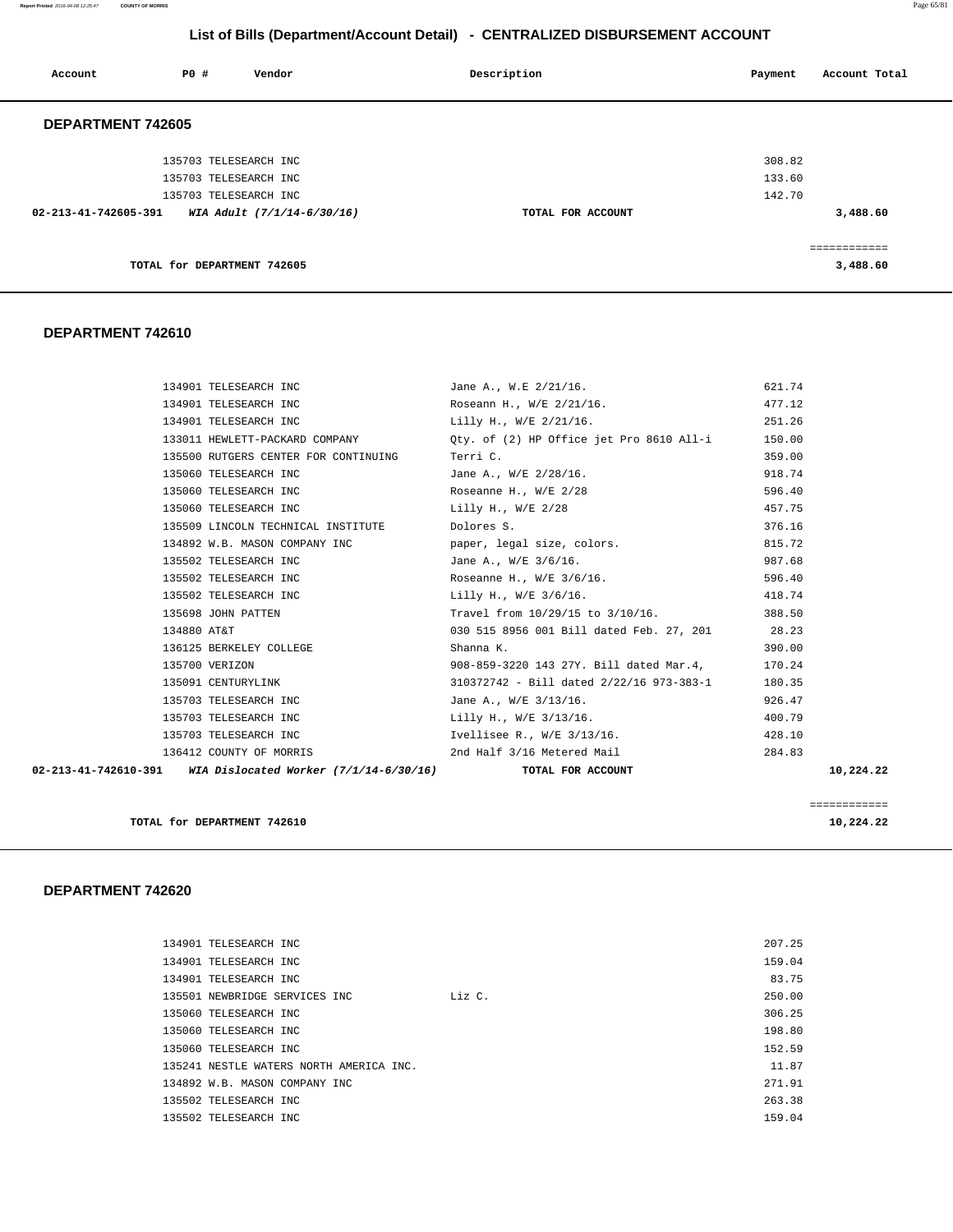**Report Printed** 2016-04-08 12:25:47 **COUNTY OF MORRIS** Page 65/81

# **List of Bills (Department/Account Detail) - CENTRALIZED DISBURSEMENT ACCOUNT**

| Account              | P0 # | Vendor                      | Description       | Account Total<br>Payment |
|----------------------|------|-----------------------------|-------------------|--------------------------|
| DEPARTMENT 742605    |      |                             |                   |                          |
|                      |      | 135703 TELESEARCH INC       |                   | 308.82                   |
|                      |      | 135703 TELESEARCH INC       |                   | 133.60                   |
|                      |      | 135703 TELESEARCH INC       |                   | 142.70                   |
| 02-213-41-742605-391 |      | WIA Adult (7/1/14-6/30/16)  | TOTAL FOR ACCOUNT | 3,488.60                 |
|                      |      |                             |                   | ============             |
|                      |      | TOTAL for DEPARTMENT 742605 |                   | 3,488.60                 |
|                      |      |                             |                   |                          |

#### **DEPARTMENT 742610**

| 02-213-41-742610-391 WIA Dislocated Worker (7/1/14-6/30/16) | TOTAL FOR ACCOUNT                                                           | 10,224.22 |
|-------------------------------------------------------------|-----------------------------------------------------------------------------|-----------|
|                                                             | 136412 COUNTY OF MORRIS 2nd Half 3/16 Metered Mail                          | 284.83    |
| 135703 TELESEARCH INC                                       | Ivellisee R., W/E 3/13/16.                                                  | 428.10    |
| 135703 TELESEARCH INC                                       | Lilly H., W/E 3/13/16.                                                      | 400.79    |
| 135703 TELESEARCH INC                                       | Jane A., W/E 3/13/16.                                                       | 926.47    |
| 135091 CENTURYLINK                                          | 310372742 - Bill dated 2/22/16 973-383-1                                    | 180.35    |
| 135700 VERIZON                                              | 908-859-3220 143 27Y. Bill dated Mar.4,                                     | 170.24    |
| 136125 BERKELEY COLLEGE                                     | Shanna K.                                                                   | 390.00    |
| 134880 AT&T                                                 | 030 515 8956 001 Bill dated Feb. 27, 201 28.23                              |           |
| 135698 JOHN PATTEN                                          | Travel from 10/29/15 to 3/10/16.                                            | 388.50    |
| 135502 TELESEARCH INC                                       | Lilly H., W/E 3/6/16.                                                       | 418.74    |
| 135502 TELESEARCH INC                                       | Roseanne H., W/E 3/6/16.                                                    | 596.40    |
| 135502 TELESEARCH INC                                       | Jane A., W/E 3/6/16.                                                        | 987.68    |
|                                                             | 134892 W.B. MASON COMPANY INC paper, legal size, colors.                    | 815.72    |
| 135509 LINCOLN TECHNICAL INSTITUTE Dolores S.               |                                                                             | 376.16    |
| 135060 TELESEARCH INC                                       | Lilly H., W/E 2/28                                                          | 457.75    |
|                                                             | 135060 TELESEARCH INC Roseanne H., W/E 2/28                                 | 596.40    |
| 135060 TELESEARCH INC                                       | Jane A., W/E 2/28/16.                                                       | 918.74    |
| 135500 RUTGERS CENTER FOR CONTINUING                        | Terri C.                                                                    | 359.00    |
|                                                             | 133011 HEWLETT-PACKARD COMPANY (2) Qty. of (2) HP Office jet Pro 8610 All-i | 150.00    |
| 134901 TELESEARCH INC                                       | Lilly H., W/E 2/21/16.                                                      | 251.26    |
| 134901 TELESEARCH INC                                       | Roseann H., W/E 2/21/16.                                                    | 477.12    |
| 134901 TELESEARCH INC                                       | Jane A., W.E 2/21/16.                                                       | 621.74    |

**TOTAL for DEPARTMENT 742610** 10,224.22

============

|  | 134901 TELESEARCH INC                   |        | 207.25 |
|--|-----------------------------------------|--------|--------|
|  | 134901 TELESEARCH INC                   |        | 159.04 |
|  | 134901 TELESEARCH INC                   |        | 83.75  |
|  | 135501 NEWBRIDGE SERVICES INC           | Liz C. | 250.00 |
|  | 135060 TELESEARCH INC                   |        | 306.25 |
|  | 135060 TELESEARCH INC                   |        | 198.80 |
|  | 135060 TELESEARCH INC                   |        | 152.59 |
|  | 135241 NESTLE WATERS NORTH AMERICA INC. |        | 11.87  |
|  | 134892 W.B. MASON COMPANY INC           |        | 271.91 |
|  | 135502 TELESEARCH INC                   |        | 263.38 |
|  | 135502 TELESEARCH INC                   |        | 159.04 |
|  |                                         |        |        |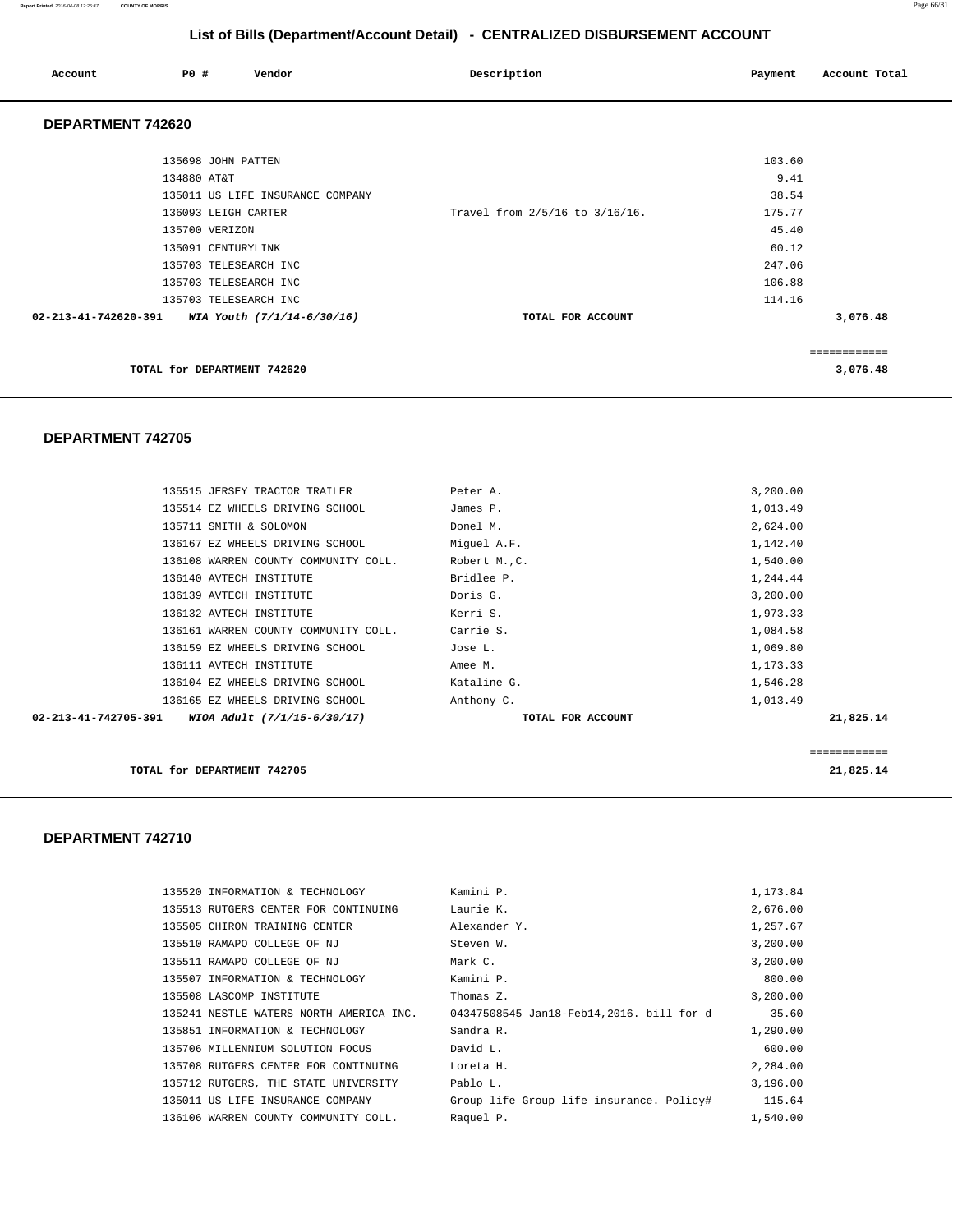#### **Report Printed** 2016-04-08 12:25:47 **COUNTY OF MORRIS** Page 66/81

# **List of Bills (Department/Account Detail) - CENTRALIZED DISBURSEMENT ACCOUNT**

| Account              | PO#                                            | Vendor                           | Description                    | Payment                  | Account Total            |
|----------------------|------------------------------------------------|----------------------------------|--------------------------------|--------------------------|--------------------------|
| DEPARTMENT 742620    |                                                |                                  |                                |                          |                          |
|                      | 135698 JOHN PATTEN<br>134880 AT&T              |                                  |                                | 103.60<br>9.41           |                          |
|                      | 136093 LEIGH CARTER<br>135700 VERIZON          | 135011 US LIFE INSURANCE COMPANY | Travel from 2/5/16 to 3/16/16. | 38.54<br>175.77<br>45.40 |                          |
|                      | 135091 CENTURYLINK<br>135703 TELESEARCH INC    |                                  |                                | 60.12<br>247.06          |                          |
| 02-213-41-742620-391 | 135703 TELESEARCH INC<br>135703 TELESEARCH INC | WIA Youth (7/1/14-6/30/16)       | TOTAL FOR ACCOUNT              | 106.88<br>114.16         | 3,076.48                 |
|                      | TOTAL for DEPARTMENT 742620                    |                                  |                                |                          | ============<br>3,076.48 |
|                      |                                                |                                  |                                |                          |                          |

#### **DEPARTMENT 742705**

| 135515 JERSEY TRACTOR TRAILER                       | Peter A.      | 3,200.00          |              |
|-----------------------------------------------------|---------------|-------------------|--------------|
| 135514 EZ WHEELS DRIVING SCHOOL                     | James P.      | 1,013.49          |              |
| 135711 SMITH & SOLOMON                              | Donel M.      | 2,624.00          |              |
| 136167 EZ WHEELS DRIVING SCHOOL                     | Miquel A.F.   | 1,142.40          |              |
| 136108 WARREN COUNTY COMMUNITY COLL.                | Robert M., C. | 1,540.00          |              |
| 136140 AVTECH INSTITUTE                             | Bridlee P.    | 1,244.44          |              |
| 136139 AVTECH INSTITUTE                             | Doris G.      | 3,200.00          |              |
| 136132 AVTECH INSTITUTE                             | Kerri S.      | 1,973.33          |              |
| 136161 WARREN COUNTY COMMUNITY COLL.                | Carrie S.     | 1,084.58          |              |
| 136159 EZ WHEELS DRIVING SCHOOL                     | Jose L.       | 1,069.80          |              |
| 136111 AVTECH INSTITUTE                             | Amee M.       | 1,173.33          |              |
| 136104 EZ WHEELS DRIVING SCHOOL                     | Kataline G.   | 1,546.28          |              |
| 136165 EZ WHEELS DRIVING SCHOOL                     | Anthony C.    | 1,013.49          |              |
| 02-213-41-742705-391<br>WIOA Adult (7/1/15-6/30/17) |               | TOTAL FOR ACCOUNT | 21,825.14    |
|                                                     |               |                   |              |
|                                                     |               |                   | ============ |

**TOTAL for DEPARTMENT 742705 21,825.14**

| 135520 INFORMATION & TECHNOLOGY         | Kamini P.                                | 1,173.84 |
|-----------------------------------------|------------------------------------------|----------|
| 135513 RUTGERS CENTER FOR CONTINUING    | Laurie K.                                | 2,676.00 |
| 135505 CHIRON TRAINING CENTER           | Alexander Y.                             | 1,257.67 |
| 135510 RAMAPO COLLEGE OF NJ             | Steven W.                                | 3,200.00 |
| 135511 RAMAPO COLLEGE OF NJ             | Mark C.                                  | 3,200.00 |
| 135507 INFORMATION & TECHNOLOGY         | Kamini P.                                | 800.00   |
| 135508 LASCOMP INSTITUTE                | Thomas Z.                                | 3,200.00 |
| 135241 NESTLE WATERS NORTH AMERICA INC. | 04347508545 Jan18-Feb14,2016. bill for d | 35.60    |
| 135851 INFORMATION & TECHNOLOGY         | Sandra R.                                | 1,290.00 |
| 135706 MILLENNIUM SOLUTION FOCUS        | David L.                                 | 600.00   |
| 135708 RUTGERS CENTER FOR CONTINUING    | Loreta H.                                | 2,284.00 |
| 135712 RUTGERS, THE STATE UNIVERSITY    | Pablo L.                                 | 3,196.00 |
| 135011 US LIFE INSURANCE COMPANY        | Group life Group life insurance. Policy# | 115.64   |
| 136106 WARREN COUNTY COMMUNITY COLL.    | Raquel P.                                | 1,540.00 |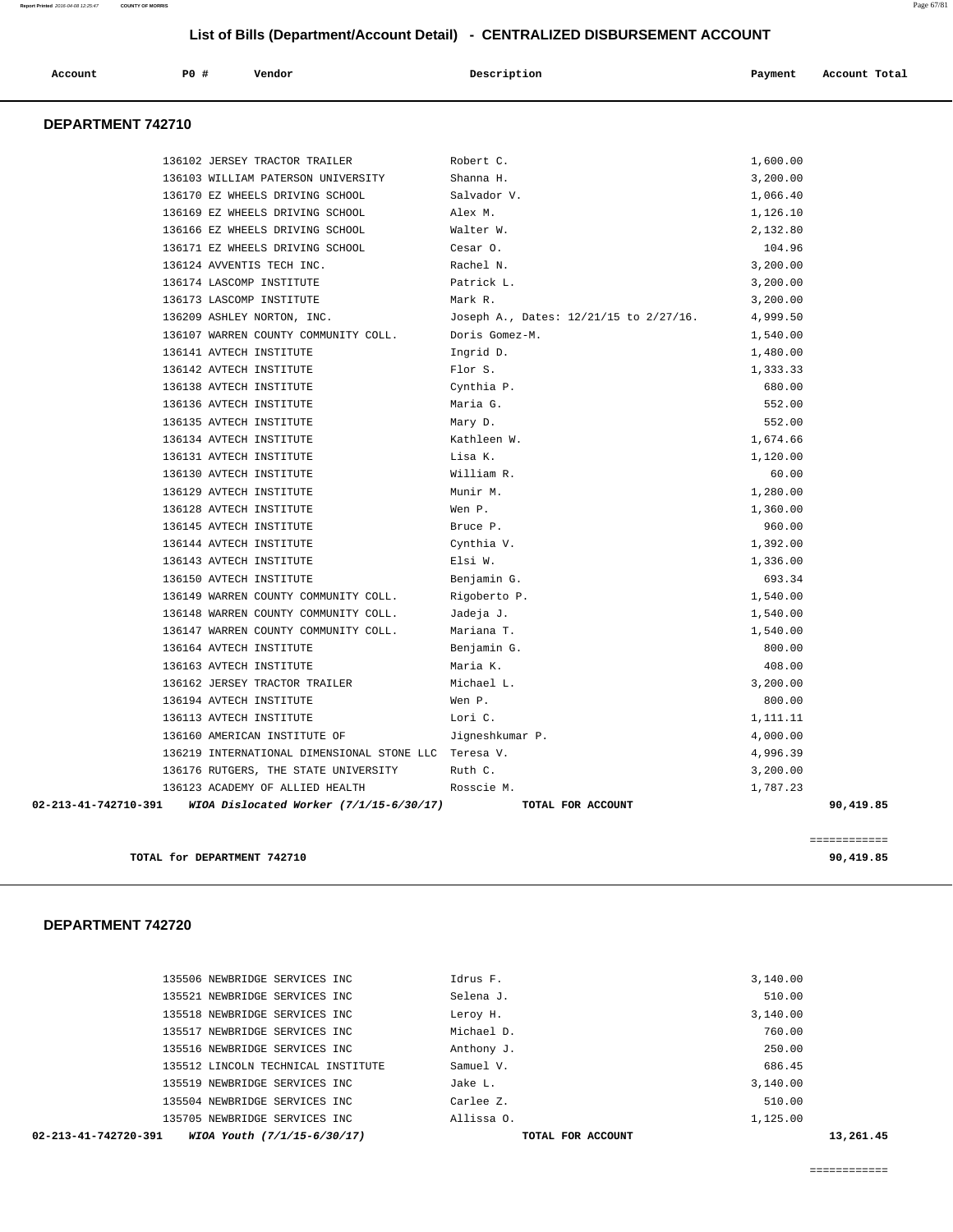| Account           | Vendor<br>PO#                      | Description | Account Total<br>Payment |
|-------------------|------------------------------------|-------------|--------------------------|
| DEPARTMENT 742710 |                                    |             |                          |
|                   | 136102 JERSEY TRACTOR TRAILER      | Robert C.   | 1,600.00                 |
|                   | 136103 WILLIAM PATERSON UNIVERSITY | Shanna H.   | 3,200.00                 |
|                   | 136170 EZ WHEELS DRIVING SCHOOL    | Salvador V. | 1,066.40                 |
|                   | 136169 EZ WHEELS DRIVING SCHOOL    | Alex M.     | 1,126.10                 |

 136166 EZ WHEELS DRIVING SCHOOL Walter W. 2,132.80 136171 EZ WHEELS DRIVING SCHOOL Cesar O. 104.96 136124 AVVENTIS TECH INC. Rachel N. 3,200.00 136174 LASCOMP INSTITUTE  $\begin{array}{ccc} \texttt{Particle L.} \end{array}$ 136173 LASCOMP INSTITUTE THE Mark R. And Mark R. 3,200.00 136209 ASHLEY NORTON, INC. Joseph A., Dates: 12/21/15 to 2/27/16. 4,999.50 136107 WARREN COUNTY COMMUNITY COLL. Doris Gomez-M. 1,540.00 136141 AVTECH INSTITUTE **Ingrid D.** 1,480.00 136142 AVTECH INSTITUTE Flor S. 1,333.33 136138 AVTECH INSTITUTE Cynthia P. 680.00 136136 AVTECH INSTITUTE Maria G. 552.00 136135 AVTECH INSTITUTE Mary D. 552.00 136134 AVTECH INSTITUTE Kathleen W. 1,674.66 136131 AVTECH INSTITUTE Lisa K. 1,120.00 136130 AVTECH INSTITUTE William R. 60.00 136129 AVTECH INSTITUTE Munir M. 1,280.00

|  | 136128 AVTECH INSTITUTE                                      | Wen P.            | 1,360.00  |
|--|--------------------------------------------------------------|-------------------|-----------|
|  | 136145 AVTECH INSTITUTE                                      | Bruce P.          | 960.00    |
|  | 136144 AVTECH INSTITUTE                                      | Cynthia V.        | 1,392.00  |
|  | 136143 AVTECH INSTITUTE                                      | Elsi W.           | 1,336.00  |
|  | 136150 AVTECH INSTITUTE                                      | Benjamin G.       | 693.34    |
|  | 136149 WARREN COUNTY COMMUNITY COLL.                         | Rigoberto P.      | 1,540.00  |
|  | 136148 WARREN COUNTY COMMUNITY COLL.                         | Jadeja J.         | 1,540.00  |
|  | 136147 WARREN COUNTY COMMUNITY COLL.                         | Mariana T.        | 1,540.00  |
|  | 136164 AVTECH INSTITUTE                                      | Benjamin G.       | 800.00    |
|  | 136163 AVTECH INSTITUTE                                      | Maria K.          | 408.00    |
|  | 136162 JERSEY TRACTOR TRAILER                                | Michael L.        | 3,200.00  |
|  | 136194 AVTECH INSTITUTE                                      | Wen P.            | 800.00    |
|  | 136113 AVTECH INSTITUTE                                      | Lori C.           | 1,111.11  |
|  | 136160 AMERICAN INSTITUTE OF                                 | Jigneshkumar P.   | 4,000.00  |
|  | 136219 INTERNATIONAL DIMENSIONAL STONE LLC Teresa V.         |                   | 4,996.39  |
|  | 136176 RUTGERS, THE STATE UNIVERSITY                         | Ruth C.           | 3,200.00  |
|  | 136123 ACADEMY OF ALLIED HEALTH                              | Rosscie M.        | 1,787.23  |
|  | 02-213-41-742710-391 WIOA Dislocated Worker (7/1/15-6/30/17) | TOTAL FOR ACCOUNT | 90,419.85 |
|  |                                                              |                   |           |

**TOTAL for DEPARTMENT 742710 90,419.85**

| 02-213-41-742720-391<br>WIOA Youth (7/1/15-6/30/17) | TOTAL FOR ACCOUNT | 13,261.45 |
|-----------------------------------------------------|-------------------|-----------|
| 135705 NEWBRIDGE SERVICES INC                       | Allissa O.        | 1,125.00  |
| 135504 NEWBRIDGE SERVICES INC                       | Carlee Z.         | 510.00    |
| 135519 NEWBRIDGE SERVICES INC                       | Jake L.           | 3,140.00  |
| 135512 LINCOLN TECHNICAL INSTITUTE                  | Samuel V.         | 686.45    |
| 135516 NEWBRIDGE SERVICES INC                       | Anthony J.        | 250.00    |
| 135517 NEWBRIDGE SERVICES INC                       | Michael D.        | 760.00    |
| 135518 NEWBRIDGE SERVICES INC                       | Leroy H.          | 3,140.00  |
| 135521 NEWBRIDGE SERVICES INC                       | Selena J.         | 510.00    |
| 135506 NEWBRIDGE SERVICES INC.                      | Idrus F.          | 3,140.00  |
|                                                     |                   |           |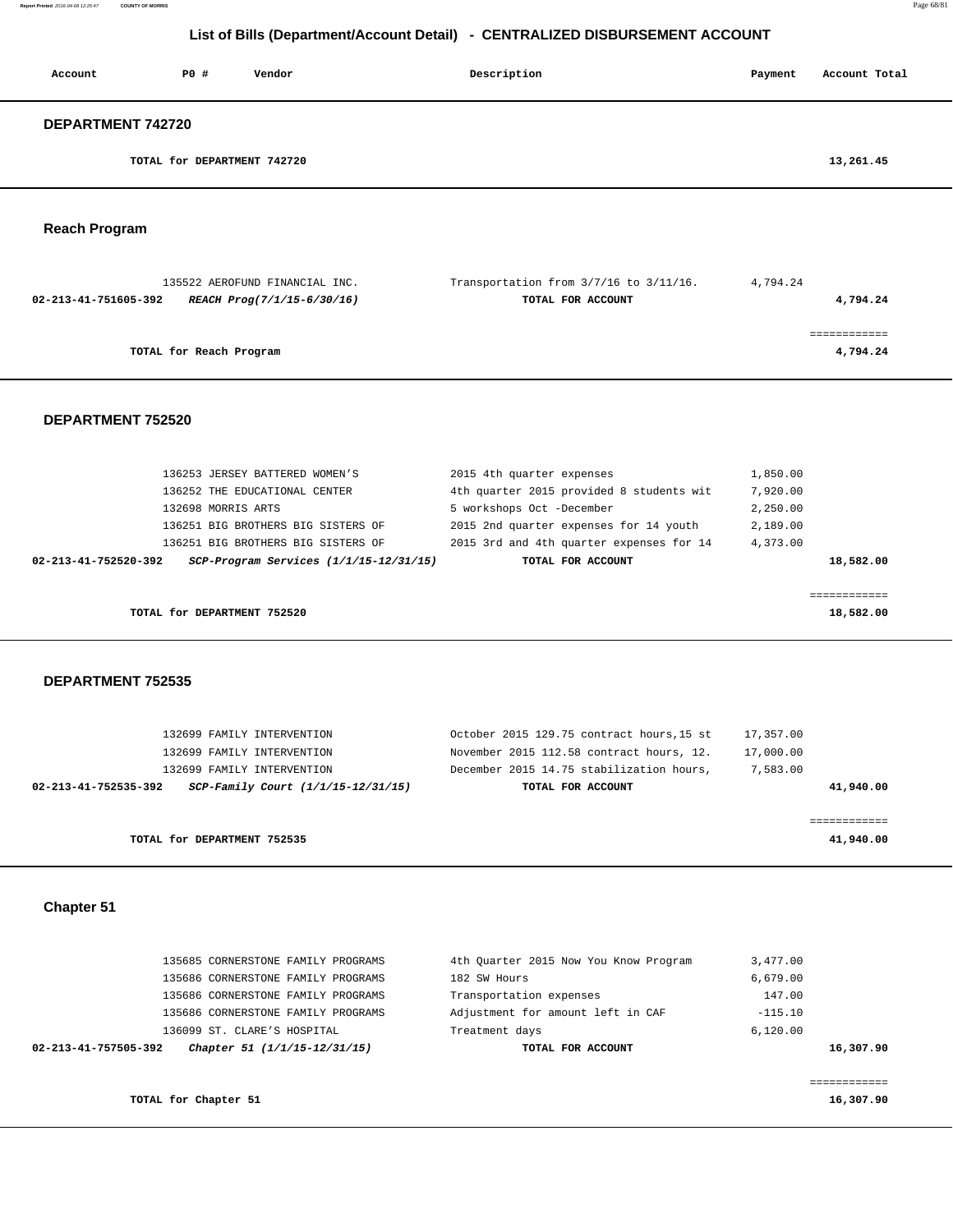**Report Printed** 2016-04-08 12:25:47 **COUNTY OF MORRIS** Page 68/81

# **List of Bills (Department/Account Detail) - CENTRALIZED DISBURSEMENT ACCOUNT**

| Account              | P0 #                        | Vendor | Description | Payment | Account Total |
|----------------------|-----------------------------|--------|-------------|---------|---------------|
| DEPARTMENT 742720    |                             |        |             |         |               |
|                      | TOTAL for DEPARTMENT 742720 |        |             |         | 13,261.45     |
| <b>Reach Program</b> |                             |        |             |         |               |

|                      | 135522 AEROFUND FINANCIAL INC. | Transportation from $3/7/16$ to $3/11/16$ . | 4,794.24 |
|----------------------|--------------------------------|---------------------------------------------|----------|
| 02-213-41-751605-392 | REACH Prog(7/1/15-6/30/16)     | TOTAL FOR ACCOUNT                           | 4,794.24 |
|                      |                                |                                             |          |
|                      |                                |                                             |          |
|                      | TOTAL for Reach Program        |                                             | 4,794.24 |
|                      |                                |                                             |          |

 **DEPARTMENT 752520** 

|                      | TOTAL for DEPARTMENT 752520    |                                            |                           |                                          |          | 18,582.00 |
|----------------------|--------------------------------|--------------------------------------------|---------------------------|------------------------------------------|----------|-----------|
|                      |                                |                                            |                           |                                          |          |           |
| 02-213-41-752520-392 |                                | $SCP-Program$ Services $(1/1/15-12/31/15)$ |                           | TOTAL FOR ACCOUNT                        |          | 18,582.00 |
|                      |                                | 136251 BIG BROTHERS BIG SISTERS OF         |                           | 2015 3rd and 4th quarter expenses for 14 | 4,373.00 |           |
|                      |                                | 136251 BIG BROTHERS BIG SISTERS OF         |                           | 2015 2nd quarter expenses for 14 youth   | 2,189.00 |           |
|                      | 132698 MORRIS ARTS             |                                            | 5 workshops Oct -December |                                          | 2,250.00 |           |
|                      | 136252 THE EDUCATIONAL CENTER  |                                            |                           | 4th quarter 2015 provided 8 students wit | 7,920,00 |           |
|                      | 136253 JERSEY BATTERED WOMEN'S |                                            | 2015 4th quarter expenses |                                          | 1,850.00 |           |

#### **DEPARTMENT 752535**

| 132699 FAMILY INTERVENTION                                 | October 2015 129.75 contract hours, 15 st | 17,357.00 |
|------------------------------------------------------------|-------------------------------------------|-----------|
| 132699 FAMILY INTERVENTION                                 | November 2015 112.58 contract hours, 12.  | 17,000.00 |
| 132699 FAMILY INTERVENTION                                 | December 2015 14.75 stabilization hours,  | 7,583.00  |
| SCP-Family Court (1/1/15-12/31/15)<br>02-213-41-752535-392 | TOTAL FOR ACCOUNT                         | 41,940.00 |
|                                                            |                                           |           |
|                                                            |                                           |           |
| TOTAL for DEPARTMENT 752535                                |                                           | 41,940.00 |

#### **Chapter 51**

| 02-213-41-757505-392 | Chapter 51 (1/1/15-12/31/15)       | TOTAL FOR ACCOUNT                     | 16,307.90 |
|----------------------|------------------------------------|---------------------------------------|-----------|
|                      | 136099 ST. CLARE'S HOSPITAL        | Treatment days                        | 6.120.00  |
|                      | 135686 CORNERSTONE FAMILY PROGRAMS | Adjustment for amount left in CAF     | $-115.10$ |
|                      | 135686 CORNERSTONE FAMILY PROGRAMS | Transportation expenses               | 147.00    |
|                      | 135686 CORNERSTONE FAMILY PROGRAMS | 182 SW Hours                          | 6,679.00  |
|                      | 135685 CORNERSTONE FAMILY PROGRAMS | 4th Quarter 2015 Now You Know Program | 3,477.00  |
|                      |                                    |                                       |           |

**TOTAL for Chapter 51 16,307.90**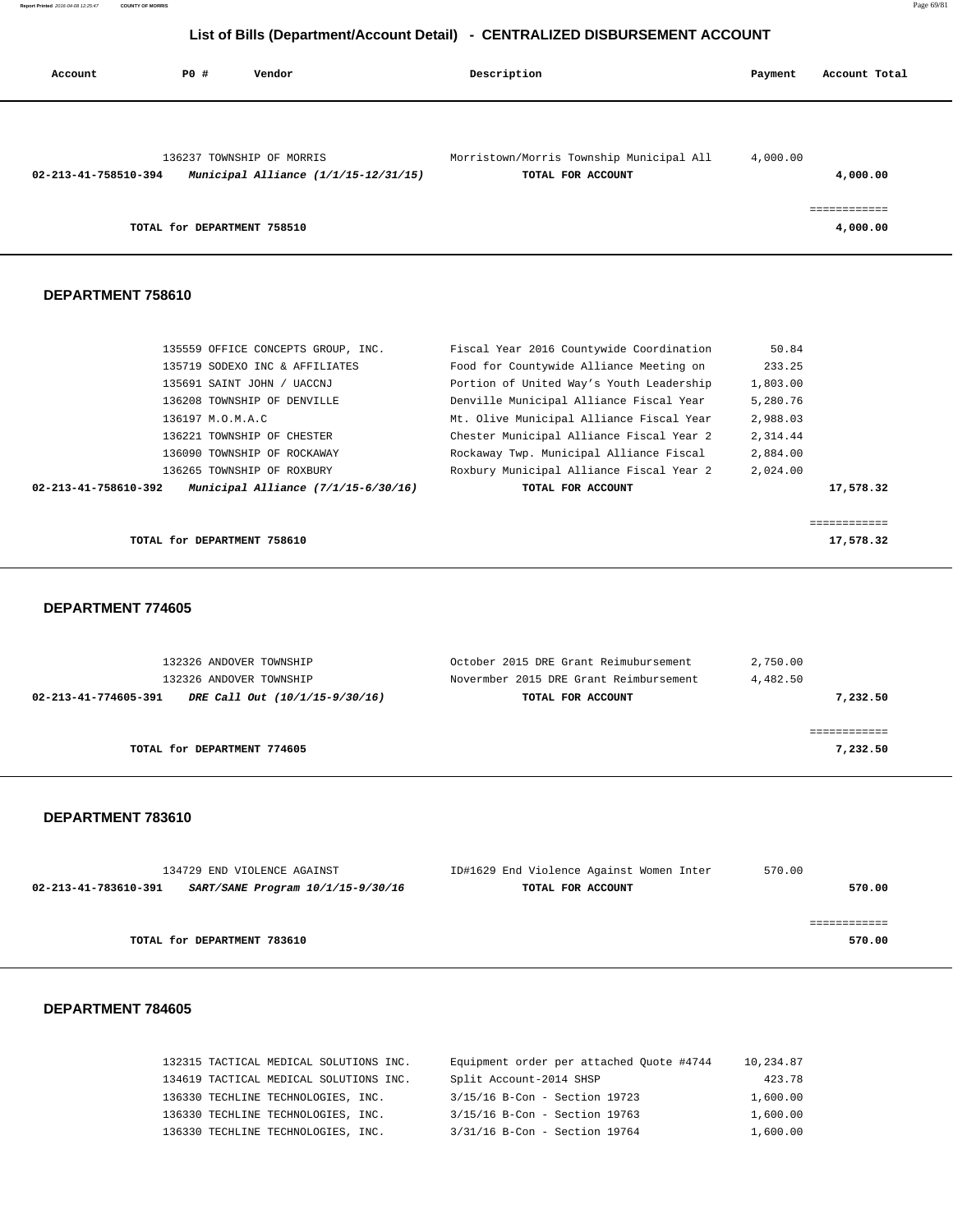| Account              | PO#                         | Vendor                                                            | Description                                                   | Payment  | Account Total            |
|----------------------|-----------------------------|-------------------------------------------------------------------|---------------------------------------------------------------|----------|--------------------------|
| 02-213-41-758510-394 |                             | 136237 TOWNSHIP OF MORRIS<br>Municipal Alliance (1/1/15-12/31/15) | Morristown/Morris Township Municipal All<br>TOTAL FOR ACCOUNT | 4,000.00 | 4,000.00                 |
|                      | TOTAL for DEPARTMENT 758510 |                                                                   |                                                               |          | ============<br>4,000.00 |

#### **DEPARTMENT 758610**

| 02-213-41-758610-392 | Municipal Alliance $(7/1/15-6/30/16)$ | TOTAL FOR ACCOUNT                        |          | 17,578.32 |
|----------------------|---------------------------------------|------------------------------------------|----------|-----------|
|                      | 136265 TOWNSHIP OF ROXBURY            | Roxbury Municipal Alliance Fiscal Year 2 | 2,024.00 |           |
|                      | 136090 TOWNSHIP OF ROCKAWAY           | Rockaway Twp. Municipal Alliance Fiscal  | 2,884.00 |           |
|                      | 136221 TOWNSHIP OF CHESTER            | Chester Municipal Alliance Fiscal Year 2 | 2,314.44 |           |
|                      | 136197 M.O.M.A.C                      | Mt. Olive Municipal Alliance Fiscal Year | 2,988.03 |           |
|                      | 136208 TOWNSHIP OF DENVILLE           | Denville Municipal Alliance Fiscal Year  | 5,280.76 |           |
|                      | 135691 SAINT JOHN / UACCNJ            | Portion of United Way's Youth Leadership | 1,803.00 |           |
|                      | 135719 SODEXO INC & AFFILIATES        | Food for Countywide Alliance Meeting on  | 233.25   |           |
|                      | 135559 OFFICE CONCEPTS GROUP, INC.    | Fiscal Year 2016 Countywide Coordination | 50.84    |           |
|                      |                                       |                                          |          |           |

**TOTAL for DEPARTMENT 758610** 17,578.32

#### **DEPARTMENT 774605**

| 132326 ANDOVER TOWNSHIP                                | October 2015 DRE Grant Reimubursement  | 2,750.00 |
|--------------------------------------------------------|----------------------------------------|----------|
| 132326 ANDOVER TOWNSHIP                                | Novermber 2015 DRE Grant Reimbursement | 4,482.50 |
| 02-213-41-774605-391<br>DRE Call Out (10/1/15-9/30/16) | TOTAL FOR ACCOUNT                      | 7,232.50 |
|                                                        |                                        |          |
|                                                        |                                        |          |
| TOTAL for DEPARTMENT 774605                            |                                        | 7,232.50 |
|                                                        |                                        |          |

#### **DEPARTMENT 783610**

| 134729 END VIOLENCE AGAINST                               | ID#1629 End Violence Against Women Inter | 570.00 |
|-----------------------------------------------------------|------------------------------------------|--------|
| SART/SANE Program 10/1/15-9/30/16<br>02-213-41-783610-391 | TOTAL FOR ACCOUNT                        | 570.00 |
|                                                           |                                          |        |
|                                                           |                                          |        |
| TOTAL for DEPARTMENT 783610                               |                                          | 570.00 |

| 132315 TACTICAL MEDICAL SOLUTIONS INC. | Equipment order per attached Quote #4744 | 10,234.87 |
|----------------------------------------|------------------------------------------|-----------|
| 134619 TACTICAL MEDICAL SOLUTIONS INC. | Split Account-2014 SHSP                  | 423.78    |
| 136330 TECHLINE TECHNOLOGIES, INC.     | 3/15/16 B-Con - Section 19723            | 1,600.00  |
| 136330 TECHLINE TECHNOLOGIES, INC.     | 3/15/16 B-Con - Section 19763            | 1,600.00  |
| 136330 TECHLINE TECHNOLOGIES, INC.     | 3/31/16 B-Con - Section 19764            | 1,600.00  |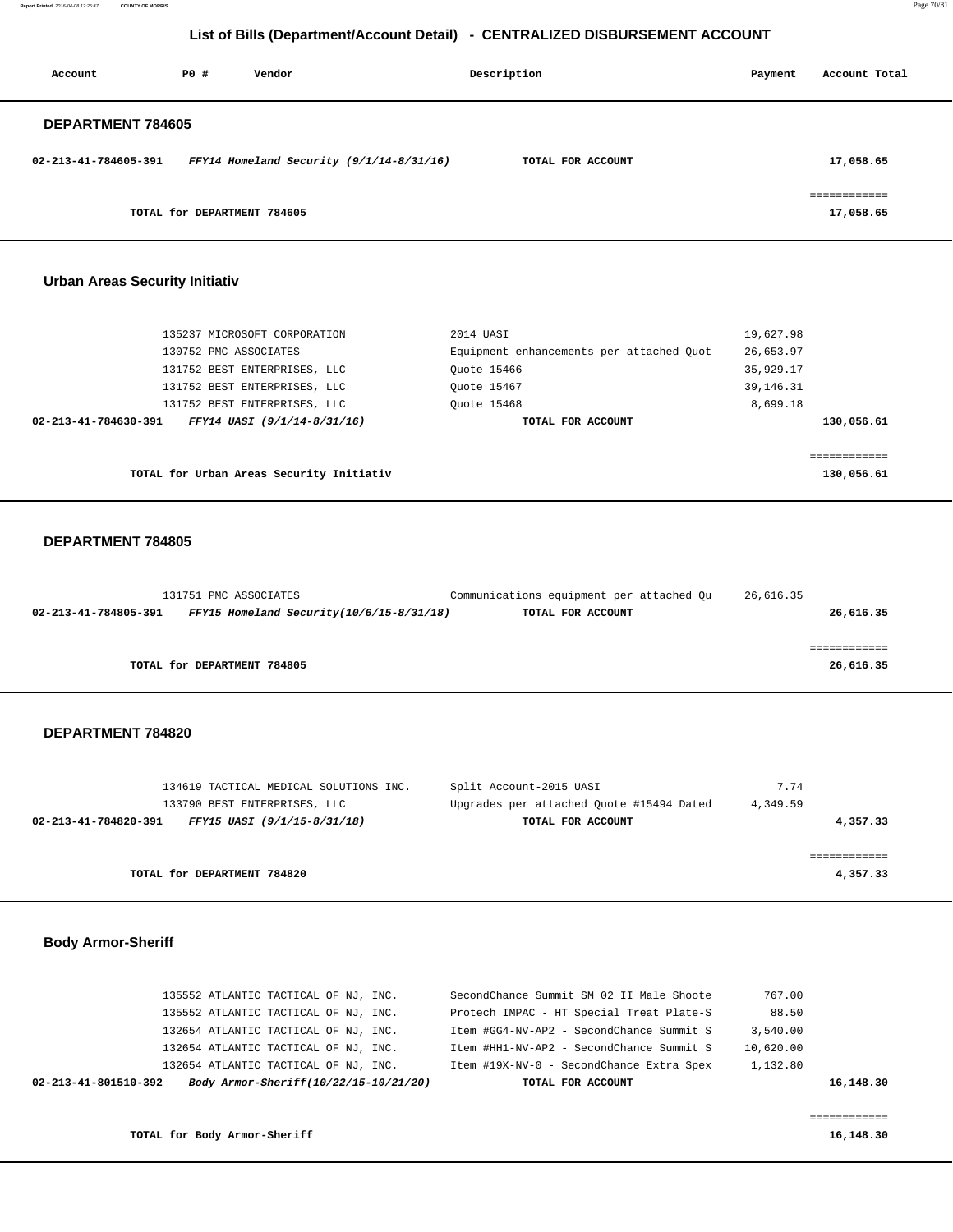**Report Printed** 2016-04-08 12:25:47 **COUNTY OF MORRIS** Page 70/81

# **List of Bills (Department/Account Detail) - CENTRALIZED DISBURSEMENT ACCOUNT**

| Account              | PO#                         | Vendor                                     | Description       | Payment | Account Total                        |
|----------------------|-----------------------------|--------------------------------------------|-------------------|---------|--------------------------------------|
| DEPARTMENT 784605    |                             |                                            |                   |         |                                      |
| 02-213-41-784605-391 |                             | FFY14 Homeland Security $(9/1/14-8/31/16)$ | TOTAL FOR ACCOUNT |         | 17,058.65                            |
|                      | TOTAL for DEPARTMENT 784605 |                                            |                   |         | . = = = = = = = = = = =<br>17,058.65 |

#### **Urban Areas Security Initiativ**

| 135237 MICROSOFT CORPORATION                        | 2014 UASI                                | 19,627.98    |
|-----------------------------------------------------|------------------------------------------|--------------|
| 130752 PMC ASSOCIATES                               | Equipment enhancements per attached Quot | 26,653.97    |
| 131752 BEST ENTERPRISES, LLC                        | Ouote 15466                              | 35,929.17    |
| 131752 BEST ENTERPRISES, LLC                        | Ouote 15467                              | 39, 146. 31  |
| 131752 BEST ENTERPRISES, LLC                        | Ouote 15468                              | 8,699.18     |
| FFY14 UASI (9/1/14-8/31/16)<br>02-213-41-784630-391 | TOTAL FOR ACCOUNT                        | 130,056.61   |
|                                                     |                                          |              |
|                                                     |                                          | .=========== |
| TOTAL for Urban Areas Security Initiativ            |                                          | 130,056.61   |

#### **DEPARTMENT 784805**

|                      | 131751 PMC ASSOCIATES                          | Communications equipment per attached Qu | 26,616.35 |
|----------------------|------------------------------------------------|------------------------------------------|-----------|
| 02-213-41-784805-391 | $FFY15$ Homeland Security( $10/6/15-8/31/18$ ) | TOTAL FOR ACCOUNT                        | 26,616.35 |
|                      |                                                |                                          |           |
|                      |                                                |                                          |           |
|                      | TOTAL for DEPARTMENT 784805                    |                                          | 26,616.35 |
|                      |                                                |                                          |           |

#### **DEPARTMENT 784820**

| 134619 TACTICAL MEDICAL SOLUTIONS INC.              | Split Account-2015 UASI                  | 7.74     |
|-----------------------------------------------------|------------------------------------------|----------|
| 133790 BEST ENTERPRISES, LLC                        | Upgrades per attached Ouote #15494 Dated | 4,349.59 |
| 02-213-41-784820-391<br>FFY15 UASI (9/1/15-8/31/18) | TOTAL FOR ACCOUNT                        | 4,357.33 |
|                                                     |                                          |          |
|                                                     |                                          |          |
| TOTAL for DEPARTMENT 784820                         |                                          | 4,357.33 |
|                                                     |                                          |          |

## **Body Armor-Sheriff**

|                      | 135552 ATLANTIC TACTICAL OF NJ, INC.  | SecondChance Summit SM 02 II Male Shoote | 767.00    |           |
|----------------------|---------------------------------------|------------------------------------------|-----------|-----------|
|                      | 135552 ATLANTIC TACTICAL OF NJ, INC.  | Protech IMPAC - HT Special Treat Plate-S | 88.50     |           |
|                      | 132654 ATLANTIC TACTICAL OF NJ, INC.  | Item #GG4-NV-AP2 - SecondChance Summit S | 3,540.00  |           |
|                      | 132654 ATLANTIC TACTICAL OF NJ, INC.  | Item #HH1-NV-AP2 - SecondChance Summit S | 10,620.00 |           |
|                      | 132654 ATLANTIC TACTICAL OF NJ. INC.  | Item #19X-NV-0 - SecondChance Extra Spex | 1,132.80  |           |
| 02-213-41-801510-392 | Body Armor-Sheriff(10/22/15-10/21/20) | TOTAL FOR ACCOUNT                        |           | 16,148.30 |
|                      |                                       |                                          |           |           |

**TOTAL for Body Armor-Sheriff 16,148.30**

============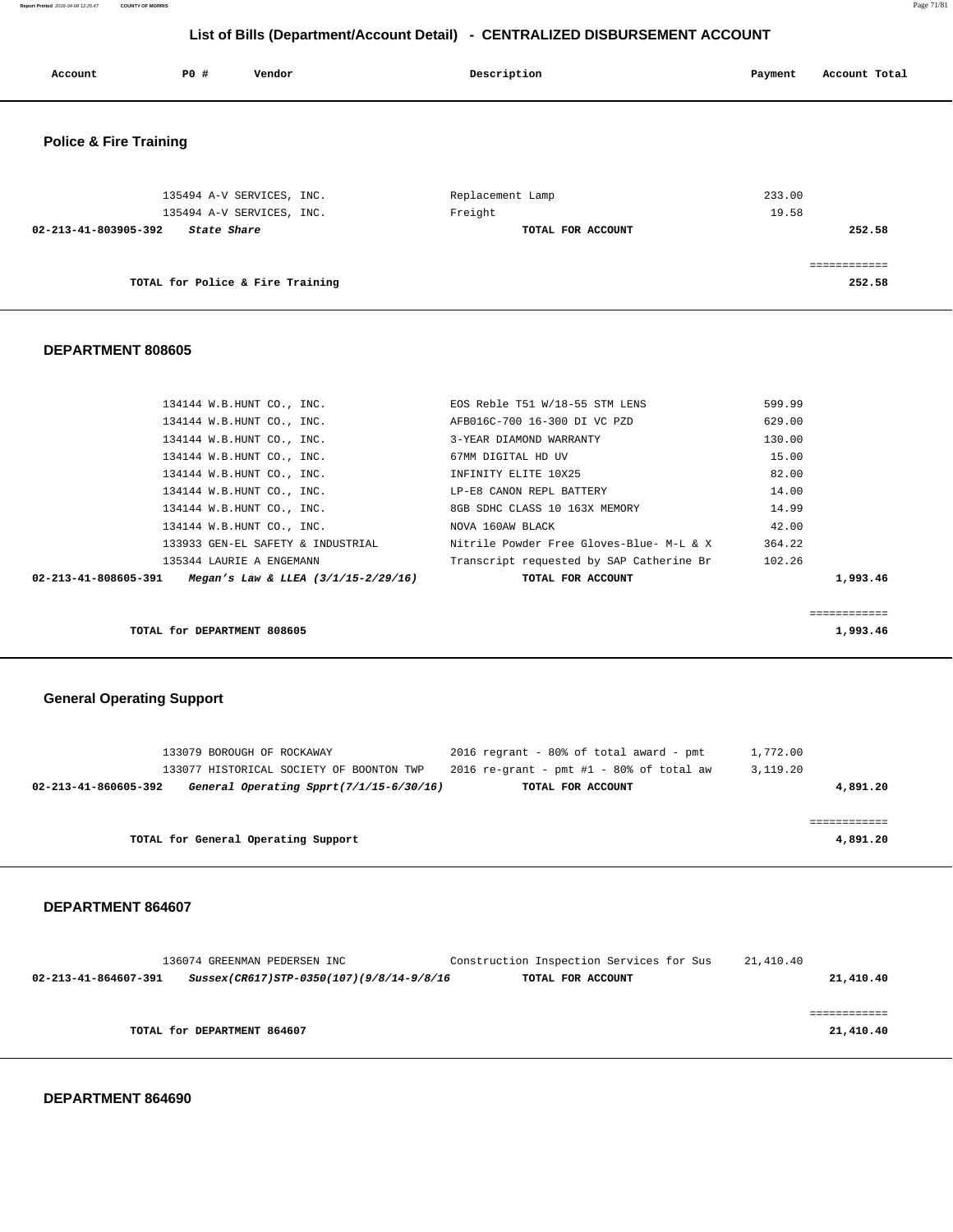|                                   |             | $\sqrt{2}$                | . .               |                          |
|-----------------------------------|-------------|---------------------------|-------------------|--------------------------|
| Account                           | <b>PO #</b> | Vendor                    | Description       | Account Total<br>Payment |
| <b>Police &amp; Fire Training</b> |             |                           |                   |                          |
|                                   |             | 135494 A-V SERVICES, INC. | Replacement Lamp  | 233.00                   |
|                                   |             | 135494 A-V SERVICES, INC. | Freight           | 19.58                    |
| 02-213-41-803905-392              | State Share |                           | TOTAL FOR ACCOUNT | 252.58                   |
|                                   |             |                           |                   | ------------             |
|                                   |             |                           |                   |                          |

**TOTAL for Police & Fire Training 252.58**

# **DEPARTMENT 808605**

| 02-213-41-808605-391 | Megan's Law & LLEA $(3/1/15 - 2/29/16)$ | TOTAL FOR ACCOUNT                        | 1,993.46 |
|----------------------|-----------------------------------------|------------------------------------------|----------|
|                      | 135344 LAURIE A ENGEMANN                | Transcript requested by SAP Catherine Br | 102.26   |
|                      | 133933 GEN-EL SAFETY & INDUSTRIAL       | Nitrile Powder Free Gloves-Blue- M-L & X | 364.22   |
|                      | 134144 W.B.HUNT CO., INC.               | NOVA 160AW BLACK                         | 42.00    |
|                      | 134144 W.B.HUNT CO., INC.               | 8GB SDHC CLASS 10 163X MEMORY            | 14.99    |
|                      | 134144 W.B.HUNT CO., INC.               | LP-E8 CANON REPL BATTERY                 | 14.00    |
|                      | 134144 W.B.HUNT CO., INC.               | INFINITY ELITE 10X25                     | 82.00    |
|                      | 134144 W.B.HUNT CO., INC.               | 67MM DIGITAL HD UV                       | 15.00    |
|                      | 134144 W.B.HUNT CO., INC.               | 3-YEAR DIAMOND WARRANTY                  | 130.00   |
|                      | 134144 W.B.HUNT CO., INC.               | AFB016C-700 16-300 DI VC PZD             | 629.00   |
|                      | 134144 W.B.HUNT CO., INC.               | EOS Reble T51 W/18-55 STM LENS           | 599.99   |
|                      |                                         |                                          |          |

============

**TOTAL for DEPARTMENT 808605 1,993.46** 

## **General Operating Support**

|                      | 133079 BOROUGH OF ROCKAWAY               | 2016 regrant - 80% of total award - pmt    | 1,772.00 |
|----------------------|------------------------------------------|--------------------------------------------|----------|
|                      | 133077 HISTORICAL SOCIETY OF BOONTON TWP | 2016 re-grant - pmt $#1$ - 80% of total aw | 3,119.20 |
| 02-213-41-860605-392 | General Operating Spprt(7/1/15-6/30/16)  | TOTAL FOR ACCOUNT                          | 4,891.20 |
|                      |                                          |                                            |          |
|                      |                                          |                                            |          |
|                      | TOTAL for General Operating Support      |                                            | 4,891.20 |

#### **DEPARTMENT 864607**

|                      | 136074 GREENMAN PEDERSEN INC             | Construction Inspection Services for Sus | 21,410.40 |
|----------------------|------------------------------------------|------------------------------------------|-----------|
| 02-213-41-864607-391 | Sussex(CR617)STP-0350(107)(9/8/14-9/8/16 | TOTAL FOR ACCOUNT                        | 21,410.40 |
|                      |                                          |                                          |           |
|                      |                                          |                                          |           |
|                      | TOTAL for DEPARTMENT 864607              |                                          | 21,410.40 |
|                      |                                          |                                          |           |

 **DEPARTMENT 864690** 

**Report Printed** 2016-04-08 12:25:47 **COUNTY OF MORRIS** Page 71/81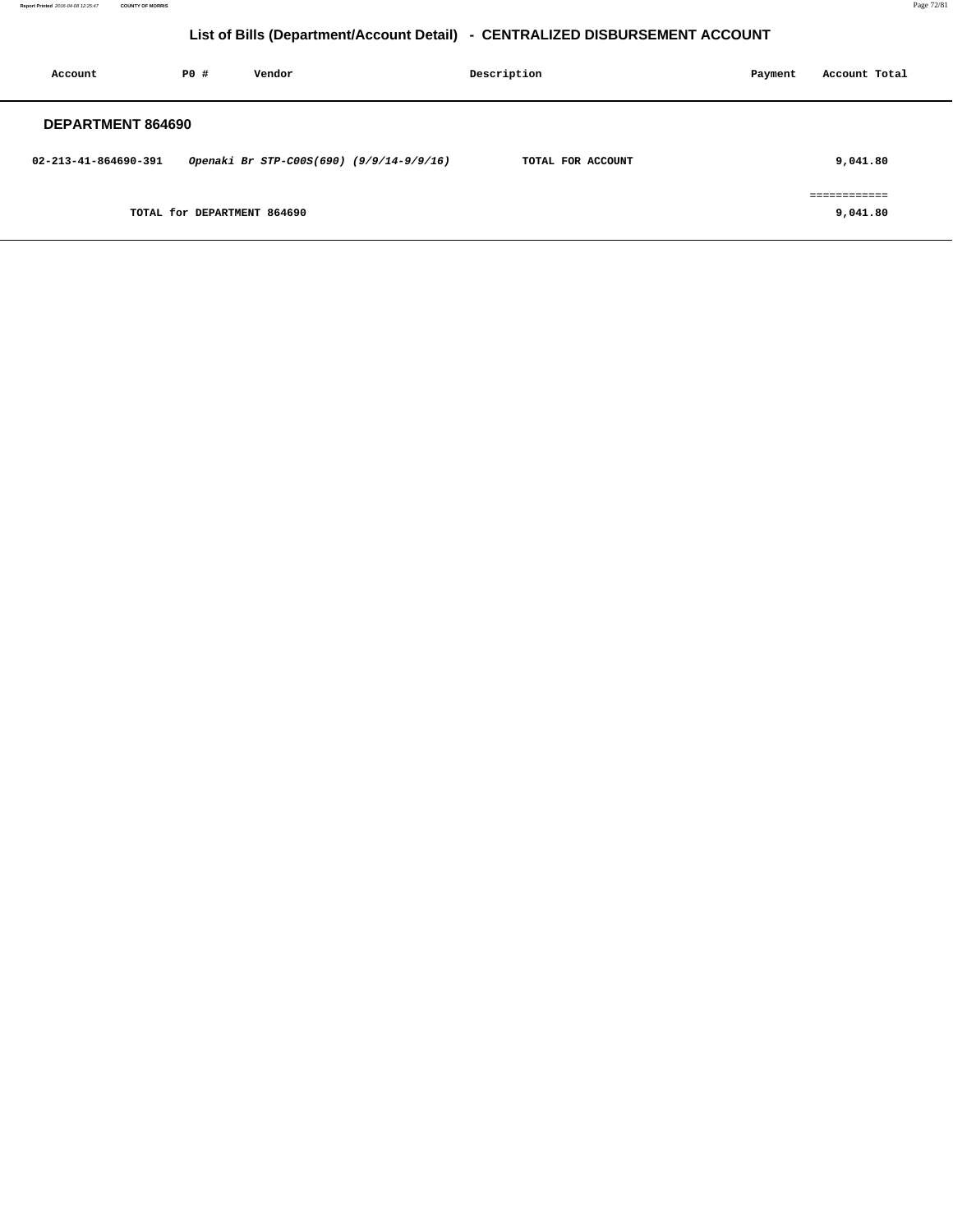**Report Printed** 2016-04-08 12:25:47 **COUNTY OF MORRIS** Page 72/81

# **List of Bills (Department/Account Detail) - CENTRALIZED DISBURSEMENT ACCOUNT**

| Account                  | PO#                         | Vendor |                                          | Description       |  | Payment | Account Total            |  |  |
|--------------------------|-----------------------------|--------|------------------------------------------|-------------------|--|---------|--------------------------|--|--|
| <b>DEPARTMENT 864690</b> |                             |        |                                          |                   |  |         |                          |  |  |
| 02-213-41-864690-391     |                             |        | Openaki Br STP-C00S(690) (9/9/14-9/9/16) | TOTAL FOR ACCOUNT |  |         | 9,041.80                 |  |  |
|                          | TOTAL for DEPARTMENT 864690 |        |                                          |                   |  |         | ============<br>9,041.80 |  |  |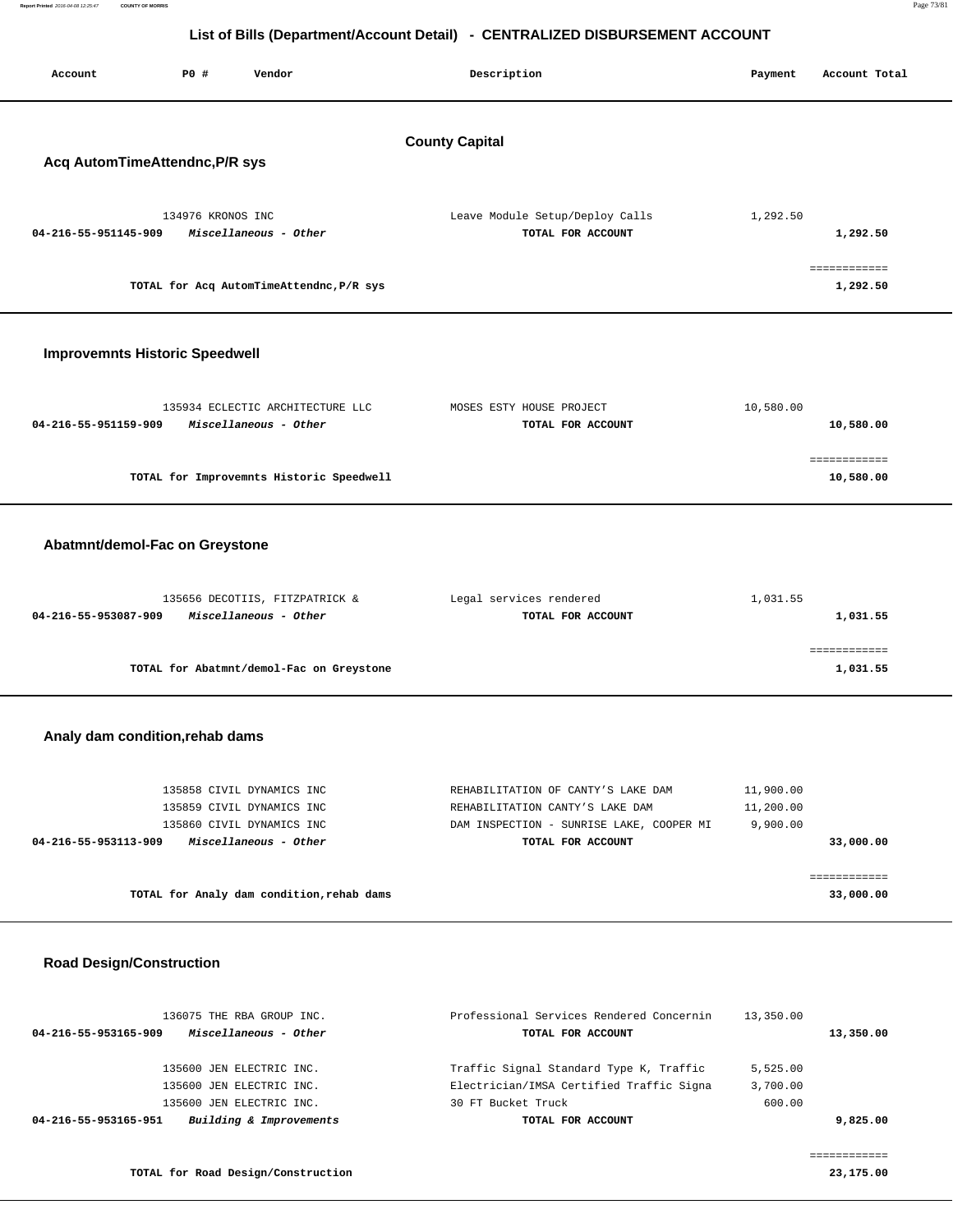| Report Printed 2016-04-08 12:25:47    | <b>COUNTY OF MORRIS</b> |                   |                                                           |                       |                                                                              |           |               | Page 73/81 |
|---------------------------------------|-------------------------|-------------------|-----------------------------------------------------------|-----------------------|------------------------------------------------------------------------------|-----------|---------------|------------|
|                                       |                         |                   |                                                           |                       | List of Bills (Department/Account Detail) - CENTRALIZED DISBURSEMENT ACCOUNT |           |               |            |
|                                       |                         |                   |                                                           |                       |                                                                              |           |               |            |
| Account                               |                         | PO#               | Vendor                                                    | Description           |                                                                              | Payment   | Account Total |            |
|                                       |                         |                   |                                                           |                       |                                                                              |           |               |            |
|                                       |                         |                   |                                                           |                       |                                                                              |           |               |            |
|                                       |                         |                   |                                                           | <b>County Capital</b> |                                                                              |           |               |            |
| Acq AutomTimeAttendnc, P/R sys        |                         |                   |                                                           |                       |                                                                              |           |               |            |
|                                       |                         |                   |                                                           |                       |                                                                              |           |               |            |
|                                       |                         | 134976 KRONOS INC |                                                           |                       | Leave Module Setup/Deploy Calls                                              | 1,292.50  |               |            |
| 04-216-55-951145-909                  |                         |                   | Miscellaneous - Other                                     |                       | TOTAL FOR ACCOUNT                                                            |           | 1,292.50      |            |
|                                       |                         |                   |                                                           |                       |                                                                              |           | ============  |            |
|                                       |                         |                   | TOTAL for Acq AutomTimeAttendnc, P/R sys                  |                       |                                                                              |           | 1,292.50      |            |
|                                       |                         |                   |                                                           |                       |                                                                              |           |               |            |
|                                       |                         |                   |                                                           |                       |                                                                              |           |               |            |
| <b>Improvemnts Historic Speedwell</b> |                         |                   |                                                           |                       |                                                                              |           |               |            |
|                                       |                         |                   |                                                           |                       |                                                                              |           |               |            |
|                                       |                         |                   |                                                           |                       |                                                                              |           |               |            |
| 04-216-55-951159-909                  |                         |                   | 135934 ECLECTIC ARCHITECTURE LLC<br>Miscellaneous - Other |                       | MOSES ESTY HOUSE PROJECT<br>TOTAL FOR ACCOUNT                                | 10,580.00 | 10,580.00     |            |
|                                       |                         |                   |                                                           |                       |                                                                              |           |               |            |
|                                       |                         |                   |                                                           |                       |                                                                              |           | ============  |            |
|                                       |                         |                   | TOTAL for Improvemnts Historic Speedwell                  |                       |                                                                              |           | 10,580.00     |            |
|                                       |                         |                   |                                                           |                       |                                                                              |           |               |            |

## **Abatmnt/demol-Fac on Greystone**

| 135656 DECOTIIS, FITZPATRICK &                | Legal services rendered | 1,031.55 |
|-----------------------------------------------|-------------------------|----------|
| Miscellaneous - Other<br>04-216-55-953087-909 | TOTAL FOR ACCOUNT       | 1,031.55 |
|                                               |                         |          |
|                                               |                         |          |
| TOTAL for Abatmnt/demol-Fac on Greystone      |                         | 1,031.55 |

## **Analy dam condition,rehab dams**

| 135858 CIVIL DYNAMICS INC<br>135859 CIVIL DYNAMICS INC<br>135860 CIVIL DYNAMICS INC | REHABILITATION OF CANTY'S LAKE DAM<br>REHABILITATION CANTY'S LAKE DAM<br>DAM INSPECTION - SUNRISE LAKE, COOPER MI | 11,900.00<br>11,200.00<br>9,900,00 |
|-------------------------------------------------------------------------------------|-------------------------------------------------------------------------------------------------------------------|------------------------------------|
| Miscellaneous - Other<br>04-216-55-953113-909                                       | TOTAL FOR ACCOUNT                                                                                                 | 33,000.00                          |
|                                                                                     |                                                                                                                   |                                    |
| TOTAL for Analy dam condition, rehab dams                                           |                                                                                                                   | 33,000.00                          |

## **Road Design/Construction**

| 136075 THE RBA GROUP INC.<br>Miscellaneous - Other<br>04-216-55-953165-909 | Professional Services Rendered Concernin<br>TOTAL FOR ACCOUNT | 13,350.00 | 13,350.00 |
|----------------------------------------------------------------------------|---------------------------------------------------------------|-----------|-----------|
| 135600 JEN ELECTRIC INC.                                                   | Traffic Signal Standard Type K, Traffic                       | 5,525.00  |           |
| 135600 JEN ELECTRIC INC.                                                   | Electrician/IMSA Certified Traffic Signa                      | 3,700.00  |           |
| 135600 JEN ELECTRIC INC.                                                   | 30 FT Bucket Truck                                            | 600.00    |           |
| Building & Improvements<br>04-216-55-953165-951                            | TOTAL FOR ACCOUNT                                             |           | 9,825,00  |
|                                                                            |                                                               |           |           |
|                                                                            |                                                               |           |           |
| TOTAL for Road Design/Construction                                         |                                                               |           | 23,175.00 |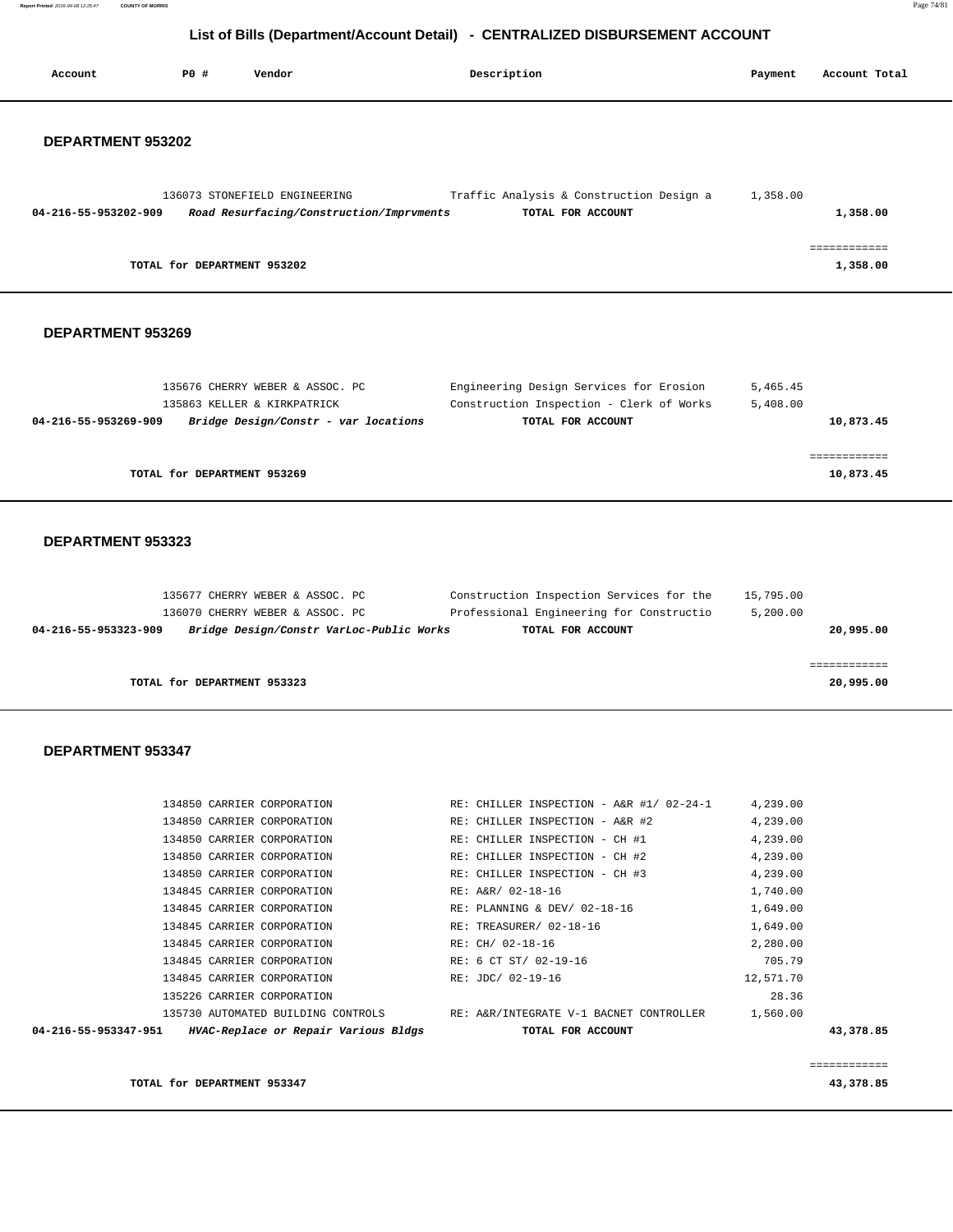**Report Printed** 2016-04-08 12:25:47 **COUNTY OF MORRIS** Page 74/81

# **List of Bills (Department/Account Detail) - CENTRALIZED DISBURSEMENT ACCOUNT**

| Account                                                   | PO#                         | Vendor                                                                                                         | Description                                                                                               | Payment               | Account Total             |
|-----------------------------------------------------------|-----------------------------|----------------------------------------------------------------------------------------------------------------|-----------------------------------------------------------------------------------------------------------|-----------------------|---------------------------|
| DEPARTMENT 953202                                         |                             |                                                                                                                |                                                                                                           |                       |                           |
| 04-216-55-953202-909                                      |                             | 136073 STONEFIELD ENGINEERING<br>Road Resurfacing/Construction/Imprvments                                      | Traffic Analysis & Construction Design a<br>TOTAL FOR ACCOUNT                                             | 1,358.00              | 1,358.00                  |
|                                                           | TOTAL for DEPARTMENT 953202 |                                                                                                                |                                                                                                           |                       | ============<br>1,358.00  |
| DEPARTMENT 953269                                         |                             |                                                                                                                |                                                                                                           |                       |                           |
| 04-216-55-953269-909                                      |                             | 135676 CHERRY WEBER & ASSOC. PC<br>135863 KELLER & KIRKPATRICK<br>Bridge Design/Constr - var locations         | Engineering Design Services for Erosion<br>Construction Inspection - Clerk of Works<br>TOTAL FOR ACCOUNT  | 5,465.45<br>5,408.00  | 10,873.45                 |
|                                                           | TOTAL for DEPARTMENT 953269 |                                                                                                                |                                                                                                           |                       | ------------<br>10,873.45 |
| DEPARTMENT 953323                                         |                             |                                                                                                                |                                                                                                           |                       |                           |
| 04-216-55-953323-909                                      |                             | 135677 CHERRY WEBER & ASSOC. PC<br>136070 CHERRY WEBER & ASSOC. PC<br>Bridge Design/Constr VarLoc-Public Works | Construction Inspection Services for the<br>Professional Engineering for Constructio<br>TOTAL FOR ACCOUNT | 15,795.00<br>5,200.00 | 20,995.00                 |
|                                                           | TOTAL for DEPARTMENT 953323 |                                                                                                                |                                                                                                           |                       | ============<br>20,995.00 |
| <b>DEPARTMENT 953347</b>                                  |                             |                                                                                                                |                                                                                                           |                       |                           |
|                                                           |                             | 134850 CARRIER CORPORATION                                                                                     | RE: CHILLER INSPECTION - A&R #1/ 02-24-1                                                                  | 4,239.00              |                           |
|                                                           |                             | 134850 CARRIER CORPORATION                                                                                     | RE: CHILLER INSPECTION - A&R #2                                                                           | 4,239.00              |                           |
|                                                           |                             | 134850 CARRIER CORPORATION                                                                                     | RE: CHILLER INSPECTION - CH #1                                                                            | 4,239.00              |                           |
|                                                           |                             | 134850 CARRIER CORPORATION                                                                                     | RE: CHILLER INSPECTION - CH #2                                                                            | 4,239.00              |                           |
|                                                           |                             | 134850 CARRIER CORPORATION                                                                                     | $RE:$ CHILLER INSPECTION - CH #3 $4,239.00$                                                               |                       |                           |
|                                                           |                             | 134845 CARRIER CORPORATION                                                                                     | RE: A&R/ 02-18-16                                                                                         | 1,740.00              |                           |
|                                                           |                             | 134845 CARRIER CORPORATION                                                                                     | RE: PLANNING & DEV/ 02-18-16                                                                              | 1,649.00              |                           |
|                                                           |                             | 134845 CARRIER CORPORATION                                                                                     | RE: TREASURER/ 02-18-16                                                                                   | 1,649.00              |                           |
|                                                           |                             | 134845 CARRIER CORPORATION                                                                                     | RE: CH/ 02-18-16                                                                                          | 2,280.00              |                           |
|                                                           |                             | 134845 CARRIER CORPORATION                                                                                     | RE: 6 CT ST/ 02-19-16                                                                                     | 705.79                |                           |
|                                                           |                             | 134845 CARRIER CORPORATION                                                                                     | RE: JDC/ 02-19-16                                                                                         | 12,571.70             |                           |
|                                                           |                             | 135226 CARRIER CORPORATION                                                                                     |                                                                                                           | 28.36                 |                           |
|                                                           |                             |                                                                                                                | 135730 AUTOMATED BUILDING CONTROLS RE: A&R/INTEGRATE V-1 BACNET CONTROLLER 1,560.00                       |                       |                           |
| 04-216-55-953347-951 HVAC-Replace or Repair Various Bldgs |                             |                                                                                                                | TOTAL FOR ACCOUNT                                                                                         |                       | 43,378.85                 |
|                                                           | TOTAL for DEPARTMENT 953347 |                                                                                                                |                                                                                                           |                       | ============<br>43,378.85 |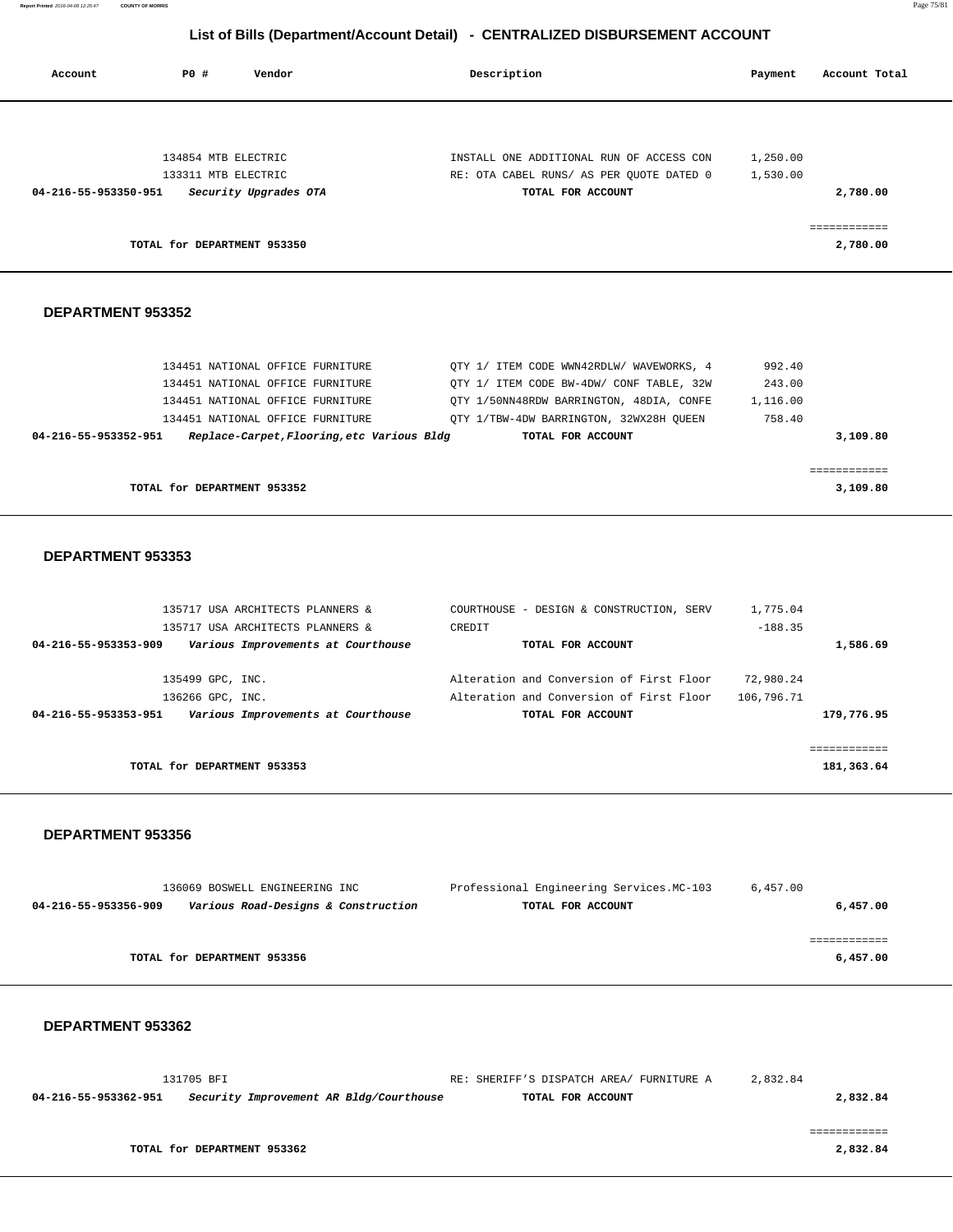**Report Printed** 2016-04-08 12:25:47 **COUNTY OF MORRIS** Page 75/81

# **List of Bills (Department/Account Detail) - CENTRALIZED DISBURSEMENT ACCOUNT**

| Account              | P0 #<br>Vendor                             | Description                                                                          | Payment    | Account Total              |
|----------------------|--------------------------------------------|--------------------------------------------------------------------------------------|------------|----------------------------|
|                      |                                            |                                                                                      |            |                            |
|                      | 134854 MTB ELECTRIC                        | INSTALL ONE ADDITIONAL RUN OF ACCESS CON                                             | 1,250.00   |                            |
|                      | 133311 MTB ELECTRIC                        | RE: OTA CABEL RUNS/ AS PER QUOTE DATED 0                                             | 1,530.00   |                            |
| 04-216-55-953350-951 | Security Upgrades OTA                      | TOTAL FOR ACCOUNT                                                                    |            | 2,780.00                   |
|                      | TOTAL for DEPARTMENT 953350                |                                                                                      |            | ------------<br>2,780.00   |
| DEPARTMENT 953352    |                                            |                                                                                      |            |                            |
|                      | 134451 NATIONAL OFFICE FURNITURE           |                                                                                      | 992.40     |                            |
|                      | 134451 NATIONAL OFFICE FURNITURE           | QTY 1/ ITEM CODE WWN42RDLW/ WAVEWORKS, 4<br>QTY 1/ ITEM CODE BW-4DW/ CONF TABLE, 32W | 243.00     |                            |
|                      | 134451 NATIONAL OFFICE FURNITURE           | QTY 1/50NN48RDW BARRINGTON, 48DIA, CONFE                                             | 1,116.00   |                            |
|                      | 134451 NATIONAL OFFICE FURNITURE           | QTY 1/TBW-4DW BARRINGTON, 32WX28H QUEEN                                              | 758.40     |                            |
| 04-216-55-953352-951 | Replace-Carpet, Flooring, etc Various Bldg | TOTAL FOR ACCOUNT                                                                    |            | 3,109.80                   |
|                      |                                            |                                                                                      |            | ============               |
|                      | TOTAL for DEPARTMENT 953352                |                                                                                      |            | 3,109.80                   |
| DEPARTMENT 953353    |                                            |                                                                                      |            |                            |
|                      | 135717 USA ARCHITECTS PLANNERS &           | COURTHOUSE - DESIGN & CONSTRUCTION, SERV                                             | 1,775.04   |                            |
|                      | 135717 USA ARCHITECTS PLANNERS &           | CREDIT                                                                               | $-188.35$  |                            |
| 04-216-55-953353-909 | Various Improvements at Courthouse         | TOTAL FOR ACCOUNT                                                                    |            | 1,586.69                   |
|                      | 135499 GPC, INC.                           | Alteration and Conversion of First Floor                                             | 72,980.24  |                            |
|                      | 136266 GPC, INC.                           | Alteration and Conversion of First Floor                                             | 106,796.71 |                            |
| 04-216-55-953353-951 | Various Improvements at Courthouse         | TOTAL FOR ACCOUNT                                                                    |            | 179,776.95                 |
|                      | TOTAL for DEPARTMENT 953353                |                                                                                      |            | ============<br>181,363.64 |
|                      |                                            |                                                                                      |            |                            |

## **DEPARTMENT 953356**

|                      | 136069 BOSWELL ENGINEERING INC      | Professional Engineering Services. MC-103 | 6,457.00 |
|----------------------|-------------------------------------|-------------------------------------------|----------|
| 04-216-55-953356-909 | Various Road-Designs & Construction | TOTAL FOR ACCOUNT                         | 6,457.00 |
|                      |                                     |                                           |          |
|                      |                                     |                                           |          |
|                      | TOTAL for DEPARTMENT 953356         |                                           | 6,457.00 |
|                      |                                     |                                           |          |

|                      | 131705 BFI                              | RE: SHERIFF'S DISPATCH AREA/ FURNITURE A | 2,832.84 |          |
|----------------------|-----------------------------------------|------------------------------------------|----------|----------|
| 04-216-55-953362-951 | Security Improvement AR Bldg/Courthouse | TOTAL FOR ACCOUNT                        |          | 2,832.84 |
|                      |                                         |                                          |          |          |
|                      |                                         |                                          |          |          |
|                      | TOTAL for DEPARTMENT 953362             |                                          |          | 2,832.84 |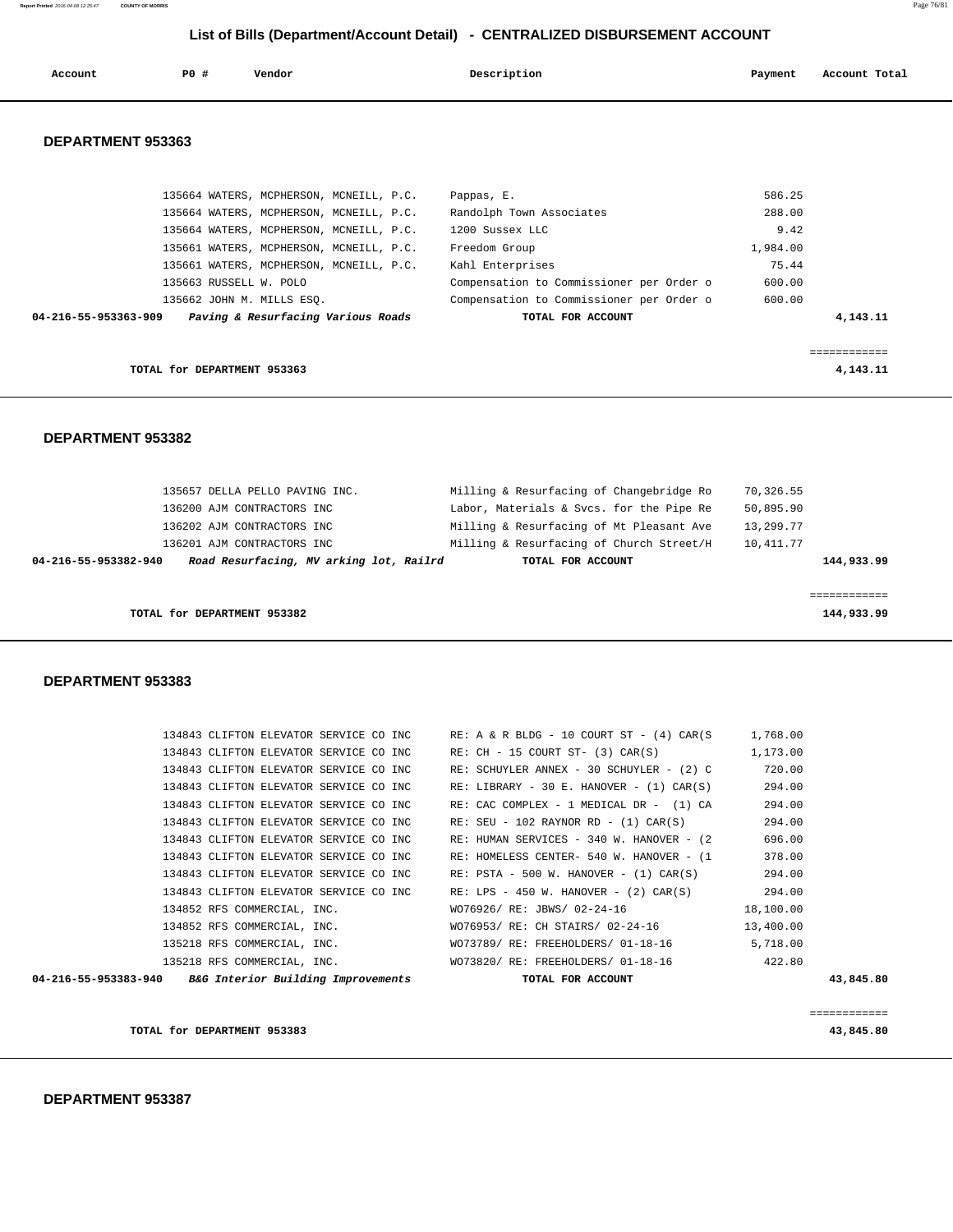# **DEPARTMENT 953387**

| TOTAL for DEPARTMENT 953383                             |                                               | 43,845.80    |
|---------------------------------------------------------|-----------------------------------------------|--------------|
|                                                         |                                               | ============ |
| 04-216-55-953383-940 B&G Interior Building Improvements | TOTAL FOR ACCOUNT                             | 43,845.80    |
| 135218 RFS COMMERCIAL, INC.                             | WO73820/ RE: FREEHOLDERS/ 01-18-16            | 422.80       |
| 135218 RFS COMMERCIAL, INC.                             | WO73789/RE: FREEHOLDERS/01-18-16              | 5,718.00     |
| 134852 RFS COMMERCIAL, INC.                             | WO76953/ RE: CH STAIRS/ 02-24-16              | 13,400.00    |
| 134852 RFS COMMERCIAL, INC.                             | WO76926/ RE: JBWS/ 02-24-16                   | 18,100.00    |
| 134843 CLIFTON ELEVATOR SERVICE CO INC                  | RE: LPS - 450 W. HANOVER - $(2)$ CAR $(S)$    | 294.00       |
| 134843 CLIFTON ELEVATOR SERVICE CO INC                  | $RE: PSTA - 500 W. HANOVER - (1) CAR(S)$      | 294.00       |
| 134843 CLIFTON ELEVATOR SERVICE CO INC                  | RE: HOMELESS CENTER- 540 W. HANOVER - (1      | 378.00       |
| 134843 CLIFTON ELEVATOR SERVICE CO INC                  | RE: HUMAN SERVICES - 340 W. HANOVER - (2)     | 696.00       |
| 134843 CLIFTON ELEVATOR SERVICE CO INC                  | $RE: SEU - 102 RAYNOR RD - (1) CAR(S)$        | 294.00       |
| 134843 CLIFTON ELEVATOR SERVICE CO INC                  | RE: CAC COMPLEX - 1 MEDICAL DR - (1) CA       | 294.00       |
| 134843 CLIFTON ELEVATOR SERVICE CO INC                  | RE: LIBRARY - 30 E. HANOVER - $(1)$ CAR $(S)$ | 294.00       |
| 134843 CLIFTON ELEVATOR SERVICE CO INC                  | RE: SCHUYLER ANNEX - 30 SCHUYLER - (2) C      | 720.00       |

 134843 CLIFTON ELEVATOR SERVICE CO INC RE: A & R BLDG - 10 COURT ST - (4) CAR(S 1,768.00 134843 CLIFTON ELEVATOR SERVICE CO INC RE: CH - 15 COURT ST- (3) CAR(S) 1,173.00

#### **DEPARTMENT 953383**

| 04-216-55-953382-940 | Road Resurfacing, MV arking lot, Railrd | TOTAL FOR ACCOUNT                        | 144,933.99 |
|----------------------|-----------------------------------------|------------------------------------------|------------|
|                      | 136201 AJM CONTRACTORS INC              | Milling & Resurfacing of Church Street/H | 10,411.77  |
|                      | 136202 AJM CONTRACTORS INC              | Milling & Resurfacing of Mt Pleasant Ave | 13,299.77  |
|                      | 136200 AJM CONTRACTORS INC              | Labor, Materials & Svcs. for the Pipe Re | 50,895.90  |
|                      | 135657 DELLA PELLO PAVING INC.          | Milling & Resurfacing of Changebridge Ro | 70,326.55  |

**TOTAL for DEPARTMENT 953363 4,143.11**

## **DEPARTMENT 953382**

| Paving & Resurfacing Various Roads<br>04-216-55-953363-909 | TOTAL FOR ACCOUNT                        |          | 4,143.11 |
|------------------------------------------------------------|------------------------------------------|----------|----------|
| 135662 JOHN M. MILLS ESO.                                  | Compensation to Commissioner per Order o | 600.00   |          |
| 135663 RUSSELL W. POLO                                     | Compensation to Commissioner per Order o | 600.00   |          |
| 135661 WATERS, MCPHERSON, MCNEILL, P.C.                    | Kahl Enterprises                         | 75.44    |          |
| 135661 WATERS, MCPHERSON, MCNEILL, P.C.                    | Freedom Group                            | 1,984.00 |          |
| 135664 WATERS, MCPHERSON, MCNEILL, P.C.                    | 1200 Sussex LLC                          | 9.42     |          |
| 135664 WATERS, MCPHERSON, MCNEILL, P.C.                    | Randolph Town Associates                 | 288.00   |          |
| 135664 WATERS, MCPHERSON, MCNEILL, P.C.                    | Pappas, E.                               | 586.25   |          |

# **DEPARTMENT 953363**

|  | List of Bills (Department/Account Detail) - CENTRALIZED DISBURSEMENT ACCOUNT |
|--|------------------------------------------------------------------------------|
|--|------------------------------------------------------------------------------|

Account **1888** PO # Vendor **Post Payment Account Payment Account Total**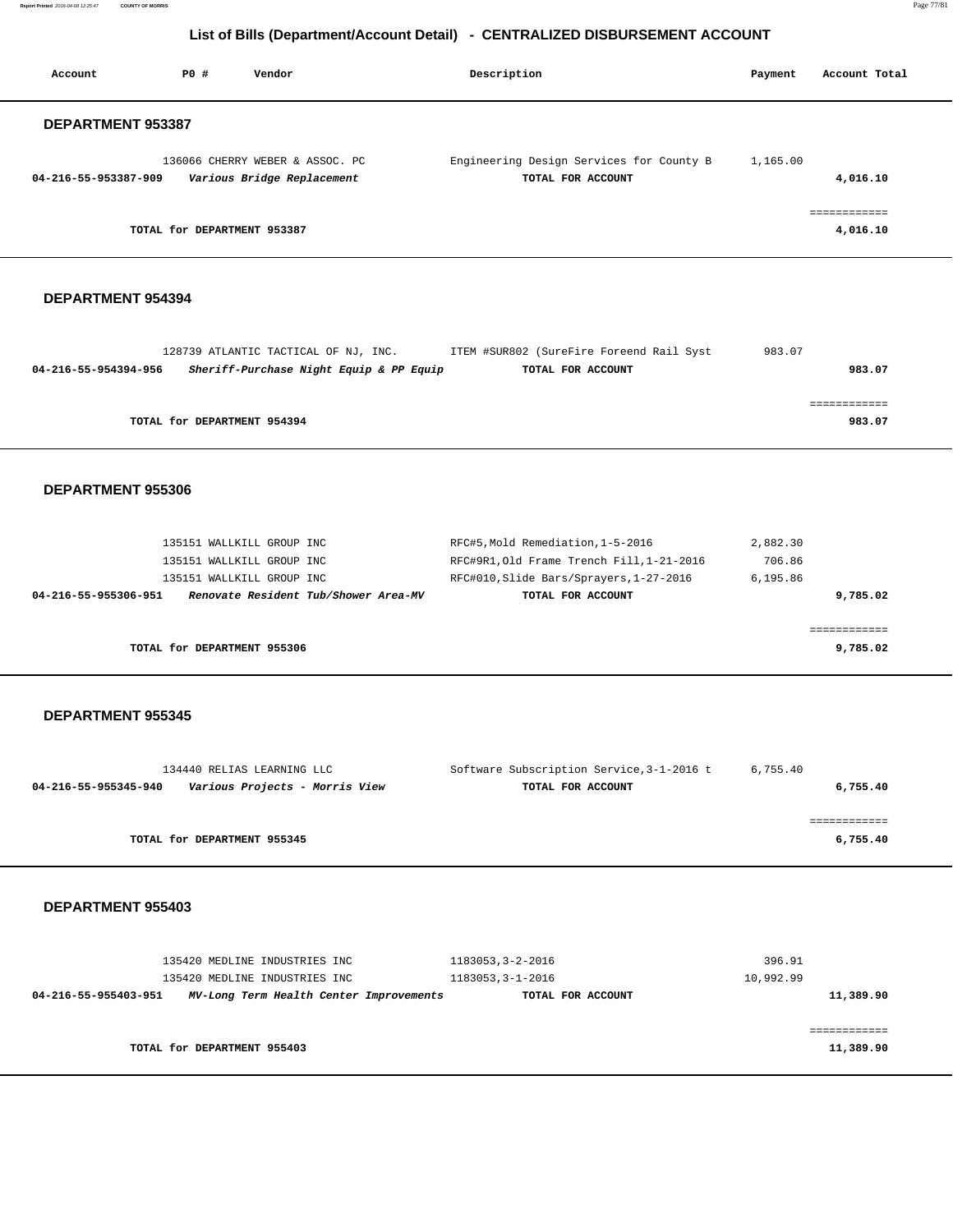**Report Printed** 2016-04-08 12:25:47 **COUNTY OF MORRIS** Page 77/81

# **List of Bills (Department/Account Detail) - CENTRALIZED DISBURSEMENT ACCOUNT**

| Account                  | PO#                         | Vendor                                                        | Description                                                   | Payment  | Account Total            |
|--------------------------|-----------------------------|---------------------------------------------------------------|---------------------------------------------------------------|----------|--------------------------|
| <b>DEPARTMENT 953387</b> |                             |                                                               |                                                               |          |                          |
| 04-216-55-953387-909     |                             | 136066 CHERRY WEBER & ASSOC. PC<br>Various Bridge Replacement | Engineering Design Services for County B<br>TOTAL FOR ACCOUNT | 1,165.00 | 4,016.10                 |
|                          | TOTAL for DEPARTMENT 953387 |                                                               |                                                               |          | ============<br>4,016.10 |

#### **DEPARTMENT 954394**

|                      | 128739 ATLANTIC TACTICAL OF NJ, INC.    | ITEM #SUR802 (SureFire Foreend Rail Syst | 983.07 |        |
|----------------------|-----------------------------------------|------------------------------------------|--------|--------|
| 04-216-55-954394-956 | Sheriff-Purchase Night Equip & PP Equip | TOTAL FOR ACCOUNT                        |        | 983.07 |
|                      |                                         |                                          |        |        |
|                      |                                         |                                          |        |        |
|                      | TOTAL for DEPARTMENT 954394             |                                          |        | 983.07 |
|                      |                                         |                                          |        |        |

## **DEPARTMENT 955306**

| 135151 WALLKILL GROUP INC                                    | RFC#5, Mold Remediation, 1-5-2016         | 2,882.30 |
|--------------------------------------------------------------|-------------------------------------------|----------|
| 135151 WALLKILL GROUP INC                                    | RFC#9R1, Old Frame Trench Fill, 1-21-2016 | 706.86   |
| 135151 WALLKILL GROUP INC                                    | RFC#010, Slide Bars/Sprayers, 1-27-2016   | 6.195.86 |
| Renovate Resident Tub/Shower Area-MV<br>04-216-55-955306-951 | TOTAL FOR ACCOUNT                         | 9,785.02 |
|                                                              |                                           |          |
|                                                              |                                           |          |
| TOTAL for DEPARTMENT 955306                                  |                                           | 9,785.02 |

#### **DEPARTMENT 955345**

|                      | 134440 RELIAS LEARNING LLC     | Software Subscription Service, 3-1-2016 t | 6,755.40 |
|----------------------|--------------------------------|-------------------------------------------|----------|
| 04-216-55-955345-940 | Various Projects - Morris View | TOTAL FOR ACCOUNT                         | 6,755.40 |
|                      |                                |                                           |          |
|                      |                                |                                           |          |
|                      | TOTAL for DEPARTMENT 955345    |                                           | 6,755.40 |
|                      |                                |                                           |          |

|                      | 135420 MEDLINE INDUSTRIES INC<br>135420 MEDLINE INDUSTRIES INC | 1183053,3-2-2016<br>1183053, 3-1-2016 | 396.91<br>10,992.99 |
|----------------------|----------------------------------------------------------------|---------------------------------------|---------------------|
| 04-216-55-955403-951 | MV-Long Term Health Center Improvements                        | TOTAL FOR ACCOUNT                     | 11,389.90           |
|                      |                                                                |                                       |                     |
|                      |                                                                |                                       |                     |
|                      | TOTAL for DEPARTMENT 955403                                    |                                       | 11,389.90           |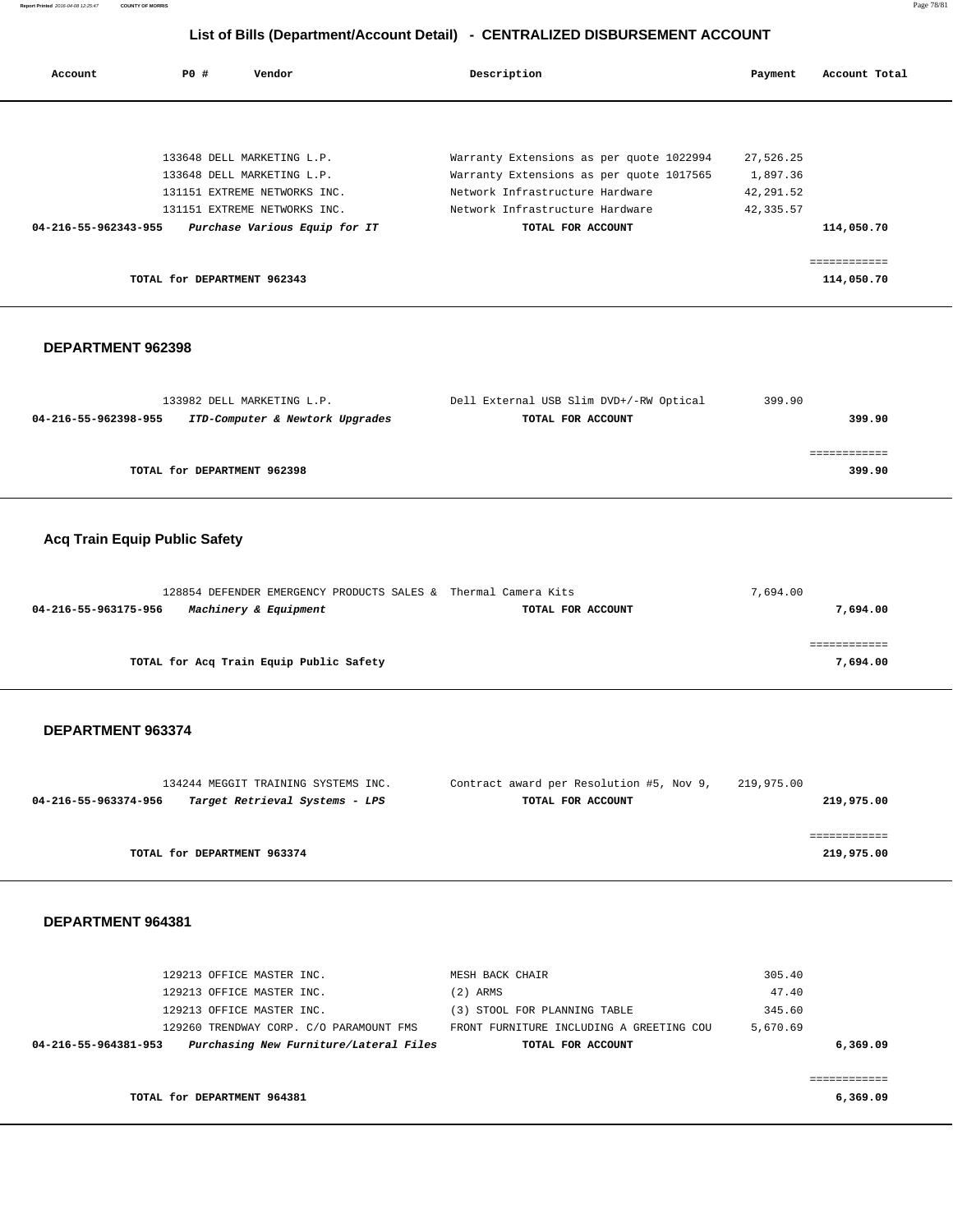**Report Printed** 2016-04-08 12:25:47 **COUNTY OF MORRIS** Page 78/81

# **List of Bills (Department/Account Detail) - CENTRALIZED DISBURSEMENT ACCOUNT**

| PO#<br>Vendor<br>Account |                             |                               | Description                              | Payment   | Account Total |
|--------------------------|-----------------------------|-------------------------------|------------------------------------------|-----------|---------------|
|                          |                             |                               |                                          |           |               |
|                          |                             | 133648 DELL MARKETING L.P.    | Warranty Extensions as per quote 1022994 | 27,526.25 |               |
|                          |                             | 133648 DELL MARKETING L.P.    | Warranty Extensions as per quote 1017565 | 1,897.36  |               |
|                          |                             | 131151 EXTREME NETWORKS INC.  | Network Infrastructure Hardware          | 42,291.52 |               |
|                          |                             | 131151 EXTREME NETWORKS INC.  | Network Infrastructure Hardware          | 42,335.57 |               |
| 04-216-55-962343-955     |                             | Purchase Various Equip for IT | TOTAL FOR ACCOUNT                        |           | 114,050.70    |
|                          |                             |                               |                                          |           |               |
|                          |                             |                               |                                          |           | :===========  |
|                          | TOTAL for DEPARTMENT 962343 |                               |                                          |           | 114,050.70    |

## **DEPARTMENT 962398**

|                      | 133982 DELL MARKETING L.P.      | Dell External USB Slim DVD+/-RW Optical | 399.90 |        |
|----------------------|---------------------------------|-----------------------------------------|--------|--------|
| 04-216-55-962398-955 | ITD-Computer & Newtork Upgrades | TOTAL FOR ACCOUNT                       |        | 399.90 |
|                      |                                 |                                         |        |        |
|                      |                                 |                                         |        |        |
|                      | TOTAL for DEPARTMENT 962398     |                                         |        | 399.90 |

# **Acq Train Equip Public Safety**

| 128854 DEFENDER EMERGENCY PRODUCTS SALES & Thermal Camera Kits |                   | 7,694.00 |
|----------------------------------------------------------------|-------------------|----------|
| Machinery & Equipment<br>04-216-55-963175-956                  | TOTAL FOR ACCOUNT | 7,694.00 |
|                                                                |                   |          |
|                                                                |                   |          |
| TOTAL for Acq Train Equip Public Safety                        |                   | 7,694.00 |

## **DEPARTMENT 963374**

|                      | 134244 MEGGIT TRAINING SYSTEMS INC. | Contract award per Resolution #5, Nov 9, | 219,975.00 |
|----------------------|-------------------------------------|------------------------------------------|------------|
| 04-216-55-963374-956 | Target Retrieval Systems - LPS      | TOTAL FOR ACCOUNT                        | 219,975.00 |
|                      |                                     |                                          |            |
|                      |                                     |                                          |            |
|                      | TOTAL for DEPARTMENT 963374         |                                          | 219,975.00 |
|                      |                                     |                                          |            |

| 129213 OFFICE MASTER INC.                                      | MESH BACK CHAIR                          | 305.40   |
|----------------------------------------------------------------|------------------------------------------|----------|
| 129213 OFFICE MASTER INC.                                      | $(2)$ ARMS                               | 47.40    |
| 129213 OFFICE MASTER INC.                                      | (3) STOOL FOR PLANNING TABLE             | 345.60   |
| 129260 TRENDWAY CORP. C/O PARAMOUNT FMS                        | FRONT FURNITURE INCLUDING A GREETING COU | 5,670.69 |
| Purchasing New Furniture/Lateral Files<br>04-216-55-964381-953 | TOTAL FOR ACCOUNT                        | 6,369.09 |
|                                                                |                                          |          |
|                                                                |                                          |          |
| TOTAL for DEPARTMENT 964381                                    |                                          | 6,369.09 |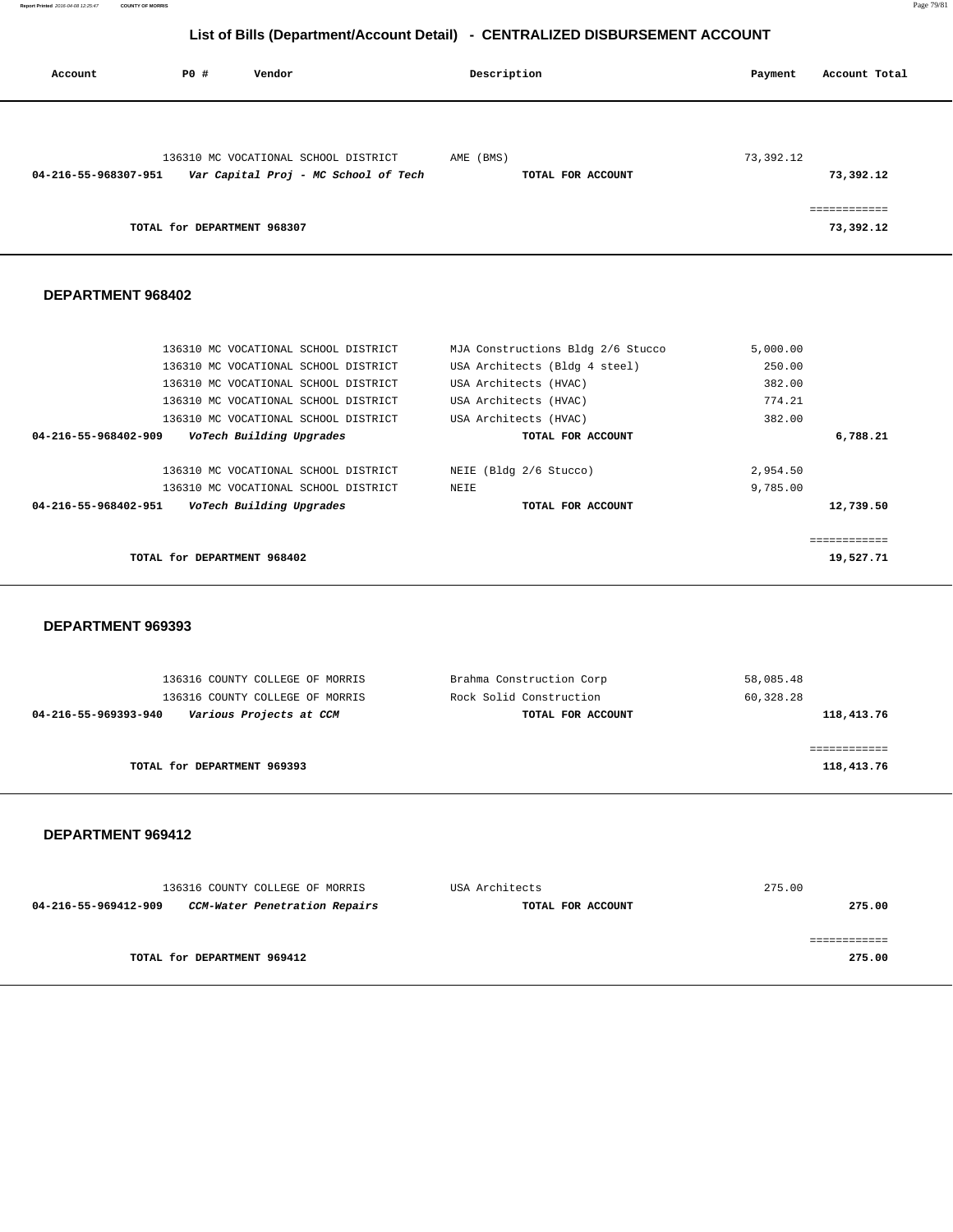**Report Printed** 2016-04-08 12:25:47 **COUNTY OF MORRIS** Page 79/81

# **List of Bills (Department/Account Detail) - CENTRALIZED DISBURSEMENT ACCOUNT**

| Account              | P0 #                        | Vendor                                                                       |           | Description       | Payment   | Account Total             |
|----------------------|-----------------------------|------------------------------------------------------------------------------|-----------|-------------------|-----------|---------------------------|
| 04-216-55-968307-951 |                             | 136310 MC VOCATIONAL SCHOOL DISTRICT<br>Var Capital Proj - MC School of Tech | AME (BMS) | TOTAL FOR ACCOUNT | 73,392.12 | 73,392.12                 |
|                      | TOTAL for DEPARTMENT 968307 |                                                                              |           |                   |           | ============<br>73,392.12 |

## **DEPARTMENT 968402**

| 136310 MC VOCATIONAL SCHOOL DISTRICT             | MJA Constructions Bldg 2/6 Stucco | 5,000.00   |
|--------------------------------------------------|-----------------------------------|------------|
| 136310 MC VOCATIONAL SCHOOL DISTRICT             | USA Architects (Bldg 4 steel)     | 250.00     |
| 136310 MC VOCATIONAL SCHOOL DISTRICT             | USA Architects (HVAC)             | 382.00     |
| 136310 MC VOCATIONAL SCHOOL DISTRICT             | USA Architects (HVAC)             | 774.21     |
| 136310 MC VOCATIONAL SCHOOL DISTRICT             | USA Architects (HVAC)             | 382.00     |
| 04-216-55-968402-909<br>VoTech Building Upgrades | TOTAL FOR ACCOUNT                 | 6,788.21   |
|                                                  |                                   |            |
| 136310 MC VOCATIONAL SCHOOL DISTRICT             | NEIE (Bldg 2/6 Stucco)            | 2,954.50   |
| 136310 MC VOCATIONAL SCHOOL DISTRICT             | NEIE                              | 9,785.00   |
| 04-216-55-968402-951<br>VoTech Building Upgrades | TOTAL FOR ACCOUNT                 | 12,739.50  |
|                                                  |                                   |            |
|                                                  |                                   | :========= |
| TOTAL for DEPARTMENT 968402                      |                                   | 19,527.71  |
|                                                  |                                   |            |

## **DEPARTMENT 969393**

| 118,413.76 |
|------------|
|            |
|            |
| 118,413.76 |
|            |

|                             | 136316 COUNTY COLLEGE OF MORRIS | USA Architects    | 275.00 |
|-----------------------------|---------------------------------|-------------------|--------|
| 04-216-55-969412-909        | CCM-Water Penetration Repairs   | TOTAL FOR ACCOUNT | 275.00 |
|                             |                                 |                   |        |
|                             |                                 |                   |        |
| TOTAL for DEPARTMENT 969412 |                                 |                   | 275.00 |
|                             |                                 |                   |        |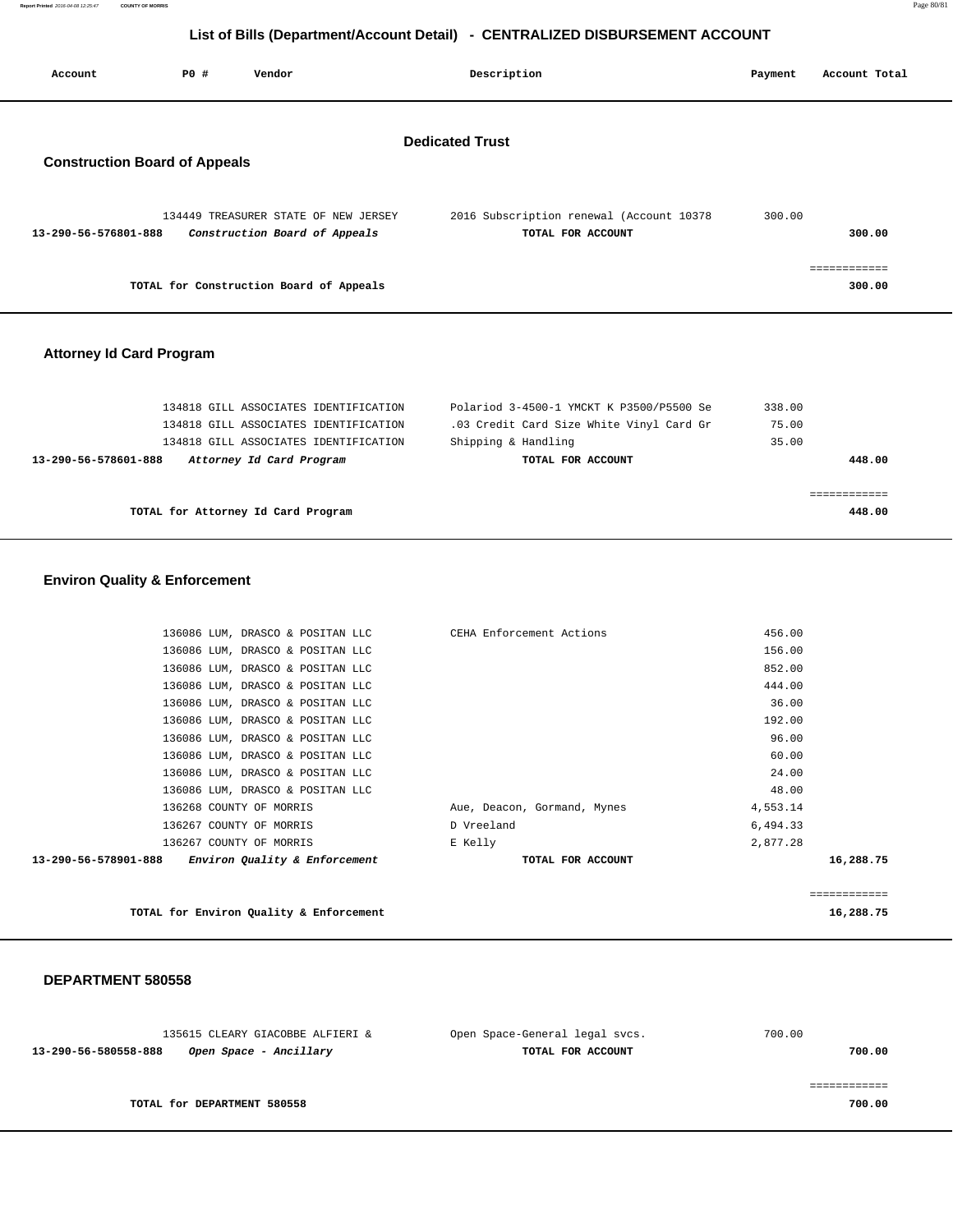# **List of Bills (Department/Account Detail) - CENTRALIZED DISBURSEMENT ACCOUNT**

| Account                                                        | <b>PO #</b> | Vendor                                                                | Description                                                   | Payment | Account Total          |
|----------------------------------------------------------------|-------------|-----------------------------------------------------------------------|---------------------------------------------------------------|---------|------------------------|
| <b>Dedicated Trust</b><br><b>Construction Board of Appeals</b> |             |                                                                       |                                                               |         |                        |
| 13-290-56-576801-888                                           |             | 134449 TREASURER STATE OF NEW JERSEY<br>Construction Board of Appeals | 2016 Subscription renewal (Account 10378<br>TOTAL FOR ACCOUNT | 300.00  | 300.00                 |
|                                                                |             | TOTAL for Construction Board of Appeals                               |                                                               |         | ------------<br>300.00 |

## **Attorney Id Card Program**

| 134818 GILL ASSOCIATES IDENTIFICATION            | Polariod 3-4500-1 YMCKT K P3500/P5500 Se | 338.00 |
|--------------------------------------------------|------------------------------------------|--------|
| 134818 GILL ASSOCIATES IDENTIFICATION            | .03 Credit Card Size White Vinyl Card Gr | 75.00  |
| 134818 GILL ASSOCIATES IDENTIFICATION            | Shipping & Handling                      | 35.00  |
| Attorney Id Card Program<br>13-290-56-578601-888 | TOTAL FOR ACCOUNT                        | 448.00 |
|                                                  |                                          |        |
|                                                  |                                          |        |
| TOTAL for Attorney Id Card Program               |                                          | 448.00 |
|                                                  |                                          |        |

## **Environ Quality & Enforcement**

| Environ Quality & Enforcement                   | TOTAL FOR ACCOUNT           | 16,288.75 |
|-------------------------------------------------|-----------------------------|-----------|
| 136267 COUNTY OF MORRIS<br>13-290-56-578901-888 | E Kelly                     | 2,877.28  |
| 136267 COUNTY OF MORRIS                         | D Vreeland                  | 6,494.33  |
| 136268 COUNTY OF MORRIS                         | Aue, Deacon, Gormand, Mynes | 4,553.14  |
| 136086 LUM, DRASCO & POSITAN LLC                |                             | 48.00     |
| 136086 LUM, DRASCO & POSITAN LLC                |                             | 24.00     |
| 136086 LUM, DRASCO & POSITAN LLC                |                             | 60.00     |
| 136086 LUM, DRASCO & POSITAN LLC                |                             | 96.00     |
| 136086 LUM, DRASCO & POSITAN LLC                |                             | 192.00    |
| 136086 LUM, DRASCO & POSITAN LLC                |                             | 36.00     |
| 136086 LUM, DRASCO & POSITAN LLC                |                             | 444.00    |
| 136086 LUM, DRASCO & POSITAN LLC                |                             | 852.00    |
| 136086 LUM, DRASCO & POSITAN LLC                |                             | 156.00    |
| 136086 LUM, DRASCO & POSITAN LLC                | CEHA Enforcement Actions    | 456.00    |

TOTAL for Environ Quality & Enforcement 16,288.75

## **DEPARTMENT 580558**

| 135615 CLEARY GIACOBBE ALFIERI &               | Open Space-General legal svcs. | 700.00 |
|------------------------------------------------|--------------------------------|--------|
| 13-290-56-580558-888<br>Open Space - Ancillary | TOTAL FOR ACCOUNT              | 700.00 |
|                                                |                                |        |
|                                                |                                |        |
| TOTAL for DEPARTMENT 580558                    |                                | 700.00 |

============